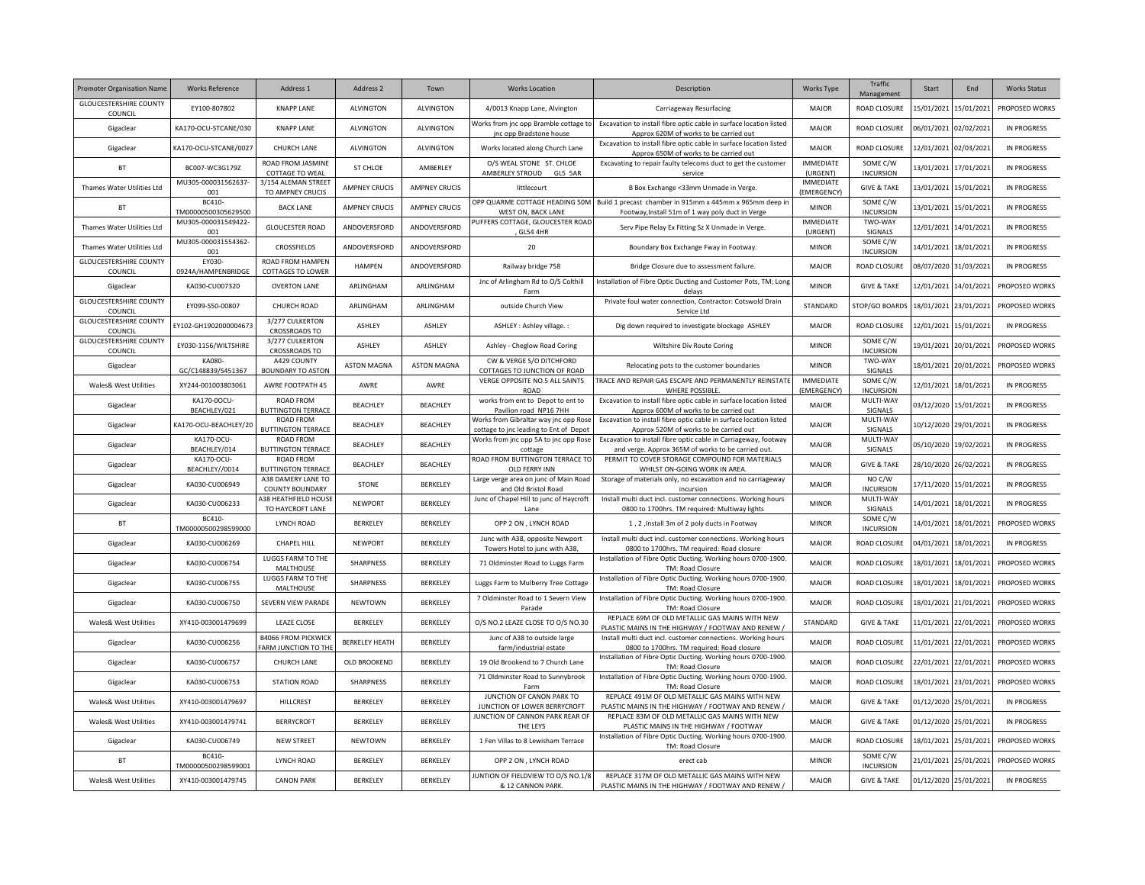| Promoter Organisation Name               | <b>Works Reference</b>        | Address 1                                         | Address 2             | Town                 | <b>Works Location</b>                                                           | Description                                                                                                           | <b>Works Type</b>                     | Traffic<br>Management        | Start      | End                   | <b>Works Status</b> |
|------------------------------------------|-------------------------------|---------------------------------------------------|-----------------------|----------------------|---------------------------------------------------------------------------------|-----------------------------------------------------------------------------------------------------------------------|---------------------------------------|------------------------------|------------|-----------------------|---------------------|
| <b>GLOUCESTERSHIRE COUNTY</b><br>COUNCIL | EY100-807802                  | <b>KNAPP LANE</b>                                 | AI VINGTON            | <b>ALVINGTON</b>     | 4/0013 Knapp Lane, Alvington                                                    | Carriageway Resurfacing                                                                                               | <b>MAIOR</b>                          | ROAD CLOSURE                 | 15/01/2021 | 15/01/2021            | PROPOSED WORKS      |
| Gigaclear                                | KA170-OCU-STCANE/030          | <b>KNAPP LANE</b>                                 | <b>ALVINGTON</b>      | <b>ALVINGTON</b>     | Works from jnc opp Bramble cottage to<br>jnc opp Bradstone house                | Excavation to install fibre optic cable in surface location listed<br>Approx 620M of works to be carried out          | <b>MAJOR</b>                          | ROAD CLOSURE                 | 06/01/2021 | 02/02/2021            | <b>IN PROGRESS</b>  |
| Gigaclear                                | KA170-OCU-STCANE/0027         | CHURCH LANE                                       | <b>ALVINGTON</b>      | <b>ALVINGTON</b>     | Works located along Church Lane                                                 | Excavation to install fibre optic cable in surface location listed<br>Approx 650M of works to be carried out          | <b>MAJOR</b>                          | ROAD CLOSURE                 | 12/01/2021 | 02/03/2021            | IN PROGRESS         |
| <b>BT</b>                                | BC007-WC3G179Z                | ROAD FROM JASMINE<br><b>COTTAGE TO WEAL</b>       | ST CHLOE              | AMBERLEY             | O/S WEAL STONE ST. CHLOE<br>AMBERLEY STROUD GL5 5AR                             | Excavating to repair faulty telecoms duct to get the customer<br>service                                              | <b>IMMEDIATE</b><br>(URGENT)          | SOME C/W<br><b>INCURSION</b> | 13/01/2021 | 17/01/2021            | <b>IN PROGRESS</b>  |
| Thames Water Utilities Ltd               | MU305-000031562637-<br>001    | 3/154 ALEMAN STREET<br>TO AMPNEY CRUCIS           | <b>AMPNEY CRUCIS</b>  | <b>AMPNEY CRUCIS</b> | littlecourt                                                                     | B Box Exchange <33mm Unmade in Verge.                                                                                 | <b>IMMEDIATE</b><br>(EMERGENCY)       | <b>GIVE &amp; TAKE</b>       | 13/01/2021 | 15/01/2021            | <b>IN PROGRESS</b>  |
| <b>BT</b>                                | BC410-<br>TM00000500305629500 | <b>BACK LANE</b>                                  | <b>AMPNEY CRUCIS</b>  | <b>AMPNEY CRUCIS</b> | OPP QUARME COTTAGE HEADING 50M<br>WEST ON, BACK LANE                            | Build 1 precast chamber in 915mm x 445mm x 965mm deep in<br>Footway, Install 51m of 1 way poly duct in Verge          | <b>MINOR</b>                          | SOME C/W<br><b>INCURSION</b> | 13/01/2021 | 15/01/2021            | <b>IN PROGRESS</b>  |
| Thames Water Utilities Ltd               | MU305-000031549422-<br>001    | <b>GLOUCESTER ROAD</b>                            | ANDOVERSFORD          | ANDOVERSFORD         | PUFFERS COTTAGE, GLOUCESTER ROAD<br><b>GL54 4HR</b>                             | Serv Pipe Relay Ex Fitting Sz X Unmade in Verge.                                                                      | <b>IMMEDIATE</b><br>(URGENT)          | TWO-WAY<br>SIGNALS           |            | 12/01/2021 14/01/2021 | <b>IN PROGRESS</b>  |
| Thames Water Utilities Ltd               | MU305-000031554362-<br>001    | CROSSFIELDS                                       | ANDOVERSFORD          | ANDOVERSFORD         | 20                                                                              | Boundary Box Exchange Fway in Footway.                                                                                | <b>MINOR</b>                          | SOME C/W<br><b>INCURSION</b> | 14/01/2021 | 18/01/2021            | <b>IN PROGRESS</b>  |
| <b>GLOUCESTERSHIRE COUNTY</b><br>COUNCIL | EY030-<br>0924A/HAMPENBRIDGE  | ROAD FROM HAMPEN<br>COTTAGES TO LOWER             | HAMPEN                | ANDOVERSFORD         | Railway bridge 758                                                              | Bridge Closure due to assessment failure.                                                                             | <b>MAJOR</b>                          | ROAD CLOSURE                 | 08/07/2020 | 31/03/2021            | <b>IN PROGRESS</b>  |
| Gigaclear                                | KA030-CU007320                | <b>OVERTON LANE</b>                               | ARLINGHAM             | ARLINGHAM            | Jnc of Arlingham Rd to O/S Colthill<br>Farm                                     | Installation of Fibre Optic Ducting and Customer Pots, TM; Long<br>delavs                                             | <b>MINOR</b>                          | <b>GIVE &amp; TAKE</b>       | 12/01/2021 | 14/01/2021            | PROPOSED WORKS      |
| <b>GLOUCESTERSHIRE COUNTY</b><br>COUNCIL | EY099-S50-00807               | CHURCH ROAD                                       | ARLINGHAM             | ARLINGHAM            | outside Church View                                                             | Private foul water connection, Contractor: Cotswold Drain<br>Service Ltd                                              | STANDARD                              | STOP/GO BOARDS               | 18/01/2021 | 23/01/2021            | PROPOSED WORKS      |
| <b>GLOUCESTERSHIRE COUNTY</b><br>COUNCIL | EY102-GH1902000004673         | 3/277 CULKERTON<br><b>CROSSROADS TO</b>           | ASHLEY                | ASHLEY               | ASHLEY: Ashley village.:                                                        | Dig down required to investigate blockage ASHLEY                                                                      | <b>MAJOR</b>                          | ROAD CLOSURE                 | 12/01/2021 | 15/01/2021            | <b>IN PROGRESS</b>  |
| <b>GLOUCESTERSHIRE COUNTY</b><br>COUNCIL | EY030-1156/WILTSHIRE          | 3/277 CULKERTON<br><b>CROSSROADS TO</b>           | ASHLEY                | ASHLEY               | Ashley - Cheglow Road Coring                                                    | Wiltshire Div Route Coring                                                                                            | <b>MINOR</b>                          | SOME C/W<br><b>INCURSION</b> | 19/01/2021 | 20/01/2021            | PROPOSED WORKS      |
| Gigaclear                                | KA080-<br>GC/C148839/S451367  | A429 COUNTY<br><b>BOUNDARY TO ASTON</b>           | <b>ASTON MAGNA</b>    | <b>ASTON MAGNA</b>   | CW & VERGE S/O DITCHFORD<br>COTTAGES TO JUNCTION OF ROAD                        | Relocating pots to the customer boundaries                                                                            | <b>MINOR</b>                          | TWO-WAY<br>SIGNALS           |            | 18/01/2021 20/01/2021 | PROPOSED WORKS      |
| Wales& West Utilities                    | XY244-001003803061            | AWRE FOOTPATH 45                                  | AWRE                  | AWRE                 | VERGE OPPOSITE NO.5 ALL SAINTS<br><b>ROAD</b>                                   | TRACE AND REPAIR GAS ESCAPE AND PERMANENTLY REINSTATE<br>WHERE POSSIBLE.                                              | <b>IMMEDIATE</b><br><b>EMERGENCY)</b> | SOME C/W<br><b>INCURSION</b> | 12/01/2021 | 18/01/2021            | <b>IN PROGRESS</b>  |
| Gigaclear                                | KA170-0OCU-<br>BEACHLEY/021   | <b>ROAD FROM</b><br><b>BUTTINGTON TERRACE</b>     | <b>BEACHLEY</b>       | <b>BEACHLEY</b>      | works from ent to Depot to ent to<br>Pavilion road NP16 7HH                     | Excavation to install fibre optic cable in surface location listed<br>Approx 600M of works to be carried out          | <b>MAJOR</b>                          | MULTI-WAY<br>SIGNALS         | 03/12/2020 | 15/01/2021            | <b>IN PROGRESS</b>  |
| Gigaclear                                | KA170-OCU-BEACHLEY/20         | <b>ROAD FROM</b><br><b>BUTTINGTON TERRACE</b>     | <b>BEACHLEY</b>       | BEACHLEY             | Works from Gibraltar way jnc opp Rose<br>cottage to jnc leading to Ent of Depot | Excavation to install fibre optic cable in surface location listed<br>Approx 520M of works to be carried out          | <b>MAJOR</b>                          | MULTI-WAY<br>SIGNALS         | 10/12/2020 | 29/01/2021            | <b>IN PROGRESS</b>  |
| Gigaclear                                | KA170-OCU-<br>BEACHLEY/014    | <b>ROAD FROM</b><br><b>BUTTINGTON TERRACE</b>     | <b>BEACHLEY</b>       | <b>BEACHLEY</b>      | Works from jnc opp 5A to jnc opp Rose<br>cottage                                | Excavation to install fibre optic cable in Carriageway, footway<br>and verge. Approx 365M of works to be carried out. | MAJOR                                 | MULTI-WAY<br>SIGNALS         | 05/10/2020 | 19/02/2021            | <b>IN PROGRESS</b>  |
| Gigaclear                                | KA170-OCU-<br>BEACHLEY//0014  | <b>ROAD FROM</b><br><b>BUTTINGTON TERRACE</b>     | <b>BEACHLEY</b>       | BEACHLEY             | ROAD FROM BUTTINGTON TERRACE TO<br>OLD FERRY INN                                | PERMIT TO COVER STORAGE COMPOUND FOR MATERIALS<br>WHILST ON-GOING WORK IN AREA.                                       | <b>MAJOR</b>                          | <b>GIVE &amp; TAKE</b>       | 28/10/2020 | 26/02/2021            | <b>IN PROGRESS</b>  |
| Gigaclear                                | KA030-CU006949                | A38 DAMERY LANE TO<br><b>COUNTY BOUNDARY</b>      | STONE                 | BERKELEY             | Large verge area on junc of Main Road<br>and Old Bristol Road                   | Storage of materials only, no excavation and no carriageway<br>incursion                                              | MAJOR                                 | NO C/W<br><b>INCURSION</b>   | 17/11/2020 | 15/01/2021            | <b>IN PROGRESS</b>  |
| Gigaclear                                | KA030-CU006233                | <b>438 HEATHFIELD HOUSE</b><br>TO HAYCROFT LANE   | <b>NEWPORT</b>        | BERKELEY             | Junc of Chapel Hill to junc of Haycroft<br>Lane                                 | Install multi duct incl. customer connections. Working hours<br>0800 to 1700hrs. TM required: Multiway lights         | <b>MINOR</b>                          | MULTI-WAY<br>SIGNALS         | 14/01/2021 | 18/01/2021            | <b>IN PROGRESS</b>  |
| BT                                       | BC410-<br>TM00000500298599000 | <b>LYNCH ROAD</b>                                 | BERKELEY              | BERKELEY             | OPP 2 ON, LYNCH ROAD                                                            | 1, 2, Install 3m of 2 poly ducts in Footway                                                                           | <b>MINOR</b>                          | SOME C/W<br><b>INCURSION</b> | 14/01/2021 | 18/01/2021            | PROPOSED WORKS      |
| Gigaclear                                | KA030-CU006269                | <b>CHAPEL HILL</b>                                | <b>NEWPORT</b>        | BERKELEY             | Junc with A38, opposite Newport<br>Towers Hotel to junc with A38,               | Install multi duct incl. customer connections. Working hours<br>0800 to 1700hrs. TM required: Road closure            | <b>MAJOR</b>                          | ROAD CLOSURE                 | 04/01/2021 | 18/01/2021            | <b>IN PROGRESS</b>  |
| Gigaclear                                | KA030-CU006754                | LUGGS FARM TO THE<br>MALTHOUSE                    | SHARPNESS             | BERKELEY             | 71 Oldminster Road to Luggs Farm                                                | Installation of Fibre Optic Ducting. Working hours 0700-1900.<br>TM: Road Closure                                     | <b>MAJOR</b>                          | ROAD CLOSURE                 | 18/01/2021 | 18/01/2021            | PROPOSED WORKS      |
| Gigaclear                                | KA030-CU006755                | LUGGS FARM TO THE<br>MALTHOUSE                    | SHARPNESS             | BERKELEY             | Luggs Farm to Mulberry Tree Cottage                                             | Installation of Fibre Optic Ducting. Working hours 0700-1900.<br>TM: Road Closure                                     | MAJOR                                 | ROAD CLOSURE                 | 18/01/2021 | 18/01/2021            | PROPOSED WORKS      |
| Gigaclear                                | KA030-CU006750                | SEVERN VIEW PARADE                                | NEWTOWN               | BERKELEY             | 7 Oldminster Road to 1 Severn View<br>Parade                                    | Installation of Fibre Optic Ducting. Working hours 0700-1900.<br>TM: Road Closure                                     | <b>MAJOR</b>                          | ROAD CLOSURE                 | 18/01/2021 | 21/01/2021            | PROPOSED WORKS      |
| Wales& West Utilities                    | XY410-003001479699            | <b>LEAZE CLOSE</b>                                | BERKELEY              | BERKELEY             | O/S NO.2 LEAZE CLOSE TO O/S NO.30                                               | REPLACE 69M OF OLD METALLIC GAS MAINS WITH NEW<br>PLASTIC MAINS IN THE HIGHWAY / FOOTWAY AND RENEW /                  | STANDARD                              | <b>GIVE &amp; TAKE</b>       | 11/01/2021 | 22/01/2021            | PROPOSED WORKS      |
| Gigaclear                                | KA030-CU006256                | <b>B4066 FROM PICKWICK</b><br>ARM JUNCTION TO THE | <b>BERKELEY HEATH</b> | BERKELEY             | Junc of A38 to outside large<br>farm/industrial estate                          | Install multi duct incl. customer connections. Working hours<br>0800 to 1700hrs. TM required: Road closure            | <b>MAJOR</b>                          | ROAD CLOSURE                 | 11/01/2021 | 22/01/2021            | PROPOSED WORKS      |
| Gigaclear                                | KA030-CU006757                | CHURCH LANE                                       | OLD BROOKEND          | BERKELEY             | 19 Old Brookend to 7 Church Lane                                                | Installation of Fibre Optic Ducting. Working hours 0700-1900.<br>TM: Road Closure                                     | <b>MAJOR</b>                          | ROAD CLOSURE                 | 22/01/2021 | 22/01/2021            | PROPOSED WORKS      |
| Gigaclear                                | KA030-CU006753                | <b>STATION ROAD</b>                               | SHARPNESS             | BERKELEY             | 71 Oldminster Road to Sunnybrook<br>Farm                                        | Installation of Fibre Optic Ducting. Working hours 0700-1900.<br>TM: Road Closure                                     | <b>MAJOR</b>                          | ROAD CLOSURE                 | 18/01/2021 | 23/01/2021            | PROPOSED WORKS      |
| Wales& West Utilities                    | XY410-003001479697            | <b>HILLCREST</b>                                  | BERKELEY              | BERKELEY             | JUNCTION OF CANON PARK TO<br>JUNCTION OF LOWER BERRYCROFT                       | REPLACE 491M OF OLD METALLIC GAS MAINS WITH NEW<br>PLASTIC MAINS IN THE HIGHWAY / FOOTWAY AND RENEW /                 | <b>MAJOR</b>                          | <b>GIVE &amp; TAKE</b>       | 01/12/2020 | 25/01/2021            | <b>IN PROGRESS</b>  |
| Wales& West Utilities                    | XY410-003001479741            | <b>BERRYCROFT</b>                                 | BERKELEY              | BERKELEY             | JUNCTION OF CANNON PARK REAR OF<br>THE LEYS                                     | REPLACE 83M OF OLD METALLIC GAS MAINS WITH NEW<br>PLASTIC MAINS IN THE HIGHWAY / FOOTWAY                              | <b>MAJOR</b>                          | <b>GIVE &amp; TAKE</b>       | 01/12/2020 | 25/01/2021            | <b>IN PROGRESS</b>  |
| Gigaclear                                | KA030-CU006749                | <b>NEW STREET</b>                                 | NEWTOWN               | BERKELEY             | 1 Fen Villas to 8 Lewisham Terrace                                              | Installation of Fibre Optic Ducting. Working hours 0700-1900.<br>TM: Road Closure                                     | <b>MAJOR</b>                          | ROAD CLOSURE                 | 18/01/2021 | 25/01/2021            | PROPOSED WORKS      |
| BT                                       | BC410-<br>TM00000500298599001 | <b>LYNCH ROAD</b>                                 | BERKELEY              | BERKELEY             | OPP 2 ON, LYNCH ROAD                                                            | erect cab                                                                                                             | <b>MINOR</b>                          | SOME C/W<br><b>INCURSION</b> |            | 21/01/2021 25/01/2021 | PROPOSED WORKS      |
| <b>Wales&amp; West Utilities</b>         | XY410-003001479745            | <b>CANON PARK</b>                                 | BERKELEY              | BERKELEY             | JUNTION OF FIELDVIEW TO O/S NO.1/8<br>& 12 CANNON PARK.                         | REPLACE 317M OF OLD METALLIC GAS MAINS WITH NEW<br>PLASTIC MAINS IN THE HIGHWAY / FOOTWAY AND RENEW /                 | <b>MAJOR</b>                          | <b>GIVE &amp; TAKE</b>       |            | 01/12/2020 25/01/2021 | <b>IN PROGRESS</b>  |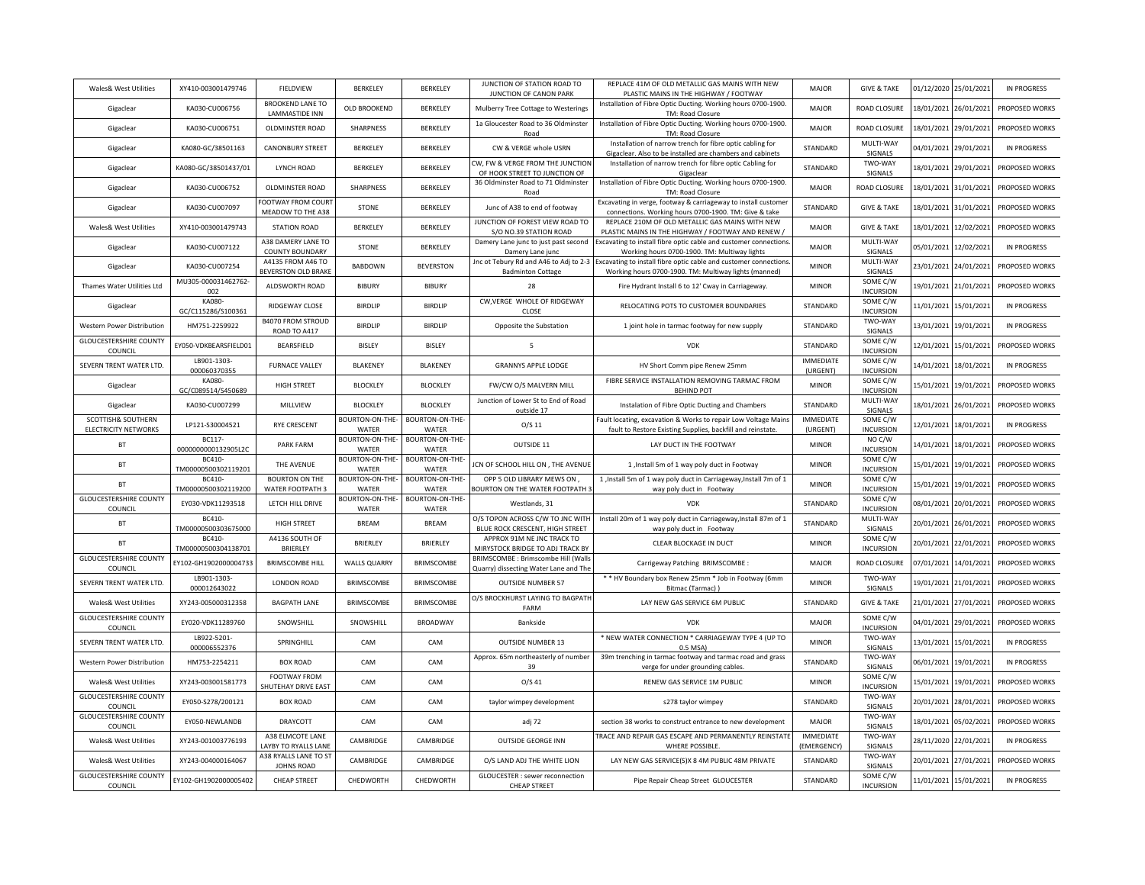| Wales& West Utilities                      | XY410-003001479746            | <b>FIELDVIEW</b>                             | BERKELEY                 | BERKELEY                 | JUNCTION OF STATION ROAD TO<br>JUNCTION OF CANON PARK                        | REPLACE 41M OF OLD METALLIC GAS MAINS WITH NEW<br>PLASTIC MAINS IN THE HIGHWAY / FOOTWAY                                                                         | MAIOR                           | <b>GIVE &amp; TAKE</b>       |            | 01/12/2020 25/01/2021 | IN PROGRESS        |
|--------------------------------------------|-------------------------------|----------------------------------------------|--------------------------|--------------------------|------------------------------------------------------------------------------|------------------------------------------------------------------------------------------------------------------------------------------------------------------|---------------------------------|------------------------------|------------|-----------------------|--------------------|
| Gigaclear                                  | KA030-CU006756                | BROOKEND LANE TO<br><b>LAMMASTIDE INN</b>    | OLD BROOKEND             | BERKELEY                 | Mulberry Tree Cottage to Westerings                                          | Installation of Fibre Optic Ducting. Working hours 0700-1900.<br>TM: Road Closure                                                                                | <b>MAJOR</b>                    | ROAD CLOSURE                 | 18/01/2021 | 26/01/2021            | PROPOSED WORKS     |
| Gigaclear                                  | KA030-CU006751                | OLDMINSTER ROAD                              | SHARPNESS                | BERKELEY                 | 1a Gloucester Road to 36 Oldminster<br>Road                                  | Installation of Fibre Optic Ducting. Working hours 0700-1900.<br><b>TM: Road Closure</b>                                                                         | <b>MAJOR</b>                    | ROAD CLOSURE                 | 18/01/2021 | 29/01/202             | PROPOSED WORKS     |
| Gigaclear                                  | KA080-GC/38501163             | <b>CANONBURY STREET</b>                      | BERKELEY                 | BERKELEY                 | CW & VERGE whole USRN                                                        | Installation of narrow trench for fibre optic cabling for<br>Gigaclear. Also to be installed are chambers and cabinets                                           | STANDARD                        | MULTI-WAY<br>SIGNALS         | 04/01/2021 | 29/01/2021            | IN PROGRESS        |
| Gigaclear                                  | KA080-GC/38501437/01          | LYNCH ROAD                                   | BERKELEY                 | BERKELEY                 | CW, FW & VERGE FROM THE JUNCTION<br>OF HOOK STREET TO JUNCTION OF            | Installation of narrow trench for fibre optic Cabling for<br>Gigaclear                                                                                           | STANDARD                        | TWO-WAY<br>SIGNALS           | 18/01/2021 | 29/01/2021            | PROPOSED WORKS     |
| Gigaclear                                  | KA030-CU006752                | OLDMINSTER ROAD                              | SHARPNESS                | BERKELEY                 | 36 Oldminster Road to 71 Oldminster<br>Road                                  | Installation of Fibre Optic Ducting. Working hours 0700-1900.<br>TM: Road Closure                                                                                | <b>MAJOR</b>                    | ROAD CLOSURE                 | 18/01/2021 | 31/01/2021            | PROPOSED WORKS     |
| Gigaclear                                  | KA030-CU007097                | OOTWAY FROM COUR'<br>MEADOW TO THE A38       | <b>STONE</b>             | BERKELEY                 | Junc of A38 to end of footway                                                | Excavating in verge, footway & carriageway to install custome<br>connections. Working hours 0700-1900. TM: Give & take                                           | STANDARD                        | <b>GIVE &amp; TAKE</b>       | 18/01/2021 | 31/01/2021            | PROPOSED WORKS     |
| Wales& West Utilities                      | XY410-003001479743            | <b>STATION ROAD</b>                          | BERKELEY                 | BERKELEY                 | JUNCTION OF FOREST VIEW ROAD TO<br>S/O NO.39 STATION ROAD                    | REPLACE 210M OF OLD METALLIC GAS MAINS WITH NEW<br>PLASTIC MAINS IN THE HIGHWAY / FOOTWAY AND RENEW                                                              | <b>MAJOR</b>                    | <b>GIVE &amp; TAKE</b>       |            | 18/01/2021 12/02/2021 | PROPOSED WORKS     |
| Gigaclear                                  | KA030-CU007122                | A38 DAMERY LANE TO<br><b>COUNTY BOUNDARY</b> | STONE                    | BERKELEY                 | Damery Lane junc to just past second<br>Damery Lane junc                     | Excavating to install fibre optic cable and customer connections<br>Working hours 0700-1900. TM: Multiway lights                                                 | MAJOR                           | MULTI-WAY<br>SIGNALS         | 05/01/2021 | 12/02/2021            | <b>IN PROGRESS</b> |
| Gigaclear                                  | KA030-CU007254                | A4135 FROM A46 TO<br>BEVERSTON OLD BRAKE     | <b>BABDOWN</b>           | <b>BEVERSTON</b>         | <b>Badminton Cottage</b>                                                     | Jnc ot Tebury Rd and A46 to Adj to 2-3 Excavating to install fibre optic cable and customer connections<br>Working hours 0700-1900. TM: Multiway lights (manned) | <b>MINOR</b>                    | MULTI-WAY<br>SIGNALS         | 23/01/2021 | 24/01/2021            | PROPOSED WORKS     |
| Thames Water Utilities Ltd                 | MU305-000031462762-<br>002    | ALDSWORTH ROAD                               | <b>BIBURY</b>            | <b>BIBURY</b>            | 28                                                                           | Fire Hydrant Install 6 to 12' Cway in Carriageway.                                                                                                               | <b>MINOR</b>                    | SOME C/W<br><b>INCURSION</b> | 19/01/2021 | 21/01/2021            | PROPOSED WORKS     |
| Gigaclear                                  | KA080-<br>GC/C115286/S100361  | RIDGEWAY CLOSE                               | <b>BIRDLIP</b>           | <b>BIRDLIP</b>           | CW, VERGE WHOLE OF RIDGEWAY<br>CLOSE                                         | RELOCATING POTS TO CUSTOMER BOUNDARIES                                                                                                                           | STANDARD                        | SOME C/W<br><b>INCURSION</b> | 11/01/2021 | 15/01/2021            | <b>IN PROGRESS</b> |
| Western Power Distribution                 | HM751-2259922                 | <b>B4070 FROM STROUD</b><br>ROAD TO A417     | <b>BIRDLIP</b>           | <b>BIRDLIP</b>           | Opposite the Substation                                                      | 1 joint hole in tarmac footway for new supply                                                                                                                    | STANDARD                        | TWO-WAY<br>SIGNALS           | 13/01/2021 | 19/01/2021            | <b>IN PROGRESS</b> |
| <b>GLOUCESTERSHIRE COUNTY</b><br>COUNCIL   | EY050-VDKBEARSFIELD01         | BEARSFIELD                                   | BISLEY                   | BISLEY                   | 5                                                                            | <b>VDK</b>                                                                                                                                                       | STANDARD                        | SOME C/W<br><b>INCURSION</b> | 12/01/2021 | 15/01/2021            | PROPOSED WORKS     |
| SEVERN TRENT WATER LTD.                    | LB901-1303-<br>000060370355   | <b>FURNACE VALLEY</b>                        | <b>BLAKENEY</b>          | <b>BLAKENEY</b>          | <b>GRANNYS APPLE LODGE</b>                                                   | HV Short Comm pipe Renew 25mm                                                                                                                                    | <b>IMMEDIATE</b><br>(URGENT)    | SOME C/W<br><b>INCURSION</b> | 14/01/2021 | 18/01/2021            | <b>IN PROGRESS</b> |
| Gigaclear                                  | KA080-<br>GC/C089514/S450689  | HIGH STREET                                  | <b>BLOCKLEY</b>          | <b>BLOCKLEY</b>          | FW/CW O/S MALVERN MILL                                                       | FIBRE SERVICE INSTALLATION REMOVING TARMAC FROM<br><b>BEHIND POT</b>                                                                                             | <b>MINOR</b>                    | SOME C/W<br><b>INCURSION</b> |            | 15/01/2021 19/01/2021 | PROPOSED WORKS     |
| Gigaclear                                  | KA030-CU007299                | MILLVIEW                                     | <b>BLOCKLEY</b>          | <b>BLOCKLEY</b>          | Junction of Lower St to End of Road<br>outside 17                            | Instalation of Fibre Optic Ducting and Chambers                                                                                                                  | STANDARD                        | MULTI-WAY<br>SIGNALS         | 18/01/2021 | 26/01/2021            | PROPOSED WORKS     |
| SCOTTISH& SOUTHERN<br>ELECTRICITY NETWORKS | LP121-S30004521               | <b>RYE CRESCENT</b>                          | BOURTON-ON-THE-<br>WATER | BOURTON-ON-THE-<br>WATER | $O/S$ 11                                                                     | Fault locating, excavation & Works to repair Low Voltage Mains<br>fault to Restore Existing Supplies, backfill and reinstate.                                    | <b>IMMEDIATE</b><br>(URGENT)    | SOME C/W<br><b>INCURSION</b> | 12/01/2021 | 18/01/2021            | <b>IN PROGRESS</b> |
| <b>BT</b>                                  | BC117-<br>0000000000132905L2C | PARK FARM                                    | BOURTON-ON-THE-<br>WATER | BOURTON-ON-THE-<br>WATER | OUTSIDE 11                                                                   | LAY DUCT IN THE FOOTWAY                                                                                                                                          | <b>MINOR</b>                    | NO C/W<br><b>INCURSION</b>   | 14/01/2021 | 18/01/2021            | PROPOSED WORKS     |
| <b>BT</b>                                  | BC410-<br>TM00000500302119201 | THE AVENUE                                   | BOURTON-ON-THE-<br>WATER | BOURTON-ON-THE-<br>WATER | JCN OF SCHOOL HILL ON, THE AVENUE                                            | 1 , Install 5m of 1 way poly duct in Footway                                                                                                                     | <b>MINOR</b>                    | SOME C/W<br><b>INCURSION</b> | 15/01/2021 | 19/01/2021            | PROPOSED WORKS     |
| <b>BT</b>                                  | BC410-<br>TM00000500302119200 | <b>BOURTON ON THE</b><br>WATER FOOTPATH 3    | BOURTON-ON-THE-<br>WATER | BOURTON-ON-THE-<br>WATER | OPP 5 OLD LIBRARY MEWS ON,<br>OURTON ON THE WATER FOOTPATH :                 | 1, Install 5m of 1 way poly duct in Carriageway, Install 7m of 1<br>way poly duct in Footway                                                                     | <b>MINOR</b>                    | SOME C/W<br><b>INCURSION</b> | 15/01/2021 | 19/01/2021            | PROPOSED WORKS     |
| <b>GLOUCESTERSHIRE COUNTY</b><br>COUNCIL   | EY030-VDK11293518             | LETCH HILL DRIVE                             | BOURTON-ON-THE-<br>WATER | BOURTON-ON-THE-<br>WATER | Westlands, 31                                                                | <b>VDK</b>                                                                                                                                                       | STANDARD                        | SOME C/W<br><b>INCURSION</b> | 08/01/2021 | 20/01/2021            | PROPOSED WORKS     |
| BT                                         | BC410-<br>TM00000500303675000 | <b>HIGH STREET</b>                           | <b>BREAM</b>             | <b>BREAM</b>             | O/S TOPON ACROSS C/W TO JNC WITH<br>BLUE ROCK CRESCENT, HIGH STREET          | Install 20m of 1 way poly duct in Carriageway, Install 87m of 1<br>way poly duct in Footway                                                                      | STANDARD                        | MULTI-WAY<br>SIGNALS         |            | 20/01/2021 26/01/2021 | PROPOSED WORKS     |
| BT                                         | BC410-<br>TM00000500304138701 | A4136 SOUTH OF<br>BRIERLEY                   | BRIERLEY                 | <b>BRIERLEY</b>          | APPROX 91M NE JNC TRACK TO<br>MIRYSTOCK BRIDGE TO ADJ TRACK BY               | CLEAR BLOCKAGE IN DUCT                                                                                                                                           | <b>MINOR</b>                    | SOME C/W<br><b>INCURSION</b> | 20/01/2021 | 22/01/2021            | PROPOSED WORKS     |
| <b>GLOUCESTERSHIRE COUNTY</b><br>COUNCIL   | EY102-GH1902000004733         | <b>BRIMSCOMBE HILL</b>                       | <b>WALLS QUARRY</b>      | <b>BRIMSCOMBE</b>        | BRIMSCOMBE : Brimscombe Hill (Walls<br>Quarry) dissecting Water Lane and The | Carrigeway Patching BRIMSCOMBE:                                                                                                                                  | <b>MAJOR</b>                    | ROAD CLOSURE                 | 07/01/2021 | 14/01/2021            | PROPOSED WORKS     |
| SEVERN TRENT WATER LTD                     | LB901-1303<br>000012643022    | <b>LONDON ROAD</b>                           | BRIMSCOMBE               | <b>BRIMSCOMBE</b>        | <b>OUTSIDE NUMBER 57</b>                                                     | * * HV Boundary box Renew 25mm * Job in Footway (6mm<br>Bitmac (Tarmac))                                                                                         | <b>MINOR</b>                    | TWO-WAY<br>SIGNALS           | 19/01/2021 | 21/01/2021            | PROPOSED WORKS     |
| Wales& West Utilities                      | XY243-005000312358            | <b>BAGPATH LANE</b>                          | BRIMSCOMBE               | BRIMSCOMBE               | O/S BROCKHURST LAYING TO BAGPATH<br>FARM                                     | LAY NEW GAS SERVICE 6M PUBLIC                                                                                                                                    | STANDARD                        | <b>GIVE &amp; TAKE</b>       | 21/01/2021 | 27/01/2021            | PROPOSED WORKS     |
| <b>GLOUCESTERSHIRE COUNTY</b><br>COUNCIL   | EY020-VDK11289760             | SNOWSHILL                                    | SNOWSHILL                | <b>BROADWAY</b>          | Bankside                                                                     | <b>VDK</b>                                                                                                                                                       | <b>MAJOR</b>                    | SOME C/W<br><b>INCURSION</b> | 04/01/2021 | 29/01/2021            | PROPOSED WORKS     |
| SEVERN TRENT WATER LTD.                    | LB922-5201-<br>000006552376   | SPRINGHILL                                   | CAM                      | CAM                      | <b>OUTSIDE NUMBER 13</b>                                                     | * NEW WATER CONNECTION * CARRIAGEWAY TYPE 4 (UP TO<br>0.5 MSA)                                                                                                   | <b>MINOR</b>                    | TWO-WAY<br>SIGNALS           | 13/01/2021 | 15/01/2021            | <b>IN PROGRESS</b> |
| Western Power Distribution                 | HM753-2254211                 | <b>BOX ROAD</b>                              | CAM                      | CAM                      | Approx. 65m northeasterly of number<br>39                                    | 39m trenching in tarmac footway and tarmac road and grass<br>verge for under grounding cables.                                                                   | STANDARD                        | TWO-WAY<br>SIGNALS           | 06/01/2021 | 19/01/2021            | <b>IN PROGRESS</b> |
| Wales& West Utilities                      | XY243-003001581773            | <b>FOOTWAY FROM</b><br>SHUTEHAY DRIVE EAST   | CAM                      | CAM                      | $O/S$ 41                                                                     | RENEW GAS SERVICE 1M PUBLIC                                                                                                                                      | <b>MINOR</b>                    | SOME C/W<br><b>INCURSION</b> | 15/01/2021 | 19/01/2021            | PROPOSED WORKS     |
| <b>GLOUCESTERSHIRE COUNTY</b><br>COUNCIL   | EY050-S278/200121             | <b>BOX ROAD</b>                              | CAM                      | CAM                      | taylor wimpey development                                                    | s278 taylor wimpey                                                                                                                                               | STANDARD                        | TWO-WAY<br>SIGNALS           | 20/01/2021 | 28/01/2021            | PROPOSED WORKS     |
| <b>GLOUCESTERSHIRE COUNTY</b><br>COUNCIL   | EY050-NEWLANDB                | DRAYCOTT                                     | CAM                      | CAM                      | adj 72                                                                       | section 38 works to construct entrance to new development                                                                                                        | <b>MAJOR</b>                    | TWO-WAY<br>SIGNALS           | 18/01/2021 | 05/02/202             | PROPOSED WORKS     |
| Wales& West Utilities                      | XY243-001003776193            | A38 ELMCOTE LANE<br>LAYBY TO RYALLS LANE     | CAMBRIDGE                | CAMBRIDGE                | <b>OUTSIDE GEORGE INN</b>                                                    | <b>FRACE AND REPAIR GAS ESCAPE AND PERMANENTLY REINSTATE</b><br>WHERE POSSIBLE.                                                                                  | <b>IMMEDIATE</b><br>(EMERGENCY) | TWO-WAY<br>SIGNALS           | 28/11/2020 | 22/01/2021            | <b>IN PROGRESS</b> |
| Wales& West Utilities                      | XY243-004000164067            | A38 RYALLS LANE TO ST<br>JOHNS ROAD          | CAMBRIDGE                | CAMBRIDGE                | O/S LAND ADJ THE WHITE LION                                                  | LAY NEW GAS SERVICE(S)X 8 4M PUBLIC 48M PRIVATE                                                                                                                  | STANDARD                        | TWO-WAY<br>SIGNALS           | 20/01/2021 | 27/01/2021            | PROPOSED WORKS     |
| <b>GLOUCESTERSHIRE COUNTY</b><br>COUNCIL   | EY102-GH1902000005402         | CHEAP STREET                                 | CHEDWORTH                | CHEDWORTH                | GLOUCESTER : sewer reconnection<br><b>CHEAP STREET</b>                       | Pipe Repair Cheap Street GLOUCESTER                                                                                                                              | STANDARD                        | SOME C/W<br><b>INCURSION</b> |            | 11/01/2021 15/01/2021 | <b>IN PROGRESS</b> |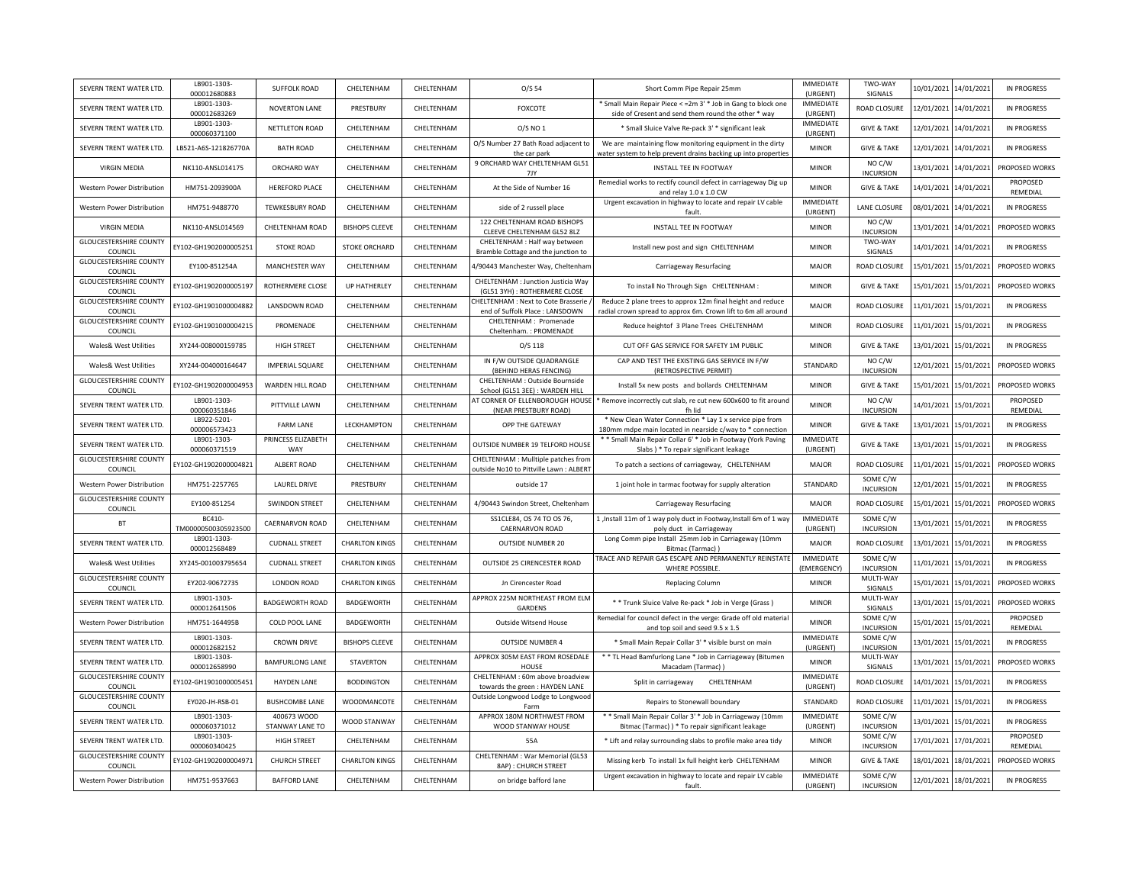| SEVERN TRENT WATER LTD.                        | LB901-1303-<br>000012680883   | <b>SUFFOLK ROAD</b>            | <b>CHEITENHAM</b>     | <b>CHEITENHAM</b> | O/S <sub>54</sub>                                                             | Short Comm Pipe Repair 25mm                                                                                                 | <b>IMMEDIATE</b><br>(URGENT)    | TWO-WAY<br><b>SIGNALS</b>    | 10/01/2021 | 14/01/2021 | <b>IN PROGRESS</b>    |
|------------------------------------------------|-------------------------------|--------------------------------|-----------------------|-------------------|-------------------------------------------------------------------------------|-----------------------------------------------------------------------------------------------------------------------------|---------------------------------|------------------------------|------------|------------|-----------------------|
| SEVERN TRENT WATER LTD                         | LB901-1303-<br>000012683269   | NOVERTON LANE                  | PRESTBURY             | CHFITENHAM        | <b>FOXCOTE</b>                                                                | * Small Main Repair Piece < = 2m 3' * Job in Gang to block one<br>side of Cresent and send them round the other * way       | <b>IMMEDIATE</b><br>(URGENT)    | <b>ROAD CLOSURE</b>          | 12/01/2021 | 14/01/2021 | IN PROGRESS           |
| SEVERN TRENT WATER LTD.                        | LB901-1303-<br>000060371100   | NETTLETON ROAD                 | CHELTENHAM            | CHELTENHAM        | 0/S NO 1                                                                      | * Small Sluice Valve Re-pack 3' * significant leak                                                                          | <b>IMMEDIATE</b><br>(URGENT)    | <b>GIVE &amp; TAKE</b>       | 12/01/2021 | 14/01/2021 | IN PROGRESS           |
| SEVERN TRENT WATER LTD.                        | LB521-A6S-121826770A          | <b>BATH ROAD</b>               | CHELTENHAM            | CHELTENHAM        | O/S Number 27 Bath Road adjacent to<br>the car park                           | We are maintaining flow monitoring equipment in the dirty<br>water system to help prevent drains backing up into properties | <b>MINOR</b>                    | <b>GIVE &amp; TAKE</b>       | 12/01/2021 | 14/01/2021 | IN PROGRESS           |
| <b>VIRGIN MEDIA</b>                            | NK110-ANSL014175              | <b>ORCHARD WAY</b>             | CHELTENHAM            | CHELTENHAM        | 9 ORCHARD WAY CHELTENHAM GL51<br>7JY                                          | INSTALL TEE IN FOOTWAY                                                                                                      | <b>MINOR</b>                    | NO C/W<br><b>INCURSION</b>   | 13/01/2021 | 14/01/2021 | PROPOSED WORKS        |
| Western Power Distribution                     | HM751-2093900A                | <b>HEREFORD PLACE</b>          | CHELTENHAM            | CHELTENHAM        | At the Side of Number 16                                                      | Remedial works to rectify council defect in carriageway Dig up<br>and relay 1.0 x 1.0 CW                                    | <b>MINOR</b>                    | <b>GIVE &amp; TAKE</b>       | 14/01/2021 | 14/01/2021 | PROPOSED<br>REMEDIAL  |
| Western Power Distribution                     | HM751-9488770                 | <b>TEWKESBURY ROAD</b>         | CHELTENHAM            | CHELTENHAM        | side of 2 russell place                                                       | Urgent excavation in highway to locate and repair LV cable<br>fault.                                                        | <b>IMMEDIATE</b><br>(URGENT)    | LANE CLOSURE                 | 08/01/2021 | 14/01/2021 | IN PROGRESS           |
| <b>VIRGIN MEDIA</b>                            | NK110-ANSL014569              | CHELTENHAM ROAD                | <b>BISHOPS CLEEVE</b> | CHELTENHAM        | 122 CHELTENHAM ROAD BISHOPS<br>CLEEVE CHELTENHAM GL52 8LZ                     | INSTALL TEE IN FOOTWAY                                                                                                      | <b>MINOR</b>                    | NO C/W<br><b>INCURSION</b>   | 13/01/2021 | 14/01/2021 | PROPOSED WORKS        |
| <b>GLOUCESTERSHIRE COUNTY</b><br>COUNCIL       | EY102-GH190200000525:         | <b>STOKE ROAD</b>              | STOKE ORCHARD         | CHELTENHAM        | CHELTENHAM : Half way between<br>Bramble Cottage and the junction to          | Install new post and sign CHELTENHAM                                                                                        | <b>MINOR</b>                    | TWO-WAY<br>SIGNALS           | 14/01/2021 | 14/01/2021 | <b>IN PROGRESS</b>    |
| <b>GLOUCESTERSHIRE COUNTY</b><br>COUNCIL       | EY100-851254A                 | MANCHESTER WAY                 | CHELTENHAM            | CHELTENHAM        | 4/90443 Manchester Way, Cheltenhan                                            | Carriageway Resurfacing                                                                                                     | MAJOR                           | ROAD CLOSURE                 | 15/01/2021 | 15/01/2021 | PROPOSED WORKS        |
| <b>GLOUCESTERSHIRE COUNTY</b><br>COUNCIL       | EY102-GH1902000005197         | ROTHERMERE CLOSE               | <b>UP HATHERLEY</b>   | CHELTENHAM        | CHELTENHAM : Junction Justicia Way<br>(GL51 3YH) : ROTHERMERE CLOSE           | To install No Through Sign CHELTENHAM :                                                                                     | <b>MINOR</b>                    | <b>GIVE &amp; TAKE</b>       | 15/01/2021 | 15/01/2021 | PROPOSED WORKS        |
| <b>GLOUCESTERSHIRE COUNTY</b><br>COUNCIL       | EY102-GH1901000004882         | <b>LANSDOWN ROAD</b>           | CHELTENHAM            | CHELTENHAM        | HELTENHAM : Next to Cote Brasserie,<br>end of Suffolk Place : LANSDOWN        | Reduce 2 plane trees to approx 12m final height and reduce<br>radial crown spread to approx 6m. Crown lift to 6m all around | <b>MAIOR</b>                    | <b>ROAD CLOSURE</b>          | 11/01/2021 | 15/01/2021 | IN PROGRESS           |
| <b>GLOUCESTERSHIRE COUNTY</b><br>COUNCIL       | EY102-GH1901000004215         | PROMENADE                      | CHELTENHAM            | CHELTENHAM        | CHELTENHAM : Promenade<br>Cheltenham.: PROMENADE                              | Reduce heightof 3 Plane Trees CHELTENHAM                                                                                    | <b>MINOR</b>                    | ROAD CLOSURE                 | 11/01/2021 | 15/01/2021 | IN PROGRESS           |
| Wales& West Utilities                          | XY244-008000159785            | <b>HIGH STREET</b>             | CHELTENHAM            | CHELTENHAM        | O/S 118                                                                       | CUT OFF GAS SERVICE FOR SAFETY 1M PUBLIC                                                                                    | <b>MINOR</b>                    | <b>GIVE &amp; TAKE</b>       | 13/01/2021 | 15/01/2021 | IN PROGRESS           |
| <b>Wales&amp; West Utilities</b>               | XY244-004000164647            | <b>IMPERIAL SQUARE</b>         | CHELTENHAM            | CHELTENHAM        | IN F/W OUTSIDE QUADRANGLE<br>(BEHIND HERAS FENCING)                           | CAP AND TEST THE EXISTING GAS SERVICE IN F/W<br>(RETROSPECTIVE PERMIT)                                                      | STANDARD                        | NO C/W<br><b>INCURSION</b>   | 12/01/2021 | 15/01/2021 | PROPOSED WORKS        |
| <b>GLOUCESTERSHIRE COUNTY</b><br>COUNCIL       | EY102-GH1902000004953         | WARDEN HILL ROAD               | CHELTENHAM            | CHELTENHAM        | CHELTENHAM : Outside Bournside<br>School (GL51 3EE) : WARDEN HILL             | Install 5x new posts and bollards CHELTENHAM                                                                                | <b>MINOR</b>                    | <b>GIVE &amp; TAKE</b>       | 15/01/2021 | 15/01/2021 | <b>PROPOSED WORKS</b> |
| SEVERN TRENT WATER LTD                         | LB901-1303-<br>000060351846   | PITTVILLE LAWN                 | CHELTENHAM            | CHELTENHAM        | AT CORNER OF ELLENBOROUGH HOUSE<br>(NEAR PRESTBURY ROAD)                      | * Remove incorrectly cut slab, re cut new 600x600 to fit around<br>fh lid                                                   | <b>MINOR</b>                    | NO C/W<br><b>INCURSION</b>   | 14/01/2021 | 15/01/2021 | PROPOSED<br>REMEDIAL  |
| SEVERN TRENT WATER LTD.                        | IB922-5201-<br>000006573423   | <b>FARM LANE</b>               | LECKHAMPTON           | CHELTENHAM        | OPP THE GATEWAY                                                               | * New Clean Water Connection * Lay 1 x service pipe from<br>180mm mdpe main located in nearside c/way to * connection       | <b>MINOR</b>                    | <b>GIVE &amp; TAKE</b>       | 13/01/2021 | 15/01/2021 | IN PROGRESS           |
| SEVERN TRENT WATER LTD.                        | LB901-1303-<br>000060371519   | PRINCESS ELIZABETH<br>WAY      | CHELTENHAM            | CHELTENHAM        | OUTSIDE NUMBER 19 TELFORD HOUSE                                               | * * Small Main Repair Collar 6' * Job in Footway (York Paving<br>Slabs ) * To repair significant leakage                    | <b>IMMEDIATE</b><br>(URGENT)    | <b>GIVE &amp; TAKE</b>       | 13/01/2021 | 15/01/2021 | IN PROGRESS           |
| <b>GLOUCESTERSHIRE COUNTY</b><br>COUNCIL       | EY102-GH1902000004821         | ALBERT ROAD                    | CHELTENHAM            | CHELTENHAM        | CHELTENHAM : Mulltiple patches from<br>outside No10 to Pittville Lawn: ALBERT | To patch a sections of carriageway, CHELTENHAM                                                                              | <b>MAJOR</b>                    | <b>ROAD CLOSURE</b>          | 11/01/2021 | 15/01/2021 | PROPOSED WORKS        |
| Western Power Distribution                     | HM751-2257765                 | <b>LAUREL DRIVE</b>            | PRESTBURY             | CHELTENHAM        | outside 17                                                                    | 1 joint hole in tarmac footway for supply alteration                                                                        | STANDARD                        | SOME C/W<br><b>INCURSION</b> | 12/01/2021 | 15/01/2021 | IN PROGRESS           |
| <b>GLOUCESTERSHIRE COUNTY</b><br>COUNCIL       | EY100-851254                  | <b>SWINDON STREET</b>          | CHELTENHAM            | CHELTENHAM        | 4/90443 Swindon Street, Cheltenham                                            | Carriageway Resurfacing                                                                                                     | <b>MAJOR</b>                    | <b>ROAD CLOSURE</b>          | 15/01/2021 | 15/01/2021 | PROPOSED WORKS        |
| <b>BT</b>                                      | BC410-<br>TM00000500305923500 | CAERNARVON ROAD                | CHELTENHAM            | CHELTENHAM        | SS1CLE84, OS 74 TO OS 76,<br>CAERNARVON ROAD                                  | I , Install 11m of 1 way poly duct in Footway, Install 6m of 1 way<br>poly duct in Carriageway                              | <b>IMMEDIATE</b><br>(URGENT)    | SOME C/W<br><b>INCURSION</b> | 13/01/2021 | 15/01/2021 | IN PROGRESS           |
| SEVERN TRENT WATER LTD.                        | LB901-1303-<br>000012568489   | <b>CUDNALL STREET</b>          | <b>CHARLTON KINGS</b> | CHELTENHAM        | <b>OUTSIDE NUMBER 20</b>                                                      | Long Comm pipe Install 25mm Job in Carriageway (10mm<br>Bitmac (Tarmac) 1                                                   | <b>MAJOR</b>                    | ROAD CLOSURE                 | 13/01/2021 | 15/01/2021 | IN PROGRESS           |
| Wales& West Utilities                          | XY245-001003795654            | <b>CUDNALL STREET</b>          | <b>CHARLTON KINGS</b> | CHELTENHAM        | OUTSIDE 25 CIRENCESTER ROAD                                                   | TRACE AND REPAIR GAS ESCAPE AND PERMANENTLY REINSTATE<br>WHERE POSSIBLE.                                                    | <b>IMMEDIATE</b><br>(EMERGENCY) | SOME C/W<br><b>INCURSION</b> | 11/01/2021 | 15/01/2021 | IN PROGRESS           |
| <b>GLOUCESTERSHIRE COUNTY</b><br>COUNCIL       | EY202-90672735                | <b>LONDON ROAD</b>             | <b>CHARLTON KINGS</b> | CHELTENHAM        | Jn Cirencester Road                                                           | Replacing Column                                                                                                            | <b>MINOR</b>                    | MULTI-WAY<br>SIGNALS         | 15/01/2021 | 15/01/2021 | PROPOSED WORKS        |
| SEVERN TRENT WATER LTD.                        | LB901-1303-<br>000012641506   | <b>BADGEWORTH ROAD</b>         | BADGEWORTH            | CHELTENHAM        | APPROX 225M NORTHEAST FROM ELM<br>GARDENS                                     | * * Trunk Sluice Valve Re-pack * Job in Verge (Grass)                                                                       | <b>MINOR</b>                    | MULTI-WAY<br>SIGNALS         | 13/01/2021 | 15/01/2021 | <b>PROPOSED WORKS</b> |
| Western Power Distribution                     | HM751-164495B                 | COLD POOL LANE                 | BADGEWORTH            | CHELTENHAM        | Outside Witsend House                                                         | Remedial for council defect in the verge: Grade off old material<br>and top soil and seed 9.5 x 1.5                         | <b>MINOR</b>                    | SOME C/W<br><b>INCURSION</b> | 15/01/2021 | 15/01/2021 | PROPOSED<br>REMEDIAL  |
| SEVERN TRENT WATER LTD.                        | LB901-1303-<br>000012682152   | <b>CROWN DRIVE</b>             | <b>BISHOPS CLEEVE</b> | CHELTENHAM        | <b>OUTSIDE NUMBER 4</b>                                                       | * Small Main Repair Collar 3' * visible burst on main                                                                       | <b>IMMEDIATE</b><br>(URGENT)    | SOME C/W<br><b>INCURSION</b> | 13/01/2021 | 15/01/2021 | IN PROGRESS           |
| SEVERN TRENT WATER LTD.                        | LB901-1303-<br>000012658990   | <b>BAMFURLONG LANE</b>         | STAVERTON             | CHELTENHAM        | APPROX 305M EAST FROM ROSEDALE<br>HOLISE                                      | * * TL Head Bamfurlong Lane * Job in Carriageway (Bitumen<br>Macadam (Tarmac))                                              | <b>MINOR</b>                    | MULTI-WAY<br>SIGNALS         | 13/01/2021 | 15/01/2021 | <b>PROPOSED WORKS</b> |
| <b>GLOUCESTERSHIRE COUNTY</b><br><b>COUNCI</b> | EY102-GH1901000005451         | <b>HAYDEN LANE</b>             | <b>BODDINGTON</b>     | CHELTENHAM        | CHELTENHAM : 60m above broadview<br>towards the green : HAYDEN LANE           | Split in carriageway<br>CHELTENHAM                                                                                          | <b>IMMEDIATE</b><br>(URGENT)    | ROAD CLOSURE                 | 14/01/2021 | 15/01/2021 | <b>IN PROGRESS</b>    |
| <b>GLOUCESTERSHIRE COUNTY</b><br>COUNCIL       | EY020-JH-RSB-01               | <b>BUSHCOMBE LANE</b>          | WOODMANCOTE           | CHELTENHAM        | Outside Longwood Lodge to Longwood<br>Farm                                    | Repairs to Stonewall boundary                                                                                               | STANDARD                        | <b>ROAD CLOSURE</b>          | 11/01/2021 | 15/01/2021 | IN PROGRESS           |
| SEVERN TRENT WATER LTD.                        | LB901-1303-<br>000060371012   | 400673 WOOD<br>STANWAY LANE TO | WOOD STANWAY          | CHELTENHAM        | APPROX 180M NORTHWEST FROM<br>WOOD STANWAY HOUSE                              | * * Small Main Repair Collar 3' * Job in Carriageway (10mm<br>Bitmac (Tarmac) ) * To repair significant leakage             | <b>IMMEDIATE</b><br>(URGENT)    | SOME C/W<br><b>INCURSION</b> | 13/01/2021 | 15/01/2021 | IN PROGRESS           |
| SEVERN TRENT WATER LTD.                        | LB901-1303-<br>000060340425   | HIGH STREET                    | CHELTENHAM            | CHELTENHAM        | 55A                                                                           | * Lift and relay surrounding slabs to profile make area tidy                                                                | <b>MINOR</b>                    | SOME C/W<br><b>INCURSION</b> | 17/01/2021 | 17/01/2021 | PROPOSED<br>REMEDIAL  |
| <b>GLOUCESTERSHIRE COUNTY</b><br>COUNCIL       | EY102-GH1902000004971         | <b>CHURCH STREET</b>           | <b>CHARLTON KINGS</b> | CHELTENHAM        | CHELTENHAM : War Memorial (GL53<br>8AP): CHURCH STREET                        | Missing kerb To install 1x full height kerb CHELTENHAM                                                                      | <b>MINOR</b>                    | <b>GIVE &amp; TAKE</b>       | 18/01/2021 | 18/01/2021 | PROPOSED WORKS        |
| Western Power Distribution                     | HM751-9537663                 | <b>BAFFORD LANE</b>            | CHELTENHAM            | CHELTENHAM        | on bridge bafford lane                                                        | Urgent excavation in highway to locate and repair LV cable<br>fault.                                                        | <b>IMMEDIATE</b><br>(URGENT)    | SOME C/W<br><b>INCURSION</b> | 12/01/2021 | 18/01/2021 | IN PROGRESS           |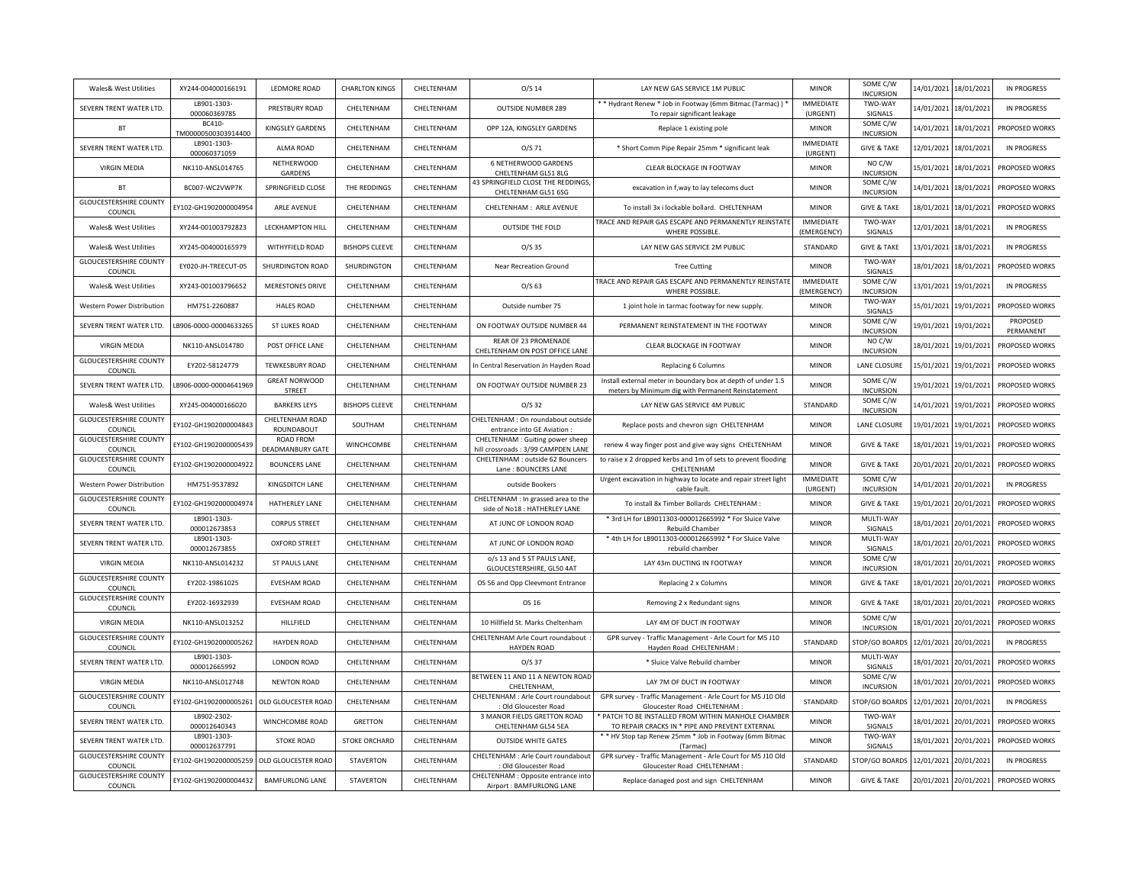| Wales& West Utilities                    | XY244-004000166191                        | LEDMORE ROAD                         | <b>CHARLTON KINGS</b> | CHELTENHAM | $O/S$ 14                                                               | LAY NEW GAS SERVICE 1M PUBLIC                                                                                      | <b>MINOR</b>                    | SOME C/W<br><b>INCURSION</b> |            | 14/01/2021 18/01/2021 | <b>IN PROGRESS</b>    |
|------------------------------------------|-------------------------------------------|--------------------------------------|-----------------------|------------|------------------------------------------------------------------------|--------------------------------------------------------------------------------------------------------------------|---------------------------------|------------------------------|------------|-----------------------|-----------------------|
| SEVERN TRENT WATER LTD.                  | LB901-1303-<br>000060369785               | PRESTBURY ROAD                       | CHELTENHAM            | CHELTENHAM | <b>OUTSIDE NUMBER 289</b>                                              | * * Hydrant Renew * Job in Footway (6mm Bitmac (Tarmac))<br>To repair significant leakage                          | <b>IMMEDIATE</b><br>(URGENT)    | TWO-WAY<br>SIGNALS           | 14/01/2021 | 18/01/2021            | IN PROGRESS           |
| <b>BT</b>                                | BC410-<br>TM00000500303914400             | <b>KINGSLEY GARDENS</b>              | CHELTENHAM            | CHELTENHAM | OPP 12A, KINGSLEY GARDENS                                              | Replace 1 existing pole                                                                                            | <b>MINOR</b>                    | SOME C/W<br><b>INCURSION</b> | 14/01/2021 | 18/01/2021            | PROPOSED WORKS        |
| SEVERN TRENT WATER LTD.                  | LB901-1303-<br>000060371059               | ALMA ROAD                            | CHELTENHAM            | CHELTENHAM | $O/S$ 71                                                               | * Short Comm Pipe Repair 25mm * significant leak                                                                   | <b>IMMEDIATE</b><br>(URGENT)    | <b>GIVE &amp; TAKE</b>       | 12/01/2021 | 18/01/2021            | <b>IN PROGRESS</b>    |
| <b>VIRGIN MEDIA</b>                      | NK110-ANSL014765                          | NETHERWOOD<br>GARDENS                | CHELTENHAM            | CHELTENHAM | <b>6 NETHERWOOD GARDENS</b><br>CHELTENHAM GL51 8LG                     | CLEAR BLOCKAGE IN FOOTWAY                                                                                          | <b>MINOR</b>                    | NO C/W<br><b>INCURSION</b>   | 15/01/2021 | 18/01/2021            | PROPOSED WORKS        |
| <b>BT</b>                                | BC007-WC2VWP7K                            | SPRINGFIELD CLOSE                    | THE REDDINGS          | CHELTENHAM | 43 SPRINGFIELD CLOSE THE REDDINGS,<br>CHELTENHAM GL51 6SG              | excavation in f, way to lay telecoms duct                                                                          | <b>MINOR</b>                    | SOME C/W<br><b>INCURSION</b> | 14/01/2021 | 18/01/2021            | PROPOSED WORKS        |
| <b>GLOUCESTERSHIRE COUNTY</b><br>COUNCIL | EY102-GH1902000004954                     | ARLE AVENUE                          | CHELTENHAM            | CHELTENHAM | CHELTENHAM: ARLE AVENUE                                                | To install 3x i lockable bollard. CHELTENHAM                                                                       | <b>MINOR</b>                    | <b>GIVE &amp; TAKE</b>       | 18/01/2021 | 18/01/2021            | PROPOSED WORKS        |
| Wales& West Utilities                    | XY244-001003792823                        | <b>LECKHAMPTON HILL</b>              | CHELTENHAM            | CHELTENHAM | <b>OUTSIDE THE FOLD</b>                                                | TRACE AND REPAIR GAS ESCAPE AND PERMANENTLY REINSTATE<br>WHERE POSSIBLE.                                           | <b>IMMEDIATE</b><br>(EMERGENCY) | TWO-WAY<br>SIGNALS           |            | 12/01/2021 18/01/2021 | <b>IN PROGRESS</b>    |
| Wales& West Utilities                    | XY245-004000165979                        | WITHYFIELD ROAD                      | <b>BISHOPS CLEEVE</b> | CHELTENHAM | $O/S$ 35                                                               | LAY NEW GAS SERVICE 2M PUBLIC                                                                                      | STANDARD                        | <b>GIVE &amp; TAKE</b>       | 13/01/2021 | 18/01/2021            | <b>IN PROGRESS</b>    |
| <b>GLOUCESTERSHIRE COUNTY</b><br>COUNCIL | EY020-JH-TREECUT-05                       | SHURDINGTON ROAD                     | SHURDINGTON           | CHELTENHAM | Near Recreation Ground                                                 | <b>Tree Cutting</b>                                                                                                | <b>MINOR</b>                    | TWO-WAY<br>SIGNALS           | 18/01/2021 | 18/01/2021            | PROPOSED WORKS        |
| Wales& West Utilities                    | XY243-001003796652                        | MERESTONES DRIVE                     | CHELTENHAM            | CHELTENHAM | $O/S$ 63                                                               | TRACE AND REPAIR GAS ESCAPE AND PERMANENTLY REINSTATE<br>WHERE POSSIBLE.                                           | <b>IMMEDIATE</b><br>(EMERGENCY) | SOME C/W<br><b>INCURSION</b> | 13/01/2021 | 19/01/2021            | <b>IN PROGRESS</b>    |
| Western Power Distribution               | HM751-2260887                             | <b>HALES ROAD</b>                    | CHELTENHAM            | CHELTENHAM | Outside number 75                                                      | 1 joint hole in tarmac footway for new supply.                                                                     | <b>MINOR</b>                    | TWO-WAY<br>SIGNALS           | 15/01/2021 | 19/01/2021            | PROPOSED WORKS        |
| SEVERN TRENT WATER LTD.                  | LB906-0000-00004633265                    | ST LUKES ROAD                        | CHELTENHAM            | CHELTENHAM | ON FOOTWAY OUTSIDE NUMBER 44                                           | PERMANENT REINSTATEMENT IN THE FOOTWAY                                                                             | <b>MINOR</b>                    | SOME C/W<br><b>INCURSION</b> | 19/01/2021 | 19/01/2021            | PROPOSED<br>PERMANENT |
| <b>VIRGIN MEDIA</b>                      | NK110-ANSL014780                          | POST OFFICE LANE                     | CHELTENHAM            | CHELTENHAM | REAR OF 23 PROMENADE<br>CHELTENHAM ON POST OFFICE LANE                 | CLEAR BLOCKAGE IN FOOTWAY                                                                                          | <b>MINOR</b>                    | NO C/W<br><b>INCURSION</b>   | 18/01/2021 | 19/01/2021            | PROPOSED WORKS        |
| <b>GLOUCESTERSHIRE COUNTY</b><br>COUNCIL | EY202-58124779                            | <b>TEWKESBURY ROAD</b>               | CHELTENHAM            | CHELTENHAM | In Central Reservation Jn Hayden Road                                  | Replacing 6 Columns                                                                                                | <b>MINOR</b>                    | LANE CLOSURE                 |            | 15/01/2021 19/01/2021 | PROPOSED WORKS        |
| SEVERN TRENT WATER LTD.                  | LB906-0000-00004641969                    | <b>GREAT NORWOOD</b><br>STREET       | CHELTENHAM            | CHELTENHAM | ON FOOTWAY OUTSIDE NUMBER 23                                           | Install external meter in boundary box at depth of under 1.5<br>meters by Minimum dig with Permanent Reinstatement | <b>MINOR</b>                    | SOME C/W<br><b>INCURSION</b> | 19/01/2021 | 19/01/2021            | PROPOSED WORKS        |
| Wales& West Utilities                    | XY245-004000166020                        | <b>BARKERS LEYS</b>                  | <b>BISHOPS CLEEVE</b> | CHELTENHAM | $O/S$ 32                                                               | LAY NEW GAS SERVICE 4M PUBLIC                                                                                      | STANDARD                        | SOME C/W<br><b>INCURSION</b> | 14/01/2021 | 19/01/2021            | PROPOSED WORKS        |
| <b>GLOUCESTERSHIRE COUNTY</b><br>COUNCIL | EY102-GH1902000004843                     | CHELTENHAM ROAD<br>ROUNDABOUT        | SOUTHAM               | CHELTENHAM | CHELTENHAM : On roundabout outside<br>entrance into GE Aviation :      | Replace posts and chevron sign CHELTENHAM                                                                          | <b>MINOR</b>                    | LANE CLOSURE                 | 19/01/2021 | 19/01/2021            | PROPOSED WORKS        |
| <b>GLOUCESTERSHIRE COUNTY</b><br>COUNCIL | EY102-GH1902000005439                     | <b>ROAD FROM</b><br>DEADMANBURY GATE | WINCHCOMBE            | CHELTENHAM | CHELTENHAM : Guiting power sheep<br>hill crossroads: 3/99 CAMPDEN LANE | renew 4 way finger post and give way signs CHELTENHAM                                                              | <b>MINOR</b>                    | <b>GIVE &amp; TAKE</b>       | 18/01/2021 | 19/01/2021            | PROPOSED WORKS        |
| <b>GLOUCESTERSHIRE COUNTY</b><br>COUNCIL | EY102-GH1902000004922                     | <b>BOUNCERS LANE</b>                 | CHELTENHAM            | CHELTENHAM | CHELTENHAM : outside 62 Bouncers<br>Lane: BOUNCERS LANE                | to raise x 2 dropped kerbs and 1m of sets to prevent flooding<br>CHELTENHAM                                        | <b>MINOR</b>                    | <b>GIVE &amp; TAKE</b>       | 20/01/2021 | 20/01/2021            | PROPOSED WORKS        |
| Western Power Distribution               | HM751-9537892                             | KINGSDITCH LANE                      | CHELTENHAM            | CHELTENHAM | outside Bookers                                                        | Urgent excavation in highway to locate and repair street light<br>cable fault.                                     | <b>IMMEDIATE</b><br>(URGENT)    | SOME C/W<br><b>INCURSION</b> |            | 14/01/2021 20/01/2021 | <b>IN PROGRESS</b>    |
| <b>GLOUCESTERSHIRE COUNTY</b><br>COUNCIL | EY102-GH1902000004974                     | HATHERLEY LANE                       | CHELTENHAM            | CHELTENHAM | CHELTENHAM : In grassed area to the<br>side of No18 : HATHERLEY LANE   | To install 8x Timber Bollards CHELTENHAM :                                                                         | <b>MINOR</b>                    | <b>GIVE &amp; TAKE</b>       |            | 19/01/2021 20/01/2021 | PROPOSED WORKS        |
| SEVERN TRENT WATER LTD.                  | LB901-1303-<br>000012673853               | <b>CORPUS STREET</b>                 | CHELTENHAM            | CHELTENHAM | AT JUNC OF LONDON ROAD                                                 | * 3rd LH for LB9011303-000012665992 * For Sluice Valve<br>Rebuild Chamber                                          | <b>MINOR</b>                    | MULTI-WAY<br>SIGNALS         | 18/01/2021 | 20/01/2021            | PROPOSED WORKS        |
| SEVERN TRENT WATER LTD.                  | LB901-1303-<br>000012673855               | <b>OXFORD STREET</b>                 | CHELTENHAM            | CHELTENHAM | AT JUNC OF LONDON ROAD                                                 | * 4th LH for LB9011303-000012665992 * For Sluice Valve<br>rebuild chamber                                          | <b>MINOR</b>                    | MULTI-WAY<br>SIGNALS         | 18/01/2021 | 20/01/2021            | PROPOSED WORKS        |
| <b>VIRGIN MEDIA</b>                      | NK110-ANSL014232                          | ST PAULS LANE                        | CHELTENHAM            | CHELTENHAM | o/s 13 and 5 ST PAULS LANE,<br>GLOUCESTERSHIRE, GL50 4AT               | LAY 43m DUCTING IN FOOTWAY                                                                                         | <b>MINOR</b>                    | SOME C/W<br><b>INCURSION</b> | 18/01/2021 | 20/01/2021            | PROPOSED WORKS        |
| <b>GLOUCESTERSHIRE COUNTY</b><br>COUNCIL | EY202-19861025                            | <b>EVESHAM ROAD</b>                  | CHELTENHAM            | CHELTENHAM | OS 56 and Opp Cleevmont Entrance                                       | Replacing 2 x Columns                                                                                              | <b>MINOR</b>                    | <b>GIVE &amp; TAKE</b>       | 18/01/2021 | 20/01/2021            | PROPOSED WORKS        |
| <b>GLOUCESTERSHIRE COUNTY</b><br>COUNCIL | EY202-16932939                            | <b>EVESHAM ROAD</b>                  | CHELTENHAM            | CHELTENHAM | OS 16                                                                  | Removing 2 x Redundant signs                                                                                       | <b>MINOR</b>                    | <b>GIVE &amp; TAKE</b>       | 18/01/2021 | 20/01/2021            | PROPOSED WORKS        |
| <b>VIRGIN MEDIA</b>                      | NK110-ANSL013252                          | HILLFIELD                            | CHELTENHAM            | CHELTENHAM | 10 Hillfield St. Marks Cheltenham                                      | LAY 4M OF DUCT IN FOOTWAY                                                                                          | <b>MINOR</b>                    | SOME C/W<br><b>INCURSION</b> | 18/01/2021 | 20/01/2021            | PROPOSED WORKS        |
| <b>GLOUCESTERSHIRE COUNTY</b><br>COUNCIL | EY102-GH1902000005262                     | <b>HAYDEN ROAD</b>                   | CHELTENHAM            | CHELTENHAM | CHELTENHAM Arle Court roundabout<br><b>HAYDEN ROAD</b>                 | GPR survey - Traffic Management - Arle Court for M5 J10<br>Hayden Road CHELTENHAM                                  | STANDARD                        | <b>STOP/GO BOARDS</b>        | 12/01/2021 | 20/01/2021            | IN PROGRESS           |
| SEVERN TRENT WATER LTD.                  | LB901-1303-<br>000012665992               | <b>LONDON ROAD</b>                   | CHELTENHAM            | CHELTENHAM | $O/S$ 37                                                               | * Sluice Valve Rebuild chamber                                                                                     | <b>MINOR</b>                    | MULTI-WAY<br>SIGNALS         | 18/01/2021 | 20/01/2021            | PROPOSED WORKS        |
| <b>VIRGIN MEDIA</b>                      | NK110-ANSL012748                          | <b>NEWTON ROAD</b>                   | CHELTENHAM            | CHELTENHAM | BETWEEN 11 AND 11 A NEWTON ROAD<br>CHELTENHAM,                         | LAY 7M OF DUCT IN FOOTWAY                                                                                          | <b>MINOR</b>                    | SOME C/W<br><b>INCURSION</b> | 18/01/2021 | 20/01/2021            | PROPOSED WORKS        |
| <b>GLOUCESTERSHIRE COUNTY</b><br>COUNCIL | EY102-GH1902000005261                     | OLD GLOUCESTER ROAD                  | CHELTENHAM            | CHELTENHAM | CHELTENHAM : Arle Court roundabout<br>: Old Gloucester Road            | GPR survey - Traffic Management - Arle Court for M5 J10 Old<br>Gloucester Road CHELTENHAM                          | STANDARD                        | <b>STOP/GO BOARDS</b>        | 12/01/2021 | 20/01/2021            | <b>IN PROGRESS</b>    |
| SEVERN TRENT WATER LTD.                  | LB902-2302-<br>000012640343               | WINCHCOMBE ROAD                      | <b>GRETTON</b>        | CHELTENHAM | 3 MANOR FIELDS GRETTON ROAD<br>CHELTENHAM GL54 5EA                     | * PATCH TO BE INSTALLED FROM WITHIN MANHOLE CHAMBER<br>TO REPAIR CRACKS IN * PIPE AND PREVENT EXTERNAL             | <b>MINOR</b>                    | TWO-WAY<br>SIGNALS           | 18/01/2021 | 20/01/2021            | PROPOSED WORKS        |
| SEVERN TRENT WATER LTD                   | LB901-1303-<br>000012637791               | <b>STOKE ROAD</b>                    | <b>STOKE ORCHARD</b>  | CHELTENHAM | <b>OUTSIDE WHITE GATES</b>                                             | * * HV Stop tap Renew 25mm * Job in Footway (6mm Bitmac<br>(Tarmac)                                                | <b>MINOR</b>                    | TWO-WAY<br>SIGNALS           |            | 18/01/2021 20/01/2021 | PROPOSED WORKS        |
| <b>GLOUCESTERSHIRE COUNTY</b><br>COUNCIL | EY102-GH1902000005259 OLD GLOUCESTER ROAD |                                      | STAVERTON             | CHELTENHAM | CHELTENHAM : Arle Court roundabout<br>Old Gloucester Road              | GPR survey - Traffic Management - Arle Court for M5 J10 Old<br>Gloucester Road CHELTENHAM                          | STANDARD                        | STOP/GO BOARDS               |            | 12/01/2021 20/01/2021 | <b>IN PROGRESS</b>    |
| <b>GLOUCESTERSHIRE COUNTY</b><br>COUNCIL | EY102-GH1902000004432                     | <b>BAMFURLONG LANE</b>               | <b>STAVERTON</b>      | CHELTENHAM | CHELTENHAM : Opposite entrance into<br>Airport: BAMFURLONG LANE        | Replace danaged post and sign CHELTENHAM                                                                           | <b>MINOR</b>                    | <b>GIVE &amp; TAKE</b>       |            | 20/01/2021 20/01/2021 | PROPOSED WORKS        |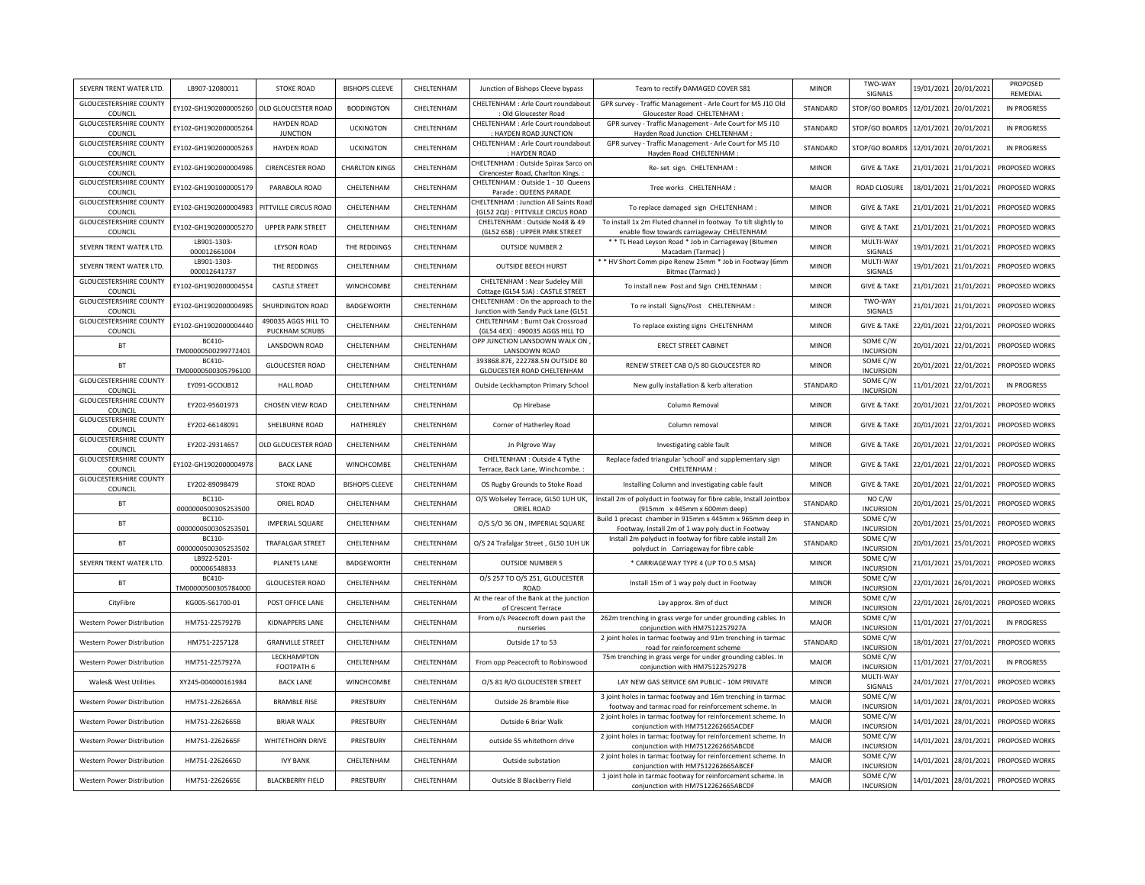| SEVERN TRENT WATER LTD.                  | LB907-12080011                | <b>STOKE ROAD</b>                     | <b>BISHOPS CLEEVE</b> | CHELTENHAM | Junction of Bishops Cleeve bypass                                                | Team to rectify DAMAGED COVER S81                                                                                                                                 | <b>MINOR</b>    | TWO-WAY<br>SIGNALS                       | 19/01/2021 | 20/01/2021 | PROPOSED<br>REMEDIAL |
|------------------------------------------|-------------------------------|---------------------------------------|-----------------------|------------|----------------------------------------------------------------------------------|-------------------------------------------------------------------------------------------------------------------------------------------------------------------|-----------------|------------------------------------------|------------|------------|----------------------|
| <b>GLOUCESTERSHIRE COUNTY</b><br>COUNCIL | EY102-GH1902000005260         | OLD GLOUCESTER ROAD                   | <b>BODDINGTON</b>     | CHELTENHAM | CHELTENHAM : Arle Court roundabout<br>: Old Gloucester Road                      | GPR survey - Traffic Management - Arle Court for M5 J10 Old<br>Gloucester Road CHELTENHAM :                                                                       | <b>STANDARD</b> | STOP/GO BOARDS                           | 12/01/2021 | 20/01/2021 | IN PROGRESS          |
| <b>GLOUCESTERSHIRE COUNTY</b><br>COUNCIL | EY102-GH1902000005264         | <b>HAYDEN ROAD</b><br><b>JUNCTION</b> | <b>UCKINGTON</b>      | CHELTENHAM | CHELTENHAM : Arle Court roundabout<br>: HAYDEN ROAD JUNCTION                     | GPR survey - Traffic Management - Arle Court for M5 J10<br>Hayden Road Junction CHELTENHAM :                                                                      | STANDARD        | STOP/GO BOARDS                           | 12/01/2021 | 20/01/2021 | IN PROGRESS          |
| <b>GLOUCESTERSHIRE COUNTY</b><br>COUNCIL | EY102-GH1902000005263         | <b>HAYDEN ROAD</b>                    | <b>UCKINGTON</b>      | CHELTENHAM | CHELTENHAM : Arle Court roundabout<br>: HAYDEN ROAD                              | GPR survey - Traffic Management - Arle Court for M5 J10<br>Hayden Road CHELTENHAM :                                                                               | STANDARD        | STOP/GO BOARDS                           | 12/01/2021 | 20/01/2021 | IN PROGRESS          |
| <b>GLOUCESTERSHIRE COUNTY</b><br>COUNCIL | EY102-GH1902000004986         | <b>CIRENCESTER ROAD</b>               | <b>CHARLTON KINGS</b> | CHELTENHAM | CHELTENHAM : Outside Spirax Sarco on<br>Cirencester Road, Charlton Kings.:       | Re- set sign. CHELTENHAM :                                                                                                                                        | <b>MINOR</b>    | <b>GIVE &amp; TAKE</b>                   | 21/01/2021 | 21/01/2021 | PROPOSED WORKS       |
| <b>GLOUCESTERSHIRE COUNTY</b><br>COUNCIL | EY102-GH1901000005179         | PARABOLA ROAD                         | CHELTENHAM            | CHELTENHAM | CHELTENHAM : Outside 1 - 10 Queens<br>Parade: QUEENS PARADE                      | Tree works CHELTENHAM :                                                                                                                                           | <b>MAJOR</b>    | ROAD CLOSURE                             | 18/01/2021 | 21/01/2021 | PROPOSED WORKS       |
| <b>GLOUCESTERSHIRE COUNTY</b><br>COUNCIL | EY102-GH1902000004983         | PITTVILLE CIRCUS ROAD                 | CHELTENHAM            | CHELTENHAM | <b>HELTENHAM: Junction All Saints Road</b><br>(GL52 2QJ) : PITTVILLE CIRCUS ROAD | To replace damaged sign CHELTENHAM :                                                                                                                              | <b>MINOR</b>    | <b>GIVE &amp; TAKE</b>                   | 21/01/2021 | 21/01/2021 | PROPOSED WORKS       |
| <b>GLOUCESTERSHIRE COUNTY</b><br>COUNCIL | EY102-GH1902000005270         | <b>UPPER PARK STREET</b>              | CHELTENHAM            | CHELTENHAM | CHELTENHAM : Outside No48 & 49<br>(GL52 6SB): UPPER PARK STREET                  | To install 1x 2m Fluted channel in footway To tilt slightly to<br>enable flow towards carriageway CHELTENHAM                                                      | <b>MINOR</b>    | <b>GIVE &amp; TAKE</b>                   | 21/01/2021 | 21/01/2021 | PROPOSED WORKS       |
| SEVERN TRENT WATER LTD.                  | LB901-1303<br>000012661004    | LEYSON ROAD                           | THE REDDINGS          | CHELTENHAM | <b>OUTSIDE NUMBER 2</b>                                                          | * * TL Head Leyson Road * Job in Carriageway (Bitumen<br>Macadam (Tarmac))                                                                                        | <b>MINOR</b>    | MULTI-WAY<br>SIGNALS                     | 19/01/2021 | 21/01/2021 | PROPOSED WORKS       |
| SEVERN TRENT WATER LTD.                  | LB901-1303-<br>000012641737   | THE REDDINGS                          | CHELTENHAM            | CHELTENHAM | <b>OUTSIDE BEECH HURST</b>                                                       | * * HV Short Comm pipe Renew 25mm * Job in Footway (6mm<br>Bitmac (Tarmac))                                                                                       | <b>MINOR</b>    | MULTI-WAY<br>SIGNALS                     | 19/01/2021 | 21/01/2021 | PROPOSED WORKS       |
| <b>GLOUCESTERSHIRE COUNTY</b><br>COUNCIL | EY102-GH1902000004554         | <b>CASTLE STREET</b>                  | WINCHCOMBE            | CHELTENHAM | CHELTENHAM : Near Sudeley Mill<br>Cottage (GL54 5JA) : CASTLE STREET             | To install new Post and Sign CHELTENHAM :                                                                                                                         | <b>MINOR</b>    | <b>GIVE &amp; TAKE</b>                   | 21/01/2021 | 21/01/2021 | PROPOSED WORKS       |
| <b>GLOUCESTERSHIRE COUNTY</b><br>COUNCIL | EY102-GH1902000004985         | SHURDINGTON ROAD                      | <b>BADGEWORTH</b>     | CHELTENHAM | CHELTENHAM : On the approach to the<br>Junction with Sandy Puck Lane (GL51       | To re install Signs/Post CHELTENHAM :                                                                                                                             | <b>MINOR</b>    | TWO-WAY<br>SIGNALS                       | 21/01/2021 | 21/01/2021 | PROPOSED WORKS       |
| <b>GLOUCESTERSHIRE COUNTY</b><br>COUNCIL | EY102-GH1902000004440         | 490035 AGGS HILL TO<br>PUCKHAM SCRUBS | CHELTENHAM            | CHELTENHAM | CHELTENHAM : Burnt Oak Crossroad<br>(GL54 4EX) : 490035 AGGS HILL TO             | To replace existing signs CHELTENHAM                                                                                                                              | <b>MINOR</b>    | <b>GIVE &amp; TAKE</b>                   | 22/01/2021 | 22/01/2021 | PROPOSED WORKS       |
| <b>BT</b>                                | BC410-<br>TM00000500299772401 | LANSDOWN ROAD                         | CHELTENHAM            | CHELTENHAM | OPP JUNCTION LANSDOWN WALK ON<br>LANSDOWN ROAD                                   | <b>ERECT STREET CABINET</b>                                                                                                                                       | <b>MINOR</b>    | SOME C/W<br><b>INCURSION</b>             | 20/01/2021 | 22/01/2021 | PROPOSED WORKS       |
| <b>BT</b>                                | BC410-<br>TM00000500305796100 | <b>GLOUCESTER ROAD</b>                | CHELTENHAM            | CHELTENHAM | 393868.87E, 222788.5N OUTSIDE 80<br>GLOUCESTER ROAD CHELTENHAM                   | RENEW STREET CAB O/S 80 GLOUCESTER RD                                                                                                                             | <b>MINOR</b>    | SOME C/W<br><b>INCURSION</b>             | 20/01/2021 | 22/01/2021 | PROPOSED WORKS       |
| <b>GLOUCESTERSHIRE COUNTY</b><br>COUNCIL | EY091-GCCKJB12                | <b>HALL ROAD</b>                      | CHELTENHAM            | CHELTENHAM | Outside Leckhampton Primary School                                               | New gully installation & kerb alteration                                                                                                                          | STANDARD        | SOME C/W<br><b>INCURSION</b>             | 11/01/2021 | 22/01/2021 | IN PROGRESS          |
| <b>GLOUCESTERSHIRE COUNTY</b><br>COUNCIL | EY202-95601973                | CHOSEN VIEW ROAD                      | CHELTENHAM            | CHELTENHAM | Op Hirebase                                                                      | Column Removal                                                                                                                                                    | <b>MINOR</b>    | <b>GIVE &amp; TAKE</b>                   | 20/01/2021 | 22/01/2021 | PROPOSED WORKS       |
| <b>GLOUCESTERSHIRE COUNTY</b><br>COUNCIL | EY202-66148091                | SHELBURNE ROAD                        | HATHERLEY             | CHELTENHAM | Corner of Hatherley Road                                                         | Column removal                                                                                                                                                    | <b>MINOR</b>    | <b>GIVE &amp; TAKE</b>                   | 20/01/2021 | 22/01/202  | PROPOSED WORKS       |
| <b>GLOUCESTERSHIRE COUNTY</b><br>COUNCIL | EY202-29314657                | OLD GLOUCESTER ROAD                   | CHELTENHAM            | CHELTENHAM | Jn Pilgrove Way                                                                  | Investigating cable fault                                                                                                                                         | <b>MINOR</b>    | <b>GIVE &amp; TAKE</b>                   | 20/01/2021 | 22/01/2021 | PROPOSED WORKS       |
| <b>GLOUCESTERSHIRE COUNTY</b><br>COUNCIL | EY102-GH1902000004978         | <b>BACK LANE</b>                      | WINCHCOMBE            | CHELTENHAM | CHELTENHAM : Outside 4 Tythe<br>Terrace, Back Lane, Winchcombe.                  | Replace faded triangular 'school' and supplementary sign<br>CHELTENHAM:                                                                                           | <b>MINOR</b>    | <b>GIVE &amp; TAKE</b>                   | 22/01/2021 | 22/01/2021 | PROPOSED WORKS       |
| <b>GLOUCESTERSHIRE COUNTY</b><br>COUNCIL | EY202-89098479                | <b>STOKE ROAD</b>                     | <b>BISHOPS CLEEVE</b> | CHELTENHAM | OS Rugby Grounds to Stoke Road                                                   | Installing Column and investigating cable fault                                                                                                                   | <b>MINOR</b>    | <b>GIVE &amp; TAKE</b>                   | 20/01/2021 | 22/01/2021 | PROPOSED WORKS       |
| <b>BT</b>                                | BC110-<br>0000000500305253500 | ORIEL ROAD                            | CHELTENHAM            | CHELTENHAM | O/S Wolseley Terrace, GL50 1UH UK,<br>ORIEL ROAD                                 | Install 2m of polyduct in footway for fibre cable, Install Jointbox<br>(915mm x 445mm x 600mm deep)                                                               | STANDARD        | NO C/W<br><b>INCURSION</b>               | 20/01/2021 | 25/01/2021 | PROPOSED WORKS       |
| <b>BT</b>                                | BC110-<br>0000000500305253501 | <b>IMPERIAL SQUARE</b>                | CHELTENHAM            | CHELTENHAM | O/S S/O 36 ON , IMPERIAL SQUARE                                                  | Build 1 precast chamber in 915mm x 445mm x 965mm deep ir<br>Footway, Install 2m of 1 way poly duct in Footway                                                     | STANDARD        | SOME C/W<br><b>INCURSION</b>             | 20/01/2021 | 25/01/2021 | PROPOSED WORKS       |
| <b>BT</b>                                | BC110-<br>0000000500305253502 | <b>TRAFALGAR STREET</b>               | CHELTENHAM            | CHELTENHAM | O/S 24 Trafalgar Street, GL50 1UH UK                                             | Install 2m polyduct in footway for fibre cable install 2m<br>polyduct in Carriageway for fibre cable                                                              | STANDARD        | SOME C/W<br><b>INCURSION</b>             | 20/01/2021 | 25/01/2021 | PROPOSED WORKS       |
| SEVERN TRENT WATER LTD.                  | LB922-5201-<br>000006548833   | PLANETS LANE                          | BADGEWORTH            | CHELTENHAM | <b>OUTSIDE NUMBER 5</b>                                                          | * CARRIAGEWAY TYPE 4 (UP TO 0.5 MSA)                                                                                                                              | <b>MINOR</b>    | SOME C/W<br><b>INCURSION</b>             | 21/01/2021 | 25/01/2021 | PROPOSED WORKS       |
| <b>BT</b>                                | BC410-<br>TM00000500305784000 | <b>GLOUCESTER ROAD</b>                | CHELTENHAM            | CHELTENHAM | O/S 257 TO O/S 251, GLOUCESTER<br><b>ROAD</b>                                    | Install 15m of 1 way poly duct in Footway                                                                                                                         | <b>MINOR</b>    | SOME C/W<br><b>INCURSION</b>             | 22/01/2021 | 26/01/2021 | PROPOSED WORKS       |
| CityFibre                                | KG005-S61700-01               | POST OFFICE LANE                      | CHELTENHAM            | CHELTENHAM | At the rear of the Bank at the junction<br>of Crescent Terrace                   | Lay approx. 8m of duct                                                                                                                                            | <b>MINOR</b>    | SOME C/W<br><b>INCURSION</b>             | 22/01/2021 | 26/01/2021 | PROPOSED WORKS       |
| Western Power Distribution               | HM751-2257927B                | <b>KIDNAPPERS LANE</b>                | CHELTENHAM            | CHELTENHAM | From o/s Peacecroft down past the<br>nurseries                                   | 262m trenching in grass verge for under grounding cables. In<br>conjunction with HM7512257927A                                                                    | <b>MAJOR</b>    | SOME C/W<br><b>INCURSION</b>             | 11/01/2021 | 27/01/2021 | <b>IN PROGRESS</b>   |
| Western Power Distribution               | HM751-2257128                 | <b>GRANVILLE STREET</b>               | CHELTENHAM            | CHELTENHAM | Outside 17 to 53                                                                 | 2 joint holes in tarmac footway and 91m trenching in tarmac<br>road for reinforcement scheme                                                                      | STANDARD        | SOME C/W<br><b>INCURSION</b>             | 18/01/2021 | 27/01/2021 | PROPOSED WORKS       |
| Western Power Distributior               | HM751-2257927A                | LECKHAMPTON<br>FOOTPATH 6             | CHELTENHAM            | CHELTENHAM | From opp Peacecroft to Robinswood                                                | 75m trenching in grass verge for under grounding cables. In<br>conjunction with HM7512257927B                                                                     | <b>MAJOR</b>    | SOME C/W<br><b>INCURSION</b>             | 11/01/2021 | 27/01/2021 | IN PROGRESS          |
| Wales& West Utilities                    |                               |                                       |                       |            |                                                                                  |                                                                                                                                                                   |                 | MULTI-WAY                                |            |            | PROPOSED WORKS       |
|                                          | XY245-004000161984            | <b>BACK LANE</b>                      | WINCHCOMBE            | CHELTENHAM | O/S 81 R/O GLOUCESTER STREET                                                     | LAY NEW GAS SERVICE 6M PUBLIC - 10M PRIVATE                                                                                                                       | <b>MINOR</b>    | SIGNALS                                  | 24/01/2021 | 27/01/202  |                      |
| Western Power Distribution               | HM751-2262665A                | <b>BRAMBLE RISE</b>                   | PRESTBURY             | CHELTENHAM | Outside 26 Bramble Rise                                                          | 3 joint holes in tarmac footway and 16m trenching in tarmac<br>footway and tarmac road for reinforcement scheme. In                                               | <b>MAJOR</b>    | SOME C/W<br><b>INCURSION</b>             | 14/01/2021 | 28/01/2021 | PROPOSED WORKS       |
| Western Power Distribution               | HM751-2262665B                | <b>BRIAR WAIK</b>                     | PRESTBURY             | CHELTENHAM | Outside 6 Briar Walk                                                             | 2 joint holes in tarmac footway for reinforcement scheme. In<br>conjunction with HM7512262665ACDEF                                                                | <b>MAJOR</b>    | SOME C/W<br><b>INCURSION</b>             | 14/01/2021 | 28/01/2021 | PROPOSED WORKS       |
| Western Power Distribution               | HM751-2262665F                | WHITETHORN DRIVE                      | PRESTBURY             | CHELTENHAM | outside 55 whitethorn drive                                                      | 2 joint holes in tarmac footway for reinforcement scheme. In<br>conjunction with HM7512262665ABCDE                                                                | <b>MAJOR</b>    | SOME C/W<br><b>INCURSION</b>             | 14/01/2021 | 28/01/2021 | PROPOSED WORKS       |
| Western Power Distribution               | HM751-2262665D                | <b>IVY BANK</b>                       | CHELTENHAM            | CHELTENHAM | Outside substation                                                               | 2 joint holes in tarmac footway for reinforcement scheme. In<br>conjunction with HM7512262665ABCEF<br>1 joint hole in tarmac footway for reinforcement scheme. In | <b>MAJOR</b>    | SOME C/W<br><b>INCURSION</b><br>SOME C/W | 14/01/2021 | 28/01/2021 | PROPOSED WORKS       |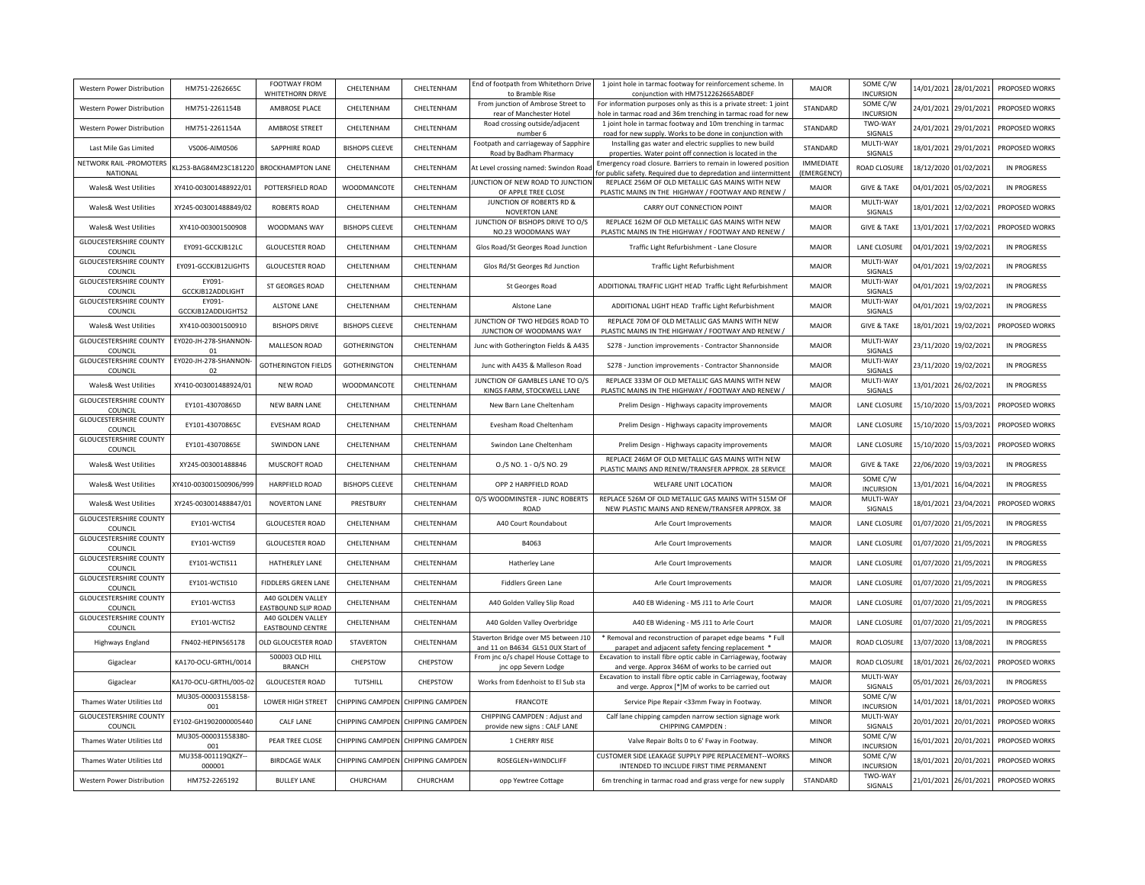| <b>Western Power Distribution</b>        | HM751-2262665C                                                                                                                                                                                                                                                                                                                                                                                                                                        | <b>FOOTWAY FROM</b><br><b>WHITETHORN DRIVE</b> | CHELTENHAM                        | CHELTENHAM                        | End of footpath from Whitethorn Drive<br>to Bramble Rise                  | 1 joint hole in tarmac footway for reinforcement scheme. In<br>conjunction with HM7512262665ABDEF                                  | <b>MAJOR</b>                   | SOME C/W<br><b>INCURSION</b> | 14/01/2021 | 28/01/2021            | PROPOSED WORKS        |
|------------------------------------------|-------------------------------------------------------------------------------------------------------------------------------------------------------------------------------------------------------------------------------------------------------------------------------------------------------------------------------------------------------------------------------------------------------------------------------------------------------|------------------------------------------------|-----------------------------------|-----------------------------------|---------------------------------------------------------------------------|------------------------------------------------------------------------------------------------------------------------------------|--------------------------------|------------------------------|------------|-----------------------|-----------------------|
| Western Power Distribution               | HM751-2261154B                                                                                                                                                                                                                                                                                                                                                                                                                                        | AMBROSE PLACE                                  | CHELTENHAM                        | CHELTENHAM                        | From junction of Ambrose Street to<br>rear of Manchester Hotel            | For information purposes only as this is a private street: 1 joint<br>hole in tarmac road and 36m trenching in tarmac road for new | STANDARD                       | SOME C/W<br><b>INCURSION</b> | 24/01/2021 | 29/01/2021            | PROPOSED WORKS        |
| Western Power Distribution               | HM751-2261154A                                                                                                                                                                                                                                                                                                                                                                                                                                        | AMBROSE STREET                                 | CHELTENHAM                        | CHELTENHAM                        | Road crossing outside/adjacent<br>number 6                                | 1 joint hole in tarmac footway and 10m trenching in tarmac<br>road for new supply. Works to be done in conjunction with            | STANDARD                       | TWO-WAY<br>SIGNALS           | 24/01/2021 | 29/01/2021            | PROPOSED WORKS        |
| Last Mile Gas Limited                    | VS006-AIM0506                                                                                                                                                                                                                                                                                                                                                                                                                                         | SAPPHIRE ROAD                                  | <b>BISHOPS CLEEVE</b>             | CHELTENHAM                        | Footpath and carriageway of Sapphire<br>Road by Badham Pharmacy           | Installing gas water and electric supplies to new build<br>properties. Water point off connection is located in the                | STANDARD                       | MULTI-WAY<br>SIGNALS         | 18/01/2021 | 29/01/2021            | PROPOSED WORKS        |
| NETWORK RAIL -PROMOTERS<br>NATIONAL      | <l253-bag84m23c181220< td=""><td><b>BROCKHAMPTON LANE</b></td><td>CHELTENHAM</td><td>CHELTENHAM</td><td>At Level crossing named: Swindon Road</td><td>Emergency road closure. Barriers to remain in lowered position<br/>for public safety. Required due to depredation and iintermittent</td><td><b>IMMFDIATE</b><br/>(EMERGENCY</td><td>ROAD CLOSURE</td><td></td><td>18/12/2020 01/02/2021</td><td><b>IN PROGRESS</b></td></l253-bag84m23c181220<> | <b>BROCKHAMPTON LANE</b>                       | CHELTENHAM                        | CHELTENHAM                        | At Level crossing named: Swindon Road                                     | Emergency road closure. Barriers to remain in lowered position<br>for public safety. Required due to depredation and iintermittent | <b>IMMFDIATE</b><br>(EMERGENCY | ROAD CLOSURE                 |            | 18/12/2020 01/02/2021 | <b>IN PROGRESS</b>    |
| Wales& West Utilities                    | XY410-003001488922/01                                                                                                                                                                                                                                                                                                                                                                                                                                 | POTTERSFIELD ROAD                              | WOODMANCOTE                       | CHELTENHAM                        | JUNCTION OF NEW ROAD TO JUNCTION<br>OF APPLE TREE CLOSE                   | REPLACE 256M OF OLD METALLIC GAS MAINS WITH NEW<br>PLASTIC MAINS IN THE HIGHWAY / FOOTWAY AND RENEW /                              | <b>MAJOR</b>                   | <b>GIVE &amp; TAKE</b>       |            | 04/01/2021 05/02/2021 | <b>IN PROGRESS</b>    |
| Wales& West Utilities                    | XY245-003001488849/02                                                                                                                                                                                                                                                                                                                                                                                                                                 | <b>ROBERTS ROAD</b>                            | CHELTENHAM                        | CHELTENHAM                        | JUNCTION OF ROBERTS RD &<br><b>NOVERTON LANE</b>                          | CARRY OUT CONNECTION POINT                                                                                                         | <b>MAJOR</b>                   | MULTI-WAY<br>SIGNALS         |            | 18/01/2021 12/02/2021 | PROPOSED WORKS        |
| Wales& West Utilities                    | XY410-003001500908                                                                                                                                                                                                                                                                                                                                                                                                                                    | WOODMANS WAY                                   | <b>BISHOPS CLEEVE</b>             | CHELTENHAM                        | JUNCTION OF BISHOPS DRIVE TO O/S<br>NO.23 WOODMANS WAY                    | REPLACE 162M OF OLD METALLIC GAS MAINS WITH NEW<br>PLASTIC MAINS IN THE HIGHWAY / FOOTWAY AND RENEW /                              | <b>MAJOR</b>                   | <b>GIVE &amp; TAKE</b>       |            | 13/01/2021 17/02/2021 | PROPOSED WORKS        |
| <b>GLOUCESTERSHIRE COUNTY</b><br>COUNCIL | EY091-GCCKJB12LC                                                                                                                                                                                                                                                                                                                                                                                                                                      | <b>GLOUCESTER ROAD</b>                         | CHELTENHAM                        | CHELTENHAM                        | Glos Road/St Georges Road Junction                                        | Traffic Light Refurbishment - Lane Closure                                                                                         | <b>MAJOR</b>                   | LANE CLOSURE                 | 04/01/2021 | 19/02/2021            | <b>IN PROGRESS</b>    |
| <b>GLOUCESTERSHIRE COUNTY</b><br>COUNCIL | EY091-GCCKJB12LIGHTS                                                                                                                                                                                                                                                                                                                                                                                                                                  | <b>GLOUCESTER ROAD</b>                         | CHELTENHAM                        | CHELTENHAM                        | Glos Rd/St Georges Rd Junction                                            | Traffic Light Refurbishment                                                                                                        | <b>MAJOR</b>                   | MULTI-WAY<br>SIGNALS         | 04/01/2021 | 19/02/2021            | <b>IN PROGRESS</b>    |
| <b>GLOUCESTERSHIRE COUNTY</b><br>COUNCIL | EY091-<br>GCCKJB12ADDLIGHT                                                                                                                                                                                                                                                                                                                                                                                                                            | ST GEORGES ROAD                                | CHELTENHAM                        | CHELTENHAM                        | St Georges Road                                                           | ADDITIONAL TRAFFIC LIGHT HEAD Traffic Light Refurbishment                                                                          | <b>MAJOR</b>                   | MULTI-WAY<br>SIGNALS         | 04/01/2021 | 19/02/2021            | <b>IN PROGRESS</b>    |
| <b>GLOUCESTERSHIRE COUNTY</b><br>COUNCIL | FY091-<br>GCCKJB12ADDLIGHTS2                                                                                                                                                                                                                                                                                                                                                                                                                          | <b>ALSTONE LANE</b>                            | CHELTENHAM                        | CHELTENHAM                        | Alstone Lane                                                              | ADDITIONAL LIGHT HEAD Traffic Light Refurbishment                                                                                  | MAIOR                          | MULTI-WAY<br>SIGNALS         | 04/01/2021 | 19/02/2021            | IN PROGRESS           |
| Wales& West Utilities                    | XY410-003001500910                                                                                                                                                                                                                                                                                                                                                                                                                                    | <b>BISHOPS DRIVE</b>                           | <b>BISHOPS CLEEVE</b>             | CHELTENHAM                        | JUNCTION OF TWO HEDGES ROAD TO<br>JUNCTION OF WOODMANS WAY                | REPLACE 70M OF OLD METALLIC GAS MAINS WITH NEW<br>PLASTIC MAINS IN THE HIGHWAY / FOOTWAY AND RENEW /                               | MAJOR                          | <b>GIVE &amp; TAKE</b>       | 18/01/2021 | 19/02/2021            | PROPOSED WORKS        |
| <b>GLOUCESTERSHIRE COUNTY</b><br>COUNCIL | EY020-JH-278-SHANNON<br>01                                                                                                                                                                                                                                                                                                                                                                                                                            | MALLESON ROAD                                  | <b>GOTHERINGTON</b>               | CHELTENHAM                        | Junc with Gotherington Fields & A435                                      | S278 - Junction improvements - Contractor Shannonside                                                                              | <b>MAJOR</b>                   | MULTI-WAY<br>SIGNALS         |            | 23/11/2020 19/02/2021 | <b>IN PROGRESS</b>    |
| <b>GLOUCESTERSHIRE COUNTY</b><br>COUNCIL | EY020-JH-278-SHANNON<br>02                                                                                                                                                                                                                                                                                                                                                                                                                            | <b>GOTHERINGTON FIELDS</b>                     | <b>GOTHERINGTON</b>               | CHELTENHAM                        | Junc with A435 & Malleson Road                                            | S278 - Junction improvements - Contractor Shannonside                                                                              | <b>MAJOR</b>                   | MULTI-WAY<br>SIGNALS         |            | 23/11/2020 19/02/2021 | <b>IN PROGRESS</b>    |
| Wales& West Utilities                    | XY410-003001488924/01                                                                                                                                                                                                                                                                                                                                                                                                                                 | <b>NEW ROAD</b>                                | WOODMANCOTE                       | CHELTENHAM                        | JUNCTION OF GAMBLES LANE TO O/S<br>KINGS FARM, STOCKWELL LANE             | REPLACE 333M OF OLD METALLIC GAS MAINS WITH NEW<br>PLASTIC MAINS IN THE HIGHWAY / FOOTWAY AND RENEW /                              | <b>MAJOR</b>                   | MULTI-WAY<br>SIGNALS         | 13/01/2021 | 26/02/2021            | <b>IN PROGRESS</b>    |
| <b>GLOUCESTERSHIRE COUNTY</b><br>COUNCIL | EY101-43070865D                                                                                                                                                                                                                                                                                                                                                                                                                                       | <b>NEW BARN LANE</b>                           | CHELTENHAM                        | CHELTENHAM                        | New Barn Lane Cheltenham                                                  | Prelim Design - Highways capacity improvements                                                                                     | <b>MAJOR</b>                   | LANE CLOSURE                 | 15/10/2020 | 15/03/2021            | <b>PROPOSED WORKS</b> |
| <b>GLOUCESTERSHIRE COUNTY</b><br>COUNCIL | EY101-43070865C                                                                                                                                                                                                                                                                                                                                                                                                                                       | <b>EVESHAM ROAD</b>                            | CHELTENHAM                        | CHELTENHAM                        | Evesham Road Cheltenham                                                   | Prelim Design - Highways capacity improvements                                                                                     | <b>MAJOR</b>                   | LANE CLOSURE                 | 15/10/2020 | 15/03/2021            | PROPOSED WORKS        |
| <b>GLOUCESTERSHIRE COUNTY</b><br>COUNCIL | EY101-43070865E                                                                                                                                                                                                                                                                                                                                                                                                                                       | <b>SWINDON LANE</b>                            | CHELTENHAM                        | CHELTENHAM                        | Swindon Lane Cheltenham                                                   | Prelim Design - Highways capacity improvements                                                                                     | <b>MAJOR</b>                   | <b>LANE CLOSURE</b>          | 15/10/2020 | 15/03/2021            | PROPOSED WORKS        |
| Wales& West Utilities                    | XY245-003001488846                                                                                                                                                                                                                                                                                                                                                                                                                                    | MUSCROFT ROAD                                  | CHELTENHAM                        | CHELTENHAM                        | 0./S NO. 1 - 0/S NO. 29                                                   | REPLACE 246M OF OLD METALLIC GAS MAINS WITH NEW<br>PLASTIC MAINS AND RENEW/TRANSFER APPROX. 28 SERVICE                             | <b>MAJOR</b>                   | <b>GIVE &amp; TAKE</b>       | 22/06/2020 | 19/03/2021            | <b>IN PROGRESS</b>    |
| Wales& West Utilities                    | XY410-003001500906/999                                                                                                                                                                                                                                                                                                                                                                                                                                | <b>HARPFIELD ROAD</b>                          | <b>BISHOPS CLEEVE</b>             | CHELTENHAM                        | OPP 2 HARPFIELD ROAD                                                      | WELFARE UNIT LOCATION                                                                                                              | <b>MAJOR</b>                   | SOME C/W<br><b>INCURSION</b> | 13/01/2021 | 16/04/2021            | <b>IN PROGRESS</b>    |
| Wales& West Utilities                    | XY245-003001488847/01                                                                                                                                                                                                                                                                                                                                                                                                                                 | <b>NOVERTON LANE</b>                           | PRESTBURY                         | CHELTENHAM                        | O/S WOODMINSTER - JUNC ROBERTS<br>ROAD                                    | REPLACE 526M OF OLD METALLIC GAS MAINS WITH 515M OF<br>NEW PLASTIC MAINS AND RENEW/TRANSFER APPROX. 38                             | <b>MAJOR</b>                   | MULTI-WAY<br>SIGNALS         |            | 18/01/2021 23/04/2021 | PROPOSED WORKS        |
| <b>GLOUCESTERSHIRE COUNTY</b><br>COUNCIL | EY101-WCTIS4                                                                                                                                                                                                                                                                                                                                                                                                                                          | <b>GLOUCESTER ROAD</b>                         | CHELTENHAM                        | CHELTENHAM                        | A40 Court Roundabout                                                      | Arle Court Improvements                                                                                                            | <b>MAJOR</b>                   | LANE CLOSURE                 |            | 01/07/2020 21/05/2021 | <b>IN PROGRESS</b>    |
| <b>GLOUCESTERSHIRE COUNTY</b><br>COUNCIL | EY101-WCTIS9                                                                                                                                                                                                                                                                                                                                                                                                                                          | <b>GLOUCESTER ROAD</b>                         | CHELTENHAM                        | CHELTENHAM                        | B4063                                                                     | Arle Court Improvements                                                                                                            | <b>MAJOR</b>                   | LANE CLOSURE                 | 01/07/2020 | 21/05/2021            | <b>IN PROGRESS</b>    |
| <b>GLOUCESTERSHIRE COUNTY</b><br>COUNCIL | EY101-WCTIS11                                                                                                                                                                                                                                                                                                                                                                                                                                         | HATHERLEY LANE                                 | CHELTENHAM                        | CHELTENHAM                        | Hatherley Lane                                                            | Arle Court Improvements                                                                                                            | <b>MAJOR</b>                   | LANE CLOSURE                 | 01/07/2020 | 21/05/2021            | <b>IN PROGRESS</b>    |
| <b>GLOUCESTERSHIRE COUNTY</b><br>COUNCIL | EY101-WCTIS10                                                                                                                                                                                                                                                                                                                                                                                                                                         | <b>FIDDLERS GREEN LANE</b>                     | CHELTENHAM                        | CHELTENHAM                        | Fiddlers Green Lane                                                       | Arle Court Improvements                                                                                                            | <b>MAJOR</b>                   | LANE CLOSURE                 | 01/07/2020 | 21/05/2021            | <b>IN PROGRESS</b>    |
| <b>GLOUCESTERSHIRE COUNTY</b><br>COUNCIL | EY101-WCTIS3                                                                                                                                                                                                                                                                                                                                                                                                                                          | A40 GOLDEN VALLEY<br>EASTBOUND SLIP ROAD       | CHELTENHAM                        | CHELTENHAM                        | A40 Golden Valley Slip Road                                               | A40 EB Widening - M5 J11 to Arle Court                                                                                             | <b>MAJOR</b>                   | LANE CLOSURE                 | 01/07/2020 | 21/05/2021            | <b>IN PROGRESS</b>    |
| <b>GLOUCESTERSHIRE COUNTY</b><br>COUNCIL | EY101-WCTIS2                                                                                                                                                                                                                                                                                                                                                                                                                                          | A40 GOLDEN VALLEY<br><b>EASTBOUND CENTRE</b>   | CHELTENHAM                        | CHELTENHAM                        | A40 Golden Valley Overbridge                                              | A40 EB Widening - M5 J11 to Arle Court                                                                                             | <b>MAJOR</b>                   | <b>LANE CLOSURE</b>          | 01/07/2020 | 21/05/2021            | <b>IN PROGRESS</b>    |
| Highways England                         | FN402-HEPIN565178                                                                                                                                                                                                                                                                                                                                                                                                                                     | OLD GLOUCESTER ROAD                            | <b>STAVERTON</b>                  | CHELTENHAM                        | Staverton Bridge over M5 between J10<br>and 11 on B4634 GL51 OUX Start of | * Removal and reconstruction of parapet edge beams * Full<br>parapet and adiacent safety fencing replacement *                     | <b>MAJOR</b>                   | ROAD CLOSURE                 | 13/07/2020 | 13/08/2021            | <b>IN PROGRESS</b>    |
| Gigaclear                                | KA170-OCU-GRTHL/0014                                                                                                                                                                                                                                                                                                                                                                                                                                  | 500003 OLD HILL<br><b>BRANCH</b>               | CHEPSTOW                          | CHEPSTOW                          | From inc o/s chapel House Cottage to<br>jnc opp Severn Lodge              | Excavation to install fibre optic cable in Carriageway, footway<br>and verge. Approx 346M of works to be carried out               | <b>MAJOR</b>                   | ROAD CLOSURE                 | 18/01/2021 | 26/02/2021            | PROPOSED WORKS        |
| Gigaclear                                | KA170-OCU-GRTHL/005-02                                                                                                                                                                                                                                                                                                                                                                                                                                | <b>GLOUCESTER ROAD</b>                         | TUTSHILL                          | CHEPSTOW                          | Works from Edenhoist to El Sub sta                                        | Excavation to install fibre optic cable in Carriageway, footway<br>and verge. Approx [*]M of works to be carried out               | <b>MAJOR</b>                   | MULTI-WAY<br>SIGNALS         | 05/01/2021 | 26/03/2021            | <b>IN PROGRESS</b>    |
| Thames Water Utilities Ltd               | MU305-000031558158-<br>001                                                                                                                                                                                                                                                                                                                                                                                                                            | LOWER HIGH STREET                              | CHIPPING CAMPDEN                  | CHIPPING CAMPDEN                  | <b>FRANCOTE</b>                                                           | Service Pipe Repair <33mm Fway in Footway.                                                                                         | <b>MINOR</b>                   | SOME C/W<br><b>INCURSION</b> | 14/01/2021 | 18/01/2021            | PROPOSED WORKS        |
| <b>GLOUCESTERSHIRE COUNTY</b><br>COUNCIL | EY102-GH1902000005440                                                                                                                                                                                                                                                                                                                                                                                                                                 | CALF LANE                                      |                                   | CHIPPING CAMPDEN CHIPPING CAMPDEN | CHIPPING CAMPDEN: Adjust and<br>provide new signs : CALF LANE             | Calf lane chipping campden narrow section signage work<br>CHIPPING CAMPDEN:                                                        | <b>MINOR</b>                   | MULTI-WAY<br>SIGNALS         | 20/01/2021 | 20/01/2021            | PROPOSED WORKS        |
| Thames Water Utilities Ltd               | MU305-000031558380-<br>001                                                                                                                                                                                                                                                                                                                                                                                                                            | PEAR TREE CLOSE                                | CHIPPING CAMPDEN CHIPPING CAMPDEN |                                   | 1 CHERRY RISE                                                             | Valve Repair Bolts 0 to 6' Fway in Footway.                                                                                        | <b>MINOR</b>                   | SOME C/W<br><b>INCURSION</b> | 16/01/2021 | 20/01/2021            | PROPOSED WORKS        |
| Thames Water Utilities Ltd               | MU358-001119QKZY-<br>000001                                                                                                                                                                                                                                                                                                                                                                                                                           | <b>BIRDCAGE WALK</b>                           |                                   | CHIPPING CAMPDEN CHIPPING CAMPDEN | ROSEGLEN+WINDCLIFF                                                        | CUSTOMER SIDE LEAKAGE SUPPLY PIPE REPLACEMENT--WORKS<br>INTENDED TO INCLUDE FIRST TIME PERMANENT                                   | <b>MINOR</b>                   | SOME C/W<br><b>INCURSION</b> | 18/01/2021 | 20/01/2021            | PROPOSED WORKS        |
| Western Power Distribution               | HM752-2265192                                                                                                                                                                                                                                                                                                                                                                                                                                         | <b>BULLEY LANE</b>                             | CHURCHAM                          | CHURCHAM                          | opp Yewtree Cottage                                                       | 6m trenching in tarmac road and grass verge for new supply                                                                         | STANDARD                       | TWO-WAY<br>SIGNALS           |            | 21/01/2021 26/01/2021 | PROPOSED WORKS        |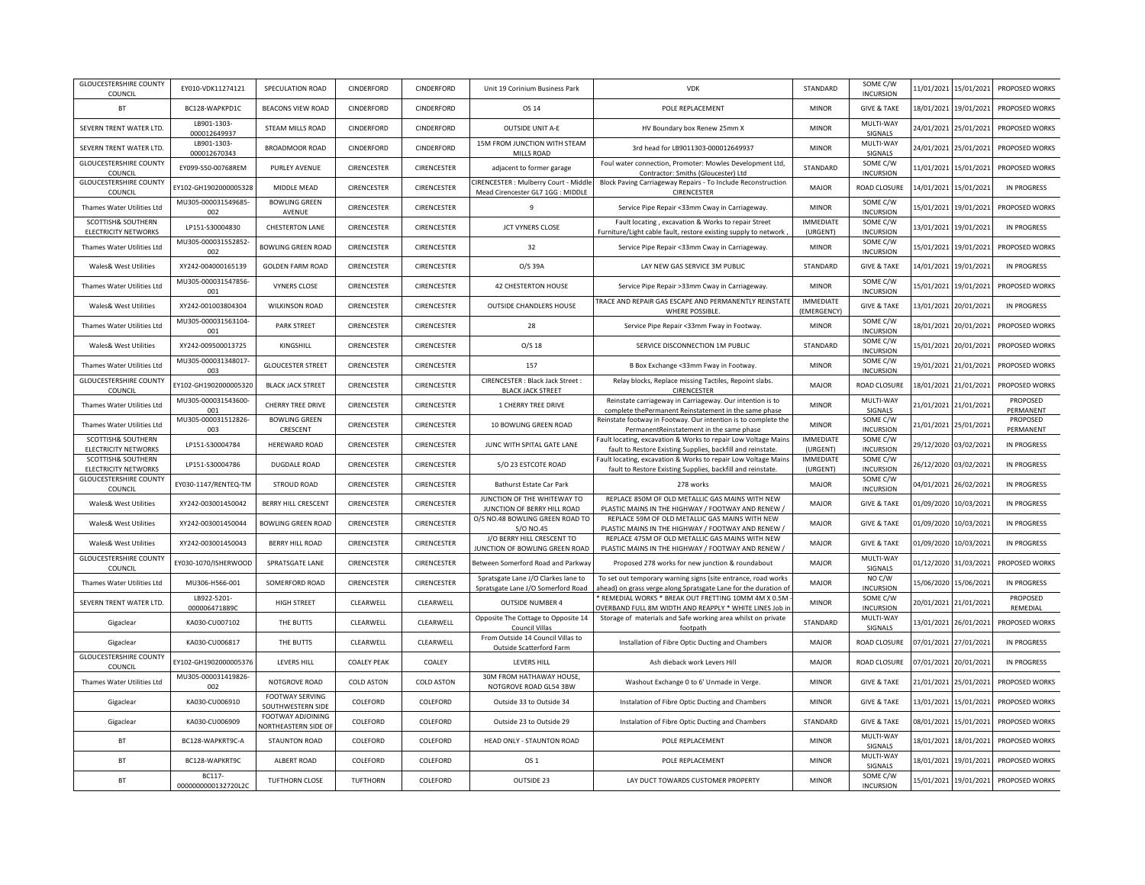| <b>GLOUCESTERSHIRE COUNTY</b><br>COUNCIL          | EY010-VDK11274121             | SPECULATION ROAD                                 | CINDERFORD         | CINDERFORD        | Unit 19 Corinium Business Park                                             | <b>VDK</b>                                                                                                                       | STANDARD                        | SOME C/W<br><b>INCURSION</b> | 11/01/2021 | 15/01/2021            | PROPOSED WORKS        |
|---------------------------------------------------|-------------------------------|--------------------------------------------------|--------------------|-------------------|----------------------------------------------------------------------------|----------------------------------------------------------------------------------------------------------------------------------|---------------------------------|------------------------------|------------|-----------------------|-----------------------|
| <b>BT</b>                                         | BC128-WAPKPD1C                | <b>BEACONS VIEW ROAD</b>                         | CINDERFORD         | CINDERFORD        | OS 14                                                                      | POLE REPLACEMENT                                                                                                                 | <b>MINOR</b>                    | <b>GIVE &amp; TAKE</b>       | 18/01/2021 | 19/01/2021            | PROPOSED WORKS        |
| SEVERN TRENT WATER LTD                            | LB901-1303-<br>000012649937   | STEAM MILLS ROAD                                 | CINDERFORD         | CINDERFORD        | <b>OUTSIDE UNIT A-E</b>                                                    | HV Boundary box Renew 25mm X                                                                                                     | <b>MINOR</b>                    | MULTI-WAY<br>SIGNALS         | 24/01/2021 | 25/01/2021            | PROPOSED WORKS        |
| SEVERN TRENT WATER LTD                            | LB901-1303-<br>000012670343   | <b>BROADMOOR ROAD</b>                            | CINDERFORD         | CINDERFORD        | 15M FROM JUNCTION WITH STEAM<br>MILLS ROAD                                 | 3rd head for LB9011303-000012649937                                                                                              | <b>MINOR</b>                    | MULTI-WAY<br>SIGNALS         | 24/01/2021 | 25/01/2021            | PROPOSED WORKS        |
| <b>GLOUCESTERSHIRE COUNTY</b><br>COUNCIL          | EY099-S50-00768REM            | PURLEY AVENUE                                    | CIRENCESTER        | CIRENCESTER       | adjacent to former garage                                                  | Foul water connection, Promoter: Mowles Development Ltd<br>Contractor: Smiths (Gloucester) Ltd                                   | STANDARD                        | SOME C/W<br><b>INCURSION</b> | 11/01/2021 | 15/01/2021            | PROPOSED WORKS        |
| <b>GLOUCESTERSHIRE COUNTY</b><br>COUNCIL          | EY102-GH1902000005328         | MIDDLE MEAD                                      | CIRENCESTER        | CIRENCESTER       | CIRENCESTER : Mulberry Court - Middle<br>Mead Cirencester GL7 1GG : MIDDLE | Block Paving Carriageway Repairs - To Include Reconstruction<br>CIRENCESTER                                                      | <b>MAJOR</b>                    | ROAD CLOSURE                 | 14/01/2021 | 15/01/2021            | <b>IN PROGRESS</b>    |
| Thames Water Utilities Ltd                        | MU305-000031549685-<br>002    | <b>BOWLING GREEN</b><br>AVENUE                   | CIRENCESTER        | CIRENCESTER       | $\mathsf{q}$                                                               | Service Pipe Repair <33mm Cway in Carriageway.                                                                                   | <b>MINOR</b>                    | SOME C/W<br><b>INCURSION</b> |            | 15/01/2021 19/01/2021 | PROPOSED WORKS        |
| SCOTTISH& SOUTHERN<br><b>ELECTRICITY NETWORKS</b> | LP151-S30004830               | <b>CHESTERTON LANE</b>                           | CIRENCESTER        | CIRENCESTER       | <b>JCT VYNERS CLOSE</b>                                                    | Fault locating, excavation & Works to repair Street<br>Furniture/Light cable fault, restore existing supply to network           | <b>IMMEDIATE</b><br>(URGENT)    | SOME C/W<br><b>INCURSION</b> |            | 13/01/2021 19/01/2021 | <b>IN PROGRESS</b>    |
| Thames Water Utilities Ltd                        | MU305-000031552852<br>002     | BOWLING GREEN ROAD                               | CIRENCESTER        | CIRENCESTER       | 32                                                                         | Service Pipe Repair <33mm Cway in Carriageway.                                                                                   | <b>MINOR</b>                    | SOME C/W<br><b>INCURSION</b> | 15/01/2021 | 19/01/2021            | PROPOSED WORKS        |
| Wales& West Utilities                             | XY242-004000165139            | <b>GOLDEN FARM ROAD</b>                          | CIRENCESTER        | CIRENCESTER       | O/S 39A                                                                    | LAY NEW GAS SERVICE 3M PUBLIC                                                                                                    | STANDARD                        | <b>GIVE &amp; TAKE</b>       | 14/01/2021 | 19/01/2021            | IN PROGRESS           |
| Thames Water Utilities Ltd                        | MU305-000031547856-<br>001    | <b>VYNERS CLOSE</b>                              | CIRENCESTER        | CIRENCESTER       | 42 CHESTERTON HOUSE                                                        | Service Pipe Repair >33mm Cway in Carriageway.                                                                                   | <b>MINOR</b>                    | SOME C/W<br><b>INCURSION</b> | 15/01/2021 | 19/01/2021            | PROPOSED WORKS        |
| Wales& West Utilities                             | XY242-001003804304            | <b>WILKINSON ROAD</b>                            | CIRENCESTER        | CIRENCESTER       | <b>OUTSIDE CHANDLERS HOUSE</b>                                             | <b>TRACE AND REPAIR GAS ESCAPE AND PERMANENTLY REINSTATE</b><br>WHERE POSSIBLE.                                                  | <b>IMMEDIATE</b><br>(EMERGENCY) | <b>GIVE &amp; TAKE</b>       | 13/01/2021 | 20/01/2021            | IN PROGRESS           |
| Thames Water Utilities Ltd                        | MU305-000031563104<br>001     | <b>PARK STREET</b>                               | CIRENCESTER        | CIRENCESTER       | 28                                                                         | Service Pipe Repair <33mm Fway in Footway.                                                                                       | <b>MINOR</b>                    | SOME C/W<br><b>INCURSION</b> | 18/01/2021 | 20/01/2021            | PROPOSED WORKS        |
| Wales& West Utilities                             | XY242-009500013725            | KINGSHILL                                        | CIRENCESTER        | CIRENCESTER       | $O/S$ 18                                                                   | SERVICE DISCONNECTION 1M PUBLIC                                                                                                  | STANDARD                        | SOME C/W<br><b>INCURSION</b> | 15/01/2021 | 20/01/2021            | PROPOSED WORKS        |
| Thames Water Utilities Ltd                        | MU305-000031348017-<br>003    | <b>GLOUCESTER STREET</b>                         | CIRENCESTER        | CIRENCESTER       | 157                                                                        | B Box Exchange < 33mm Fway in Footway.                                                                                           | <b>MINOR</b>                    | SOME C/W<br><b>INCURSION</b> | 19/01/2021 | 21/01/2021            | PROPOSED WORKS        |
| <b>GLOUCESTERSHIRE COUNTY</b><br>COUNCIL          | EY102-GH1902000005320         | <b>BLACK JACK STREET</b>                         | CIRENCESTER        | CIRENCESTER       | CIRENCESTER : Black Jack Street :<br><b>BLACK JACK STREET</b>              | Relay blocks, Replace missing Tactiles, Repoint slabs.<br><b>CIRENCESTER</b>                                                     | <b>MAJOR</b>                    | ROAD CLOSURE                 | 18/01/2021 | 21/01/2021            | PROPOSED WORKS        |
| Thames Water Utilities Ltd                        | MU305-000031543600-<br>001    | CHERRY TREE DRIVE                                | CIRENCESTER        | CIRENCESTER       | 1 CHERRY TREE DRIVE                                                        | Reinstate carriageway in Carriageway. Our intention is to<br>complete thePermanent Reinstatement in the same phase               | <b>MINOR</b>                    | MULTI-WAY<br>SIGNALS         | 21/01/2021 | 21/01/2021            | PROPOSED<br>PERMANENT |
| Thames Water Utilities Ltd                        | MU305-000031512826-<br>003    | <b>BOWLING GREEN</b><br>CRESCENT                 | CIRENCESTER        | CIRENCESTER       | 10 BOWLING GREEN ROAD                                                      | Reinstate footway in Footway. Our intention is to complete the<br>PermanentReinstatement in the same phase                       | <b>MINOR</b>                    | SOME C/W<br><b>INCURSION</b> | 21/01/2021 | 25/01/2021            | PROPOSED<br>PERMANENT |
| SCOTTISH& SOUTHERN<br><b>ELECTRICITY NETWORKS</b> | LP151-S30004784               | <b>HEREWARD ROAD</b>                             | CIRENCESTER        | CIRENCESTER       | JUNC WITH SPITAL GATE LANE                                                 | Fault locating, excavation & Works to repair Low Voltage Mains<br>fault to Restore Existing Supplies, backfill and reinstate.    | <b>IMMEDIATE</b><br>(URGENT)    | SOME C/W<br><b>INCURSION</b> |            | 29/12/2020 03/02/2021 | <b>IN PROGRESS</b>    |
| SCOTTISH& SOUTHERN<br>ELECTRICITY NETWORKS        | LP151-S30004786               | <b>DUGDALE ROAD</b>                              | CIRENCESTER        | CIRENCESTER       | S/O 23 ESTCOTE ROAD                                                        | Fault locating, excavation & Works to repair Low Voltage Mains<br>fault to Restore Existing Supplies, backfill and reinstate.    | <b>IMMEDIATE</b><br>(URGENT)    | SOME C/W<br><b>INCURSION</b> | 26/12/2020 | 03/02/2021            | <b>IN PROGRESS</b>    |
| <b>GLOUCESTERSHIRE COUNTY</b><br>COUNCIL          | EY030-1147/RENTEQ-TM          | <b>STROUD ROAD</b>                               | CIRENCESTER        | CIRENCESTER       | Bathurst Estate Car Park                                                   | 278 works                                                                                                                        | <b>MAJOR</b>                    | SOME C/W<br><b>INCURSION</b> | 04/01/2021 | 26/02/2021            | <b>IN PROGRESS</b>    |
| Wales& West Utilities                             | XY242-003001450042            | <b>BERRY HILL CRESCENT</b>                       | CIRENCESTER        | CIRENCESTER       | JUNCTION OF THE WHITEWAY TO<br>JUNCTION OF BERRY HILL ROAD                 | REPLACE 850M OF OLD METALLIC GAS MAINS WITH NEW<br>PLASTIC MAINS IN THE HIGHWAY / FOOTWAY AND RENEW /                            | <b>MAJOR</b>                    | <b>GIVE &amp; TAKE</b>       |            | 01/09/2020 10/03/2021 | <b>IN PROGRESS</b>    |
| Wales& West Utilities                             | XY242-003001450044            | <b>BOWLING GREEN ROAD</b>                        | CIRENCESTER        | CIRENCESTER       | O/S NO.48 BOWLING GREEN ROAD TO<br>S/O NO.45                               | REPLACE 59M OF OLD METALLIC GAS MAINS WITH NEW<br>PLASTIC MAINS IN THE HIGHWAY / FOOTWAY AND RENEW /                             | MAJOR                           | <b>GIVE &amp; TAKE</b>       |            | 01/09/2020 10/03/2021 | IN PROGRESS           |
| Wales& West Utilities                             | XY242-003001450043            | BERRY HILL ROAD                                  | CIRENCESTER        | CIRENCESTER       | J/O BERRY HILL CRESCENT TO<br><b>JUNCTION OF BOWLING GREEN ROAD</b>        | REPLACE 475M OF OLD METALLIC GAS MAINS WITH NEW<br>PLASTIC MAINS IN THE HIGHWAY / FOOTWAY AND RENEW /                            | MAJOR                           | <b>GIVE &amp; TAKE</b>       | 01/09/2020 | 10/03/2021            | <b>IN PROGRESS</b>    |
| <b>GLOUCESTERSHIRE COUNTY</b><br>COUNCIL          | EY030-1070/ISHERWOOD          | SPRATSGATE LANE                                  | CIRENCESTER        | CIRENCESTER       | Between Somerford Road and Parkway                                         | Proposed 278 works for new junction & roundabout                                                                                 | <b>MAJOR</b>                    | MULTI-WAY<br>SIGNALS         | 01/12/2020 | 31/03/2021            | PROPOSED WORKS        |
| Thames Water Utilities Ltd                        | MU306-H566-001                | SOMERFORD ROAD                                   | CIRENCESTER        | CIRENCESTER       | Spratsgate Lane J/O Clarkes lane to<br>Spratsgate Lane J/O Somerford Road  | To set out temporary warning signs (site entrance, road works<br>ahead) on grass verge along Spratsgate Lane for the duration of | <b>MAJOR</b>                    | NO C/W<br><b>INCURSION</b>   | 15/06/2020 | 15/06/2021            | <b>IN PROGRESS</b>    |
| SEVERN TRENT WATER LTD.                           | LB922-5201-<br>000006471889C  | <b>HIGH STREET</b>                               | CLEARWELL          | CLEARWELL         | <b>OUTSIDE NUMBER 4</b>                                                    | REMEDIAL WORKS * BREAK OUT FRETTING 10MM 4M X 0.5M<br>OVERBAND FULL 8M WIDTH AND REAPPLY * WHITE LINES Job in                    | <b>MINOR</b>                    | SOME C/W<br><b>INCURSION</b> | 20/01/2021 | 21/01/2021            | PROPOSED<br>REMEDIAL  |
| Gigaclear                                         | KA030-CU007102                | THE BUTTS                                        | CLEARWELL          | CLEARWELL         | Opposite The Cottage to Opposite 14<br>Council Villas                      | Storage of materials and Safe working area whilst on private<br>footpath                                                         | STANDARD                        | MULTI-WAY<br>SIGNALS         | 13/01/2021 | 26/01/2021            | PROPOSED WORKS        |
| Gigaclear                                         | KA030-CU006817                | THE BUTTS                                        | CLEARWELL          | CLEARWELL         | From Outside 14 Council Villas to<br>Outside Scatterford Farm              | Installation of Fibre Optic Ducting and Chambers                                                                                 | <b>MAJOR</b>                    | ROAD CLOSURE                 | 07/01/2021 | 27/01/2021            | <b>IN PROGRESS</b>    |
| <b>GLOUCESTERSHIRE COUNTY</b><br>COUNCIL          | EY102-GH1902000005376         | LEVERS HILL                                      | <b>COALEY PEAK</b> | COALEY            | LEVERS HILL                                                                | Ash dieback work Levers Hill                                                                                                     | <b>MAJOR</b>                    | ROAD CLOSURE                 | 07/01/2021 | 20/01/2021            | <b>IN PROGRESS</b>    |
| Thames Water Utilities Ltd                        | MU305-000031419826-<br>002    | NOTGROVE ROAD                                    | <b>COLD ASTON</b>  | <b>COLD ASTON</b> | 30M FROM HATHAWAY HOUSE,<br>NOTGROVE ROAD GL54 3BW                         | Washout Exchange 0 to 6' Unmade in Verge.                                                                                        | <b>MINOR</b>                    | <b>GIVE &amp; TAKE</b>       | 21/01/2021 | 25/01/2021            | PROPOSED WORKS        |
| Gigaclear                                         | KA030-CU006910                | <b>FOOTWAY SERVING</b><br>SOUTHWESTERN SIDE      | COLEFORD           | COLEFORD          | Outside 33 to Outside 34                                                   | Instalation of Fibre Optic Ducting and Chambers                                                                                  | <b>MINOR</b>                    | <b>GIVE &amp; TAKE</b>       | 13/01/2021 | 15/01/2021            | PROPOSED WORKS        |
| Gigaclear                                         | KA030-CU006909                | FOOTWAY ADJOINING<br><b>NORTHEASTERN SIDE OF</b> | COLEFORD           | COLEFORD          | Outside 23 to Outside 29                                                   | Instalation of Fibre Optic Ducting and Chambers                                                                                  | STANDARD                        | <b>GIVE &amp; TAKE</b>       | 08/01/2021 | 15/01/2021            | PROPOSED WORKS        |
| <b>BT</b>                                         | BC128-WAPKRT9C-A              | <b>STAUNTON ROAD</b>                             | COLEFORD           | COLEFORD          | HEAD ONLY - STAUNTON ROAD                                                  | POLE REPLACEMENT                                                                                                                 | <b>MINOR</b>                    | MULTI-WAY<br>SIGNALS         | 18/01/2021 | 18/01/2021            | PROPOSED WORKS        |
| <b>BT</b>                                         | BC128-WAPKRT9C                | ALBERT ROAD                                      | COLEFORD           | COLEFORD          | OS <sub>1</sub>                                                            | POLE REPLACEMENT                                                                                                                 | <b>MINOR</b>                    | MULTI-WAY<br>SIGNALS         | 18/01/2021 | 19/01/2021            | PROPOSED WORKS        |
| BT                                                | BC117-<br>0000000000132720L2C | <b>TUFTHORN CLOSE</b>                            | <b>TUFTHORN</b>    | COLEFORD          | OUTSIDE 23                                                                 | LAY DUCT TOWARDS CUSTOMER PROPERTY                                                                                               | <b>MINOR</b>                    | SOME C/W<br><b>INCURSION</b> |            | 15/01/2021 19/01/2021 | PROPOSED WORKS        |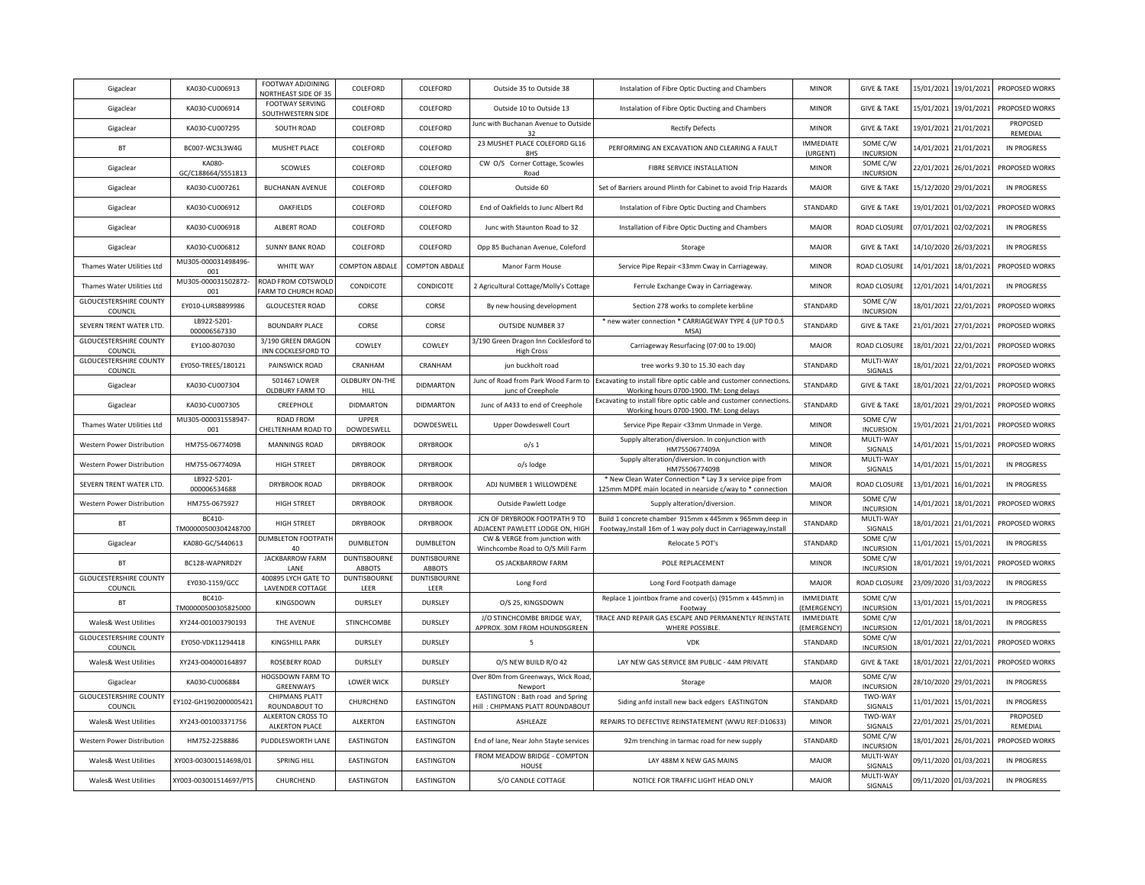| Gigaclear                                | KA030-CU006913                     | FOOTWAY ADJOINING<br>NORTHEAST SIDE OF 35   | COLEFORD                             | COLEFORD                      | Outside 35 to Outside 38                                            | Instalation of Fibre Optic Ducting and Chambers                                                                           | <b>MINOR</b>                    | <b>GIVE &amp; TAKE</b>       | 15/01/2021 | 19/01/2021            | PROPOSED WORKS       |
|------------------------------------------|------------------------------------|---------------------------------------------|--------------------------------------|-------------------------------|---------------------------------------------------------------------|---------------------------------------------------------------------------------------------------------------------------|---------------------------------|------------------------------|------------|-----------------------|----------------------|
| Gigaclear                                | KA030-CU006914                     | <b>FOOTWAY SERVING</b><br>SOUTHWESTERN SIDE | COLEFORD                             | COLEFORD                      | Outside 10 to Outside 13                                            | Instalation of Fibre Optic Ducting and Chambers                                                                           | <b>MINOR</b>                    | <b>GIVE &amp; TAKE</b>       | 15/01/2021 | 19/01/2021            | PROPOSED WORKS       |
| Gigaclear                                | KA030-CU007295                     | SOUTH ROAD                                  | COLEFORD                             | COLEFORD                      | Junc with Buchanan Avenue to Outside                                | <b>Rectify Defects</b>                                                                                                    | <b>MINOR</b>                    | <b>GIVE &amp; TAKE</b>       | 19/01/2021 | 21/01/2021            | PROPOSED<br>REMEDIAL |
| BT                                       | BC007-WC3L3W4G                     | MUSHET PLACE                                | COLEFORD                             | COLEFORD                      | 23 MUSHET PLACE COLEFORD GL16<br>8HS                                | PERFORMING AN EXCAVATION AND CLEARING A FAULT                                                                             | <b>IMMEDIATE</b><br>(URGENT)    | SOME C/W<br><b>INCURSION</b> | 14/01/2021 | 21/01/2021            | <b>IN PROGRESS</b>   |
| Gigaclear                                | <b>KA080</b><br>GC/C188664/S551813 | SCOWLES                                     | COLEFORD                             | COLEFORD                      | CW O/S Corner Cottage, Scowles<br>Road                              | FIBRE SERVICE INSTALLATION                                                                                                | <b>MINOR</b>                    | SOME C/W<br><b>INCURSION</b> | 22/01/2021 | 26/01/2021            | PROPOSED WORKS       |
| Gigaclear                                | KA030-CU007261                     | <b>BUCHANAN AVENUE</b>                      | COLEFORD                             | COLEFORD                      | Outside 60                                                          | Set of Barriers around Plinth for Cabinet to avoid Trip Hazards                                                           | <b>MAJOR</b>                    | <b>GIVE &amp; TAKE</b>       | 15/12/2020 | 29/01/2021            | <b>IN PROGRESS</b>   |
| Gigaclear                                | KA030-CU006912                     | <b>OAKFIELDS</b>                            | COLEFORD                             | COLEFORD                      | End of Oakfields to Junc Albert Rd                                  | Instalation of Fibre Optic Ducting and Chambers                                                                           | STANDARD                        | <b>GIVE &amp; TAKE</b>       |            | 19/01/2021 01/02/2021 | PROPOSED WORKS       |
| Gigaclear                                | KA030-CU006918                     | ALBERT ROAD                                 | COLEFORD                             | COLEFORD                      | Junc with Staunton Road to 32                                       | Installation of Fibre Optic Ducting and Chambers                                                                          | <b>MAJOR</b>                    | ROAD CLOSURE                 |            | 07/01/2021 02/02/2021 | <b>IN PROGRESS</b>   |
| Gigaclear                                | KA030-CU006812                     | <b>SUNNY BANK ROAD</b>                      | COLEFORD                             | COLEFORD                      | Opp 85 Buchanan Avenue, Coleford                                    | Storage                                                                                                                   | <b>MAJOR</b>                    | <b>GIVE &amp; TAKE</b>       | 14/10/2020 | 26/03/2021            | <b>IN PROGRESS</b>   |
| Thames Water Utilities Ltd               | MU305-000031498496<br>001          | WHITE WAY                                   | <b>COMPTON ABDALE</b>                | <b>COMPTON ABDALE</b>         | Manor Farm House                                                    | Service Pipe Repair <33mm Cway in Carriageway.                                                                            | <b>MINOR</b>                    | ROAD CLOSURE                 | 14/01/2021 | 18/01/2021            | PROPOSED WORKS       |
| Thames Water Utilities Ltd               | MU305-000031502872-<br>001         | ROAD FROM COTSWOLD<br>FARM TO CHURCH ROAD   | CONDICOTE                            | CONDICOTE                     | 2 Agricultural Cottage/Molly's Cottage                              | Ferrule Exchange Cway in Carriageway.                                                                                     | <b>MINOR</b>                    | ROAD CLOSURE                 | 12/01/2021 | 14/01/2021            | <b>IN PROGRESS</b>   |
| <b>GLOUCESTERSHIRE COUNTY</b><br>COUNCIL | EY010-LURSB899986                  | <b>GLOUCESTER ROAD</b>                      | CORSE                                | CORSE                         | By new housing development                                          | Section 278 works to complete kerbline                                                                                    | STANDARD                        | SOME C/W<br><b>INCURSION</b> | 18/01/2021 | 22/01/2021            | PROPOSED WORKS       |
| SEVERN TRENT WATER LTD                   | LB922-5201-<br>000006567330        | <b>BOUNDARY PLACE</b>                       | CORSE                                | CORSE                         | <b>OUTSIDE NUMBER 37</b>                                            | * new water connection * CARRIAGEWAY TYPE 4 (UP TO 0.5<br>MSA)                                                            | STANDARD                        | <b>GIVE &amp; TAKE</b>       | 21/01/2021 | 27/01/2021            | PROPOSED WORKS       |
| <b>GLOUCESTERSHIRE COUNTY</b><br>COUNCIL | EY100-807030                       | 3/190 GREEN DRAGON<br>INN COCKLESFORD TO    | COWLEY                               | COWLEY                        | 3/190 Green Dragon Inn Cocklesford to<br><b>High Cross</b>          | Carriageway Resurfacing (07:00 to 19:00)                                                                                  | <b>MAJOR</b>                    | ROAD CLOSURE                 | 18/01/2021 | 22/01/2021            | PROPOSED WORKS       |
| <b>GLOUCESTERSHIRE COUNTY</b><br>COUNCIL | EY050-TREES/180121                 | PAINSWICK ROAD                              | CRANHAM                              | CRANHAM                       | jun buckholt road                                                   | tree works 9.30 to 15.30 each day                                                                                         | STANDARD                        | MULTI-WAY<br>SIGNALS         | 18/01/2021 | 22/01/2021            | PROPOSED WORKS       |
| Gigaclear                                | KA030-CU007304                     | 501467 LOWER<br>OLDBURY FARM TO             | OLDBURY ON-THE<br><b>HILL</b>        | <b>DIDMARTON</b>              | Junc of Road from Park Wood Farm to<br>junc of Creephole            | Excavating to install fibre optic cable and customer connections<br>Working hours 0700-1900. TM: Long delays              | STANDARD                        | <b>GIVE &amp; TAKE</b>       | 18/01/2021 | 22/01/2021            | PROPOSED WORKS       |
| Gigaclear                                | KA030-CU007305                     | CREEPHOLE                                   | <b>DIDMARTON</b>                     | <b>DIDMARTON</b>              | Junc of A433 to end of Creephole                                    | Excavating to install fibre optic cable and customer connections<br>Working hours 0700-1900. TM: Long delays              | STANDARD                        | <b>GIVE &amp; TAKE</b>       | 18/01/2021 | 29/01/2021            | PROPOSED WORKS       |
| Thames Water Utilities Ltd               | MU305-000031558947-<br>001         | <b>ROAD FROM</b><br>CHELTENHAM ROAD TO      | UPPER<br>DOWDESWELL                  | DOWDESWELL                    | Upper Dowdeswell Court                                              | Service Pipe Repair <33mm Unmade in Verge.                                                                                | <b>MINOR</b>                    | SOME C/W<br><b>INCURSION</b> | 19/01/2021 | 21/01/2021            | PROPOSED WORKS       |
| Western Power Distribution               | HM755-0677409B                     | <b>MANNINGS ROAD</b>                        | <b>DRYBROOK</b>                      | <b>DRYBROOK</b>               | o/s <sub>1</sub>                                                    | Supply alteration/diversion. In conjunction with<br>HM7550677409A                                                         | <b>MINOR</b>                    | MULTI-WAY<br>SIGNALS         | 14/01/2021 | 15/01/2021            | PROPOSED WORKS       |
| Western Power Distribution               | HM755-0677409A                     | <b>HIGH STREET</b>                          | <b>DRYBROOK</b>                      | <b>DRYBROOK</b>               | o/s lodge                                                           | Supply alteration/diversion. In conjunction with<br>HM7550677409B                                                         | <b>MINOR</b>                    | MULTI-WAY<br>SIGNALS         | 14/01/2021 | 15/01/2021            | <b>IN PROGRESS</b>   |
| SEVERN TRENT WATER LTD                   | LB922-5201-<br>000006534688        | DRYBROOK ROAD                               | <b>DRYBROOK</b>                      | <b>DRYBROOK</b>               | ADJ NUMBER 1 WILLOWDENE                                             | * New Clean Water Connection * Lay 3 x service pipe from<br>125mm MDPE main located in nearside c/way to * connection     | MAJOR                           | ROAD CLOSURE                 | 13/01/2021 | 16/01/2021            | <b>IN PROGRESS</b>   |
| Western Power Distribution               | HM755-0675927                      | <b>HIGH STREET</b>                          | <b>DRYBROOK</b>                      | <b>DRYBROOK</b>               | Outside Pawlett Lodge                                               | Supply alteration/diversion.                                                                                              | <b>MINOR</b>                    | SOME C/W<br><b>INCURSION</b> |            | 14/01/2021 18/01/2021 | PROPOSED WORKS       |
| BT                                       | BC410<br>TM00000500304248700       | HIGH STREET                                 | <b>DRYBROOK</b>                      | <b>DRYBROOK</b>               | JCN OF DRYBROOK FOOTPATH 9 TO<br>ADJACENT PAWLETT LODGE ON, HIGH    | Build 1 concrete chamber 915mm x 445mm x 965mm deep in<br>Footway, Install 16m of 1 way poly duct in Carriageway, Install | STANDARD                        | MULTI-WAY<br>SIGNALS         |            | 18/01/2021 21/01/2021 | PROPOSED WORKS       |
| Gigaclear                                | KA080-GC/S440613                   | DUMBLETON FOOTPATH<br>40                    | <b>DUMBLETON</b>                     | <b>DUMBLETON</b>              | CW & VERGE from junction with<br>Winchcombe Road to O/S Mill Farm   | Relocate 5 POT's                                                                                                          | STANDARD                        | SOME C/W<br><b>INCURSION</b> | 11/01/2021 | 15/01/2021            | <b>IN PROGRESS</b>   |
| <b>BT</b>                                | BC128-WAPNRD2Y                     | <b>JACKBARROW FARM</b><br>LANE              | <b>DUNTISBOURNE</b><br><b>ABBOTS</b> | <b>DUNTISBOURNE</b><br>ABBOTS | OS JACKBARROW FARM                                                  | POLE REPLACEMENT                                                                                                          | <b>MINOR</b>                    | SOME C/W<br><b>INCURSION</b> | 18/01/2021 | 19/01/2021            | PROPOSED WORKS       |
| <b>GLOUCESTERSHIRE COUNTY</b><br>COUNCIL | EY030-1159/GCC                     | 400895 LYCH GATE TO<br>LAVENDER COTTAGE     | <b>DUNTISBOURNE</b><br>LEER          | <b>DUNTISBOURNE</b><br>LEER   | Long Ford                                                           | Long Ford Footpath damage                                                                                                 | <b>MAJOR</b>                    | ROAD CLOSURE                 | 23/09/2020 | 31/03/2022            | IN PROGRESS          |
| <b>BT</b>                                | BC410-<br>TM00000500305825000      | KINGSDOWN                                   | DURSLEY                              | DURSLEY                       | O/S 25, KINGSDOWN                                                   | Replace 1 jointbox frame and cover(s) (915mm x 445mm) in<br>Footway                                                       | <b>IMMEDIATE</b><br>[EMERGENCY] | SOME C/W<br><b>INCURSION</b> | 13/01/2021 | 15/01/2021            | <b>IN PROGRESS</b>   |
| Wales& West Utilities                    | XY244-001003790193                 | THE AVENUE                                  | STINCHCOMBE                          | <b>DURSLEY</b>                | J/O STINCHCOMBE BRIDGE WAY,<br>APPROX. 30M FROM HOUNDSGREEN         | <b>FRACE AND REPAIR GAS ESCAPE AND PERMANENTLY REINSTATE</b><br><b>WHERE POSSIBLE</b>                                     | <b>IMMEDIATE</b><br>(EMERGENCY) | SOME C/W<br><b>INCURSION</b> | 12/01/2021 | 18/01/2021            | <b>IN PROGRESS</b>   |
| <b>GLOUCESTERSHIRE COUNTY</b><br>COUNCIL | EY050-VDK11294418                  | <b>KINGSHILL PARK</b>                       | <b>DURSLEY</b>                       | <b>DURSLEY</b>                | 5                                                                   | <b>VDK</b>                                                                                                                | STANDARD                        | SOME C/W<br><b>INCURSION</b> | 18/01/2021 | 22/01/2021            | PROPOSED WORKS       |
| Wales& West Utilities                    | XY243-004000164897                 | ROSEBERY ROAD                               | <b>DURSLEY</b>                       | <b>DURSLEY</b>                | O/S NEW BUILD R/O 42                                                | LAY NEW GAS SERVICE 8M PUBLIC - 44M PRIVATE                                                                               | STANDARD                        | <b>GIVE &amp; TAKE</b>       | 18/01/2021 | 22/01/2021            | PROPOSED WORKS       |
| Gigaclear                                | KA030-CU006884                     | HOGSDOWN FARM TO<br>GREENWAYS               | <b>LOWER WICK</b>                    | <b>DURSLEY</b>                | Over 80m from Greenways, Wick Road<br>Newport                       | Storage                                                                                                                   | <b>MAJOR</b>                    | SOME C/W<br><b>INCURSION</b> | 28/10/2020 | 29/01/2021            | <b>IN PROGRESS</b>   |
| <b>GLOUCESTERSHIRE COUNTY</b><br>COUNCIL | EY102-GH1902000005421              | <b>CHIPMANS PLATT</b><br>ROUNDABOUT TO      | CHURCHEND                            | EASTINGTON                    | EASTINGTON: Bath road and Spring<br>Hill: CHIPMANS PLATT ROUNDABOUT | Siding anfd install new back edgers EASTINGTON                                                                            | STANDARD                        | TWO-WAY<br>SIGNALS           | 11/01/2021 | 15/01/2021            | IN PROGRESS          |
| Wales& West Utilities                    | XY243-001003371756                 | ALKERTON CROSS TO<br><b>ALKERTON PLACE</b>  | <b>ALKERTON</b>                      | EASTINGTON                    | ASHLEAZE                                                            | REPAIRS TO DEFECTIVE REINSTATEMENT (WWU REF:D10633)                                                                       | <b>MINOR</b>                    | TWO-WAY<br>SIGNALS           | 22/01/2021 | 25/01/2021            | PROPOSED<br>REMEDIAL |
| Western Power Distribution               | HM752-2258886                      | PUDDLESWORTH LANE                           | <b>EASTINGTON</b>                    | EASTINGTON                    | End of lane, Near John Stayte services                              | 92m trenching in tarmac road for new supply                                                                               | STANDARD                        | SOME C/W<br><b>INCURSION</b> | 18/01/2021 | 26/01/2021            | PROPOSED WORKS       |
| Wales& West Utilities                    | XY003-003001514698/01              | <b>SPRING HILL</b>                          | EASTINGTON                           | EASTINGTON                    | FROM MEADOW BRIDGE - COMPTON<br>HOUSE                               | LAY 488M X NEW GAS MAINS                                                                                                  | <b>MAJOR</b>                    | MULTI-WAY<br>SIGNALS         | 09/11/2020 | 01/03/2021            | <b>IN PROGRESS</b>   |
| Wales& West Utilities                    | XY003-003001514697/PTS             | CHURCHEND                                   | <b>EASTINGTON</b>                    | <b>EASTINGTON</b>             | S/O CANDLE COTTAGE                                                  | NOTICE FOR TRAFFIC LIGHT HEAD ONLY                                                                                        | <b>MAJOR</b>                    | MULTI-WAY<br>SIGNALS         |            | 09/11/2020 01/03/2021 | <b>IN PROGRESS</b>   |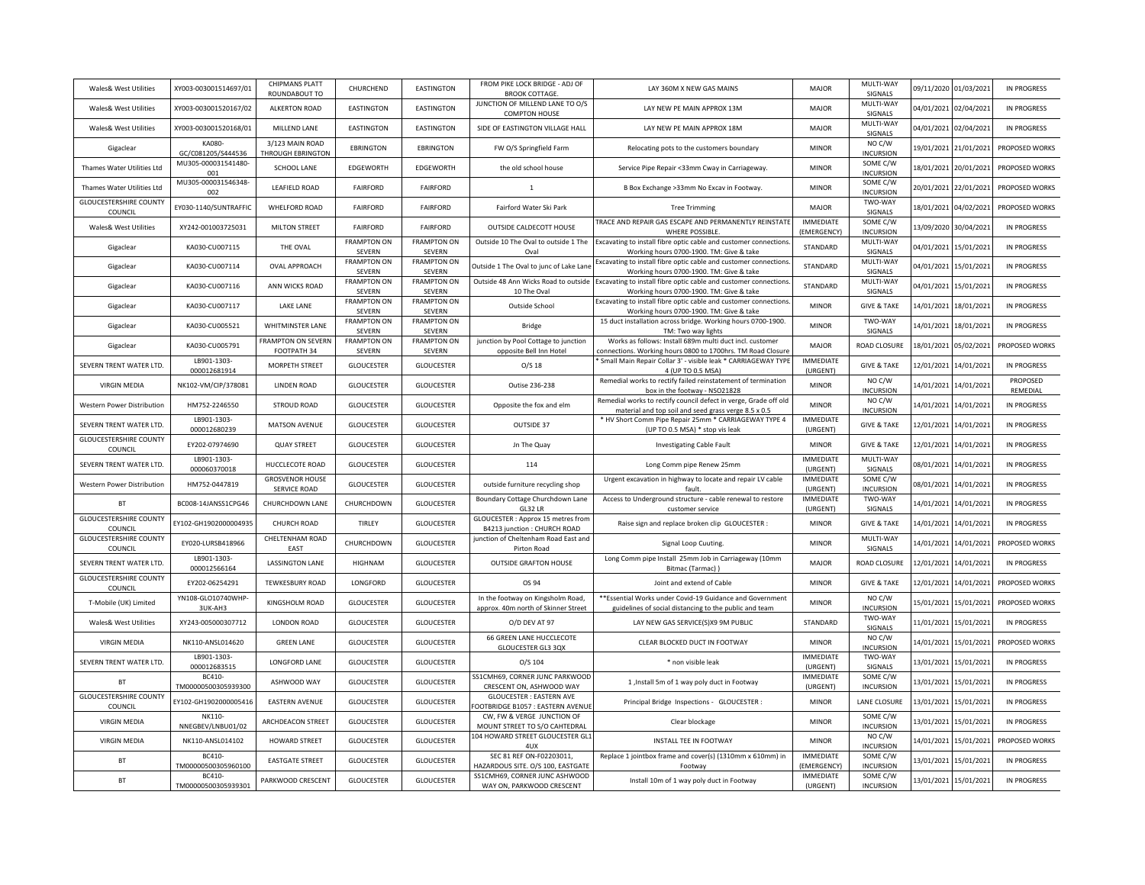| Wales& West Utilities                    | XY003-003001514697/01         | <b>CHIPMANS PLATT</b><br>ROUNDABOUT TO | CHURCHEND                           | <b>FASTINGTON</b>                   | FROM PIKE LOCK BRIDGE - ADJ OF<br><b>BROOK COTTAGE</b>                    | LAY 360M X NEW GAS MAINS                                                                                                 | <b>MAJOR</b>                          | MULTI-WAY<br>SIGNALS         | 09/11/2020 | 01/03/2021 | <b>IN PROGRESS</b>   |
|------------------------------------------|-------------------------------|----------------------------------------|-------------------------------------|-------------------------------------|---------------------------------------------------------------------------|--------------------------------------------------------------------------------------------------------------------------|---------------------------------------|------------------------------|------------|------------|----------------------|
| Wales& West Utilities                    | XY003-003001520167/02         | ALKERTON ROAD                          | <b>FASTINGTON</b>                   | <b>FASTINGTON</b>                   | JUNCTION OF MILLEND LANE TO O/S<br>COMPTON HOUSE                          | LAY NEW PE MAIN APPROX 13M                                                                                               | MAJOR                                 | MULTI-WAY<br>SIGNALS         | 04/01/2021 | 02/04/2021 | IN PROGRESS          |
| Wales& West Utilities                    | XY003-003001520168/01         | MILLEND LANE                           | EASTINGTON                          | <b>EASTINGTON</b>                   | SIDE OF EASTINGTON VILLAGE HALL                                           | LAY NEW PE MAIN APPROX 18M                                                                                               | <b>MAJOR</b>                          | MULTI-WAY<br>SIGNALS         | 04/01/2021 | 02/04/2021 | IN PROGRESS          |
| Gigaclear                                | KA080-<br>GC/C081205/S444536  | 3/123 MAIN ROAD<br>THROUGH EBRINGTON   | <b>EBRINGTON</b>                    | <b>EBRINGTON</b>                    | FW O/S Springfield Farm                                                   | Relocating pots to the customers boundary                                                                                | <b>MINOR</b>                          | NO C/W<br><b>INCURSION</b>   | 19/01/2021 | 21/01/2021 | PROPOSED WORKS       |
| Thames Water Utilities Ltd               | MU305-000031541480-<br>001    | SCHOOL LANE                            | EDGEWORTH                           | EDGEWORTH                           | the old school house                                                      | Service Pipe Repair <33mm Cway in Carriageway.                                                                           | <b>MINOR</b>                          | SOME C/W<br><b>INCURSION</b> | 18/01/2021 | 20/01/2021 | PROPOSED WORKS       |
| Thames Water Utilities Ltd               | MU305-000031546348-<br>002    | <b>LEAFIELD ROAD</b>                   | <b>FAIRFORD</b>                     | <b>FAIRFORD</b>                     | $\mathbf{1}$                                                              | B Box Exchange >33mm No Excav in Footway.                                                                                | <b>MINOR</b>                          | SOME C/W<br><b>INCURSION</b> | 20/01/2021 | 22/01/2021 | PROPOSED WORKS       |
| <b>GLOUCESTERSHIRE COUNTY</b><br>COUNCIL | EY030-1140/SUNTRAFFIC         | WHELFORD ROAD                          | <b>FAIRFORD</b>                     | <b>FAIRFORD</b>                     | Fairford Water Ski Park                                                   | <b>Tree Trimming</b>                                                                                                     | <b>MAJOR</b>                          | TWO-WAY<br>SIGNALS           | 18/01/2021 | 04/02/2021 | PROPOSED WORKS       |
| Wales& West Utilities                    | XY242-001003725031            | <b>MILTON STREET</b>                   | <b>FAIRFORD</b>                     | <b>FAIRFORD</b>                     | <b>OUTSIDE CALDECOTT HOUSE</b>                                            | <b>FRACE AND REPAIR GAS ESCAPE AND PERMANENTLY REINSTATE</b><br><b>WHERE POSSIBLE</b>                                    | <b>IMMEDIATE</b><br>(EMERGENCY)       | SOME C/W<br><b>INCURSION</b> | 13/09/2020 | 30/04/2021 | IN PROGRESS          |
| Gigaclear                                | KA030-CU007115                | THE OVAL                               | <b>FRAMPTON ON</b><br>SEVERN        | <b>FRAMPTON ON</b><br>SEVERN        | Outside 10 The Oval to outside 1 The<br>Oval                              | Excavating to install fibre optic cable and customer connections<br>Working hours 0700-1900. TM: Give & take             | STANDARD                              | MULTI-WAY<br>SIGNALS         | 04/01/2021 | 15/01/2021 | IN PROGRESS          |
| Gigaclear                                | KA030-CU007114                | <b>OVAL APPROACH</b>                   | <b>FRAMPTON ON</b><br><b>SEVERN</b> | <b>FRAMPTON ON</b><br><b>SEVERN</b> | Outside 1 The Oval to junc of Lake Lan                                    | Excavating to install fibre optic cable and customer connections<br>Working hours 0700-1900. TM: Give & take             | STANDARD                              | MULTI-WAY<br>SIGNALS         | 04/01/2021 | 15/01/2021 | IN PROGRESS          |
| Gigaclear                                | KA030-CU007116                | ANN WICKS ROAD                         | <b>FRAMPTON ON</b><br>SEVERN        | <b>FRAMPTON ON</b><br>SEVERN        | Outside 48 Ann Wicks Road to outside<br>10 The Oval                       | Excavating to install fibre optic cable and customer connections<br>Working hours 0700-1900. TM: Give & take             | STANDARD                              | MULTI-WAY<br>SIGNALS         | 04/01/2021 | 15/01/2021 | IN PROGRESS          |
| Gigaclear                                | KA030-CU007117                | LAKE LANE                              | <b>FRAMPTON ON</b><br>SEVERN        | <b>FRAMPTON ON</b><br>SEVERN        | Outside School                                                            | Excavating to install fibre optic cable and customer connections<br>Working hours 0700-1900. TM: Give & take             | <b>MINOR</b>                          | <b>GIVE &amp; TAKE</b>       | 14/01/2021 | 18/01/2021 | IN PROGRESS          |
| Gigaclear                                | KA030-CU005521                | <b>WHITMINSTER LANE</b>                | <b>FRAMPTON ON</b><br>SEVERN        | <b>FRAMPTON ON</b><br>SEVERN        | <b>Bridge</b>                                                             | 15 duct installation across bridge. Working hours 0700-1900.<br>TM: Two way lights                                       | <b>MINOR</b>                          | TWO-WAY<br>SIGNALS           | 14/01/2021 | 18/01/2021 | IN PROGRESS          |
| Gigaclear                                | KA030-CU005791                | FRAMPTON ON SEVERN<br>FOOTPATH 34      | <b>FRAMPTON ON</b><br>SEVERN        | <b>FRAMPTON ON</b><br>SEVERN        | junction by Pool Cottage to junction<br>opposite Bell Inn Hotel           | Works as follows: Install 689m multi duct incl. customer<br>connections. Working hours 0800 to 1700hrs. TM Road Closure  | <b>MAJOR</b>                          | ROAD CLOSURE                 | 18/01/2021 | 05/02/2021 | PROPOSED WORKS       |
| SEVERN TRENT WATER LTD.                  | LB901-1303-<br>000012681914   | MORPETH STREET                         | <b>GLOUCESTER</b>                   | <b>GLOUCESTER</b>                   | $O/S$ 18                                                                  | Small Main Repair Collar 3' - visible leak * CARRIAGEWAY TYPE<br>4 (UP TO 0.5 MSA)                                       | <b>IMMEDIATE</b><br>(URGENT)          | <b>GIVE &amp; TAKE</b>       | 12/01/2021 | 14/01/2021 | IN PROGRESS          |
| <b>VIRGIN MEDIA</b>                      | NK102-VM/CIP/378081           | LINDEN ROAD                            | <b>GLOUCESTER</b>                   | GLOUCESTER                          | Outise 236-238                                                            | Remedial works to rectify failed reinstatement of termination<br>box in the footway - NSO21828                           | <b>MINOR</b>                          | NO C/W<br><b>INCURSION</b>   | 14/01/2021 | 14/01/2021 | PROPOSED<br>REMEDIAL |
| Western Power Distribution               | HM752-2246550                 | <b>STROUD ROAD</b>                     | <b>GLOUCESTER</b>                   | <b>GLOUCESTER</b>                   | Opposite the fox and elm                                                  | Remedial works to rectify council defect in verge, Grade off old<br>material and top soil and seed grass verge 8.5 x 0.5 | <b>MINOR</b>                          | NO C/W<br><b>INCURSION</b>   | 14/01/2021 | 14/01/2021 | IN PROGRESS          |
| SEVERN TRENT WATER LTD                   | LB901-1303-<br>000012680239   | <b>MATSON AVENUE</b>                   | <b>GLOUCESTER</b>                   | <b>GLOUCESTER</b>                   | OUTSIDE 37                                                                | * HV Short Comm Pipe Repair 25mm * CARRIAGEWAY TYPE 4<br>(UP TO 0.5 MSA) * stop vis leak                                 | <b>IMMEDIATE</b><br>(URGENT)          | <b>GIVE &amp; TAKE</b>       | 12/01/2021 | 14/01/2021 | IN PROGRESS          |
| <b>GLOUCESTERSHIRE COUNTY</b><br>COUNCIL | EY202-07974690                | <b>QUAY STREET</b>                     | <b>GLOUCESTER</b>                   | <b>GLOUCESTER</b>                   | Jn The Quay                                                               | Investigating Cable Fault                                                                                                | <b>MINOR</b>                          | <b>GIVE &amp; TAKE</b>       | 12/01/2021 | 14/01/2021 | IN PROGRESS          |
| SEVERN TRENT WATER LTD                   | LB901-1303-<br>000060370018   | HUCCLECOTE ROAD                        | <b>GLOUCESTER</b>                   | <b>GLOUCESTER</b>                   | 114                                                                       | Long Comm pipe Renew 25mm                                                                                                | <b>IMMEDIATE</b><br>(URGENT)          | MULTI-WAY<br>SIGNALS         | 08/01/2021 | 14/01/2021 | IN PROGRESS          |
| Western Power Distribution               | HM752-0447819                 | <b>GROSVENOR HOUSE</b><br>SERVICE ROAD | <b>GLOUCESTER</b>                   | GLOUCESTER                          | outside furniture recycling shop                                          | Urgent excavation in highway to locate and repair LV cable<br>fault                                                      | <b>IMMEDIATE</b><br>(URGENT)          | SOME C/W<br><b>INCURSION</b> | 08/01/2021 | 14/01/2021 | IN PROGRESS          |
| <b>BT</b>                                | BC008-14JANSS1CPG46           | CHURCHDOWN LANE                        | CHURCHDOWN                          | <b>GLOUCESTER</b>                   | Boundary Cottage Churchdown Lane<br>G132IB                                | Access to Underground structure - cable renewal to restore<br>customer service                                           | <b>IMMEDIATE</b><br>(URGENT)          | TWO-WAY<br>SIGNALS           | 14/01/2021 | 14/01/2021 | IN PROGRESS          |
| <b>GLOUCESTERSHIRE COUNTY</b><br>COUNCIL | EY102-GH1902000004935         | CHURCH ROAD                            | TIRLEY                              | <b>GLOUCESTER</b>                   | <b>GLOUCESTER : Approx 15 metres from</b><br>B4213 junction : CHURCH ROAD | Raise sign and replace broken clip GLOUCESTER :                                                                          | <b>MINOR</b>                          | <b>GIVE &amp; TAKE</b>       | 14/01/2021 | 14/01/2021 | IN PROGRESS          |
| <b>GLOUCESTERSHIRE COUNTY</b><br>COUNCIL | EY020-LURSB418966             | CHELTENHAM ROAD<br>EAST                | CHURCHDOWN                          | <b>GLOUCESTER</b>                   | unction of Cheltenham Road East and<br>Pirton Road                        | Signal Loop Cuuting.                                                                                                     | <b>MINOR</b>                          | MULTI-WAY<br>SIGNALS         | 14/01/2021 | 14/01/2021 | PROPOSED WORKS       |
| SEVERN TRENT WATER LTD.                  | LB901-1303-<br>000012566164   | <b>LASSINGTON LANE</b>                 | HIGHNAM                             | <b>GLOUCESTER</b>                   | <b>OUTSIDE GRAFTON HOUSE</b>                                              | Long Comm pipe Install 25mm Job in Carriageway (10mm<br>Bitmac (Tarmac))                                                 | <b>MAJOR</b>                          | ROAD CLOSURE                 | 12/01/2021 | 14/01/2021 | IN PROGRESS          |
| <b>GLOUCESTERSHIRE COUNTY</b><br>COUNCIL | EY202-06254291                | <b>TEWKESBURY ROAD</b>                 | LONGFORD                            | <b>GLOUCESTER</b>                   | OS 94                                                                     | Joint and extend of Cable                                                                                                | <b>MINOR</b>                          | <b>GIVE &amp; TAKE</b>       | 12/01/2021 | 14/01/2021 | PROPOSED WORKS       |
| T-Mobile (UK) Limited                    | YN108-GLO10740WHP<br>3UK-AH3  | KINGSHOLM ROAD                         | <b>GLOUCESTER</b>                   | <b>GLOUCESTER</b>                   | In the footway on Kingsholm Road,<br>approx. 40m north of Skinner Street  | **Essential Works under Covid-19 Guidance and Government<br>guidelines of social distancing to the public and team       | <b>MINOR</b>                          | NO C/W<br><b>INCURSION</b>   | 15/01/2021 | 15/01/2021 | PROPOSED WORKS       |
| Wales& West Utilities                    | XY243-005000307712            | <b>LONDON ROAD</b>                     | <b>GLOUCESTER</b>                   | <b>GLOUCESTER</b>                   | O/D DEV AT 97                                                             | LAY NEW GAS SERVICE(S)X9 9M PUBLIC                                                                                       | STANDARD                              | TWO-WAY<br>SIGNALS           | 11/01/2021 | 15/01/2021 | IN PROGRESS          |
| <b>VIRGIN MEDIA</b>                      | NK110-ANSL014620              | <b>GREEN LANE</b>                      | <b>GLOUCESTER</b>                   | <b>GLOUCESTER</b>                   | 66 GREEN LANE HUCCLECOTE<br>GLOUCESTER GL3 3QX                            | CLEAR BLOCKED DUCT IN FOOTWAY                                                                                            | <b>MINOR</b>                          | NO C/W<br><b>INCURSION</b>   | 14/01/2021 | 15/01/2021 | PROPOSED WORKS       |
| SEVERN TRENT WATER LTD.                  | LB901-1303-<br>000012683515   | <b>LONGFORD LANE</b>                   | <b>GLOUCESTER</b>                   | <b>GLOUCESTER</b>                   | O/S 104                                                                   | * non visible leak                                                                                                       | <b>IMMEDIATE</b><br>(URGENT)          | TWO-WAY<br>SIGNALS           | 13/01/2021 | 15/01/2021 | IN PROGRESS          |
| <b>BT</b>                                | BC410-<br>TM00000500305939300 | ASHWOOD WAY                            | <b>GLOUCESTER</b>                   | <b>GLOUCESTER</b>                   | SS1CMH69, CORNER JUNC PARKWOOD<br>CRESCENT ON, ASHWOOD WAY                | 1 , Install 5m of 1 way poly duct in Footway                                                                             | <b>IMMEDIATE</b><br>(URGENT)          | SOME C/W<br><b>INCURSION</b> | 13/01/2021 | 15/01/2021 | IN PROGRESS          |
| <b>GLOUCESTERSHIRE COUNTY</b><br>COUNCIL | EY102-GH1902000005416         | <b>EASTERN AVENUE</b>                  | <b>GLOUCESTER</b>                   | <b>GLOUCESTER</b>                   | <b>GLOUCESTER: EASTERN AVE</b><br>OOTBRIDGE B1057 : EASTERN AVENUE        | Principal Bridge Inspections - GLOUCESTER :                                                                              | <b>MINOR</b>                          | LANE CLOSURE                 | 13/01/2021 | 15/01/2021 | IN PROGRESS          |
| <b>VIRGIN MEDIA</b>                      | NK110-<br>NNEGBEV/LNBU01/02   | ARCHDEACON STREET                      | <b>GLOUCESTER</b>                   | <b>GLOUCESTER</b>                   | CW, FW & VERGE JUNCTION OF<br>MOUNT STREET TO S/O CAHTEDRAL               | Clear blockage                                                                                                           | <b>MINOR</b>                          | SOME C/W<br><b>INCURSION</b> | 13/01/2021 | 15/01/2021 | IN PROGRESS          |
| <b>VIRGIN MEDIA</b>                      | NK110-ANSL014102              | <b>HOWARD STREET</b>                   | <b>GLOUCESTER</b>                   | <b>GLOUCESTER</b>                   | 104 HOWARD STREET GLOUCESTER GL1<br>4UX                                   | INSTALL TEE IN FOOTWAY                                                                                                   | <b>MINOR</b>                          | NO C/W<br><b>INCURSION</b>   | 14/01/2021 | 15/01/2021 | PROPOSED WORKS       |
| <b>BT</b>                                | BC410-<br>TM00000500305960100 | <b>EASTGATE STREET</b>                 | <b>GLOUCESTER</b>                   | <b>GLOUCESTER</b>                   | SEC 81 REF ON-F02203011,<br><b>HAZARDOUS SITE. O/S 100, EASTGATE</b>      | Replace 1 jointbox frame and cover(s) (1310mm x 610mm) in<br>Footway                                                     | <b>IMMEDIATE</b><br><b>EMERGENCY)</b> | SOME C/W<br><b>INCURSION</b> | 13/01/2021 | 15/01/2021 | IN PROGRESS          |
| BT                                       | BC410-<br>TM00000500305939301 | PARKWOOD CRESCENT                      | <b>GLOUCESTER</b>                   | <b>GLOUCESTER</b>                   | SS1CMH69, CORNER JUNC ASHWOOD<br>WAY ON, PARKWOOD CRESCENT                | Install 10m of 1 way poly duct in Footway                                                                                | <b>IMMEDIATE</b><br>(URGENT)          | SOME C/W<br><b>INCURSION</b> | 13/01/2021 | 15/01/2021 | <b>IN PROGRESS</b>   |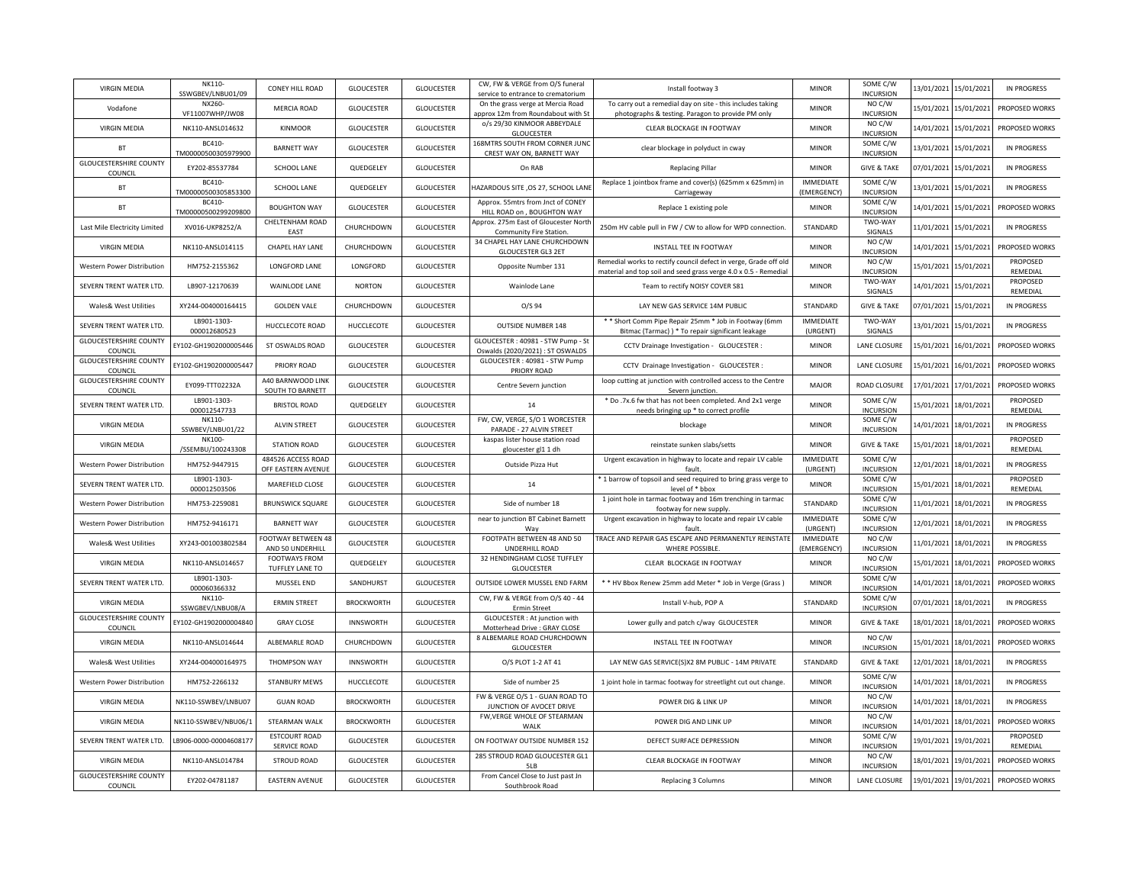| <b>VIRGIN MEDIA</b>                      | NK110-<br>SSWGBEV/LNBU01/09   | CONEY HILL ROAD                          | <b>GLOUCESTER</b> | <b>GLOUCESTER</b> | CW, FW & VERGE from O/S funeral<br>service to entrance to crematorium   | Install footway 3                                                                                                                   | <b>MINOR</b>                    | SOME C/W<br><b>INCURSION</b> | 13/01/2021 | 15/01/2021 | IN PROGRESS          |
|------------------------------------------|-------------------------------|------------------------------------------|-------------------|-------------------|-------------------------------------------------------------------------|-------------------------------------------------------------------------------------------------------------------------------------|---------------------------------|------------------------------|------------|------------|----------------------|
| Vodafone                                 | NX260-<br>VF11007WHP/JW08     | MERCIA ROAD                              | <b>GLOUCESTER</b> | <b>GLOUCESTER</b> | On the grass verge at Mercia Road<br>approx 12m from Roundabout with St | To carry out a remedial day on site - this includes taking<br>photographs & testing. Paragon to provide PM only                     | <b>MINOR</b>                    | NO C/W<br><b>INCURSION</b>   | 15/01/2021 | 15/01/2021 | PROPOSED WORKS       |
| <b>VIRGIN MEDIA</b>                      | NK110-ANSL014632              | KINMOOR                                  | <b>GLOUCESTER</b> | <b>GLOUCESTER</b> | o/s 29/30 KINMOOR ABBEYDALE<br><b>GLOUCESTER</b>                        | CLEAR BLOCKAGE IN FOOTWAY                                                                                                           | <b>MINOR</b>                    | NO C/W<br><b>INCURSION</b>   | 14/01/2021 | 15/01/2021 | PROPOSED WORKS       |
| <b>BT</b>                                | BC410-<br>TM00000500305979900 | <b>BARNETT WAY</b>                       | <b>GLOUCESTER</b> | <b>GLOUCESTER</b> | 168MTRS SOUTH FROM CORNER JUNC<br>CREST WAY ON, BARNETT WAY             | clear blockage in polyduct in cway                                                                                                  | <b>MINOR</b>                    | SOME C/W<br><b>INCURSION</b> | 13/01/2021 | 15/01/2021 | <b>IN PROGRESS</b>   |
| <b>GLOUCESTERSHIRE COUNTY</b><br>COUNCIL | EY202-85537784                | SCHOOL LANE                              | QUEDGELEY         | <b>GLOUCESTER</b> | On RAB                                                                  | <b>Replacing Pillar</b>                                                                                                             | <b>MINOR</b>                    | <b>GIVE &amp; TAKE</b>       | 07/01/2021 | 15/01/2021 | <b>IN PROGRESS</b>   |
| <b>BT</b>                                | BC410-<br>TM00000500305853300 | SCHOOL LANE                              | QUEDGELEY         | <b>GLOUCESTER</b> | HAZARDOUS SITE, OS 27, SCHOOL LANI                                      | Replace 1 jointbox frame and cover(s) (625mm x 625mm) in<br>Carriageway                                                             | <b>IMMEDIATE</b><br>(EMERGENCY) | SOME C/W<br><b>INCURSION</b> | 13/01/2021 | 15/01/2021 | IN PROGRESS          |
| <b>BT</b>                                | BC410-<br>TM00000500299209800 | <b>BOUGHTON WAY</b>                      | <b>GLOUCESTER</b> | <b>GLOUCESTER</b> | Approx. 55mtrs from Jnct of CONEY<br>HILL ROAD on , BOUGHTON WAY        | Replace 1 existing pole                                                                                                             | <b>MINOR</b>                    | SOME C/W<br><b>INCURSION</b> | 14/01/2021 | 15/01/2021 | PROPOSED WORKS       |
| Last Mile Electricity Limited            | XV016-UKP8252/A               | CHELTENHAM ROAD<br>EAST                  | CHURCHDOWN        | <b>GLOUCESTER</b> | Approx. 275m East of Gloucester Nortl<br>Community Fire Station.        | 250m HV cable pull in FW / CW to allow for WPD connection                                                                           | STANDARD                        | TWO-WAY<br>SIGNALS           | 11/01/2021 | 15/01/2021 | IN PROGRESS          |
| <b>VIRGIN MEDIA</b>                      | NK110-ANSL014115              | CHAPEL HAY LANE                          | CHURCHDOWN        | <b>GLOUCESTER</b> | 34 CHAPEL HAY LANE CHURCHDOWN<br><b>GLOUCESTER GL3 2ET</b>              | INSTALL TEE IN FOOTWAY                                                                                                              | <b>MINOR</b>                    | NO C/W<br><b>INCURSION</b>   | 14/01/2021 | 15/01/2021 | PROPOSED WORKS       |
| Western Power Distribution               | HM752-2155362                 | LONGFORD LANE                            | LONGFORD          | <b>GLOUCESTER</b> | Opposite Number 131                                                     | Remedial works to rectify council defect in verge, Grade off old<br>material and top soil and seed grass verge 4.0 x 0.5 - Remedial | <b>MINOR</b>                    | NO C/W<br><b>INCURSION</b>   | 15/01/2021 | 15/01/2021 | PROPOSED<br>REMEDIAL |
| SEVERN TRENT WATER LTD                   | LB907-12170639                | <b>WAINLODE LANE</b>                     | <b>NORTON</b>     | <b>GLOUCESTER</b> | Wainlode Lane                                                           | Team to rectify NOISY COVER S81                                                                                                     | <b>MINOR</b>                    | TWO-WAY<br>SIGNALS           | 14/01/2021 | 15/01/2021 | PROPOSED<br>REMEDIAL |
| Wales& West Utilities                    | XY244-004000164415            | <b>GOLDEN VALE</b>                       | CHURCHDOWN        | <b>GLOUCESTER</b> | $O/S$ 94                                                                | LAY NEW GAS SERVICE 14M PUBLIC                                                                                                      | STANDARD                        | <b>GIVE &amp; TAKE</b>       | 07/01/2021 | 15/01/2021 | <b>IN PROGRESS</b>   |
| SEVERN TRENT WATER LTD                   | LB901-1303-<br>000012680523   | HUCCLECOTE ROAD                          | HUCCLECOTE        | <b>GLOUCESTER</b> | <b>OUTSIDE NUMBER 148</b>                                               | * * Short Comm Pipe Repair 25mm * Job in Footway (6mm<br>Bitmac (Tarmac) ) * To repair significant leakage                          | <b>IMMEDIATE</b><br>(URGENT)    | TWO-WAY<br>SIGNALS           | 13/01/2021 | 15/01/2021 | <b>IN PROGRESS</b>   |
| <b>GLOUCESTERSHIRE COUNTY</b><br>COUNCIL | EY102-GH1902000005446         | ST OSWALDS ROAD                          | <b>GLOUCESTER</b> | <b>GLOUCESTER</b> | GLOUCESTER: 40981 - STW Pump - St<br>Oswalds (2020/2021) : ST OSWALDS   | CCTV Drainage Investigation - GLOUCESTER :                                                                                          | <b>MINOR</b>                    | LANE CLOSURE                 | 15/01/2021 | 16/01/2021 | PROPOSED WORKS       |
| <b>GLOUCESTERSHIRE COUNTY</b><br>COUNCIL | EY102-GH1902000005447         | PRIORY ROAD                              | <b>GLOUCESTER</b> | <b>GLOUCESTER</b> | GLOUCESTER: 40981 - STW Pump<br>PRIORY ROAD                             | CCTV Drainage Investigation - GLOUCESTER                                                                                            | <b>MINOR</b>                    | LANE CLOSURE                 | 15/01/2021 | 16/01/2021 | PROPOSED WORKS       |
| <b>GLOUCESTERSHIRE COUNTY</b><br>COUNCIL | EY099-TTT02232A               | A40 BARNWOOD LINK<br>SOUTH TO BARNETT    | <b>GLOUCESTER</b> | <b>GLOUCESTER</b> | Centre Severn junction                                                  | loop cutting at junction with controlled access to the Centre<br>Severn junction                                                    | <b>MAJOR</b>                    | <b>ROAD CLOSURE</b>          | 17/01/2021 | 17/01/2021 | PROPOSED WORKS       |
| SEVERN TRENT WATER LTD                   | LB901-1303-<br>000012547733   | <b>BRISTOL ROAD</b>                      | QUEDGELEY         | <b>GLOUCESTER</b> | 14                                                                      | * Do .7x.6 fw that has not been completed. And 2x1 verge<br>needs bringing up * to correct profile                                  | <b>MINOR</b>                    | SOME C/W<br><b>INCURSION</b> | 15/01/2021 | 18/01/2021 | PROPOSED<br>REMEDIAL |
| <b>VIRGIN MEDIA</b>                      | NK110-<br>SSWBEV/LNBU01/22    | <b>ALVIN STREET</b>                      | <b>GLOUCESTER</b> | <b>GLOUCESTER</b> | FW, CW, VERGE, S/O 1 WORCESTER<br>PARADE - 27 ALVIN STREET              | blockage                                                                                                                            | <b>MINOR</b>                    | SOME C/W<br><b>INCURSION</b> | 14/01/2021 | 18/01/2021 | <b>IN PROGRESS</b>   |
| <b>VIRGIN MEDIA</b>                      | NK100-<br>/SSEMBU/100243308   | <b>STATION ROAD</b>                      | <b>GLOUCESTER</b> | <b>GLOUCESTER</b> | kaspas lister house station road<br>gloucester gl1 1 dh                 | reinstate sunken slabs/setts                                                                                                        | <b>MINOR</b>                    | <b>GIVE &amp; TAKE</b>       | 15/01/2021 | 18/01/2021 | PROPOSED<br>REMEDIAL |
| Western Power Distribution               | HM752-9447915                 | 484526 ACCESS ROAD<br>OFF EASTERN AVENUE | <b>GLOUCESTER</b> | <b>GLOUCESTER</b> | Outside Pizza Hut                                                       | Urgent excavation in highway to locate and repair LV cable<br>fault                                                                 | <b>IMMEDIATE</b><br>(URGENT)    | SOME C/W<br><b>INCURSION</b> | 12/01/2021 | 18/01/2021 | <b>IN PROGRESS</b>   |
| SEVERN TRENT WATER LTD                   | LB901-1303-<br>000012503506   | MAREFIELD CLOSE                          | <b>GLOUCESTER</b> | <b>GLOUCESTER</b> | 14                                                                      | * 1 barrow of topsoil and seed required to bring grass verge to<br>level of * bbox                                                  | <b>MINOR</b>                    | SOME C/W<br><b>INCURSION</b> | 15/01/2021 | 18/01/2021 | PROPOSED<br>REMEDIAL |
| Western Power Distribution               | HM753-2259081                 | <b>BRUNSWICK SQUARE</b>                  | <b>GLOUCESTER</b> | <b>GLOUCESTER</b> | Side of number 18                                                       | 1 joint hole in tarmac footway and 16m trenching in tarmac<br>footway for new supply.                                               | STANDARD                        | SOME C/W<br><b>INCURSION</b> | 11/01/2021 | 18/01/2021 | <b>IN PROGRESS</b>   |
| Western Power Distribution               | HM752-9416171                 | <b>BARNETT WAY</b>                       | <b>GLOUCESTER</b> | <b>GLOUCESTER</b> | near to junction BT Cabinet Barnett<br>Way                              | Urgent excavation in highway to locate and repair LV cable<br>fault                                                                 | <b>IMMEDIATE</b><br>(URGENT)    | SOME C/W<br><b>INCURSION</b> | 12/01/2021 | 18/01/2021 | <b>IN PROGRESS</b>   |
| Wales& West Utilities                    | XY243-001003802584            | FOOTWAY BETWEEN 48<br>AND 50 UNDERHILL   | <b>GLOUCESTER</b> | <b>GLOUCESTER</b> | FOOTPATH BETWEEN 48 AND 50<br>UNDERHILL ROAD                            | RACE AND REPAIR GAS ESCAPE AND PERMANENTLY REINSTATE<br>WHERE POSSIBLE                                                              | IMMEDIATE<br>(EMERGENCY)        | NO C/W<br><b>INCURSION</b>   | 11/01/2021 | 18/01/2021 | IN PROGRESS          |
| <b>VIRGIN MEDIA</b>                      | NK110-ANSL014657              | FOOTWAYS FROM<br>TUFFLEY LANE TO         | QUEDGELEY         | <b>GLOUCESTER</b> | 32 HENDINGHAM CLOSE TUFFLEY<br><b>GLOUCESTER</b>                        | CLEAR BLOCKAGE IN FOOTWAY                                                                                                           | <b>MINOR</b>                    | NO C/W<br><b>INCURSION</b>   | 15/01/2021 | 18/01/2021 | PROPOSED WORKS       |
| SEVERN TRENT WATER LTD                   | LB901-1303-<br>000060366332   | MUSSEL END                               | SANDHURST         | <b>GLOUCESTER</b> | OUTSIDE LOWER MUSSEL END FARM                                           | * * HV Bbox Renew 25mm add Meter * Job in Verge (Grass)                                                                             | <b>MINOR</b>                    | SOME C/W<br><b>INCURSION</b> | 14/01/2021 | 18/01/2021 | PROPOSED WORKS       |
| <b>VIRGIN MEDIA</b>                      | NK110-<br>SSWGBEV/LNBU08/A    | <b>ERMIN STREET</b>                      | <b>BROCKWORTH</b> | <b>GLOUCESTER</b> | CW, FW & VERGE from O/S 40 - 44<br><b>Frmin Street</b>                  | Install V-hub, POP A                                                                                                                | STANDARD                        | SOME C/W<br><b>INCURSION</b> | 07/01/2021 | 18/01/2021 | IN PROGRESS          |
| <b>GLOUCESTERSHIRE COUNTY</b><br>COUNCIL | EY102-GH1902000004840         | <b>GRAY CLOSE</b>                        | INNSWORTH         | <b>GLOUCESTER</b> | GLOUCESTER : At junction with<br>Motterhead Drive : GRAY CLOSE          | Lower gully and patch c/way GLOUCESTER                                                                                              | <b>MINOR</b>                    | <b>GIVE &amp; TAKE</b>       | 18/01/2021 | 18/01/2021 | PROPOSED WORKS       |
| <b>VIRGIN MEDIA</b>                      | NK110-ANSL014644              | ALBEMARLE ROAD                           | CHURCHDOWN        | <b>GLOUCESTER</b> | 8 ALBEMARLE ROAD CHURCHDOWN<br><b>GLOUCESTER</b>                        | INSTALL TEE IN FOOTWAY                                                                                                              | <b>MINOR</b>                    | NO C/W<br><b>INCURSION</b>   | 15/01/2021 | 18/01/2021 | PROPOSED WORKS       |
| Wales& West Utilities                    | XY244-004000164975            | <b>THOMPSON WAY</b>                      | INNSWORTH         | <b>GLOUCESTER</b> | O/S PLOT 1-2 AT 41                                                      | LAY NEW GAS SERVICE(S)X2 8M PUBLIC - 14M PRIVATE                                                                                    | STANDARD                        | <b>GIVE &amp; TAKE</b>       | 12/01/2021 | 18/01/2021 | <b>IN PROGRESS</b>   |
| <b>Western Power Distribution</b>        | HM752-2266132                 | <b>STANBURY MEWS</b>                     | HUCCLECOTE        | <b>GLOUCESTER</b> | Side of number 25                                                       | 1 joint hole in tarmac footway for streetlight cut out change                                                                       | <b>MINOR</b>                    | SOME C/W<br><b>INCURSION</b> | 14/01/2021 | 18/01/2021 | <b>IN PROGRESS</b>   |
| <b>VIRGIN MEDIA</b>                      | NK110-SSWBEV/LNBU07           | <b>GUAN ROAD</b>                         | <b>BROCKWORTH</b> | <b>GLOUCESTER</b> | FW & VERGE O/S 1 - GUAN ROAD TO<br>JUNCTION OF AVOCET DRIVE             | POWER DIG & LINK UP                                                                                                                 | <b>MINOR</b>                    | NO C/W<br><b>INCURSION</b>   | 14/01/2021 | 18/01/2021 | <b>IN PROGRESS</b>   |
| <b>VIRGIN MEDIA</b>                      | NK110-SSWBEV/NBU06/1          | STEARMAN WALK                            | <b>BROCKWORTH</b> | <b>GLOUCESTER</b> | FW, VERGE WHOLE OF STEARMAN<br>WALK                                     | POWER DIG AND LINK UP                                                                                                               | <b>MINOR</b>                    | NO C/W<br><b>INCURSION</b>   | 14/01/2021 | 18/01/2021 | PROPOSED WORKS       |
| SEVERN TRENT WATER LTD                   | LB906-0000-00004608177        | <b>ESTCOURT ROAD</b><br>SERVICE ROAD     | <b>GLOUCESTER</b> | <b>GLOUCESTER</b> | ON FOOTWAY OUTSIDE NUMBER 152                                           | DEFECT SURFACE DEPRESSION                                                                                                           | <b>MINOR</b>                    | SOME C/W<br><b>INCURSION</b> | 19/01/2021 | 19/01/2021 | PROPOSED<br>REMEDIAL |
| <b>VIRGIN MEDIA</b>                      | NK110-ANSL014784              | <b>STROUD ROAD</b>                       | <b>GLOUCESTER</b> | <b>GLOUCESTER</b> | 285 STROUD ROAD GLOUCESTER GL1<br>51 B                                  | CLEAR BLOCKAGE IN FOOTWAY                                                                                                           | <b>MINOR</b>                    | NO C/W<br><b>INCURSION</b>   | 18/01/2021 | 19/01/2021 | PROPOSED WORKS       |
| <b>GLOUCESTERSHIRE COUNTY</b><br>COUNCIL | EY202-04781187                | <b>EASTERN AVENUE</b>                    | <b>GLOUCESTER</b> | <b>GLOUCESTER</b> | From Cancel Close to Just past Jn<br>Southbrook Road                    | Replacing 3 Columns                                                                                                                 | <b>MINOR</b>                    | LANE CLOSURE                 | 19/01/2021 | 19/01/2021 | PROPOSED WORKS       |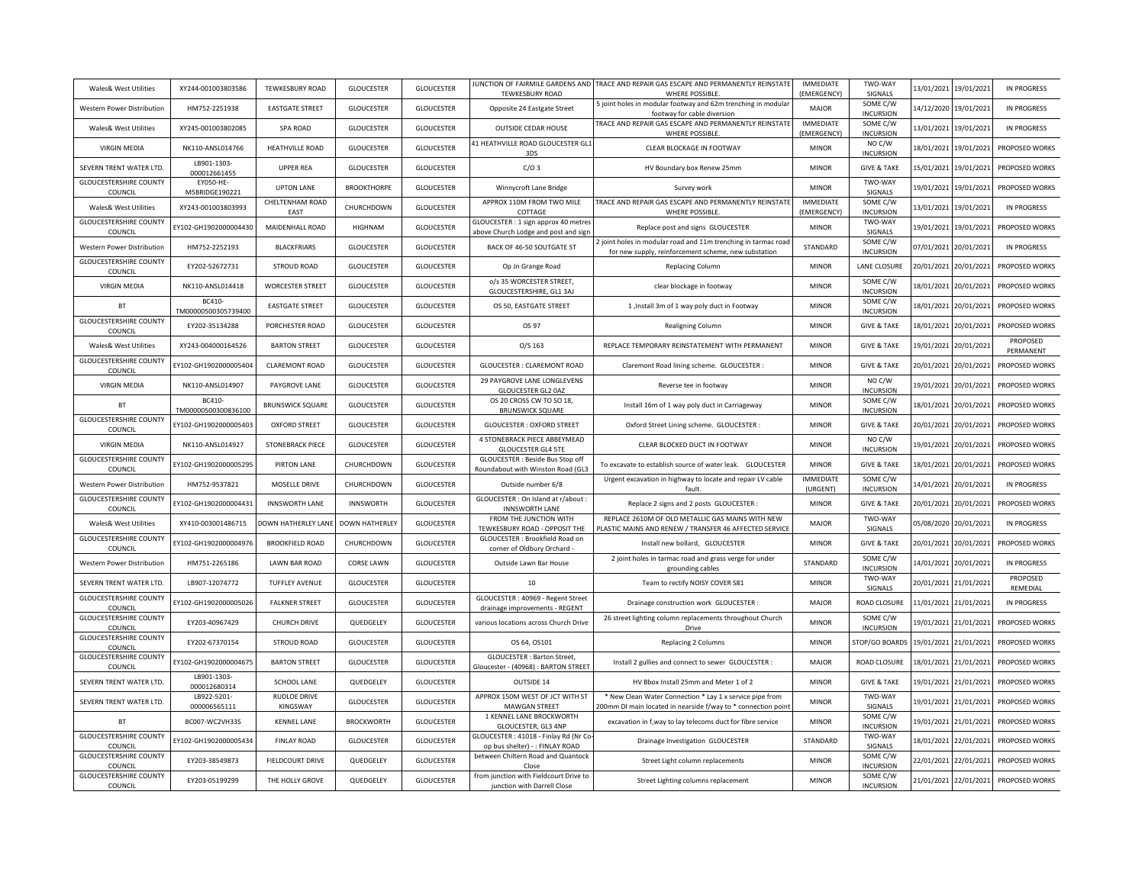| Wales& West Utilities                    | XY244-001003803586                  | <b>TEWKESBURY ROAD</b>          | <b>GLOUCESTER</b>     | <b>GLOUCESTER</b> | JUNCTION OF FAIRMILE GARDENS AND<br><b>TEWKESBURY ROAD</b>                   | TRACE AND REPAIR GAS ESCAPE AND PERMANENTLY REINSTATE<br>WHERE POSSIBLE                                                   | <b>IMMEDIATE</b><br>(EMERGENCY) | TWO-WAY<br>SIGNALS           | 13/01/2021 | 19/01/2021            | IN PROGRESS           |
|------------------------------------------|-------------------------------------|---------------------------------|-----------------------|-------------------|------------------------------------------------------------------------------|---------------------------------------------------------------------------------------------------------------------------|---------------------------------|------------------------------|------------|-----------------------|-----------------------|
| Western Power Distribution               | HM752-2251938                       | <b>EASTGATE STREET</b>          | <b>GLOUCESTER</b>     | <b>GLOUCESTER</b> | Opposite 24 Eastgate Street                                                  | 5 joint holes in modular footway and 62m trenching in modular<br>footway for cable diversion                              | MAIOR                           | SOME C/W<br><b>INCURSION</b> | 14/12/2020 | 19/01/2021            | IN PROGRESS           |
| Wales& West Utilities                    | XY245-001003802085                  | <b>SPA ROAD</b>                 | <b>GLOUCESTER</b>     | <b>GLOUCESTER</b> | <b>OUTSIDE CEDAR HOUSE</b>                                                   | TRACE AND REPAIR GAS ESCAPE AND PERMANENTLY REINSTATE<br>WHERE POSSIBLE.                                                  | <b>IMMEDIATE</b><br>(EMERGENCY) | SOME C/W<br><b>INCURSION</b> | 13/01/2021 | 19/01/2021            | <b>IN PROGRESS</b>    |
| <b>VIRGIN MEDIA</b>                      | NK110-ANSL014766                    | <b>HEATHVILLE ROAD</b>          | <b>GLOUCESTER</b>     | <b>GLOUCESTER</b> | 41 HEATHVILLE ROAD GLOUCESTER GL1<br>3DS                                     | CLEAR BLOCKAGE IN FOOTWAY                                                                                                 | <b>MINOR</b>                    | NO C/W<br><b>INCURSION</b>   | 18/01/2021 | 19/01/2021            | PROPOSED WORKS        |
| SEVERN TRENT WATER LTD.                  | LB901-1303-<br>000012661455         | <b>UPPER REA</b>                | <b>GLOUCESTER</b>     | <b>GLOUCESTER</b> | C/O3                                                                         | HV Boundary box Renew 25mm                                                                                                | <b>MINOR</b>                    | <b>GIVE &amp; TAKE</b>       | 15/01/2021 | 19/01/2021            | PROPOSED WORKS        |
| <b>GLOUCESTERSHIRE COUNTY</b><br>COUNCIL | EY050-HE-<br>M5BRIDGE190221         | <b>UPTON LANE</b>               | <b>BROOKTHORPE</b>    | <b>GLOUCESTER</b> | Winnycroft Lane Bridge                                                       | Survey work                                                                                                               | <b>MINOR</b>                    | TWO-WAY<br>SIGNALS           | 19/01/2021 | 19/01/2021            | PROPOSED WORKS        |
| Wales& West Utilities                    | XY243-001003803993                  | CHELTENHAM ROAD<br>EAST         | CHURCHDOWN            | <b>GLOUCESTER</b> | APPROX 110M FROM TWO MILE<br>COTTAGE                                         | TRACE AND REPAIR GAS ESCAPE AND PERMANENTLY REINSTATE<br>WHERE POSSIBLE.                                                  | <b>IMMEDIATE</b><br>(EMERGENCY) | SOME C/W<br><b>INCURSION</b> |            | 13/01/2021 19/01/2021 | IN PROGRESS           |
| <b>GLOUCESTERSHIRE COUNTY</b><br>COUNCIL | EY102-GH1902000004430               | MAIDENHALL ROAD                 | HIGHNAM               | <b>GLOUCESTER</b> | GLOUCESTER : 1 sign approx 40 metres<br>above Church Lodge and post and sign | Replace post and signs GLOUCESTER                                                                                         | <b>MINOR</b>                    | TWO-WAY<br>SIGNALS           |            | 19/01/2021 19/01/2021 | PROPOSED WORKS        |
| Western Power Distribution               | HM752-2252193                       | <b>BLACKFRIARS</b>              | <b>GLOUCESTER</b>     | <b>GLOUCESTER</b> | BACK OF 46-50 SOUTGATE ST                                                    | 2 joint holes in modular road and 11m trenching in tarmac roac<br>for new supply, reinforcement scheme, new substation    | STANDARD                        | SOME C/W<br><b>INCURSION</b> | 07/01/2021 | 20/01/2021            | <b>IN PROGRESS</b>    |
| <b>GLOUCESTERSHIRE COUNTY</b><br>COUNCIL | EY202-52672731                      | <b>STROUD ROAD</b>              | <b>GLOUCESTER</b>     | <b>GLOUCESTER</b> | Op Jn Grange Road                                                            | <b>Replacing Column</b>                                                                                                   | <b>MINOR</b>                    | LANE CLOSURE                 | 20/01/2021 | 20/01/2021            | PROPOSED WORKS        |
| <b>VIRGIN MEDIA</b>                      | NK110-ANSL014418                    | <b>WORCESTER STREET</b>         | <b>GLOUCESTER</b>     | <b>GLOUCESTER</b> | o/s 35 WORCESTER STREET,<br>GLOUCESTERSHIRE, GL1 3AJ                         | clear blockage in footway                                                                                                 | <b>MINOR</b>                    | SOME C/W<br><b>INCURSION</b> | 18/01/2021 | 20/01/2021            | PROPOSED WORKS        |
| <b>BT</b>                                | BC410<br>TM00000500305739400        | <b>EASTGATE STREET</b>          | <b>GLOUCESTER</b>     | <b>GLOUCESTER</b> | OS 50, EASTGATE STREET                                                       | 1, Install 3m of 1 way poly duct in Footway                                                                               | <b>MINOR</b>                    | SOME C/W<br><b>INCURSION</b> | 18/01/2021 | 20/01/2021            | PROPOSED WORKS        |
| <b>GLOUCESTERSHIRE COUNTY</b><br>COUNCIL | EY202-35134288                      | PORCHESTER ROAD                 | <b>GLOUCESTER</b>     | <b>GLOUCESTER</b> | OS 97                                                                        | <b>Realigning Column</b>                                                                                                  | <b>MINOR</b>                    | <b>GIVE &amp; TAKE</b>       | 18/01/2021 | 20/01/2021            | PROPOSED WORKS        |
| Wales& West Utilities                    | XY243-004000164526                  | <b>BARTON STREET</b>            | <b>GLOUCESTER</b>     | <b>GLOUCESTER</b> | $O/S$ 163                                                                    | REPLACE TEMPORARY REINSTATEMENT WITH PERMANENT                                                                            | <b>MINOR</b>                    | <b>GIVE &amp; TAKE</b>       | 19/01/2021 | 20/01/2021            | PROPOSED<br>PERMANENT |
| <b>GLOUCESTERSHIRE COUNTY</b><br>COUNCIL | EY102-GH1902000005404               | <b>CLAREMONT ROAD</b>           | <b>GLOUCESTER</b>     | <b>GLOUCESTER</b> | <b>GLOUCESTER: CLAREMONT ROAD</b>                                            | Claremont Road lining scheme. GLOUCESTER                                                                                  | <b>MINOR</b>                    | <b>GIVE &amp; TAKE</b>       | 20/01/2021 | 20/01/2021            | PROPOSED WORKS        |
| <b>VIRGIN MEDIA</b>                      | NK110-ANSL014907                    | PAYGROVE LANE                   | <b>GLOUCESTER</b>     | <b>GLOUCESTER</b> | 29 PAYGROVE LANE LONGLEVENS<br><b>GLOUCESTER GL2 0AZ</b>                     | Reverse tee in footway                                                                                                    | <b>MINOR</b>                    | NO C/W<br><b>INCURSION</b>   | 19/01/2021 | 20/01/2021            | PROPOSED WORKS        |
| <b>BT</b>                                | <b>BC410</b><br>TM00000500300836100 | <b>BRUNSWICK SQUARE</b>         | <b>GLOUCESTER</b>     | <b>GLOUCESTER</b> | OS 20 CROSS CW TO SO 18,<br><b>BRUNSWICK SQUARE</b>                          | Install 16m of 1 way poly duct in Carriageway                                                                             | <b>MINOR</b>                    | SOME C/W<br><b>INCURSION</b> | 18/01/2021 | 20/01/2021            | PROPOSED WORKS        |
| <b>GLOUCESTERSHIRE COUNTY</b><br>COUNCIL | EY102-GH1902000005403               | <b>OXFORD STREET</b>            | <b>GLOUCESTER</b>     | <b>GLOUCESTER</b> | <b>GLOUCESTER: OXFORD STREET</b>                                             | Oxford Street Lining scheme. GLOUCESTER:                                                                                  | <b>MINOR</b>                    | <b>GIVE &amp; TAKE</b>       | 20/01/2021 | 20/01/2021            | PROPOSED WORKS        |
| <b>VIRGIN MEDIA</b>                      | NK110-ANSL014927                    | <b>STONEBRACK PIECE</b>         | <b>GLOUCESTER</b>     | <b>GLOUCESTER</b> | 4 STONEBRACK PIECE ABBEYMEAD<br><b>GLOUCESTER GL4 5TE</b>                    | CLEAR BLOCKED DUCT IN FOOTWAY                                                                                             | <b>MINOR</b>                    | NO C/W<br><b>INCURSION</b>   | 19/01/2021 | 20/01/2021            | PROPOSED WORKS        |
| <b>GLOUCESTERSHIRE COUNTY</b><br>COUNCIL | EY102-GH1902000005295               | PIRTON LANE                     | CHURCHDOWN            | <b>GLOUCESTER</b> | GLOUCESTER : Beside Bus Stop off<br>Roundabout with Winston Road (GL3        | To excavate to establish source of water leak. GLOUCESTER                                                                 | <b>MINOR</b>                    | <b>GIVE &amp; TAKE</b>       | 18/01/2021 | 20/01/2021            | PROPOSED WORKS        |
| Western Power Distribution               | HM752-9537821                       | MOSELLE DRIVE                   | CHURCHDOWN            | <b>GLOUCESTER</b> | Outside number 6/8                                                           | Urgent excavation in highway to locate and repair LV cable<br>fault.                                                      | IMMEDIATE<br>(URGENT)           | SOME C/W<br><b>INCURSION</b> | 14/01/2021 | 20/01/2021            | <b>IN PROGRESS</b>    |
| <b>GLOUCESTERSHIRE COUNTY</b><br>COUNCIL | EY102-GH1902000004431               | <b>INNSWORTH LANE</b>           | <b>INNSWORTH</b>      | <b>GLOUCESTER</b> | GLOUCESTER : On Island at r/about<br><b>INNSWORTH LANE</b>                   | Replace 2 signs and 2 posts GLOUCESTER :                                                                                  | <b>MINOR</b>                    | <b>GIVE &amp; TAKE</b>       |            | 20/01/2021 20/01/2021 | PROPOSED WORKS        |
| Wales& West Utilities                    | XY410-003001486715                  | DOWN HATHERLEY LANE             | <b>DOWN HATHERLEY</b> | <b>GLOUCESTER</b> | FROM THE JUNCTION WITH<br>TEWKESBURY ROAD - OPPOSIT THE                      | REPLACE 2610M OF OLD METALLIC GAS MAINS WITH NEW<br>PLASTIC MAINS AND RENEW / TRANSFER 46 AFFECTED SERVICE                | <b>MAJOR</b>                    | TWO-WAY<br>SIGNALS           |            | 05/08/2020 20/01/2021 | <b>IN PROGRESS</b>    |
| <b>GLOUCESTERSHIRE COUNTY</b><br>COUNCIL | EY102-GH1902000004976               | <b>BROOKFIELD ROAD</b>          | CHURCHDOWN            | <b>GLOUCESTER</b> | GLOUCESTER : Brookfield Road on<br>corner of Oldbury Orchard -               | Install new bollard, GLOUCESTER                                                                                           | <b>MINOR</b>                    | <b>GIVE &amp; TAKE</b>       | 20/01/2021 | 20/01/2021            | PROPOSED WORKS        |
| Western Power Distribution               | HM751-2265186                       | <b>LAWN BAR ROAD</b>            | <b>CORSE LAWN</b>     | <b>GLOUCESTER</b> | Outside Lawn Bar House                                                       | 2 joint holes in tarmac road and grass verge for under<br>grounding cables                                                | STANDARD                        | SOME C/W<br><b>INCURSION</b> | 14/01/2021 | 20/01/2021            | <b>IN PROGRESS</b>    |
| SEVERN TRENT WATER LTD.                  | LB907-12074772                      | <b>TUFFLEY AVENUE</b>           | <b>GLOUCESTER</b>     | <b>GLOUCESTER</b> | 10                                                                           | Team to rectify NOISY COVER S81                                                                                           | <b>MINOR</b>                    | TWO-WAY<br>SIGNALS           | 20/01/2021 | 21/01/2021            | PROPOSED<br>REMEDIAL  |
| <b>GLOUCESTERSHIRE COUNTY</b><br>COUNCIL | EY102-GH1902000005026               | <b>FALKNER STREET</b>           | <b>GLOUCESTER</b>     | <b>GLOUCESTER</b> | GLOUCESTER: 40969 - Regent Street<br>drainage improvements - REGENT          | Drainage construction work GLOUCESTER                                                                                     | <b>MAJOR</b>                    | ROAD CLOSURE                 | 11/01/2021 | 21/01/2021            | IN PROGRESS           |
| <b>GLOUCESTERSHIRE COUNTY</b><br>COUNCIL | EY203-40967429                      | <b>CHURCH DRIVE</b>             | QUEDGELEY             | <b>GLOUCESTER</b> | various locations across Church Drive                                        | 26 street lighting column replacements throughout Church<br>Drive                                                         | <b>MINOR</b>                    | SOME C/W<br><b>INCURSION</b> | 19/01/2021 | 21/01/2021            | PROPOSED WORKS        |
| <b>GLOUCESTERSHIRE COUNTY</b><br>COUNCIL | EY202-67370154                      | <b>STROUD ROAD</b>              | <b>GLOUCESTER</b>     | <b>GLOUCESTER</b> | OS 64, OS101                                                                 | Replacing 2 Columns                                                                                                       | <b>MINOR</b>                    | STOP/GO BOARDS               | 19/01/2021 | 21/01/2021            | PROPOSED WORKS        |
| <b>GLOUCESTERSHIRE COUNTY</b><br>COUNCIL | EY102-GH1902000004675               | <b>BARTON STREET</b>            | <b>GLOUCESTER</b>     | <b>GLOUCESTER</b> | GLOUCESTER : Barton Street,<br>Gloucester - (40968) : BARTON STREET          | Install 2 gullies and connect to sewer GLOUCESTER:                                                                        | <b>MAJOR</b>                    | ROAD CLOSURE                 | 18/01/2021 | 21/01/2021            | PROPOSED WORKS        |
| SEVERN TRENT WATER LTD.                  | LB901-1303-<br>000012680314         | SCHOOL LANE                     | QUEDGELEY             | <b>GLOUCESTER</b> | OUTSIDE 14                                                                   | HV Bbox Install 25mm and Meter 1 of 2                                                                                     | <b>MINOR</b>                    | <b>GIVE &amp; TAKE</b>       | 19/01/2021 | 21/01/2021            | PROPOSED WORKS        |
| SEVERN TRENT WATER LTD                   | LB922-5201-<br>000006565111         | <b>RUDLOE DRIVE</b><br>KINGSWAY | <b>GLOUCESTER</b>     | <b>GLOUCESTER</b> | APPROX 150M WEST OF JCT WITH ST<br><b>MAWGAN STREET</b>                      | * New Clean Water Connection * Lay 1 x service pipe from<br>200mm DI main located in nearside f/way to * connection point | <b>MINOR</b>                    | TWO-WAY<br>SIGNALS           | 19/01/2021 | 21/01/2021            | PROPOSED WORKS        |
| BT                                       | BC007-WC2VH33S                      | <b>KENNEL LANE</b>              | <b>BROCKWORTH</b>     | <b>GLOUCESTER</b> | 1 KENNEL LANE BROCKWORTH<br>GLOUCESTER, GL3 4NP                              | excavation in f, way to lay telecoms duct for fibre service                                                               | <b>MINOR</b>                    | SOME C/W<br><b>INCURSION</b> | 19/01/2021 | 21/01/2021            | PROPOSED WORKS        |
| <b>GLOUCESTERSHIRE COUNTY</b><br>COUNCIL | EY102-GH1902000005434               | <b>FINLAY ROAD</b>              | <b>GLOUCESTER</b>     | <b>GLOUCESTER</b> | GLOUCESTER: 41018 - Finlay Rd (Nr Co<br>op bus shelter) - : FINLAY ROAD      | Drainage Investigation GLOUCESTER                                                                                         | STANDARD                        | TWO-WAY<br>SIGNALS           | 18/01/2021 | 22/01/2021            | PROPOSED WORKS        |
| <b>GLOUCESTERSHIRE COUNTY</b><br>COUNCIL | EY203-38549873                      | FIELDCOURT DRIVE                | QUEDGELEY             | <b>GLOUCESTER</b> | between Chiltern Road and Quantock<br>Close                                  | Street Light column replacements                                                                                          | <b>MINOR</b>                    | SOME C/W<br><b>INCURSION</b> | 22/01/2021 | 22/01/2021            | PROPOSED WORKS        |
| <b>GLOUCESTERSHIRE COUNTY</b><br>COUNCIL | EY203-05199299                      | THE HOLLY GROVE                 | QUEDGELEY             | <b>GLOUCESTER</b> | from junction with Fieldcourt Drive to<br>junction with Darrell Close        | Street Lighting columns replacement                                                                                       | <b>MINOR</b>                    | SOME C/W<br><b>INCURSION</b> |            | 21/01/2021 22/01/2021 | PROPOSED WORKS        |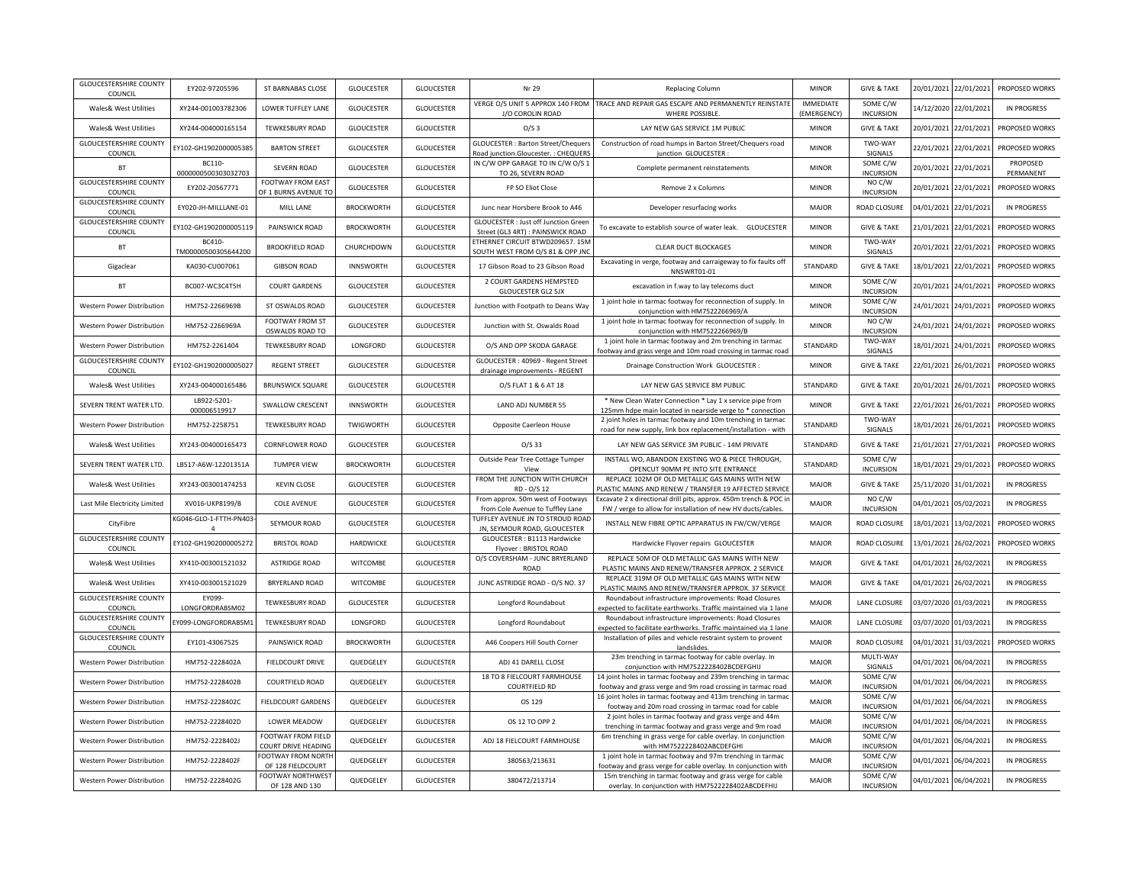| <b>GLOUCESTERSHIRE COUNTY</b><br>COUNCIL | EY202-97205596                      | ST BARNABAS CLOSE                                | <b>GLOUCESTER</b> | <b>GLOUCESTER</b> | Nr 29                                                                            | <b>Replacing Column</b>                                                                                                           | <b>MINOR</b>                    | <b>GIVE &amp; TAKE</b>       | 20/01/2021 | 22/01/2021            | PROPOSED WORKS        |
|------------------------------------------|-------------------------------------|--------------------------------------------------|-------------------|-------------------|----------------------------------------------------------------------------------|-----------------------------------------------------------------------------------------------------------------------------------|---------------------------------|------------------------------|------------|-----------------------|-----------------------|
| Wales& West Utilities                    | XY244-001003782306                  | LOWER TUFFLEY LANE                               | GLOUCESTER        | <b>GLOUCESTER</b> | VERGE O/S UNIT 5 APPROX 140 FROM<br>J/O COROLIN ROAD                             | TRACE AND REPAIR GAS ESCAPE AND PERMANENTLY REINSTATE<br>WHERE POSSIBLE.                                                          | <b>IMMEDIATE</b><br>(EMERGENCY) | SOME C/W<br><b>INCURSION</b> | 14/12/2020 | 22/01/2021            | IN PROGRESS           |
| Wales& West Utilities                    | XY244-004000165154                  | <b>TEWKESBURY ROAD</b>                           | <b>GLOUCESTER</b> | <b>GLOUCESTER</b> | O/S <sub>3</sub>                                                                 | LAY NEW GAS SERVICE 1M PUBLIC                                                                                                     | <b>MINOR</b>                    | <b>GIVE &amp; TAKE</b>       | 20/01/2021 | 22/01/2021            | PROPOSED WORKS        |
| <b>GLOUCESTERSHIRE COUNTY</b><br>COUNCIL | EY102-GH1902000005385               | <b>BARTON STREET</b>                             | <b>GLOUCESTER</b> | <b>GLOUCESTER</b> | <b>GLOUCESTER: Barton Street/Chequers</b><br>Road junction.Gloucester.: CHEQUERS | Construction of road humps in Barton Street/Chequers road<br>junction GLOUCESTER :                                                | <b>MINOR</b>                    | TWO-WAY<br>SIGNALS           | 22/01/2021 | 22/01/2021            | PROPOSED WORKS        |
| <b>BT</b>                                | BC110-<br>0000000500303032703       | <b>SEVERN ROAD</b>                               | <b>GLOUCESTER</b> | <b>GLOUCESTER</b> | IN C/W OPP GARAGE TO IN C/W O/S 1<br>TO 26, SEVERN ROAD                          | Complete permanent reinstatements                                                                                                 | <b>MINOR</b>                    | SOME C/W<br><b>INCURSION</b> | 20/01/2021 | 22/01/2021            | PROPOSED<br>PERMANENT |
| <b>GLOUCESTERSHIRE COUNTY</b><br>COUNCIL | EY202-20567771                      | FOOTWAY FROM EAST<br>OF 1 BURNS AVENUE TO        | <b>GLOUCESTER</b> | <b>GLOUCESTER</b> | FP SO Eliot Close                                                                | Remove 2 x Columns                                                                                                                | <b>MINOR</b>                    | NO C/W<br><b>INCURSION</b>   | 20/01/2021 | 22/01/2021            | PROPOSED WORKS        |
| <b>GLOUCESTERSHIRE COUNTY</b><br>COUNCIL | EY020-JH-MILLLANE-01                | MILL LANE                                        | <b>BROCKWORTH</b> | <b>GLOUCESTER</b> | Junc near Horsbere Brook to A46                                                  | Developer resurfacing works                                                                                                       | <b>MAJOR</b>                    | ROAD CLOSURE                 |            | 04/01/2021 22/01/2021 | <b>IN PROGRESS</b>    |
| <b>GLOUCESTERSHIRE COUNTY</b><br>COUNCIL | EY102-GH1902000005119               | PAINSWICK ROAD                                   | <b>BROCKWORTH</b> | <b>GLOUCESTER</b> | GLOUCESTER : Just off Junction Greer<br>Street (GL3 4RT) : PAINSWICK ROAD        | To excavate to establish source of water leak. GLOUCESTER                                                                         | <b>MINOR</b>                    | <b>GIVE &amp; TAKE</b>       | 21/01/2021 | 22/01/2021            | PROPOSED WORKS        |
| <b>BT</b>                                | <b>BC410</b><br>TM00000500305644200 | <b>BROOKFIELD ROAD</b>                           | CHURCHDOWN        | <b>GLOUCESTER</b> | ETHERNET CIRCUIT BTWD209657. 15N<br>SOUTH WEST FROM O/S 81 & OPP JNC             | <b>CLEAR DUCT BLOCKAGES</b>                                                                                                       | <b>MINOR</b>                    | TWO-WAY<br>SIGNALS           | 20/01/2021 | 22/01/2021            | PROPOSED WORKS        |
| Gigaclear                                | KA030-CU007061                      | <b>GIBSON ROAD</b>                               | <b>INNSWORTH</b>  | <b>GLOUCESTER</b> | 17 Gibson Road to 23 Gibson Road                                                 | Excavating in verge, footway and carraigeway to fix faults off<br>NNSWRT01-01                                                     | STANDARD                        | <b>GIVE &amp; TAKE</b>       | 18/01/2021 | 22/01/2021            | PROPOSED WORKS        |
| <b>BT</b>                                | BC007-WC3C4T5H                      | <b>COURT GARDENS</b>                             | <b>GLOUCESTER</b> | <b>GLOUCESTER</b> | 2 COURT GARDENS HEMPSTED<br><b>GLOUCESTER GL2 5JX</b>                            | excavation in f.way to lay telecoms duct                                                                                          | <b>MINOR</b>                    | SOME C/W<br><b>INCURSION</b> | 20/01/2021 | 24/01/2021            | PROPOSED WORKS        |
| Western Power Distribution               | HM752-2266969B                      | ST OSWALDS ROAD                                  | <b>GLOUCESTER</b> | <b>GLOUCESTER</b> | Junction with Footpath to Deans Way                                              | 1 joint hole in tarmac footway for reconnection of supply. In<br>conjunction with HM7522266969/A                                  | <b>MINOR</b>                    | SOME C/W<br><b>INCURSION</b> | 24/01/2021 | 24/01/2021            | PROPOSED WORKS        |
| Western Power Distribution               | HM752-2266969A                      | <b>FOOTWAY FROM ST</b><br>OSWALDS ROAD TO        | <b>GLOUCESTER</b> | <b>GLOUCESTER</b> | Junction with St. Oswalds Road                                                   | 1 joint hole in tarmac footway for reconnection of supply. In<br>conjunction with HM7522266969/B                                  | <b>MINOR</b>                    | NO C/W<br><b>INCURSION</b>   | 24/01/2021 | 24/01/2021            | PROPOSED WORKS        |
| Western Power Distribution               | HM752-2261404                       | <b>TEWKESBURY ROAD</b>                           | LONGFORD          | <b>GLOUCESTER</b> | O/S AND OPP SKODA GARAGE                                                         | 1 joint hole in tarmac footway and 2m trenching in tarmac<br>footway and grass verge and 10m road crossing in tarmac road         | STANDARD                        | TWO-WAY<br>SIGNALS           | 18/01/2021 | 24/01/2021            | PROPOSED WORKS        |
| <b>GLOUCESTERSHIRE COUNTY</b><br>COUNCIL | EY102-GH1902000005027               | <b>REGENT STREET</b>                             | <b>GLOUCESTER</b> | <b>GLOUCESTER</b> | GLOUCESTER: 40969 - Regent Street<br>drainage improvements - REGENT              | Drainage Construction Work GLOUCESTER :                                                                                           | <b>MINOR</b>                    | <b>GIVE &amp; TAKE</b>       | 22/01/2021 | 26/01/2021            | PROPOSED WORKS        |
| Wales& West Utilities                    | XY243-004000165486                  | <b>BRUNSWICK SQUARE</b>                          | <b>GLOUCESTER</b> | <b>GLOUCESTER</b> | O/S FLAT 1 & 6 AT 18                                                             | LAY NEW GAS SERVICE 8M PUBLIC                                                                                                     | STANDARD                        | <b>GIVE &amp; TAKE</b>       | 20/01/2021 | 26/01/2021            | PROPOSED WORKS        |
| SEVERN TRENT WATER LTD                   | LB922-5201-<br>000006519917         | <b>SWALLOW CRESCENT</b>                          | INNSWORTH         | <b>GLOUCESTER</b> | LAND ADJ NUMBER 55                                                               | * New Clean Water Connection * Lay 1 x service pipe from<br>125mm hdpe main located in nearside verge to * connection             | <b>MINOR</b>                    | <b>GIVE &amp; TAKE</b>       | 22/01/2021 | 26/01/2021            | PROPOSED WORKS        |
| Western Power Distribution               | HM752-2258751                       | <b>TEWKESBURY ROAD</b>                           | TWIGWORTH         | <b>GLOUCESTER</b> | Opposite Caerleon House                                                          | 2 joint holes in tarmac footway and 10m trenching in tarmac<br>road for new supply, link box replacement/installation - with      | STANDARD                        | TWO-WAY<br>SIGNALS           | 18/01/2021 | 26/01/2021            | PROPOSED WORKS        |
| Wales& West Utilities                    | XY243-004000165473                  | <b>CORNFLOWER ROAD</b>                           | <b>GLOUCESTER</b> | <b>GLOUCESTER</b> | $O/S$ 33                                                                         | LAY NEW GAS SERVICE 3M PUBLIC - 14M PRIVATE                                                                                       | STANDARD                        | <b>GIVE &amp; TAKE</b>       | 21/01/2021 | 27/01/2021            | PROPOSED WORKS        |
| SEVERN TRENT WATER LTD.                  | LB517-A6W-12201351A                 | <b>TUMPER VIEW</b>                               | <b>BROCKWORTH</b> | <b>GLOUCESTER</b> | Outside Pear Tree Cottage Tumper<br>View                                         | INSTALL WO, ABANDON EXISTING WO & PIECE THROUGH,<br>OPENCUT 90MM PE INTO SITE ENTRANCE                                            | STANDARD                        | SOME C/W<br><b>INCURSION</b> | 18/01/2021 | 29/01/2021            | PROPOSED WORKS        |
| Wales& West Utilities                    | XY243-003001474253                  | <b>KEVIN CLOSE</b>                               | <b>GLOUCESTER</b> | <b>GLOUCESTER</b> | FROM THE JUNCTION WITH CHURCH<br>RD - O/S 12                                     | REPLACE 102M OF OLD METALLIC GAS MAINS WITH NEW<br>PLASTIC MAINS AND RENEW / TRANSFER 19 AFFECTED SERVICE                         | MAJOR                           | <b>GIVE &amp; TAKE</b>       |            | 25/11/2020 31/01/2021 | <b>IN PROGRESS</b>    |
| Last Mile Electricity Limited            | XV016-UKP8199/B                     | <b>COLE AVENUE</b>                               | <b>GLOUCESTER</b> | <b>GLOUCESTER</b> | From approx. 50m west of Footways<br>from Cole Avenue to Tuffley Lane            | Excavate 2 x directional drill pits, approx. 450m trench & POC in<br>FW / verge to allow for installation of new HV ducts/cables. | <b>MAJOR</b>                    | NO C/W<br><b>INCURSION</b>   | 04/01/2021 | 05/02/2021            | IN PROGRESS           |
| CityFibre                                | KG046-GLO-1-FTTH-PN403              | SEYMOUR ROAD                                     | <b>GLOUCESTER</b> | <b>GLOUCESTER</b> | UFFLEY AVENUE JN TO STROUD ROAD<br>JN, SEYMOUR ROAD, GLOUCESTER                  | INSTALL NEW FIBRE OPTIC APPARATUS IN FW/CW/VERGE                                                                                  | <b>MAJOR</b>                    | ROAD CLOSURE                 | 18/01/2021 | 13/02/2021            | PROPOSED WORKS        |
| <b>GLOUCESTERSHIRE COUNTY</b><br>COUNCIL | EY102-GH1902000005272               | <b>BRISTOL ROAD</b>                              | HARDWICKE         | <b>GLOUCESTER</b> | GLOUCESTER : B1113 Hardwicke<br>Flyover: BRISTOL ROAD                            | Hardwicke Flyover repairs GLOUCESTER                                                                                              | MAJOR                           | ROAD CLOSURE                 | 13/01/2021 | 26/02/2021            | PROPOSED WORKS        |
| Wales& West Utilities                    | XY410-003001521032                  | <b>ASTRIDGE ROAD</b>                             | <b>WITCOMBE</b>   | <b>GLOUCESTER</b> | O/S COVERSHAM - JUNC BRYERLAND<br><b>ROAD</b>                                    | REPLACE 50M OF OLD METALLIC GAS MAINS WITH NEW<br>PLASTIC MAINS AND RENEW/TRANSFER APPROX. 2 SERVICE                              | <b>MAJOR</b>                    | <b>GIVE &amp; TAKE</b>       | 04/01/2021 | 26/02/2021            | <b>IN PROGRESS</b>    |
| Wales& West Utilities                    | XY410-003001521029                  | <b>BRYERLAND ROAD</b>                            | <b>WITCOMBE</b>   | <b>GLOUCESTER</b> | JUNC ASTRIDGE ROAD - O/S NO. 37                                                  | REPLACE 319M OF OLD METALLIC GAS MAINS WITH NEW<br>PLASTIC MAINS AND RENEW/TRANSFER APPROX. 37 SERVICE                            | <b>MAJOR</b>                    | <b>GIVE &amp; TAKE</b>       | 04/01/2021 | 26/02/2021            | <b>IN PROGRESS</b>    |
| <b>GLOUCESTERSHIRE COUNTY</b><br>COUNCIL | EY099<br>LONGFORDRABSM02            | <b>TEWKESBURY ROAD</b>                           | <b>GLOUCESTER</b> | <b>GLOUCESTER</b> | Longford Roundabout                                                              | Roundabout infrastructure improvements: Road Closures<br>expected to facilitate earthworks. Traffic maintained via 1 lane         | <b>MAJOR</b>                    | LANE CLOSURE                 | 03/07/2020 | 01/03/2021            | <b>IN PROGRESS</b>    |
| <b>GLOUCESTERSHIRE COUNTY</b><br>COUNCIL | EY099-LONGFORDRABSM1                | TEWKESBURY ROAD                                  | LONGFORD          | <b>GLOUCESTER</b> | Longford Roundabout                                                              | Roundabout infrastructure improvements: Road Closures<br>expected to facilitate earthworks. Traffic maintained via 1 lane         | <b>MAJOR</b>                    | LANE CLOSURE                 |            | 03/07/2020 01/03/2021 | <b>IN PROGRESS</b>    |
| <b>GLOUCESTERSHIRE COUNTY</b><br>COUNCIL | EY101-43067525                      | PAINSWICK ROAD                                   | <b>BROCKWORTH</b> | <b>GLOUCESTER</b> | A46 Coopers Hill South Corner                                                    | Installation of piles and vehicle restraint system to provent<br>landslides                                                       | <b>MAJOR</b>                    | ROAD CLOSURE                 | 04/01/2021 | 31/03/2021            | PROPOSED WORKS        |
| Western Power Distribution               | HM752-2228402A                      | <b>FIELDCOURT DRIVE</b>                          | QUEDGELEY         | <b>GLOUCESTER</b> | ADJ 41 DARELL CLOSE                                                              | 23m trenching in tarmac footway for cable overlay. In<br>conjunction with HM7522228402BCDEFGHIJ                                   | <b>MAJOR</b>                    | MULTI-WAY<br>SIGNALS         | 04/01/2021 | 06/04/2021            | <b>IN PROGRESS</b>    |
| Western Power Distribution               | HM752-2228402B                      | <b>COURTFIELD ROAD</b>                           | QUEDGELEY         | <b>GLOUCESTER</b> | 18 TO 8 FIELCOURT FARMHOUSE<br><b>COURTFIELD RD</b>                              | 14 joint holes in tarmac footway and 239m trenching in tarmac<br>footway and grass verge and 9m road crossing in tarmac road      | <b>MAJOR</b>                    | SOME C/W<br><b>INCURSION</b> | 04/01/2021 | 06/04/2021            | IN PROGRESS           |
| Western Power Distribution               | HM752-2228402C                      | <b>FIELDCOURT GARDENS</b>                        | QUEDGELEY         | <b>GLOUCESTER</b> | OS 129                                                                           | 16 joint holes in tarmac footway and 413m trenching in tarmac<br>footway and 20m road crossing in tarmac road for cable           | <b>MAJOR</b>                    | SOME C/W<br><b>INCURSION</b> | 04/01/2021 | 06/04/2021            | <b>IN PROGRESS</b>    |
| <b>Western Power Distribution</b>        | HM752-2228402D                      | <b>LOWER MEADOW</b>                              | QUEDGELEY         | <b>GLOUCESTER</b> | OS 12 TO OPP 2                                                                   | 2 joint holes in tarmac footway and grass verge and 44m<br>trenching in tarmac footway and grass verge and 9m road                | <b>MAJOR</b>                    | SOME C/W<br><b>INCURSION</b> | 04/01/2021 | 06/04/2021            | <b>IN PROGRESS</b>    |
| Western Power Distribution               | HM752-2228402J                      | <b>FOOTWAY FROM FIELD</b><br>COURT DRIVE HEADING | QUEDGELEY         | <b>GLOUCESTER</b> | ADJ 18 FIELCOURT FARMHOUSE                                                       | 6m trenching in grass verge for cable overlay. In conjunction<br>with HM7522228402ABCDEFGHI                                       | <b>MAJOR</b>                    | SOME C/W<br><b>INCURSION</b> | 04/01/2021 | 06/04/2021            | <b>IN PROGRESS</b>    |
| Western Power Distribution               | HM752-2228402F                      | OOTWAY FROM NORTH<br>OF 128 FIELDCOURT           | QUEDGELEY         | <b>GLOUCESTER</b> | 380563/213631                                                                    | 1 joint hole in tarmac footway and 97m trenching in tarmac<br>footway and grass verge for cable overlay. In conjunction with      | <b>MAJOR</b>                    | SOME C/W<br><b>INCURSION</b> |            | 04/01/2021 06/04/2021 | <b>IN PROGRESS</b>    |
| Western Power Distribution               | HM752-2228402G                      | FOOTWAY NORTHWEST<br>OF 128 AND 130              | QUEDGELEY         | <b>GLOUCESTER</b> | 380472/213714                                                                    | 15m trenching in tarmac footway and grass verge for cable<br>overlay. In conjunction with HM7522228402ABCDEFHIJ                   | <b>MAJOR</b>                    | SOME C/W<br><b>INCURSION</b> |            | 04/01/2021 06/04/2021 | IN PROGRESS           |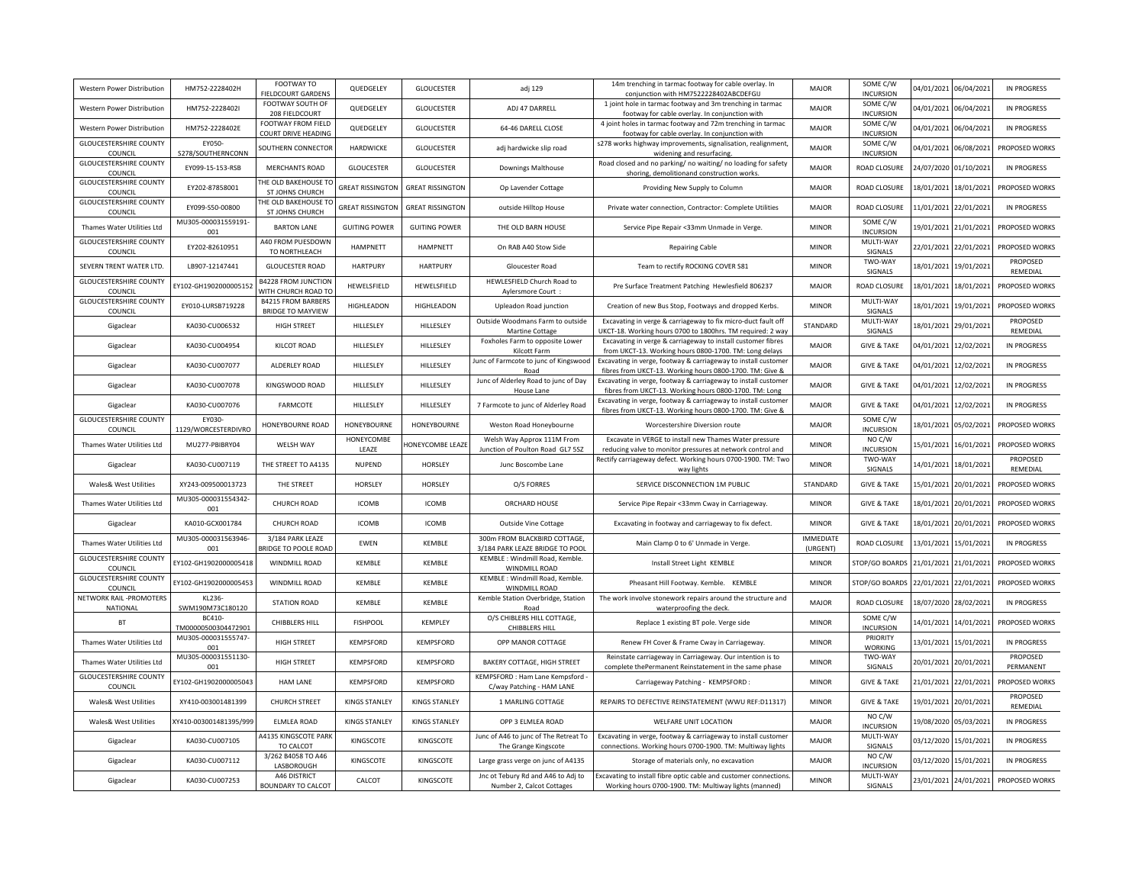| <b>Western Power Distribution</b>        | HM752-2228402H                             | <b>FOOTWAY TO</b><br><b>FIELDCOURT GARDENS</b>   | QUEDGELEY               | <b>GLOUCESTER</b>       | adj 129                                                                  | 14m trenching in tarmac footway for cable overlay. In<br>conjunction with HM7522228402ABCDEFGIJ                             | <b>MAIOR</b>             | SOME C/W<br><b>INCURSION</b>      | 04/01/2021               | 06/04/2021               | IN PROGRESS                       |
|------------------------------------------|--------------------------------------------|--------------------------------------------------|-------------------------|-------------------------|--------------------------------------------------------------------------|-----------------------------------------------------------------------------------------------------------------------------|--------------------------|-----------------------------------|--------------------------|--------------------------|-----------------------------------|
| Western Power Distribution               | HM752-2228402I                             | FOOTWAY SOUTH OF<br>208 FIELDCOURT               | <b>OUFDGELEY</b>        | <b>GLOUCESTER</b>       | ADJ 47 DARRELL                                                           | 1 joint hole in tarmac footway and 3m trenching in tarmac<br>footway for cable overlay. In conjunction with                 | MAJOR                    | SOME C/W<br><b>INCURSION</b>      | 04/01/2021               | 06/04/2021               | IN PROGRESS                       |
| Western Power Distribution               | HM752-2228402E                             | FOOTWAY FROM FIELD<br>COURT DRIVE HEADING        | QUEDGELEY               | <b>GLOUCESTER</b>       | 64-46 DARELL CLOSE                                                       | 4 joint holes in tarmac footway and 72m trenching in tarmac<br>footway for cable overlay. In conjunction with               | MAJOR                    | SOME C/W<br><b>INCURSION</b>      | 04/01/2021               | 06/04/2021               | IN PROGRESS                       |
| <b>GLOUCESTERSHIRE COUNTY</b><br>COUNCIL | EY050-<br>S278/SOUTHERNCONN                | SOUTHERN CONNECTOR                               | HARDWICKE               | <b>GLOUCESTER</b>       | adj hardwicke slip road                                                  | s278 works highway improvements, signalisation, realignment,<br>widening and resurfacing.                                   | MAJOR                    | SOME C/W<br><b>INCURSION</b>      | 04/01/2021               | 06/08/2021               | PROPOSED WORKS                    |
| <b>GLOUCESTERSHIRE COUNTY</b>            | EY099-15-153-RSB                           | <b>MERCHANTS ROAD</b>                            | <b>GLOUCESTER</b>       | <b>GLOUCESTER</b>       | Downings Malthouse                                                       | Road closed and no parking/ no waiting/ no loading for safety                                                               | <b>MAJOR</b>             | ROAD CLOSURE                      | 24/07/2020               | 01/10/2021               | IN PROGRESS                       |
| COUNCIL<br><b>GLOUCESTERSHIRE COUNTY</b> | EY202-87858001                             | THE OLD BAKEHOUSE TO                             | <b>GREAT RISSINGTON</b> | <b>GREAT RISSINGTON</b> | Op Lavender Cottage                                                      | shoring, demolitionand construction works.<br>Providing New Supply to Column                                                | <b>MAJOR</b>             | ROAD CLOSURE                      | 18/01/2021               | 18/01/2021               | PROPOSED WORKS                    |
| COUNCIL<br><b>GLOUCESTERSHIRE COUNTY</b> | EY099-S50-00800                            | ST JOHNS CHURCH<br>THE OLD BAKEHOUSE T           | <b>GREAT RISSINGTON</b> | <b>GREAT RISSINGTON</b> | outside Hilltop House                                                    | Private water connection, Contractor: Complete Utilities                                                                    | MAJOR                    | ROAD CLOSURE                      | 11/01/2021               | 22/01/2021               | <b>IN PROGRESS</b>                |
| COUNCIL<br>Thames Water Utilities Ltd    | MU305-000031559191-                        | ST JOHNS CHURCH<br><b>BARTON LANE</b>            | <b>GUITING POWER</b>    | <b>GUITING POWER</b>    | THE OLD BARN HOUSE                                                       | Service Pipe Repair <33mm Unmade in Verge                                                                                   | <b>MINOR</b>             | SOME C/W                          | 19/01/2021               | 21/01/2021               | PROPOSED WORKS                    |
| <b>GLOUCESTERSHIRE COUNTY</b>            | 001<br>EY202-82610951                      | <b>A40 FROM PUESDOWN</b>                         | HAMPNETT                | HAMPNETT                | On RAB A40 Stow Side                                                     |                                                                                                                             | <b>MINOR</b>             | <b>INCURSION</b><br>MULTI-WAY     | 22/01/2021               | 22/01/2021               | PROPOSED WORKS                    |
| COUNCIL<br>SEVERN TRENT WATER LTD.       | LB907-12147441                             | TO NORTHLEACH<br><b>GLOUCESTER ROAD</b>          | <b>HARTPURY</b>         | HARTPURY                | Gloucester Road                                                          | <b>Repairing Cable</b><br>Team to rectify ROCKING COVER S81                                                                 | <b>MINOR</b>             | SIGNALS<br>TWO-WAY                | 18/01/2021               | 19/01/2021               | PROPOSED                          |
| <b>GLOUCESTERSHIRE COUNTY</b>            |                                            | <b>B4228 FROM JUNCTION</b>                       |                         |                         | HEWLESFIELD Church Road to                                               |                                                                                                                             |                          | SIGNALS                           |                          |                          | REMEDIAL                          |
| COUNCIL<br><b>GLOUCESTERSHIRE COUNTY</b> | FY102-GH19020000051!                       | VITH CHURCH ROAD TO<br><b>B4215 FROM BARBERS</b> | HEWELSFIELD             | HEWELSFIELD             | Aylersmore Court:                                                        | Pre Surface Treatment Patching Hewlesfield 806237                                                                           | <b>MAJOR</b>             | <b>ROAD CLOSURE</b><br>MULTI-WAY  | 18/01/2021               | 18/01/2021               | PROPOSED WORKS                    |
| COUNCIL                                  | EY010-LURSB719228                          | <b>BRIDGE TO MAYVIEW</b>                         | HIGHLEADON              | HIGHLEADON              | Upleadon Road junction<br>Outside Woodmans Farm to outside               | Creation of new Bus Stop, Footways and dropped Kerbs.                                                                       | <b>MINOR</b>             | SIGNALS<br>MULTI-WAY              | 18/01/2021               | 19/01/2021               | PROPOSED WORKS<br><b>PROPOSED</b> |
| Gigaclear                                | KA030-CU006532                             | <b>HIGH STREET</b>                               | HILLESLEY               | HILLESLEY               | <b>Martine Cottage</b>                                                   | Excavating in verge & carriageway to fix micro-duct fault off<br>UKCT-18. Working hours 0700 to 1800hrs. TM required: 2 way | STANDARD                 | SIGNALS                           | 18/01/2021               | 29/01/2021               | REMEDIAL                          |
| Gigaclear                                | KA030-CU004954                             | <b>KILCOT ROAD</b>                               | HILLESLEY               | HILLESLEY               | Foxholes Farm to opposite Lower<br>Kilcott Farm                          | Excavating in verge & carriageway to install customer fibres<br>from UKCT-13. Working hours 0800-1700. TM: Long delays      | MAJOR                    | <b>GIVE &amp; TAKE</b>            | 04/01/2021               | 12/02/2021               | IN PROGRESS                       |
| Gigaclear                                | KA030-CU007077                             | ALDERLEY ROAD                                    | HILLESLEY               | HILLESLEY               | Junc of Farmcote to junc of Kingswood<br>Road                            | Excavating in verge, footway & carriageway to install customer<br>fibres from UKCT-13. Working hours 0800-1700. TM: Give &  | MAJOR                    | <b>GIVE &amp; TAKE</b>            | 04/01/2021               | 12/02/2021               | IN PROGRESS                       |
| Gigaclear                                | KA030-CU007078                             | KINGSWOOD ROAD                                   | <b>HILLESLEY</b>        | HILLESLEY               | Junc of Alderley Road to junc of Day<br>House Lane                       | Excavating in verge, footway & carriageway to install customer<br>fibres from UKCT-13. Working hours 0800-1700. TM: Long    | <b>MAJOR</b>             | <b>GIVE &amp; TAKE</b>            | 04/01/2021               | 12/02/2021               | IN PROGRESS                       |
| Gigaclear                                | KA030-CU007076                             | FARMCOTE                                         | HILLESLEY               | HILLESLEY               | 7 Farmcote to junc of Alderley Road                                      | Excavating in verge, footway & carriageway to install customer<br>fibres from UKCT-13. Working hours 0800-1700. TM: Give &  | MAJOR                    | <b>GIVE &amp; TAKE</b>            | 04/01/2021               | 12/02/2021               | IN PROGRESS                       |
| <b>GLOUCESTERSHIRE COUNTY</b>            | EY030-                                     | HONEYBOURNE ROAD                                 | <b>HONEYBOURNE</b>      | HONEYBOURNE             | Weston Road Honeybourne                                                  | Worcestershire Diversion route                                                                                              | <b>MAJOR</b>             | SOME C/W                          | 18/01/2021               | 05/02/2021               | PROPOSED WORKS                    |
| COUNCIL                                  | 1129/WORCESTERDIVRO                        |                                                  |                         |                         |                                                                          |                                                                                                                             |                          | <b>INCURSION</b>                  |                          |                          |                                   |
| Thames Water Utilities Ltd               | MU277-PBIBRY04                             | WELSH WAY                                        | HONEYCOMBE              | <b>IONEYCOMBE LEAZE</b> | Welsh Way Approx 111M From                                               | Excavate in VERGE to install new Thames Water pressure                                                                      | <b>MINOR</b>             | NO C/W                            | 15/01/2021               | 16/01/2021               | PROPOSED WORKS                    |
| Gigaclear                                | KA030-CU007119                             | THE STREET TO A4135                              | LEAZE<br><b>NUPEND</b>  | HORSLEY                 | Junction of Poulton Road GL7 5SZ<br>Junc Boscombe Lane                   | reducing valve to monitor pressures at network control and<br>Rectify carriageway defect. Working hours 0700-1900. TM: Two  | <b>MINOR</b>             | <b>INCURSION</b><br>TWO-WAY       | 14/01/2021               | 18/01/2021               | PROPOSED                          |
| Wales& West Utilities                    | XY243-009500013723                         | THE STREET                                       | HORSLEY                 | <b>HORSLEY</b>          | O/S FORRES                                                               | way lights<br>SERVICE DISCONNECTION 1M PUBLIC                                                                               | STANDARD                 | SIGNALS<br><b>GIVE &amp; TAKE</b> | 15/01/2021               | 20/01/2021               | REMEDIAL<br>PROPOSED WORKS        |
| Thames Water Utilities Ltd               | MU305-000031554342-                        | CHURCH ROAD                                      | <b>ICOMB</b>            | <b>ICOMB</b>            | ORCHARD HOUSE                                                            | Service Pipe Repair <33mm Cway in Carriageway.                                                                              | <b>MINOR</b>             | <b>GIVE &amp; TAKE</b>            | 18/01/2021               | 20/01/2021               | PROPOSED WORKS                    |
| Gigaclear                                | 001<br>KA010-GCX001784                     | CHURCH ROAD                                      | <b>ICOMB</b>            | <b>ICOMB</b>            | <b>Outside Vine Cottage</b>                                              | Excavating in footway and carriageway to fix defect.                                                                        | <b>MINOR</b>             | <b>GIVE &amp; TAKE</b>            | 18/01/2021               | 20/01/2021               | PROPOSED WORKS                    |
| Thames Water Utilities Ltd               | MU305-000031563946-                        | 3/184 PARK LEAZE                                 | EWEN                    | KEMBLE                  | 300m FROM BLACKBIRD COTTAGE.                                             | Main Clamp 0 to 6' Unmade in Verge                                                                                          | <b>IMMEDIATE</b>         | <b>ROAD CLOSURE</b>               | 13/01/2021               | 15/01/2021               | IN PROGRESS                       |
| <b>GLOUCESTERSHIRE COUNTY</b>            | 001<br>EY102-GH1902000005418               | RIDGE TO POOLE ROAD<br>WINDMILL ROAD             | KEMBLE                  | <b>KFMBIF</b>           | 3/184 PARK LEAZE BRIDGE TO POOL<br>KEMBLE : Windmill Road, Kemble.       | Install Street Light KEMBLE                                                                                                 | (URGENT)<br><b>MINOR</b> | STOP/GO BOARDS                    | 21/01/2021               | 21/01/2021               | PROPOSED WORKS                    |
| COUNCIL<br><b>GLOUCESTERSHIRE COUNTY</b> | EY102-GH1902000005453                      | WINDMILL ROAD                                    | KEMBLE                  | KEMBLE                  | WINDMILL ROAD<br>KEMBLE : Windmill Road, Kemble.                         | Pheasant Hill Footway. Kemble. KEMBLE                                                                                       | <b>MINOR</b>             | STOP/GO BOARDS                    | 22/01/2021               | 22/01/2021               | PROPOSED WORKS                    |
| COUNCIL<br>NETWORK RAIL -PROMOTERS       | KL236-                                     | <b>STATION ROAD</b>                              | KEMBLE                  | KEMBLE                  | WINDMILL ROAD<br>Kemble Station Overbridge, Station                      | The work involve stonework repairs around the structure and                                                                 | MAJOR                    | ROAD CLOSURE                      | 18/07/2020               | 28/02/2021               | IN PROGRESS                       |
| <b>NATIONAL</b><br><b>BT</b>             | SWM190M73C180120<br>BC410-                 | CHIBBLERS HILL                                   | <b>FISHPOOL</b>         | KEMPLEY                 | Road<br>O/S CHIBLERS HILL COTTAGE,                                       | waterproofing the deck.<br>Replace 1 existing BT pole. Verge side                                                           | <b>MINOR</b>             | SOME C/W                          | 4/01/2021                | 14/01/2021               | PROPOSED WORKS                    |
| Thames Water Utilities Ltd               | TM00000500304472901<br>MU305-000031555747- | <b>HIGH STREET</b>                               | KEMPSFORD               | <b>KEMPSFORD</b>        | CHIBBLERS HILL<br>OPP MANOR COTTAGE                                      | Renew FH Cover & Frame Cway in Carriageway.                                                                                 | <b>MINOR</b>             | <b>INCURSION</b><br>PRIORITY      | 13/01/2021               | 15/01/2021               | IN PROGRESS                       |
| Thames Water Utilities Ltd               | 001<br>MU305-000031551130-                 | <b>HIGH STREET</b>                               | KEMPSFORD               | KEMPSFORD               | BAKERY COTTAGE, HIGH STREET                                              | Reinstate carriageway in Carriageway. Our intention is to                                                                   | <b>MINOR</b>             | <b>WORKING</b><br>TWO-WAY         | 20/01/2021               | 20/01/2021               | <b>PROPOSED</b>                   |
| <b>GLOUCESTERSHIRE COUNTY</b>            | 001<br>EY102-GH1902000005043               | HAM LANE                                         | KEMPSFORD               | KEMPSFORD               | KEMPSFORD: Ham Lane Kempsford                                            | complete the Permanent Reinstatement in the same phase<br>Carriageway Patching - KEMPSFORD:                                 | <b>MINOR</b>             | SIGNALS<br><b>GIVE &amp; TAKE</b> | 21/01/2021               | 22/01/2021               | PERMANENT<br>PROPOSED WORKS       |
| COLINCIL<br>Wales& West Utilities        | XY410-003001481399                         | <b>CHURCH STREET</b>                             | <b>KINGS STANLEY</b>    | <b>KINGS STANLEY</b>    | C/way Patching - HAM LANE<br>1 MARLING COTTAGE                           | REPAIRS TO DEFECTIVE REINSTATEMENT (WWU REF:D11317)                                                                         | <b>MINOR</b>             | <b>GIVE &amp; TAKE</b>            | 19/01/2021               | 20/01/2021               | PROPOSED                          |
| Wales& West Utilities                    | Y410-003001481395/999                      | <b>ELMLEA ROAD</b>                               | <b>KINGS STANLEY</b>    | <b>KINGS STANLEY</b>    | OPP 3 ELMLEA ROAD                                                        | WELFARE UNIT LOCATION                                                                                                       | MAJOR                    | NO C/W                            | 19/08/2020               |                          | REMEDIAL<br><b>IN PROGRESS</b>    |
| Gigaclear                                |                                            | <b>A4135 KINGSCOTE PARK</b>                      |                         |                         | Junc of A46 to junc of The Retreat To                                    | Excavating in verge, footway & carriageway to install customer                                                              |                          | <b>INCURSION</b><br>MULTI-WAY     |                          | 05/03/202:               |                                   |
|                                          | KA030-CU007105                             | TO CALCOT<br>3/262 B4058 TO A46                  | KINGSCOTE               | KINGSCOTE               | The Grange Kingscote                                                     | connections. Working hours 0700-1900. TM: Multiway lights                                                                   | MAJOR                    | SIGNALS<br>NO C/W                 | 03/12/2020               | 15/01/2021               | IN PROGRESS                       |
| Gigaclear<br>Gigaclear                   | KA030-CU007112<br>KA030-CU007253           | LASBOROUGH<br>A46 DISTRICT                       | KINGSCOTE<br>CALCOT     | KINGSCOTE<br>KINGSCOTE  | Large grass verge on junc of A4135<br>Jnc ot Tebury Rd and A46 to Adj to | Storage of materials only, no excavation<br>Excavating to install fibre optic cable and customer connections                | MAJOR<br><b>MINOR</b>    | <b>INCURSION</b><br>MULTI-WAY     | 03/12/2020<br>23/01/2021 | 15/01/2021<br>24/01/2021 | IN PROGRESS<br>PROPOSED WORKS     |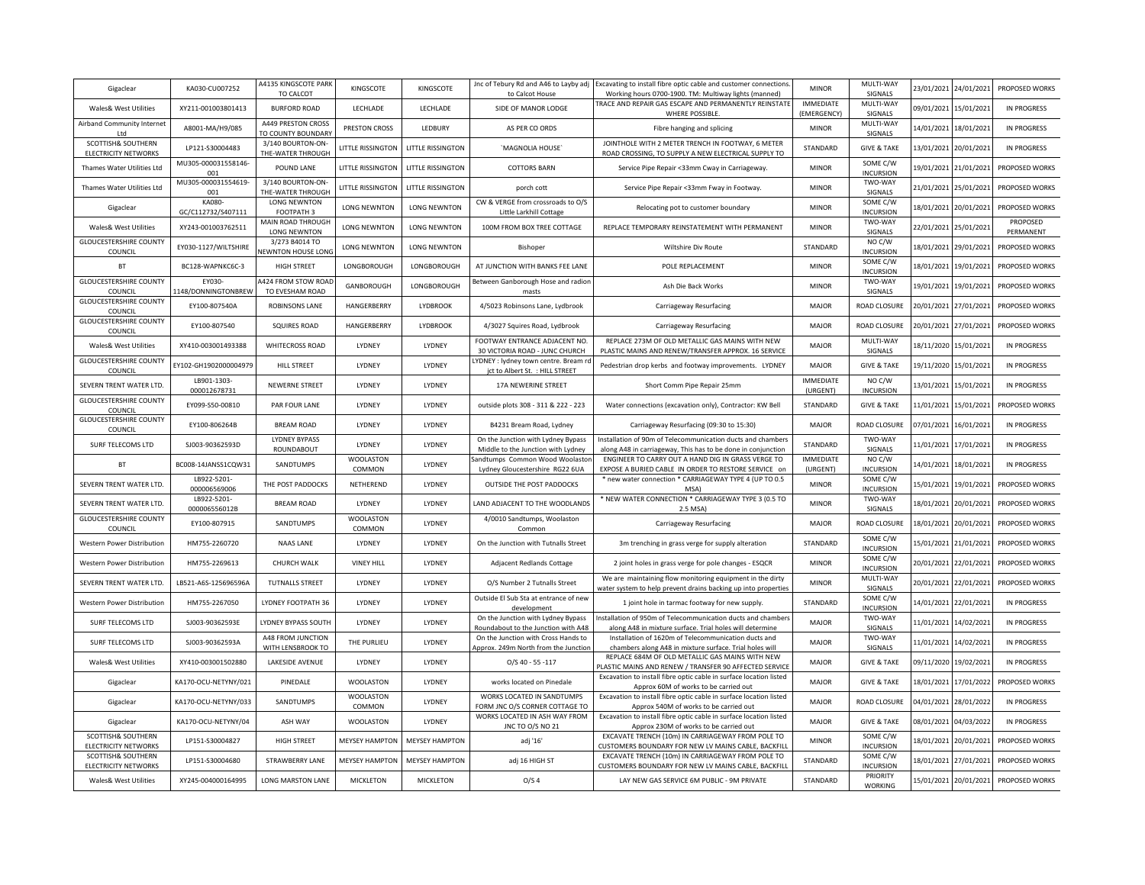| Gigaclear                                                 | KA030-CU007252                  | A4135 KINGSCOTE PARK<br>TO CALCOT           | KINGSCOTE                     | KINGSCOTE             | Jnc of Tebury Rd and A46 to Layby adj<br>to Calcot House                   | Excavating to install fibre optic cable and customer connections<br>Working hours 0700-1900. TM: Multiway lights (manned)    | <b>MINOR</b>                    | MULTI-WAY<br>SIGNALS                            | 23/01/2021 | 24/01/2021            | PROPOSED WORKS             |
|-----------------------------------------------------------|---------------------------------|---------------------------------------------|-------------------------------|-----------------------|----------------------------------------------------------------------------|------------------------------------------------------------------------------------------------------------------------------|---------------------------------|-------------------------------------------------|------------|-----------------------|----------------------------|
| Wales& West Utilities                                     | XY211-001003801413              | <b>BURFORD ROAD</b>                         | LECHLADE                      | LECHLADE              | SIDE OF MANOR LODGE                                                        | <b>TRACE AND REPAIR GAS ESCAPE AND PERMANENTLY REINSTATE</b><br>WHERE POSSIBLE.                                              | <b>IMMEDIATE</b><br>(EMERGENCY) | MULTI-WAY<br>SIGNALS                            | 09/01/2021 | 15/01/2021            | <b>IN PROGRESS</b>         |
| Airband Community Internet                                | A8001-MA/H9/085                 | A449 PRESTON CROSS                          | PRESTON CROSS                 | LEDBURY               | AS PER CO ORDS                                                             | Fibre hanging and splicing                                                                                                   | <b>MINOR</b>                    | MULTI-WAY                                       | 14/01/2021 | 18/01/2021            | IN PROGRESS                |
| Ltd<br>SCOTTISH& SOUTHERN                                 | LP121-S30004483                 | TO COUNTY BOUNDARY<br>3/140 BOURTON-ON-     | LITTLE RISSINGTON             | LITTLE RISSINGTON     | 'MAGNOLIA HOUSE'                                                           | JOINTHOLE WITH 2 METER TRENCH IN FOOTWAY, 6 METER                                                                            | STANDARD                        | SIGNALS<br><b>GIVE &amp; TAKE</b>               | 13/01/2021 | 20/01/2021            | IN PROGRESS                |
| <b>ELECTRICITY NETWORKS</b><br>Thames Water Utilities Ltd | MU305-000031558146-             | THE-WATER THROUGH<br>POUND LANE             | LITTLE RISSINGTON             | LITTLE RISSINGTON     | <b>COTTORS BARN</b>                                                        | ROAD CROSSING, TO SUPPLY A NEW ELECTRICAL SUPPLY TO<br>Service Pipe Repair <33mm Cway in Carriageway.                        | <b>MINOR</b>                    | SOME C/W                                        | 19/01/2021 | 21/01/2021            | PROPOSED WORKS             |
|                                                           | 001<br>MU305-000031554619-      | 3/140 BOURTON-ON-                           |                               |                       |                                                                            |                                                                                                                              |                                 | <b>INCURSION</b><br>TWO-WAY                     |            |                       |                            |
| Thames Water Utilities Ltd                                | 001<br>KA080-                   | THE-WATER THROUGH<br><b>LONG NEWNTON</b>    | LITTLE RISSINGTON             | LITTLE RISSINGTON     | porch cott<br>CW & VERGE from crossroads to O/S                            | Service Pipe Repair <33mm Fway in Footway.                                                                                   | <b>MINOR</b>                    | SIGNALS<br>SOME C/W                             | 21/01/2021 | 25/01/2021            | PROPOSED WORKS             |
| Gigaclear                                                 | GC/C112732/S407111              | <b>FOOTPATH 3</b>                           | <b>LONG NEWNTON</b>           | LONG NEWNTON          | Little Larkhill Cottage                                                    | Relocating pot to customer boundary                                                                                          | <b>MINOR</b>                    | <b>INCURSION</b>                                |            | 18/01/2021 20/01/2021 | PROPOSED WORKS<br>PROPOSED |
| Wales& West Utilities                                     | XY243-001003762511              | MAIN ROAD THROUGH<br><b>LONG NEWNTON</b>    | <b>LONG NEWNTON</b>           | <b>LONG NEWNTON</b>   | 100M FROM BOX TREE COTTAGE                                                 | REPLACE TEMPORARY REINSTATEMENT WITH PERMANENT                                                                               | <b>MINOR</b>                    | TWO-WAY<br>SIGNALS                              | 22/01/2021 | 25/01/2021            | PERMANENT                  |
| <b>GLOUCESTERSHIRE COUNTY</b><br>COUNCIL                  | EY030-1127/WILTSHIRE            | 3/273 B4014 TO<br><b>JEWNTON HOUSE LONG</b> | LONG NEWNTON                  | LONG NEWNTON          | Bishoper                                                                   | Wiltshire Div Route                                                                                                          | STANDARD                        | NO C/W<br><b>INCURSION</b>                      | 18/01/2021 | 29/01/2021            | PROPOSED WORKS             |
| BT                                                        | BC128-WAPNKC6C-3                | HIGH STREET                                 | LONGBOROUGH                   | LONGBOROUGH           | AT JUNCTION WITH BANKS FEE LANE                                            | POLE REPLACEMENT                                                                                                             | <b>MINOR</b>                    | SOME C/W<br><b>INCURSION</b>                    | 18/01/2021 | 19/01/2021            | PROPOSED WORKS             |
| <b>GLOUCESTERSHIRE COUNTY</b><br>COUNCIL                  | EY030-<br>1148/DONNINGTONBREW   | 4424 FROM STOW ROAD<br>TO EVESHAM ROAD      | GANBOROUGH                    | LONGBOROUGH           | Between Ganborough Hose and radion<br>masts                                | Ash Die Back Works                                                                                                           | <b>MINOR</b>                    | TWO-WAY<br>SIGNALS                              | 19/01/2021 | 19/01/2021            | PROPOSED WORKS             |
| <b>GLOUCESTERSHIRE COUNTY</b><br>COUNCIL                  | EY100-807540A                   | ROBINSONS LANE                              | HANGERBERRY                   | <b>LYDBROOK</b>       | 4/5023 Robinsons Lane, Lydbrook                                            | Carriageway Resurfacing                                                                                                      | <b>MAJOR</b>                    | ROAD CLOSURE                                    | 20/01/2021 | 27/01/2021            | PROPOSED WORKS             |
| <b>GLOUCESTERSHIRE COUNTY</b><br>COUNCIL                  | EY100-807540                    | <b>SQUIRES ROAD</b>                         | HANGERBERRY                   | <b>LYDBROOK</b>       | 4/3027 Squires Road, Lydbrook                                              | Carriageway Resurfacing                                                                                                      | <b>MAJOR</b>                    | <b>ROAD CLOSURE</b>                             | 20/01/2021 | 27/01/2021            | PROPOSED WORKS             |
| Wales& West Utilities                                     | XY410-003001493388              | <b>WHITECROSS ROAD</b>                      | LYDNEY                        | LYDNEY                | FOOTWAY ENTRANCE ADJACENT NO.<br>30 VICTORIA ROAD - JUNC CHURCH            | REPLACE 273M OF OLD METALLIC GAS MAINS WITH NEW<br>PLASTIC MAINS AND RENEW/TRANSFER APPROX. 16 SERVICE                       | <b>MAJOR</b>                    | MULTI-WAY<br>SIGNALS                            | 18/11/2020 | 15/01/2021            | <b>IN PROGRESS</b>         |
| <b>GLOUCESTERSHIRE COUNTY</b>                             | EY102-GH1902000004979           | <b>HILL STREET</b>                          | LYDNEY                        | LYDNEY                | LYDNEY : lydney town centre. Bream ro                                      | Pedestrian drop kerbs and footway improvements. LYDNEY                                                                       | MAJOR                           | <b>GIVE &amp; TAKE</b>                          |            | 19/11/2020 15/01/2021 | IN PROGRESS                |
| COUNCIL<br>SEVERN TRENT WATER LTD                         | LB901-1303-                     | NEWERNE STREET                              | LYDNEY                        | LYDNEY                | jct to Albert St. : HILL STREET<br>17A NEWERINE STREET                     | Short Comm Pipe Repair 25mm                                                                                                  | <b>IMMEDIATE</b>                | NO C/W                                          | 13/01/2021 | 15/01/2021            | <b>IN PROGRESS</b>         |
| <b>GLOUCESTERSHIRE COUNTY</b>                             | 000012678731<br>EY099-S50-00810 | PAR FOUR LANE                               | LYDNEY                        | LYDNEY                | outside plots 308 - 311 & 222 - 223                                        | Water connections (excavation only), Contractor: KW Bell                                                                     | (URGENT)<br>STANDARD            | <b>INCURSION</b><br><b>GIVE &amp; TAKE</b>      | 11/01/2021 | 15/01/2021            | PROPOSED WORKS             |
| COUNCIL<br><b>GLOUCESTERSHIRE COUNTY</b>                  | EY100-806264B                   | <b>BREAM ROAD</b>                           | LYDNEY                        | LYDNEY                | B4231 Bream Road, Lydney                                                   | Carriageway Resurfacing (09:30 to 15:30)                                                                                     | MAJOR                           | ROAD CLOSURE                                    | 07/01/2021 | 16/01/2021            | <b>IN PROGRESS</b>         |
| COUNCIL                                                   |                                 | <b>LYDNEY BYPASS</b>                        |                               |                       | On the Junction with Lydney Bypass                                         | Installation of 90m of Telecommunication ducts and chambers                                                                  |                                 |                                                 |            |                       |                            |
|                                                           |                                 |                                             |                               |                       |                                                                            |                                                                                                                              |                                 | TWO-WAY                                         |            |                       |                            |
| SURF TELECOMS LTD                                         | SJ003-90362593D                 | ROUNDABOUT                                  | LYDNEY<br>WOOLASTON           | LYDNEY                | Middle to the Junction with Lydney<br>Sandtumps Common Wood Woolastor      | along A48 in carriageway, This has to be done in conjunction<br>ENGINEER TO CARRY OUT A HAND DIG IN GRASS VERGE TO           | STANDARD<br><b>IMMEDIATE</b>    | SIGNALS<br>NO C/W                               | 11/01/2021 | 17/01/2021            | <b>IN PROGRESS</b>         |
| <b>BT</b>                                                 | BC008-14JANSS1CQW31             | SANDTUMPS                                   | COMMON                        | LYDNEY                | Lydney Gloucestershire RG22 6UA                                            | EXPOSE A BURIED CABLE IN ORDER TO RESTORE SERVICE on                                                                         | (URGENT)                        | <b>INCURSION</b>                                | 14/01/2021 | 18/01/2021            | <b>IN PROGRESS</b>         |
| SEVERN TRENT WATER LTD                                    | LB922-5201-<br>000006569006     | THE POST PADDOCKS                           | NETHEREND                     | LYDNEY                | OUTSIDE THE POST PADDOCKS                                                  | * new water connection * CARRIAGEWAY TYPE 4 (UP TO 0.5<br>MSA)                                                               | <b>MINOR</b>                    | SOME C/W<br><b>INCURSION</b>                    | 15/01/2021 | 19/01/2021            | PROPOSED WORKS             |
| SEVERN TRENT WATER LTD                                    | LB922-5201-<br>000006556012B    | <b>BREAM ROAD</b>                           | LYDNEY                        | LYDNEY                | LAND ADJACENT TO THE WOODLANDS                                             | NEW WATER CONNECTION * CARRIAGEWAY TYPE 3 (0.5 TO<br>2.5 MSA)                                                                | <b>MINOR</b>                    | TWO-WAY<br>SIGNALS                              | 18/01/2021 | 20/01/2021            | PROPOSED WORKS             |
| <b>GLOUCESTERSHIRE COUNTY</b><br>COUNCIL                  | EY100-807915                    | SANDTUMPS                                   | <b>WOOLASTON</b><br>COMMON    | LYDNEY                | 4/0010 Sandtumps, Woolaston<br>Common                                      | Carriageway Resurfacing                                                                                                      | MAJOR                           | ROAD CLOSURE                                    | 18/01/2021 | 20/01/2021            | PROPOSED WORKS             |
| Western Power Distribution                                | HM755-2260720                   | NAAS LANE                                   | LYDNEY                        | LYDNEY                | On the Junction with Tutnalls Street                                       | 3m trenching in grass verge for supply alteration                                                                            | STANDARD                        | SOME C/W<br><b>INCURSION</b>                    | 15/01/2021 | 21/01/2021            | PROPOSED WORKS             |
| <b>Western Power Distribution</b>                         | HM755-2269613                   | CHURCH WALK                                 | <b>VINEY HILL</b>             | LYDNEY                | Adjacent Redlands Cottage                                                  | 2 joint holes in grass verge for pole changes - ESQCR                                                                        | <b>MINOR</b>                    | SOME C/W                                        | 20/01/2021 | 22/01/2021            | PROPOSED WORKS             |
| SEVERN TRENT WATER LTD.                                   | LB521-A6S-125696596A            | <b>TUTNALLS STREET</b>                      | LYDNEY                        | LYDNEY                | O/S Number 2 Tutnalls Street                                               | We are maintaining flow monitoring equipment in the dirty                                                                    | <b>MINOR</b>                    | <b>INCURSION</b><br>MULTI-WAY                   | 20/01/2021 | 22/01/2021            | PROPOSED WORKS             |
| Western Power Distribution                                | HM755-2267050                   | LYDNEY FOOTPATH 36                          | LYDNEY                        | LYDNEY                | Outside El Sub Sta at entrance of new                                      | water system to help prevent drains backing up into properties<br>1 joint hole in tarmac footway for new supply.             | STANDARD                        | SIGNALS<br>SOME C/W                             | 14/01/2021 | 22/01/2021            | <b>IN PROGRESS</b>         |
| SURF TELECOMS LTD                                         | SJ003-90362593E                 | LYDNEY BYPASS SOUTH                         | LYDNEY                        | LYDNEY                | development<br>On the Junction with Lydney Bypass                          | Installation of 950m of Telecommunication ducts and chambers                                                                 | <b>MAJOR</b>                    | <b>INCURSION</b><br>TWO-WAY                     | 11/01/2021 | 14/02/2021            | <b>IN PROGRESS</b>         |
| SURF TELECOMS LTD                                         | SJ003-90362593A                 | A48 FROM JUNCTION                           | THE PURLIEU                   | LYDNEY                | Roundabout to the Junction with A48<br>On the Junction with Cross Hands to | along A48 in mixture surface. Trial holes will determine<br>Installation of 1620m of Telecommunication ducts and             | <b>MAJOR</b>                    | SIGNALS<br>TWO-WAY                              | 11/01/2021 |                       | <b>IN PROGRESS</b>         |
|                                                           |                                 | WITH LENSBROOK TO                           |                               |                       | Approx. 249m North from the Junction                                       | chambers along A48 in mixture surface. Trial holes will<br>REPLACE 684M OF OLD METALLIC GAS MAINS WITH NEW                   |                                 | SIGNALS                                         |            | 14/02/2021            |                            |
| Wales& West Utilities                                     | XY410-003001502880              | <b>LAKESIDE AVENUE</b>                      | LYDNEY                        | LYDNEY                | $O/S$ 40 - 55 - 117                                                        | PLASTIC MAINS AND RENEW / TRANSFER 90 AFFECTED SERVICE<br>Excavation to install fibre optic cable in surface location listed | <b>MAJOR</b>                    | <b>GIVE &amp; TAKE</b>                          | 09/11/2020 | 19/02/2021            | <b>IN PROGRESS</b>         |
| Gigaclear                                                 | KA170-OCU-NETYNY/021            | PINEDALE                                    | <b>WOOLASTON</b><br>WOOLASTON | LYDNEY                | works located on Pinedale<br>WORKS LOCATED IN SANDTUMPS                    | Approx 60M of works to be carried out<br>Excavation to install fibre optic cable in surface location listed                  | <b>MAJOR</b>                    | <b>GIVE &amp; TAKE</b>                          | 18/01/2021 | 17/01/2022            | PROPOSED WORKS             |
| Gigaclear                                                 | KA170-OCU-NETYNY/033            | SANDTUMPS                                   | COMMON                        | LYDNEY                | FORM JNC O/S CORNER COTTAGE TO<br>WORKS LOCATED IN ASH WAY FROM            | Approx 540M of works to be carried out<br>Excavation to install fibre optic cable in surface location listed                 | <b>MAJOR</b>                    | ROAD CLOSURE                                    | 04/01/2021 | 28/01/2022            | <b>IN PROGRESS</b>         |
| Gigaclear<br>SCOTTISH& SOUTHERN                           | KA170-OCU-NETYNY/04             | ASH WAY                                     | <b>WOOLASTON</b>              | LYDNEY                | JNC TO O/S NO 21                                                           | Approx 230M of works to be carried out<br>EXCAVATE TRENCH (10m) IN CARRIAGEWAY FROM POLE TO                                  | <b>MAJOR</b>                    | <b>GIVE &amp; TAKE</b><br>SOME C/W              | 08/01/2021 | 04/03/2022            | <b>IN PROGRESS</b>         |
| <b>ELECTRICITY NETWORKS</b>                               | LP151-S30004827                 | <b>HIGH STREET</b>                          | MEYSEY HAMPTON                | <b>MEYSEY HAMPTON</b> | adj '16'                                                                   | CUSTOMERS BOUNDARY FOR NEW LV MAINS CABLE, BACKFILI                                                                          | <b>MINOR</b>                    | <b>INCURSION</b>                                |            | 18/01/2021 20/01/2021 | PROPOSED WORKS             |
| SCOTTISH& SOUTHERN<br><b>ELECTRICITY NETWORKS</b>         | LP151-S30004680                 | STRAWBERRY LANE                             | MEYSEY HAMPTON                | <b>MEYSEY HAMPTON</b> | adj 16 HIGH ST                                                             | EXCAVATE TRENCH (10m) IN CARRIAGEWAY FROM POLE TO<br>CUSTOMERS BOUNDARY FOR NEW LV MAINS CABLE, BACKFIL                      | STANDARD                        | SOME C/W<br><b>INCURSION</b><br><b>PRIORITY</b> |            | 18/01/2021 27/01/2021 | PROPOSED WORKS             |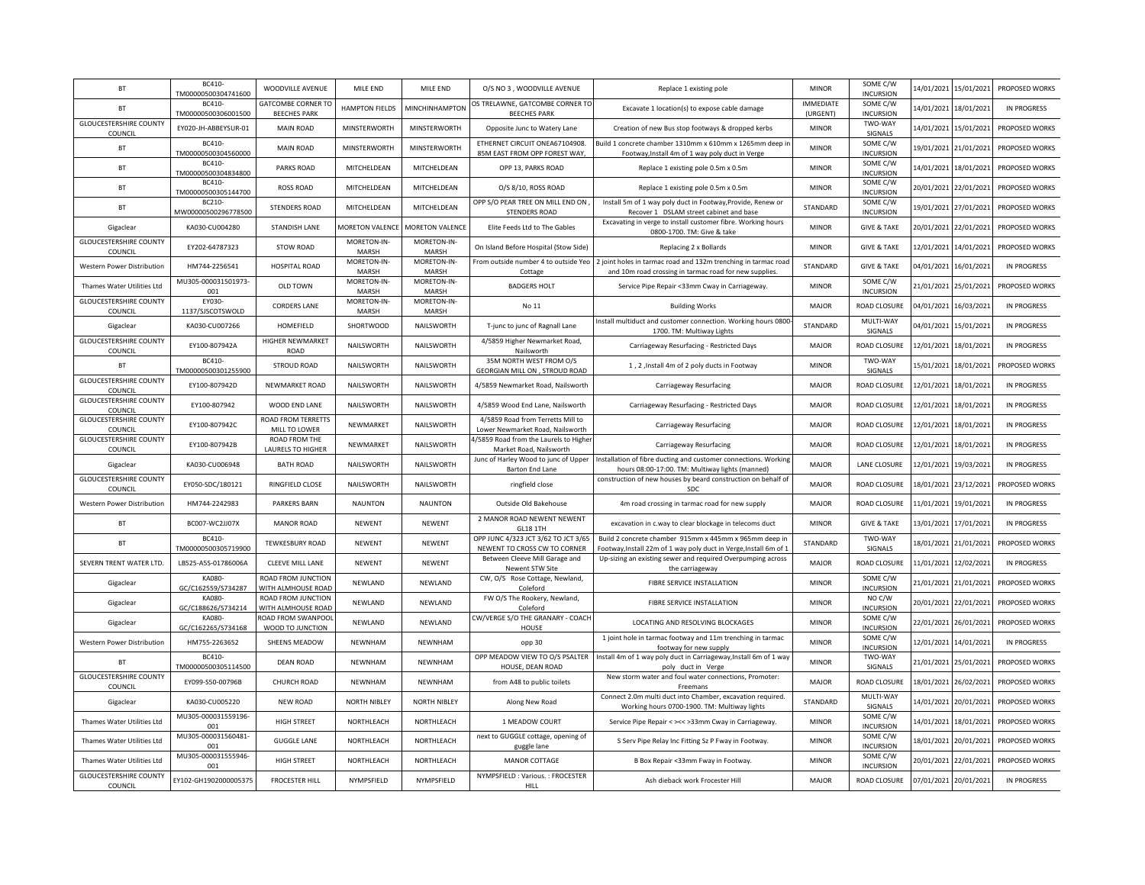| BT                                       | BC410-<br>TM00000500304741600       | WOODVILLE AVENUE                                 | MILE END                    | MILE END                    | O/S NO 3, WOODVILLE AVENUE                                            | Replace 1 existing pole                                                                                                     | <b>MINOR</b>                 | SOME C/W<br><b>INCURSION</b> | 14/01/2021 | 15/01/2021 | PROPOSED WORKS     |
|------------------------------------------|-------------------------------------|--------------------------------------------------|-----------------------------|-----------------------------|-----------------------------------------------------------------------|-----------------------------------------------------------------------------------------------------------------------------|------------------------------|------------------------------|------------|------------|--------------------|
| <b>BT</b>                                | BC410-<br>TM00000500306001500       | <b>GATCOMBE CORNER TC</b><br><b>BEECHES PARK</b> | <b>HAMPTON FIELDS</b>       | MINCHINHAMPTON              | OS TRELAWNE, GATCOMBE CORNER TO<br><b>BEECHES PARK</b>                | Excavate 1 location(s) to expose cable damage                                                                               | <b>IMMEDIATE</b><br>(URGENT) | SOME C/W<br><b>INCURSION</b> | 14/01/2021 | 18/01/2021 | IN PROGRESS        |
| <b>GLOUCESTERSHIRE COUNTY</b><br>COUNCIL | EY020-JH-ABBEYSUR-01                | <b>MAIN ROAD</b>                                 | MINSTERWORTH                | MINSTERWORTH                | Opposite Junc to Watery Lane                                          | Creation of new Bus stop footways & dropped kerbs                                                                           | <b>MINOR</b>                 | TWO-WAY<br>SIGNALS           | 14/01/2021 | 15/01/2021 | PROPOSED WORKS     |
| <b>BT</b>                                | BC410<br>TM00000500304560000        | <b>MAIN ROAD</b>                                 | MINSTERWORTH                | MINSTERWORTH                | ETHERNET CIRCUIT ONEA67104908.<br>85M EAST FROM OPP FOREST WAY,       | Build 1 concrete chamber 1310mm x 610mm x 1265mm deep in<br>Footway, Install 4m of 1 way poly duct in Verge                 | <b>MINOR</b>                 | SOME C/W<br><b>INCURSION</b> | 19/01/2021 | 21/01/2021 | PROPOSED WORKS     |
| <b>BT</b>                                | BC410-<br>TM00000500304834800       | PARKS ROAD                                       | MITCHELDEAN                 | MITCHELDEAN                 | OPP 13. PARKS ROAD                                                    | Replace 1 existing pole 0.5m x 0.5m                                                                                         | <b>MINOR</b>                 | SOME C/W<br><b>INCURSION</b> | 14/01/2021 | 18/01/2021 | PROPOSED WORKS     |
| <b>BT</b>                                | BC410-<br>TM00000500305144700       | <b>ROSS ROAD</b>                                 | MITCHELDEAN                 | MITCHELDEAN                 | 0/S 8/10, ROSS ROAD                                                   | Replace 1 existing pole 0.5m x 0.5m                                                                                         | <b>MINOR</b>                 | SOME C/W<br><b>INCURSION</b> | 20/01/2021 | 22/01/2021 | PROPOSED WORKS     |
| <b>BT</b>                                | BC210-<br>MW00000500296778500       | <b>STENDERS ROAD</b>                             | MITCHELDEAN                 | MITCHELDEAN                 | OPP S/O PEAR TREE ON MILL END ON<br>STENDERS ROAD                     | Install 5m of 1 way poly duct in Footway, Provide, Renew or<br>Recover 1 DSLAM street cabinet and base                      | STANDARD                     | SOME C/W<br><b>INCURSION</b> | 19/01/2021 | 27/01/2021 | PROPOSED WORKS     |
| Gigaclear                                | KA030-CU004280                      | STANDISH LANE                                    | MORETON VALENCE             | <b>MORETON VALENCE</b>      | Elite Feeds Ltd to The Gables                                         | Excavating in verge to install customer fibre. Working hours<br>0800-1700. TM: Give & take                                  | <b>MINOR</b>                 | <b>GIVE &amp; TAKE</b>       | 20/01/2021 | 22/01/2021 | PROPOSED WORKS     |
| <b>GLOUCESTERSHIRE COUNTY</b><br>COUNCIL | EY202-64787323                      | STOW ROAD                                        | MORETON-IN-<br><b>MARSH</b> | MORETON-IN-<br><b>MARSH</b> | On Island Before Hospital (Stow Side)                                 | Replacing 2 x Bollards                                                                                                      | <b>MINOR</b>                 | <b>GIVE &amp; TAKE</b>       | 12/01/2021 | 14/01/2021 | PROPOSED WORKS     |
| Western Power Distribution               | HM744-2256541                       | <b>HOSPITAL ROAD</b>                             | MORETON-IN-<br><b>MARSH</b> | MORETON-IN-<br>MARSH        | From outside number 4 to outside Yeo<br>Cottage                       | 2 joint holes in tarmac road and 132m trenching in tarmac road<br>and 10m road crossing in tarmac road for new supplies.    | STANDARD                     | <b>GIVE &amp; TAKE</b>       | 04/01/2021 | 16/01/2021 | <b>IN PROGRESS</b> |
| Thames Water Utilities Ltd               | MU305-000031501973-<br>001          | OLD TOWN                                         | MORETON-IN-<br>MARSH        | MORETON-IN-<br>MARSH        | <b>BADGERS HOLT</b>                                                   | Service Pipe Repair <33mm Cway in Carriageway.                                                                              | <b>MINOR</b>                 | SOME C/W<br><b>INCURSION</b> | 1/01/2021  | 25/01/2021 | PROPOSED WORKS     |
| <b>GLOUCESTERSHIRE COUNTY</b><br>COUNCIL | EY030-<br>1137/SJSCOTSWOLD          | <b>CORDERS LANE</b>                              | MORETON-IN-<br>MARSH        | MORETON-IN-<br>MARSH        | No 11                                                                 | <b>Building Works</b>                                                                                                       | MAJOR                        | ROAD CLOSURE                 | 04/01/2021 | 16/03/2021 | IN PROGRESS        |
| Gigaclear                                | KA030-CU007266                      | HOMEFIELD                                        | <b>SHORTWOOD</b>            | NAILSWORTH                  | T-junc to junc of Ragnall Lane                                        | Install multiduct and customer connection. Working hours 0800<br>1700. TM: Multiway Lights                                  | STANDARD                     | MULTI-WAY<br>SIGNALS         | 04/01/2021 | 15/01/2021 | <b>IN PROGRESS</b> |
| <b>GLOUCESTERSHIRE COUNTY</b><br>COUNCIL | EY100-807942A                       | HIGHER NEWMARKET<br>ROAD                         | NAILSWORTH                  | NAILSWORTH                  | 4/5859 Higher Newmarket Road,<br>Nailsworth                           | Carriageway Resurfacing - Restricted Days                                                                                   | MAJOR                        | ROAD CLOSURE                 | 12/01/2021 | 18/01/2021 | IN PROGRESS        |
| <b>BT</b>                                | BC410-<br>TM00000500301255900       | <b>STROUD ROAD</b>                               | NAILSWORTH                  | NAILSWORTH                  | 35M NORTH WEST FROM O/S<br>GEORGIAN MILL ON, STROUD ROAD              | 1, 2, Install 4m of 2 poly ducts in Footway                                                                                 | <b>MINOR</b>                 | TWO-WAY<br>SIGNALS           | 15/01/2021 | 18/01/2021 | PROPOSED WORKS     |
| <b>GLOUCESTERSHIRE COUNTY</b><br>COUNCIL | FY100-807942D                       | NEWMARKET ROAD                                   | NAILSWORTH                  | <b>NAILSWORTH</b>           | 4/5859 Newmarket Road, Nailsworth                                     | Carriageway Resurfacing                                                                                                     | <b>MAIOR</b>                 | ROAD CLOSURE                 | 12/01/2021 | 18/01/2021 | IN PROGRESS        |
| <b>GLOUCESTERSHIRE COUNTY</b><br>COUNCIL | EY100-807942                        | WOOD END LANE                                    | NAILSWORTH                  | NAILSWORTH                  | 4/5859 Wood End Lane, Nailsworth                                      | Carriageway Resurfacing - Restricted Days                                                                                   | MAJOR                        | ROAD CLOSURE                 | 12/01/2021 | 18/01/2021 | IN PROGRESS        |
| <b>GLOUCESTERSHIRE COUNTY</b><br>COUNCIL | EY100-807942C                       | ROAD FROM TERRETTS<br>MILL TO LOWER              | NEWMARKET                   | NAILSWORTH                  | 4/5859 Road from Terretts Mill to<br>Lower Newmarket Road, Nailsworth | Carriageway Resurfacing                                                                                                     | MAJOR                        | <b>ROAD CLOSURE</b>          | 12/01/2021 | 18/01/2021 | IN PROGRESS        |
| <b>GLOUCESTERSHIRE COUNTY</b><br>COUNCIL | EY100-807942B                       | <b>ROAD FROM THE</b><br>LAURELS TO HIGHER        | NEWMARKET                   | NAILSWORTH                  | 4/5859 Road from the Laurels to Higher<br>Market Road, Nailsworth     | Carriageway Resurfacing                                                                                                     | MAJOR                        | <b>ROAD CLOSURE</b>          | 12/01/2021 | 18/01/2021 | IN PROGRESS        |
| Gigaclear                                | KA030-CU006948                      | <b>BATH ROAD</b>                                 | NAILSWORTH                  | NAILSWORTH                  | Junc of Harley Wood to junc of Upper<br>Barton End Lane               | Installation of fibre ducting and customer connections. Working<br>hours 08:00-17:00. TM: Multiway lights (manned)          | MAJOR                        | LANE CLOSURE                 | 12/01/2021 | 19/03/2021 | IN PROGRESS        |
| <b>GLOUCESTERSHIRE COUNTY</b><br>COUNCIL | EY050-SDC/180121                    | <b>RINGFIELD CLOSE</b>                           | NAILSWORTH                  | NAILSWORTH                  | ringfield close                                                       | construction of new houses by beard construction on behalf of<br><b>SDC</b>                                                 | <b>MAJOR</b>                 | ROAD CLOSURE                 | 18/01/2021 | 23/12/2021 | PROPOSED WORKS     |
| Western Power Distribution               | HM744-2242983                       | <b>PARKERS BARN</b>                              | <b>NAUNTON</b>              | <b>NAUNTON</b>              | Outside Old Bakehouse                                                 | 4m road crossing in tarmac road for new supply                                                                              | MAJOR                        | ROAD CLOSURE                 | 11/01/2021 | 19/01/2021 | <b>IN PROGRESS</b> |
| <b>BT</b>                                | BC007-WC2JJ07X                      | <b>MANOR ROAD</b>                                | NEWENT                      | <b>NEWENT</b>               | 2 MANOR ROAD NEWENT NEWENT<br><b>GL18 1TH</b>                         | excavation in c.way to clear blockage in telecoms duct                                                                      | <b>MINOR</b>                 | <b>GIVE &amp; TAKE</b>       | 13/01/2021 | 17/01/2021 | IN PROGRESS        |
| <b>BT</b>                                | <b>BC410</b><br>TM00000500305719900 | TEWKESBURY ROAD                                  | <b>NEWENT</b>               | <b>NEWENT</b>               | OPP JUNC 4/323 JCT 3/62 TO JCT 3/65<br>NEWENT TO CROSS CW TO CORNER   | Build 2 concrete chamber 915mm x 445mm x 965mm deep in<br>Footway, Install 22m of 1 way poly duct in Verge, Install 6m of 1 | STANDARD                     | TWO-WAY<br>SIGNALS           | 18/01/2021 | 21/01/2021 | PROPOSED WORKS     |
| SEVERN TRENT WATER LTD.                  | LB525-A5S-01786006A                 | CLEEVE MILL LANE                                 | <b>NEWENT</b>               | <b>NEWENT</b>               | Between Cleeve Mill Garage and<br>Newent STW Site                     | Up-sizing an existing sewer and required Overpumping across<br>the carriageway                                              | <b>MAJOR</b>                 | ROAD CLOSURE                 | 11/01/2021 | 12/02/2021 | IN PROGRESS        |
| Gigaclear                                | KA080-<br>GC/C162559/S734287        | ROAD FROM JUNCTION<br>WITH ALMHOUSE ROAD         | NEWLAND                     | NEWLAND                     | CW, O/S Rose Cottage, Newland,<br>Coleford                            | FIBRE SERVICE INSTALLATION                                                                                                  | <b>MINOR</b>                 | SOME C/W<br><b>INCURSION</b> | 1/01/2021  | 21/01/2021 | PROPOSED WORKS     |
| Gigaclear                                | <b>KA080</b><br>GC/C188626/S734214  | ROAD FROM JUNCTION<br>WITH ALMHOUSE ROAD         | NEWLAND                     | NEWLAND                     | FW O/S The Rookery, Newland,<br>Coleford                              | FIBRE SERVICE INSTALLATION                                                                                                  | <b>MINOR</b>                 | NO C/W<br><b>INCURSION</b>   | 20/01/2021 | 22/01/2021 | PROPOSED WORKS     |
| Gigaclear                                | KA080-<br>GC/C162265/S734168        | ROAD FROM SWANPOOL<br>WOOD TO JUNCTION           | NEWLAND                     | NEWLAND                     | CW/VERGE S/O THE GRANARY - COACH<br>HOUSE                             | LOCATING AND RESOLVING BLOCKAGES                                                                                            | <b>MINOR</b>                 | SOME C/W<br><b>INCURSION</b> | 22/01/2021 | 26/01/2021 | PROPOSED WORKS     |
| Western Power Distribution               | HM755-2263652                       | SHEENS MEADOW                                    | NEWNHAM                     | <b>NFWNHAM</b>              | opp 30                                                                | 1 joint hole in tarmac footway and 11m trenching in tarmac<br>footway for new supply                                        | <b>MINOR</b>                 | SOME C/W<br><b>INCURSION</b> | 12/01/2021 | 14/01/2021 | IN PROGRESS        |
| <b>BT</b>                                | BC410-<br>TM00000500305114500       | <b>DEAN ROAD</b>                                 | <b>NFWNHAM</b>              | <b>NFWNHAM</b>              | OPP MEADOW VIEW TO O/S PSALTER<br>HOUSE, DEAN ROAD                    | Install 4m of 1 way poly duct in Carriageway, Install 6m of 1 way<br>poly duct in Verge                                     | <b>MINOR</b>                 | TWO-WAY<br>SIGNALS           | 21/01/2021 | 25/01/2021 | PROPOSED WORKS     |
| <b>GLOUCESTERSHIRE COUNTY</b><br>COUNCIL | EY099-S50-00796B                    | CHURCH ROAD                                      | <b>NEWNHAM</b>              | <b>NEWNHAM</b>              | from A48 to public toilets                                            | New storm water and foul water connections, Promoter:<br>Freemans                                                           | <b>MAJOR</b>                 | ROAD CLOSURE                 | 18/01/2021 | 26/02/2021 | PROPOSED WORKS     |
| Gigaclear                                | KA030-CU005220                      | NEW ROAD                                         | <b>NORTH NIBLEY</b>         | NORTH NIBLEY                | Along New Road                                                        | Connect 2.0m multi duct into Chamber, excavation required.<br>Working hours 0700-1900. TM: Multiway lights                  | STANDARD                     | MULTI-WAY<br>SIGNALS         | 14/01/2021 | 20/01/2021 | PROPOSED WORKS     |
| Thames Water Utilities Ltd               | MU305-000031559196-<br>001          | HIGH STREET                                      | NORTHLEACH                  | NORTHLEACH                  | 1 MEADOW COURT                                                        | Service Pipe Repair < ><< >><< >><> 33mm Cway in Carriageway.                                                               | <b>MINOR</b>                 | SOME C/W<br><b>INCURSION</b> | 14/01/2021 | 18/01/2021 | PROPOSED WORKS     |
| Thames Water Utilities Ltd               | MU305-000031560481-<br>001          | <b>GUGGLE LANE</b>                               | NORTHLEACH                  | NORTHLEACH                  | next to GUGGLE cottage, opening of<br>guggle lane                     | S Serv Pipe Relay Inc Fitting Sz P Fway in Footway.                                                                         | <b>MINOR</b>                 | SOME C/W<br><b>INCURSION</b> | 18/01/2021 | 20/01/2021 | PROPOSED WORKS     |
| Thames Water Utilities Ltd               | MU305-000031555946-<br>001          | <b>HIGH STREET</b>                               | NORTHLEACH                  | NORTHLEACH                  | <b>MANOR COTTAGE</b>                                                  | B Box Repair <33mm Fway in Footway                                                                                          | <b>MINOR</b>                 | SOME C/W<br><b>INCURSION</b> | 20/01/2021 | 22/01/2021 | PROPOSED WORKS     |
| <b>GLOUCESTERSHIRE COUNTY</b><br>COUNCIL | EY102-GH1902000005375               | <b>FROCESTER HILL</b>                            | NYMPSFIELD                  | NYMPSFIELD                  | NYMPSFIELD: Various.: FROCESTER<br><b>HILL</b>                        | Ash dieback work Frocester Hill                                                                                             | <b>MAJOR</b>                 | ROAD CLOSURE                 | 07/01/2021 | 20/01/2021 | IN PROGRESS        |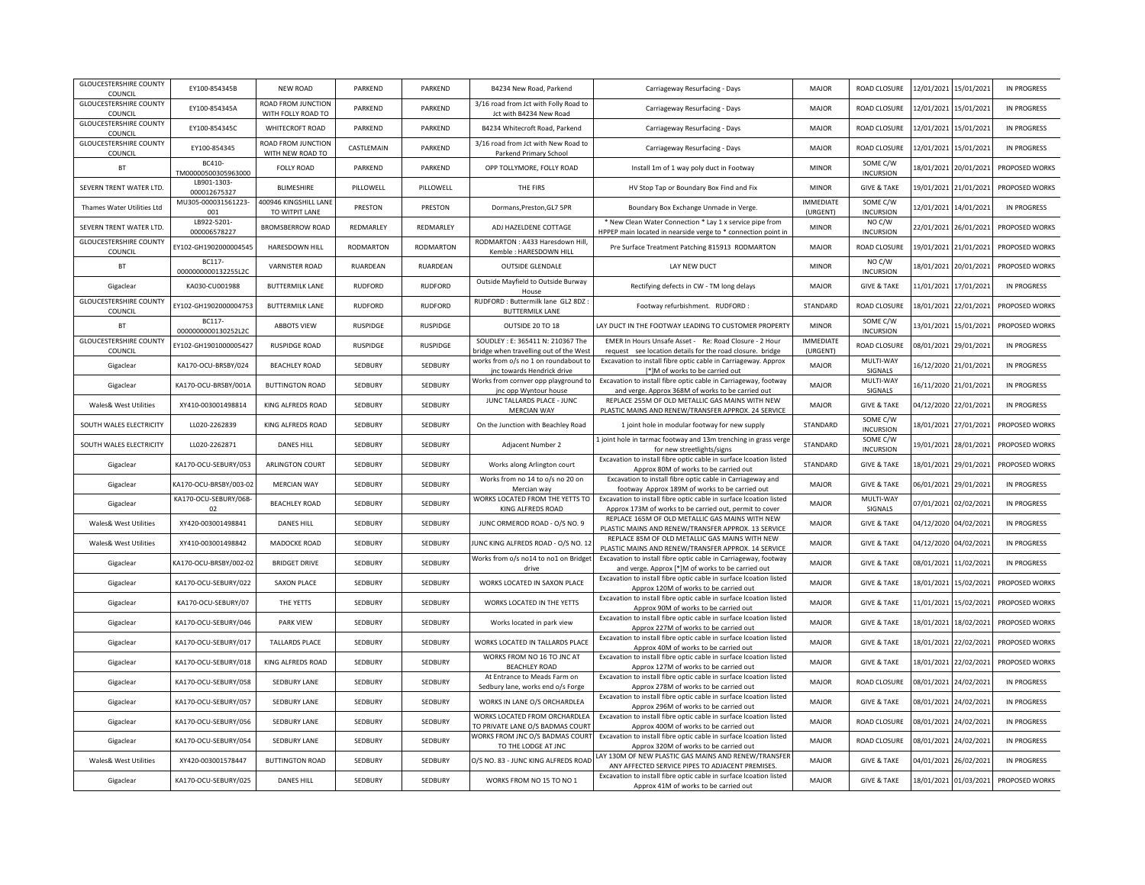| <b>GLOUCESTERSHIRE COUNTY</b><br>COUNCIL | EY100-854345B                              | <b>NFW ROAD</b>                               | PARKEND            | PARKEND            | B4234 New Road, Parkend                                                    | Carriageway Resurfacing - Days                                                                                                                                  | <b>MAJOR</b>                 | ROAD CLOSURE                                     | 12/01/2021 | 15/01/2021                                     | <b>IN PROGRESS</b>                       |
|------------------------------------------|--------------------------------------------|-----------------------------------------------|--------------------|--------------------|----------------------------------------------------------------------------|-----------------------------------------------------------------------------------------------------------------------------------------------------------------|------------------------------|--------------------------------------------------|------------|------------------------------------------------|------------------------------------------|
| <b>GLOUCESTERSHIRE COUNTY</b><br>COUNCIL | EY100-854345A                              | ROAD FROM JUNCTION<br>WITH FOLLY ROAD TO      | <b>PARKEND</b>     | PARKEND            | 3/16 road from Jct with Folly Road to<br>Jct with B4234 New Road           | Carriageway Resurfacing - Days                                                                                                                                  | <b>MAJOR</b>                 | ROAD CLOSURE                                     | 12/01/2021 | 15/01/2021                                     | <b>IN PROGRESS</b>                       |
| <b>GLOUCESTERSHIRE COUNTY</b><br>COUNCIL | EY100-854345C                              | WHITECROFT ROAD                               | PARKEND            | PARKEND            | B4234 Whitecroft Road, Parkend                                             | Carriageway Resurfacing - Days                                                                                                                                  | <b>MAJOR</b>                 | ROAD CLOSURE                                     | 12/01/2021 | 15/01/2021                                     | <b>IN PROGRESS</b>                       |
| <b>GLOUCESTERSHIRE COUNTY</b><br>COUNCIL | EY100-854345                               | <b>ROAD FROM JUNCTION</b><br>WITH NEW ROAD TO | CASTLEMAIN         | PARKEND            | 3/16 road from Ict with New Road to<br>Parkend Primary School              | Carriageway Resurfacing - Days                                                                                                                                  | <b>MAJOR</b>                 | ROAD CLOSURE                                     | 12/01/2021 | 15/01/2021                                     | <b>IN PROGRESS</b>                       |
| <b>BT</b>                                | BC410-<br>TM00000500305963000              | <b>FOLLY ROAD</b>                             | PARKEND            | PARKEND            | OPP TOLLYMORE, FOLLY ROAD                                                  | Install 1m of 1 way poly duct in Footway                                                                                                                        | <b>MINOR</b>                 | SOME C/W<br><b>INCURSION</b>                     | 18/01/2021 | 20/01/2021                                     | PROPOSED WORKS                           |
| SEVERN TRENT WATER LTD                   | LB901-1303-<br>000012675327                | <b>BLIMESHIRE</b>                             | PILLOWELL          | PILLOWELL          | THE FIRS                                                                   | HV Stop Tap or Boundary Box Find and Fix                                                                                                                        | <b>MINOR</b>                 | <b>GIVE &amp; TAKE</b>                           | 19/01/2021 | 21/01/2021                                     | PROPOSED WORKS                           |
| Thames Water Utilities Ltd               | MU305-000031561223-<br>001                 | 400946 KINGSHILL LANE<br>TO WITPIT LANE       | PRESTON            | PRESTON            | Dormans, Preston, GL7 5PR                                                  | Boundary Box Exchange Unmade in Verge.                                                                                                                          | <b>IMMEDIATE</b><br>(URGENT) | SOME C/W<br><b>INCURSION</b>                     | 12/01/2021 | 14/01/2021                                     | IN PROGRESS                              |
| SEVERN TRENT WATER LTD.                  | LB922-5201-<br>000006578227                | <b>BROMSBERROW ROAD</b>                       | REDMARLEY          | REDMARLEY          | ADJ HAZELDENE COTTAGE                                                      | * New Clean Water Connection * Lay 1 x service pipe from<br>HPPEP main located in nearside verge to * connection point in                                       | <b>MINOR</b>                 | NO C/W<br><b>INCURSION</b>                       | 22/01/2021 | 26/01/2021                                     | PROPOSED WORKS                           |
| <b>GLOUCESTERSHIRE COUNTY</b><br>COUNCIL | EY102-GH1902000004545                      | HARESDOWN HILL                                | <b>RODMARTON</b>   | <b>RODMARTON</b>   | RODMARTON: A433 Haresdown Hill,<br>Kemble : HARESDOWN HILL                 | Pre Surface Treatment Patching 815913 RODMARTON                                                                                                                 | <b>MAJOR</b>                 | ROAD CLOSURE                                     | 19/01/2021 | 21/01/2021                                     | PROPOSED WORKS                           |
| <b>BT</b>                                | BC117-<br>0000000000132255L2C              | <b>VARNISTER ROAD</b>                         | RUARDEAN           | RUARDEAN           | <b>OUTSIDE GLENDALE</b>                                                    | LAY NEW DUCT                                                                                                                                                    | <b>MINOR</b>                 | NO C/W<br><b>INCURSION</b>                       | 18/01/2021 | 20/01/2021                                     | PROPOSED WORKS                           |
| Gigaclear                                | KA030-CU001988                             | <b>BUTTERMILK LANE</b>                        | <b>RUDEORD</b>     | <b>RUDFORD</b>     | Outside Mayfield to Outside Burway<br>House                                | Rectifying defects in CW - TM long delays                                                                                                                       | MAJOR                        | <b>GIVE &amp; TAKE</b>                           | 11/01/2021 | 17/01/2021                                     | IN PROGRESS                              |
| <b>GLOUCESTERSHIRE COUNTY</b><br>COUNCIL | EY102-GH1902000004753                      | <b>BUTTERMILK LANE</b>                        | <b>RUDFORD</b>     | <b>RUDFORD</b>     | RUDFORD : Buttermilk lane GL2 8DZ<br><b>BUTTERMILK LANE</b>                | Footway refurbishment. RUDFORD:                                                                                                                                 | STANDARD                     | ROAD CLOSURE                                     | 18/01/2021 | 22/01/2021                                     | PROPOSED WORKS                           |
| <b>BT</b>                                | BC117<br>0000000000130252L2C               | <b>ABBOTS VIEW</b>                            | <b>RUSPIDGE</b>    | <b>RUSPIDGE</b>    | OUTSIDE 20 TO 18                                                           | LAY DUCT IN THE FOOTWAY LEADING TO CUSTOMER PROPERTY                                                                                                            | <b>MINOR</b>                 | SOME C/W<br><b>INCURSION</b>                     | 13/01/2021 | 15/01/2021                                     | PROPOSED WORKS                           |
| <b>GLOUCESTERSHIRE COUNTY</b><br>COUNCIL | EY102-GH1901000005427                      | <b>RUSPIDGE ROAD</b>                          | <b>RUSPIDGE</b>    | <b>RUSPIDGE</b>    | SOUDLEY: E: 365411 N: 210367 The<br>bridge when travelling out of the West | EMER In Hours Unsafe Asset - Re: Road Closure - 2 Hour<br>request see location details for the road closure, bridge                                             | <b>IMMEDIATE</b><br>(URGENT) | ROAD CLOSURE                                     |            | 08/01/2021 29/01/2021                          | <b>IN PROGRESS</b>                       |
| Gigaclear                                | KA170-OCU-BRSBY/024                        | <b>BEACHLEY ROAD</b>                          | SEDBURY            | SEDBURY            | works from o/s no 1 on roundabout to<br>jnc towards Hendrick drive         | Excavation to install fibre optic cable in Carriageway. Approx<br>[*]M of works to be carried out                                                               | <b>MAJOR</b>                 | MULTI-WAY<br>SIGNALS                             |            | 16/12/2020 21/01/2021                          | <b>IN PROGRESS</b>                       |
| Gigaclear                                | KA170-OCU-BRSBY/001A                       | <b>BUTTINGTON ROAD</b>                        | SEDBURY            | SEDBURY            | Works from cornver opp playground to<br>inc opp Wyntour house              | Excavation to install fibre optic cable in Carriageway, footway<br>and verge. Approx 368M of works to be carried out                                            | <b>MAJOR</b>                 | MULTI-WAY<br>SIGNALS                             | 16/11/2020 | 21/01/2021                                     | <b>IN PROGRESS</b>                       |
| Wales& West Utilities                    | XY410-003001498814                         | KING ALFREDS ROAD                             | SEDBURY            | SEDBURY            | JUNC TALLARDS PLACE - JUNC<br><b>MERCIAN WAY</b>                           | REPLACE 255M OF OLD METALLIC GAS MAINS WITH NEW<br>PLASTIC MAINS AND RENEW/TRANSFER APPROX. 24 SERVICE                                                          | MAJOR                        | <b>GIVE &amp; TAKE</b>                           | 04/12/2020 | 22/01/2021                                     | IN PROGRESS                              |
| SOUTH WALES ELECTRICITY                  | LL020-2262839                              | KING ALFREDS ROAD                             | SEDBURY            | SEDBURY            | On the Junction with Beachley Road                                         | 1 joint hole in modular footway for new supply                                                                                                                  | STANDARD                     | SOME C/W<br><b>INCURSION</b>                     | 18/01/2021 | 27/01/2021                                     | PROPOSED WORKS                           |
|                                          |                                            |                                               |                    |                    |                                                                            |                                                                                                                                                                 |                              | SOME C/W                                         |            |                                                |                                          |
| SOUTH WALES ELECTRICITY                  | LL020-2262871                              | <b>DANES HILL</b>                             | SEDBURY            | SEDBURY            | Adjacent Number 2                                                          | 1 joint hole in tarmac footway and 13m trenching in grass verge                                                                                                 | STANDARD                     |                                                  | 19/01/2021 | 28/01/2021                                     | PROPOSED WORKS                           |
| Gigaclear                                | KA170-OCU-SEBURY/053                       | <b>ARLINGTON COURT</b>                        | SEDBURY            | SEDBURY            | Works along Arlington court                                                | for new streetlights/signs<br>Excavation to install fibre optic cable in surface lcoation listed                                                                | STANDARD                     | <b>INCURSION</b><br><b>GIVE &amp; TAKE</b>       | 18/01/2021 | 29/01/2021                                     | PROPOSED WORKS                           |
| Gigaclear                                | KA170-OCU-BRSBY/003-02                     | <b>MERCIAN WAY</b>                            | SEDBURY            | SEDBURY            | Works from no 14 to o/s no 20 on                                           | Approx 80M of works to be carried out<br>Excavation to install fibre optic cable in Carriageway and                                                             | <b>MAJOR</b>                 | <b>GIVE &amp; TAKE</b>                           |            | 06/01/2021 29/01/2021                          | <b>IN PROGRESS</b>                       |
| Gigaclear                                | KA170-OCU-SEBURY/06B-                      | <b>BEACHLEY ROAD</b>                          | SEDBURY            | SEDBURY            | Mercian way<br>WORKS LOCATED FROM THE YETTS TO                             | footway Approx 189M of works to be carried out<br>Excavation to install fibre optic cable in surface lcoation listed                                            | MAJOR                        | MULTI-WAY                                        | 07/01/2021 | 02/02/2021                                     | <b>IN PROGRESS</b>                       |
| Wales& West Utilities                    | 02<br>XY420-003001498841                   | <b>DANES HILL</b>                             | SEDBURY            | SEDBURY            | KING ALFREDS ROAD<br>JUNC ORMEROD ROAD - O/S NO. 9                         | Approx 173M of works to be carried out, permit to cover<br>REPLACE 165M OF OLD METALLIC GAS MAINS WITH NEW                                                      | <b>MAJOR</b>                 | SIGNALS<br><b>GIVE &amp; TAKE</b>                | 04/12/2020 | 04/02/2021                                     | <b>IN PROGRESS</b>                       |
| Wales& West Utilities                    | XY410-003001498842                         | MADOCKE ROAD                                  | SEDBURY            | SEDBURY            | IUNC KING ALFREDS ROAD - O/S NO. 12                                        | PLASTIC MAINS AND RENEW/TRANSFER APPROX. 13 SERVICE<br>REPLACE 85M OF OLD METALLIC GAS MAINS WITH NEW                                                           | <b>MAJOR</b>                 | <b>GIVE &amp; TAKE</b>                           | 04/12/2020 | 04/02/2021                                     | <b>IN PROGRESS</b>                       |
| Gigaclear                                | KA170-OCU-BRSBY/002-02                     | <b>BRIDGET DRIVE</b>                          | SEDBURY            | SEDBURY            | Works from o/s no14 to no1 on Bridget                                      | PLASTIC MAINS AND RENEW/TRANSFER APPROX. 14 SERVICE<br>Excavation to install fibre optic cable in Carriageway, footway                                          | <b>MAIOR</b>                 | <b>GIVE &amp; TAKE</b>                           | 08/01/2021 | 11/02/2021                                     | <b>IN PROGRESS</b>                       |
|                                          | KA170-OCU-SEBURY/022                       | <b>SAXON PLACE</b>                            | SEDBURY            | SEDBURY            | drive<br>WORKS LOCATED IN SAXON PLACE                                      | and verge. Approx [*]M of works to be carried out<br>Excavation to install fibre optic cable in surface Icoation listed                                         | <b>MAJOR</b>                 |                                                  | 18/01/2021 | 15/02/2021                                     | <b>PROPOSED WORKS</b>                    |
| Gigaclear<br>Gigaclear                   | KA170-OCU-SEBURY/07                        | THE YETTS                                     | SEDBURY            | SEDBURY            | WORKS LOCATED IN THE YETTS                                                 | Approx 120M of works to be carried out<br>Excavation to install fibre optic cable in surface lcoation listed                                                    | <b>MAJOR</b>                 | <b>GIVE &amp; TAKE</b><br><b>GIVE &amp; TAKE</b> | 11/01/2021 | 15/02/2021                                     | PROPOSED WORKS                           |
|                                          | KA170-OCU-SEBURY/046                       | <b>PARK VIEW</b>                              | SEDBURY            | SEDBURY            | Works located in park view                                                 | Approx 90M of works to be carried out<br>Excavation to install fibre optic cable in surface lcoation listed                                                     | <b>MAJOR</b>                 | <b>GIVE &amp; TAKE</b>                           | 18/01/2021 | 18/02/2021                                     | PROPOSED WORKS                           |
| Gigaclear                                |                                            | <b>TALLARDS PLACE</b>                         | SEDBURY            | SEDBURY            |                                                                            | Approx 227M of works to be carried out<br>Excavation to install fibre optic cable in surface Icoation listed                                                    | <b>MAJOR</b>                 |                                                  |            |                                                | PROPOSED WORKS                           |
| Gigaclear                                | KA170-OCU-SEBURY/017                       |                                               |                    |                    | WORKS LOCATED IN TALLARDS PLACE<br>WORKS FROM NO 16 TO JNC AT              | Approx 40M of works to be carried out<br>Excavation to install fibre optic cable in surface lcoation listed                                                     |                              | <b>GIVE &amp; TAKE</b>                           | 18/01/2021 | 22/02/2021                                     |                                          |
| Gigaclear                                | KA170-OCU-SEBURY/018                       | KING ALFREDS ROAD                             | SEDBURY            | SEDBURY            | <b>BEACHLEY ROAD</b><br>At Entrance to Meads Farm on                       | Approx 127M of works to be carried out<br>Excavation to install fibre optic cable in surface lcoation listed                                                    | <b>MAJOR</b>                 | <b>GIVE &amp; TAKE</b>                           | 18/01/2021 | 22/02/2021                                     | PROPOSED WORKS                           |
| Gigaclear                                | KA170-OCU-SEBURY/058                       | SEDBURY LANE                                  | SEDBURY            | SEDBURY            | Sedbury lane, works end o/s Forge                                          | Approx 278M of works to be carried out<br>Excavation to install fibre optic cable in surface lcoation listed                                                    | MAJOR                        | ROAD CLOSURE                                     | 08/01/2021 | 24/02/2021                                     | <b>IN PROGRESS</b>                       |
| Gigaclear                                | KA170-OCU-SEBURY/057                       | SEDBURY LANE<br>SEDBURY LANE                  | SEDBURY<br>SEDBURY | SEDBURY<br>SEDBURY | WORKS IN LANE O/S ORCHARDLEA<br>WORKS LOCATED FROM ORCHARDLEA              | Approx 296M of works to be carried out<br>Excavation to install fibre optic cable in surface lcoation listed                                                    | <b>MAJOR</b><br><b>MAJOR</b> | <b>GIVE &amp; TAKE</b>                           | 08/01/2021 | 24/02/2021                                     | <b>IN PROGRESS</b><br><b>IN PROGRESS</b> |
| Gigaclear                                | KA170-OCU-SEBURY/056                       |                                               |                    | SEDBURY            | TO PRIVATE LANE O/S BADMAS COURT<br>WORKS FROM JNC O/S BADMAS COURT        | Approx 400M of works to be carried out<br>Excavation to install fibre optic cable in surface Icoation listed                                                    |                              | ROAD CLOSURE                                     | 08/01/2021 | 24/02/2021                                     |                                          |
| Gigaclear                                | KA170-OCU-SEBURY/054                       | SEDBURY LANE                                  | SEDBURY            |                    | TO THE LODGE AT JNC                                                        | Approx 320M of works to be carried out<br>LAY 130M OF NEW PLASTIC GAS MAINS AND RENEW/TRANSFER                                                                  | <b>MAJOR</b>                 | ROAD CLOSURE                                     |            | 08/01/2021 24/02/2021                          | <b>IN PROGRESS</b>                       |
| Wales& West Utilities<br>Gigaclear       | XY420-003001578447<br>KA170-OCU-SEBURY/025 | <b>BUTTINGTON ROAD</b><br><b>DANES HILL</b>   | SEDBURY<br>SEDBURY | SEDBURY<br>SEDBURY | O/S NO. 83 - JUNC KING ALFREDS ROAD<br>WORKS FROM NO 15 TO NO 1            | ANY AFFECTED SERVICE PIPES TO ADJACENT PREMISES.<br>Excavation to install fibre optic cable in surface lcoation listed<br>Approx 41M of works to be carried out | <b>MAJOR</b><br>MAJOR        | <b>GIVE &amp; TAKE</b><br><b>GIVE &amp; TAKE</b> |            | 04/01/2021 26/02/2021<br>18/01/2021 01/03/2021 | <b>IN PROGRESS</b><br>PROPOSED WORKS     |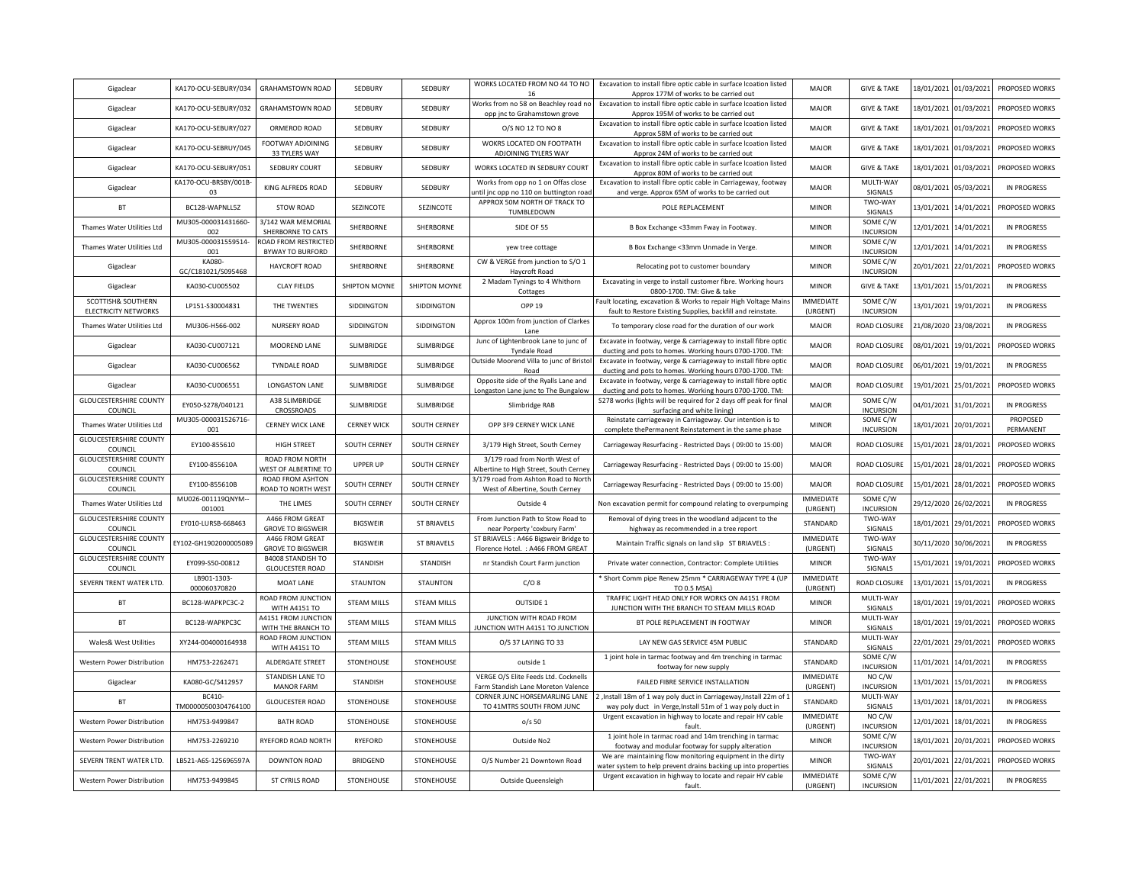| Gigaclear                                  | KA170-OCU-SEBURY/034          | <b>GRAHAMSTOWN ROAD</b>                            | SEDBURY            | SEDBURY            | WORKS LOCATED FROM NO 44 TO NO<br>16                                         | Excavation to install fibre optic cable in surface lcoation listed<br>Approx 177M of works to be carried out                     | <b>MAJOR</b>                 | <b>GIVE &amp; TAKE</b>       | 18/01/2021 | 01/03/202: | PROPOSED WORKS        |
|--------------------------------------------|-------------------------------|----------------------------------------------------|--------------------|--------------------|------------------------------------------------------------------------------|----------------------------------------------------------------------------------------------------------------------------------|------------------------------|------------------------------|------------|------------|-----------------------|
| Gigaclear                                  | KA170-OCU-SEBURY/032          | <b>GRAHAMSTOWN ROAD</b>                            | SEDBURY            | SEDBURY            | Works from no 58 on Beachley road no<br>opp jnc to Grahamstown grove         | Excavation to install fibre optic cable in surface Icoation listed<br>Approx 195M of works to be carried out                     | <b>MAJOR</b>                 | <b>GIVE &amp; TAKE</b>       | 18/01/2021 | 01/03/202  | PROPOSED WORKS        |
| Gigaclear                                  | KA170-OCU-SEBURY/027          | ORMEROD ROAD                                       | SEDBURY            | SEDBURY            | 0/S NO 12 TO NO 8                                                            | Excavation to install fibre optic cable in surface lcoation listed<br>Approx 58M of works to be carried out                      | <b>MAJOR</b>                 | <b>GIVE &amp; TAKE</b>       | 18/01/2021 | 01/03/202  | PROPOSED WORKS        |
| Gigaclear                                  | KA170-OCU-SEBRUY/045          | FOOTWAY ADJOINING<br>33 TYLERS WAY                 | SEDBURY            | SEDBURY            | WOKRS LOCATED ON FOOTPATH<br>ADJOINING TYLERS WAY                            | Excavation to install fibre optic cable in surface Icoation listed<br>Approx 24M of works to be carried out                      | <b>MAJOR</b>                 | <b>GIVE &amp; TAKE</b>       | 18/01/2021 | 01/03/2021 | PROPOSED WORKS        |
| Gigaclear                                  | KA170-OCU-SEBURY/051          | SEDBURY COURT                                      | SEDBURY            | SEDBURY            | WORKS LOCATED IN SEDBURY COURT                                               | Excavation to install fibre optic cable in surface lcoation listed<br>Approx 80M of works to be carried out                      | <b>MAJOR</b>                 | <b>GIVE &amp; TAKE</b>       | 18/01/2021 | 01/03/2021 | PROPOSED WORKS        |
| Gigaclear                                  | KA170-OCU-BRSBY/001B-<br>03   | KING ALFREDS ROAD                                  | SEDBURY            | SEDBURY            | Works from opp no 1 on Offas close<br>ntil jnc opp no 110 on buttington road | Excavation to install fibre optic cable in Carriageway, footway<br>and verge. Approx 65M of works to be carried out              | <b>MAJOR</b>                 | MULTI-WAY<br>SIGNALS         | 08/01/2021 | 05/03/2021 | <b>IN PROGRESS</b>    |
| <b>BT</b>                                  | BC128-WAPNLL5Z                | <b>STOW ROAD</b>                                   | SEZINCOTE          | SEZINCOTE          | APPROX 50M NORTH OF TRACK TO                                                 | POLE REPLACEMENT                                                                                                                 | <b>MINOR</b>                 | TWO-WAY<br><b>SIGNALS</b>    | 13/01/2021 | 14/01/2021 | PROPOSED WORKS        |
| Thames Water Utilities Ltd                 | MU305-000031431660-<br>002    | 3/142 WAR MEMORIAL<br>SHERBORNE TO CATS            | SHERBORNE          | SHERBORNE          | TUMBLEDOWN<br>SIDE OF 55                                                     | B Box Exchange <33mm Fway in Footway.                                                                                            | <b>MINOR</b>                 | SOME C/W<br><b>INCURSION</b> | 12/01/2021 | 14/01/2021 | <b>IN PROGRESS</b>    |
| Thames Water Utilities Ltd                 | MU305-000031559514-<br>001    | ROAD FROM RESTRICTED<br>BYWAY TO BURFORD           | SHERBORNE          | SHERBORNE          | yew tree cottage                                                             | B Box Exchange <33mm Unmade in Verge.                                                                                            | <b>MINOR</b>                 | SOME C/W<br><b>INCURSION</b> | 12/01/2021 | 14/01/202  | IN PROGRESS           |
| Gigaclear                                  | KA080-<br>GC/C181021/S095468  | <b>HAYCROFT ROAD</b>                               | SHERBORNE          | SHERBORNE          | CW & VERGE from junction to S/O 1<br>Haycroft Road                           | Relocating pot to customer boundary                                                                                              | <b>MINOR</b>                 | SOME C/W<br><b>INCURSION</b> | 20/01/2021 | 22/01/2021 | PROPOSED WORKS        |
| Gigaclear                                  | KA030-CU005502                | <b>CLAY FIELDS</b>                                 | SHIPTON MOYNE      | SHIPTON MOYNE      | 2 Madam Tynings to 4 Whithorn<br>Cottages                                    | Excavating in verge to install customer fibre. Working hours<br>0800-1700. TM: Give & take                                       | <b>MINOR</b>                 | <b>GIVE &amp; TAKE</b>       | 13/01/2021 | 15/01/2021 | IN PROGRESS           |
| SCOTTISH& SOUTHERN<br>ELECTRICITY NETWORKS | LP151-S30004831               | THE TWENTIES                                       | SIDDINGTON         | SIDDINGTON         | OPP <sub>19</sub>                                                            | Fault locating, excavation & Works to repair High Voltage Mains<br>fault to Restore Existing Supplies, backfill and reinstate.   | <b>IMMEDIATE</b><br>(URGENT) | SOME C/W<br><b>INCURSION</b> | 13/01/2021 | 19/01/2021 | IN PROGRESS           |
| Thames Water Utilities Ltd                 | MU306-H566-002                | <b>NURSERY ROAD</b>                                | SIDDINGTON         | SIDDINGTON         | Approx 100m from junction of Clarkes<br>Lane                                 | To temporary close road for the duration of our work                                                                             | <b>MAJOR</b>                 | ROAD CLOSURE                 | 21/08/2020 | 23/08/2021 | <b>IN PROGRESS</b>    |
| Gigaclear                                  | KA030-CU007121                | MOOREND LANE                                       | SLIMBRIDGE         | SLIMBRIDGE         | Junc of Lightenbrook Lane to junc of<br><b>Tyndale Road</b>                  | Excavate in footway, verge & carriageway to install fibre optic<br>ducting and pots to homes. Working hours 0700-1700. TM:       | <b>MAJOR</b>                 | ROAD CLOSURE                 | 08/01/2021 | 19/01/2021 | PROPOSED WORKS        |
| Gigaclear                                  | KA030-CU006562                | <b>TYNDALE ROAD</b>                                | SLIMBRIDGE         | SLIMBRIDGE         | Outside Moorend Villa to junc of Bristo<br>Road                              | Excavate in footway, verge & carriageway to install fibre optic<br>ducting and pots to homes. Working hours 0700-1700. TM:       | <b>MAJOR</b>                 | ROAD CLOSURE                 | 06/01/2021 | 19/01/2021 | <b>IN PROGRESS</b>    |
| Gigaclear                                  | KA030-CU006551                | <b>LONGASTON LANE</b>                              | SLIMBRIDGE         | SLIMBRIDGE         | Opposite side of the Ryalls Lane and<br>Longaston Lane junc to The Bungalow  | Excavate in footway, verge & carriageway to install fibre optic<br>ducting and pots to homes. Working hours 0700-1700. TM:       | <b>MAJOR</b>                 | <b>ROAD CLOSURE</b>          | 19/01/2021 | 25/01/2021 | PROPOSED WORKS        |
| <b>GLOUCESTERSHIRE COUNTY</b><br>COUNCIL   | EY050-S278/040121             | A38 SLIMBRIDGE<br>CROSSROADS                       | SLIMBRIDGE         | SLIMBRIDGE         | Slimbridge RAB                                                               | S278 works (lights will be required for 2 days off peak for final<br>surfacing and white lining)                                 | <b>MAJOR</b>                 | SOME C/W<br><b>INCURSION</b> | 04/01/2021 | 31/01/202  | IN PROGRESS           |
| Thames Water Utilities Ltd                 | MU305-000031526716-<br>001    | <b>CERNEY WICK LANE</b>                            | <b>CERNEY WICK</b> | SOUTH CERNEY       | OPP 3F9 CERNEY WICK LANE                                                     | Reinstate carriageway in Carriageway. Our intention is to<br>complete the Permanent Reinstatement in the same phase              | <b>MINOR</b>                 | SOME C/W<br><b>INCURSION</b> | 18/01/2021 | 20/01/2021 | PROPOSED<br>PERMANENT |
| <b>GLOUCESTERSHIRE COUNTY</b><br>COUNCIL   | EY100-855610                  | HIGH STREET                                        | SOUTH CERNEY       | SOUTH CERNEY       | 3/179 High Street, South Cerney                                              | Carriageway Resurfacing - Restricted Days (09:00 to 15:00)                                                                       | <b>MAJOR</b>                 | ROAD CLOSURE                 | 15/01/2021 | 28/01/2021 | PROPOSED WORKS        |
| <b>GLOUCESTERSHIRE COUNTY</b><br>COUNCIL   | EY100-855610A                 | ROAD FROM NORTH<br>WEST OF ALBERTINE TO            | <b>UPPER UP</b>    | SOUTH CERNEY       | 3/179 road from North West of<br>Albertine to High Street, South Cerney      | Carriageway Resurfacing - Restricted Days (09:00 to 15:00)                                                                       | <b>MAJOR</b>                 | ROAD CLOSURE                 | 15/01/2021 | 28/01/2021 | PROPOSED WORKS        |
| <b>GLOUCESTERSHIRE COUNTY</b><br>COUNCIL   | EY100-855610B                 | ROAD FROM ASHTON<br>ROAD TO NORTH WEST             | SOUTH CERNEY       | SOUTH CERNEY       | 3/179 road from Ashton Road to North<br>West of Albertine, South Cerney      | Carriageway Resurfacing - Restricted Days (09:00 to 15:00)                                                                       | <b>MAJOR</b>                 | <b>ROAD CLOSURE</b>          | 15/01/2021 | 28/01/2021 | PROPOSED WORKS        |
| Thames Water Utilities Ltd                 | MU026-001119QNYM-<br>001001   | THE LIMES                                          | SOUTH CERNEY       | SOUTH CERNEY       | Outside 4                                                                    | Non excavation permit for compound relating to overpumping                                                                       | <b>IMMEDIATE</b><br>(URGENT) | SOME C/W<br><b>INCURSION</b> | 29/12/2020 | 26/02/2021 | IN PROGRESS           |
| <b>GLOUCESTERSHIRE COUNTY</b><br>COUNCIL   | EY010-LURSB-668463            | A466 FROM GREAT<br><b>GROVE TO BIGSWEIR</b>        | <b>BIGSWEIR</b>    | <b>ST BRIAVELS</b> | From Junction Path to Stow Road to<br>near Porperty 'coxbury Farm'           | Removal of dying trees in the woodland adjacent to the<br>highway as recommended in a tree report                                | STANDARD                     | TWO-WAY<br>SIGNALS           | 18/01/2021 | 29/01/2021 | PROPOSED WORKS        |
| <b>GLOUCESTERSHIRE COUNTY</b><br>COUNCIL   | EY102-GH1902000005089         | A466 FROM GREAT<br><b>GROVE TO BIGSWEIR</b>        | <b>BIGSWEIR</b>    | <b>ST BRIAVELS</b> | ST BRIAVELS : A466 Bigsweir Bridge to<br>Florence Hotel. : A466 FROM GREAT   | Maintain Traffic signals on land slip ST BRIAVELS :                                                                              | IMMEDIATE<br>(URGENT)        | TWO-WAY<br>SIGNALS           | 30/11/2020 | 30/06/202  | <b>IN PROGRESS</b>    |
| <b>GLOUCESTERSHIRE COUNTY</b><br>COUNCIL   | EY099-S50-00812               | <b>B4008 STANDISH TO</b><br><b>GLOUCESTER ROAD</b> | STANDISH           | STANDISH           | nr Standish Court Farm junction                                              | Private water connection, Contractor: Complete Utilities                                                                         | <b>MINOR</b>                 | TWO-WAY<br>SIGNALS           | 15/01/2021 | 19/01/2021 | PROPOSED WORKS        |
| SEVERN TRENT WATER LTD.                    | LB901-1303-<br>000060370820   | MOAT LANE                                          | <b>STAUNTON</b>    | <b>STAUNTON</b>    | C/O 8                                                                        | Short Comm pipe Renew 25mm * CARRIAGEWAY TYPE 4 (UP<br>TO 0.5 MSA)                                                               | <b>IMMEDIATE</b><br>(URGENT) | ROAD CLOSURE                 | 13/01/2021 | 15/01/2021 | <b>IN PROGRESS</b>    |
| <b>BT</b>                                  | BC128-WAPKPC3C-2              | ROAD FROM JUNCTION<br><b>WITH A4151 TO</b>         | <b>STEAM MILLS</b> | <b>STEAM MILLS</b> | OUTSIDE 1                                                                    | TRAFFIC LIGHT HEAD ONLY FOR WORKS ON A4151 FROM<br>JUNCTION WITH THE BRANCH TO STEAM MILLS ROAD                                  | <b>MINOR</b>                 | MULTI-WAY<br>SIGNALS         | 18/01/2021 | 19/01/2021 | PROPOSED WORKS        |
| BT                                         | BC128-WAPKPC3C                | <b>A4151 FROM JUNCTION</b><br>WITH THE BRANCH TO   | <b>STEAM MILLS</b> | <b>STEAM MILLS</b> | JUNCTION WITH ROAD FROM<br>JUNCTION WITH A4151 TO JUNCTION                   | BT POLE REPLACEMENT IN FOOTWAY                                                                                                   | <b>MINOR</b>                 | MULTI-WAY<br>SIGNALS         | 18/01/2021 | 19/01/2021 | PROPOSED WORKS        |
| Wales& West Utilities                      | XY244-004000164938            | ROAD FROM JUNCTION<br><b>WITH A4151 TO</b>         | <b>STEAM MILLS</b> | <b>STEAM MILLS</b> | O/S 37 LAYING TO 33                                                          | LAY NEW GAS SERVICE 45M PUBLIC                                                                                                   | STANDARD                     | MULTI-WAY<br><b>SIGNALS</b>  | 22/01/2021 | 29/01/2021 | PROPOSED WORKS        |
| Western Power Distribution                 | HM753-2262471                 | ALDERGATE STREET                                   | STONEHOUSE         | STONEHOUSE         | outside 1                                                                    | 1 joint hole in tarmac footway and 4m trenching in tarmac<br>footway for new supply                                              | STANDARD                     | SOME C/W<br><b>INCURSION</b> | 11/01/2021 | 14/01/202: | IN PROGRESS           |
| Gigaclear                                  | KA080-GC/S412957              | STANDISH LANE TO<br><b>MANOR FARM</b>              | <b>STANDISH</b>    | STONEHOUSE         | VERGE O/S Elite Feeds Ltd. Cocknells<br>Farm Standish Lane Moreton Valence   | FAILED FIBRE SERVICE INSTALLATION                                                                                                | <b>IMMEDIATE</b><br>(URGENT) | NO C/W<br><b>INCURSION</b>   | 13/01/2021 | 15/01/202  | IN PROGRESS           |
| <b>BT</b>                                  | BC410-<br>TM00000500304764100 | <b>GLOUCESTER ROAD</b>                             | STONEHOUSE         | STONEHOUSE         | CORNER JUNC HORSEMARLING LANE<br>TO 41MTRS SOUTH FROM JUNC                   | 2 , Install 18m of 1 way poly duct in Carriageway, Install 22m of :<br>way poly duct in Verge, Install 51m of 1 way poly duct in | STANDARD                     | MULTI-WAY<br>SIGNALS         | 13/01/2021 | 18/01/2021 | IN PROGRESS           |
| Western Power Distribution                 | HM753-9499847                 | <b>BATH ROAD</b>                                   | STONEHOUSE         | STONEHOUSE         | $o/s$ 50                                                                     | Urgent excavation in highway to locate and repair HV cable<br>fault.                                                             | <b>IMMEDIATE</b><br>(URGENT) | NO C/W<br><b>INCURSION</b>   | 12/01/2021 | 18/01/2021 | IN PROGRESS           |
| Western Power Distributior                 | HM753-2269210                 | RYEFORD ROAD NORTH                                 | RYEFORD            | STONEHOUSE         | Outside No2                                                                  | 1 joint hole in tarmac road and 14m trenching in tarmac<br>footway and modular footway for supply alteration                     | <b>MINOR</b>                 | SOME C/W<br><b>INCURSION</b> | 18/01/2021 | 20/01/2021 | PROPOSED WORKS        |
| SEVERN TRENT WATER LTD.                    | LB521-A6S-125696597A          | <b>DOWNTON ROAD</b>                                | <b>BRIDGEND</b>    | STONEHOUSE         | O/S Number 21 Downtown Road                                                  | We are maintaining flow monitoring equipment in the dirty<br>water system to help prevent drains backing up into properties      | <b>MINOR</b>                 | TWO-WAY<br>SIGNALS           | 20/01/2021 | 22/01/2021 | PROPOSED WORKS        |
| Western Power Distribution                 | HM753-9499845                 | <b>ST CYRILS ROAD</b>                              | STONEHOUSE         | STONEHOUSE         | Outside Queensleigh                                                          | Urgent excavation in highway to locate and repair HV cable<br>fault.                                                             | <b>IMMEDIATE</b><br>(URGENT) | SOME C/W<br><b>INCURSION</b> | 11/01/2021 | 22/01/2021 | <b>IN PROGRESS</b>    |
|                                            |                               |                                                    |                    |                    |                                                                              |                                                                                                                                  |                              |                              |            |            |                       |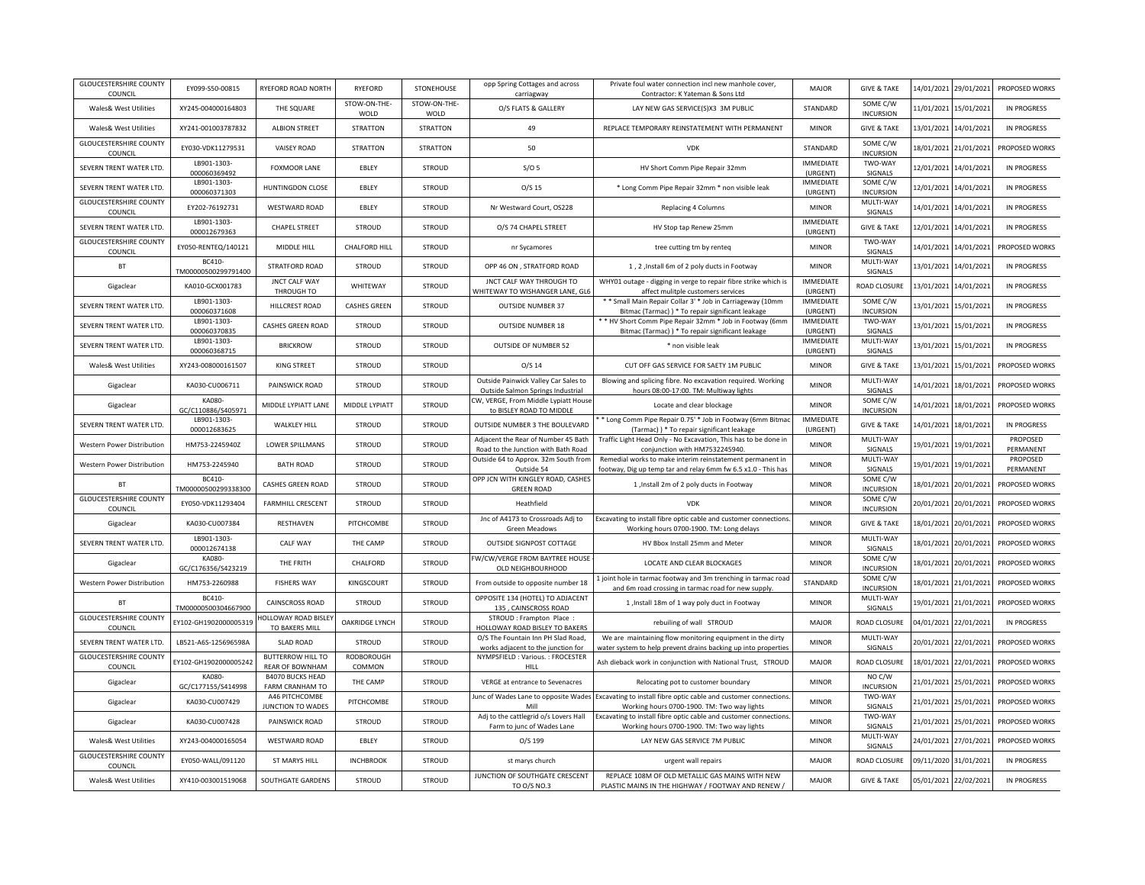| <b>GLOUCESTERSHIRE COUNTY</b><br>COUNCIL | EY099-S50-00815                     | RYEFORD ROAD NORTH                                 | RYEFORD               | STONEHOUSE           | opp Spring Cottages and across<br>carriagway                               | Private foul water connection incl new manhole cover.<br>Contractor: K Yateman & Sons Ltd                                  | <b>MAJOR</b>                 | <b>GIVE &amp; TAKE</b>       |            | 14/01/2021 29/01/2021 | PROPOSED WORKS        |
|------------------------------------------|-------------------------------------|----------------------------------------------------|-----------------------|----------------------|----------------------------------------------------------------------------|----------------------------------------------------------------------------------------------------------------------------|------------------------------|------------------------------|------------|-----------------------|-----------------------|
| Wales& West Utilities                    | XY245-004000164803                  | THE SQUARE                                         | STOW-ON-THE-<br>WOLD  | STOW-ON-THE-<br>WOLD | O/S FLATS & GALLERY                                                        | LAY NEW GAS SERVICE(S)X3 3M PUBLIC                                                                                         | <b>STANDARD</b>              | SOME C/W<br><b>INCURSION</b> | 11/01/2021 | 15/01/2021            | IN PROGRESS           |
| Wales& West Utilities                    | XY241-001003787832                  | <b>ALBION STREET</b>                               | <b>STRATTON</b>       | <b>STRATTON</b>      | 49                                                                         | REPLACE TEMPORARY REINSTATEMENT WITH PERMANENT                                                                             | <b>MINOR</b>                 | <b>GIVE &amp; TAKE</b>       | 13/01/2021 | 14/01/2021            | <b>IN PROGRESS</b>    |
| <b>GLOUCESTERSHIRE COUNTY</b><br>COUNCIL | EY030-VDK11279531                   | <b>VAISEY ROAD</b>                                 | <b>STRATTON</b>       | <b>STRATTON</b>      | 50                                                                         | <b>VDK</b>                                                                                                                 | STANDARD                     | SOME C/W<br><b>INCURSION</b> | 18/01/2021 | 21/01/2021            | PROPOSED WORKS        |
| SEVERN TRENT WATER LTD                   | LB901-1303-<br>000060369492         | <b>FOXMOOR LANE</b>                                | <b>FBI FY</b>         | <b>STROUD</b>        | S/O <sub>5</sub>                                                           | HV Short Comm Pipe Repair 32mm                                                                                             | <b>IMMEDIATE</b><br>(URGENT) | TWO-WAY<br>SIGNALS           | 12/01/2021 | 14/01/2021            | <b>IN PROGRESS</b>    |
| SEVERN TRENT WATER LTD                   | LB901-1303-<br>000060371303         | <b>HUNTINGDON CLOSE</b>                            | EBLEY                 | STROUD               | $O/S$ 15                                                                   | * Long Comm Pipe Repair 32mm * non visible leak                                                                            | <b>IMMEDIATE</b><br>(URGENT) | SOME C/W<br><b>INCURSION</b> | 12/01/2021 | 14/01/2021            | <b>IN PROGRESS</b>    |
| <b>GLOUCESTERSHIRE COUNTY</b><br>COUNCIL | EY202-76192731                      | <b>WESTWARD ROAD</b>                               | EBLEY                 | <b>STROUD</b>        | Nr Westward Court, OS228                                                   | <b>Replacing 4 Columns</b>                                                                                                 | <b>MINOR</b>                 | MULTI-WAY<br>SIGNALS         | 14/01/2021 | 14/01/2021            | <b>IN PROGRESS</b>    |
| SEVERN TRENT WATER LTD                   | LB901-1303-<br>000012679363         | <b>CHAPEL STREET</b>                               | STROUD                | STROUD               | O/S 74 CHAPEL STREET                                                       | HV Stop tap Renew 25mm                                                                                                     | <b>IMMEDIATE</b><br>(URGENT) | <b>GIVE &amp; TAKE</b>       |            | 12/01/2021 14/01/2021 | <b>IN PROGRESS</b>    |
| <b>GLOUCESTERSHIRE COUNTY</b><br>COUNCIL | EY050-RENTEQ/140121                 | MIDDLE HILL                                        | CHALFORD HILL         | STROUD               | nr Sycamores                                                               | tree cutting tm by renteq                                                                                                  | <b>MINOR</b>                 | TWO-WAY<br>SIGNALS           | 14/01/2021 | 14/01/2021            | PROPOSED WORKS        |
| <b>BT</b>                                | <b>BC410</b><br>TM00000500299791400 | <b>STRATFORD ROAD</b>                              | STROUD                | STROUD               | OPP 46 ON, STRATFORD ROAD                                                  | 1, 2, Install 6m of 2 poly ducts in Footway                                                                                | <b>MINOR</b>                 | MULTI-WAY<br>SIGNALS         | 13/01/2021 | 14/01/2021            | <b>IN PROGRESS</b>    |
| Gigaclear                                | KA010-GCX001783                     | <b>JNCT CALF WAY</b><br>THROUGH TO                 | WHITEWAY              | <b>STROUD</b>        | JNCT CALF WAY THROUGH TO<br>WHITEWAY TO WISHANGER LANE, GL6                | WHY01 outage - digging in verge to repair fibre strike which is<br>affect mulitple customers services                      | <b>IMMEDIATE</b><br>(URGENT) | ROAD CLOSURE                 | 13/01/2021 | 14/01/2021            | <b>IN PROGRESS</b>    |
| SEVERN TRENT WATER LTD                   | LB901-1303-<br>000060371608         | HILLCREST ROAD                                     | <b>CASHES GREEN</b>   | <b>STROUD</b>        | <b>OUTSIDE NUMBER 37</b>                                                   | * * Small Main Repair Collar 3' * Job in Carriageway (10mm<br>Bitmac (Tarmac) ) * To repair significant leakage            | <b>IMMEDIATE</b><br>(URGENT) | SOME C/W<br><b>INCURSION</b> | 13/01/2021 | 15/01/2021            | <b>IN PROGRESS</b>    |
| SEVERN TRENT WATER LTD                   | LB901-1303-<br>000060370835         | <b>CASHES GREEN ROAD</b>                           | STROUD                | <b>STROUD</b>        | <b>OUTSIDE NUMBER 18</b>                                                   | * * HV Short Comm Pipe Repair 32mm * Job in Footway (6mm<br>Bitmac (Tarmac) ) * To repair significant leakage              | <b>IMMEDIATE</b><br>(URGENT) | TWO-WAY<br>SIGNALS           | 13/01/2021 | 15/01/2021            | <b>IN PROGRESS</b>    |
| SEVERN TRENT WATER LTD                   | LB901-1303-<br>000060368715         | <b>BRICKROW</b>                                    | <b>STROUD</b>         | <b>STROUD</b>        | <b>OUTSIDE OF NUMBER 52</b>                                                | * non visible leak                                                                                                         | <b>IMMEDIATE</b><br>(URGENT) | MULTI-WAY<br>SIGNALS         | 13/01/2021 | 15/01/2021            | <b>IN PROGRESS</b>    |
| Wales& West Utilities                    | XY243-008000161507                  | <b>KING STREET</b>                                 | <b>STROUD</b>         | <b>STROUD</b>        | $O/S$ 14                                                                   | CUT OFF GAS SERVICE FOR SAETY 1M PUBLIC                                                                                    | <b>MINOR</b>                 | <b>GIVE &amp; TAKE</b>       | 13/01/2021 | 15/01/2021            | PROPOSED WORKS        |
| Gigaclear                                | KA030-CU006711                      | PAINSWICK ROAD                                     | STROUD                | STROUD               | Outside Painwick Valley Car Sales to<br>Outside Salmon Springs Industrial  | Blowing and splicing fibre. No excavation required. Working<br>hours 08:00-17:00. TM: Multiway lights                      | <b>MINOR</b>                 | MULTI-WAY<br>SIGNALS         | 14/01/2021 | 18/01/2021            | PROPOSED WORKS        |
| Gigaclear                                | <b>KA080</b><br>GC/C110886/S405971  | MIDDLE LYPIATT LANE                                | MIDDLE LYPIATT        | STROUD               | CW, VERGE, From Middle Lypiatt House<br>to BISLEY ROAD TO MIDDLE           | Locate and clear blockage                                                                                                  | <b>MINOR</b>                 | SOME C/W<br><b>INCURSION</b> | 14/01/2021 | 18/01/2021            | <b>PROPOSED WORKS</b> |
| SEVERN TRENT WATER LTD                   | LB901-1303-<br>000012683625         | <b>WALKLEY HILL</b>                                | <b>STROUD</b>         | <b>STROUD</b>        | OUTSIDE NUMBER 3 THE BOULEVARD                                             | * Long Comm Pipe Repair 0.75' * Job in Footway (6mm Bitmac<br>(Tarmac) ) * To repair significant leakage                   | <b>IMMEDIATE</b><br>(URGENT) | <b>GIVE &amp; TAKE</b>       | 14/01/2021 | 18/01/2021            | <b>IN PROGRESS</b>    |
| Western Power Distribution               | HM753-2245940Z                      | <b>LOWER SPILLMANS</b>                             | STROUD                | STROUD               | Adjacent the Rear of Number 45 Bath<br>Road to the Junction with Bath Road | Traffic Light Head Only - No Excavation, This has to be done in<br>conjunction with HM7532245940.                          | <b>MINOR</b>                 | MULTI-WAY<br>SIGNALS         | 19/01/2021 | 19/01/2021            | PROPOSED<br>PERMANENT |
| Western Power Distribution               | HM753-2245940                       | <b>BATH ROAD</b>                                   | <b>STROUD</b>         | STROUD               | Outside 64 to Approx. 32m South from<br>Outside 54                         | Remedial works to make interim reinstatement permanent in<br>footway, Dig up temp tar and relay 6mm fw 6.5 x1.0 - This has | <b>MINOR</b>                 | MULTI-WAY<br>SIGNALS         | 19/01/2021 | 19/01/2021            | PROPOSED<br>PERMANENT |
| <b>BT</b>                                | BC410-<br>TM00000500299338300       | CASHES GREEN ROAD                                  | STROUD                | STROUD               | OPP JCN WITH KINGLEY ROAD, CASHES<br><b>GREEN ROAD</b>                     | 1 , Install 2m of 2 poly ducts in Footway                                                                                  | <b>MINOR</b>                 | SOME C/W<br><b>INCURSION</b> | 18/01/2021 | 20/01/2021            | PROPOSED WORKS        |
| <b>GLOUCESTERSHIRE COUNTY</b><br>COUNCIL | EY050-VDK11293404                   | <b>FARMHILL CRESCENT</b>                           | STROUD                | <b>STROUD</b>        | Heathfield                                                                 | <b>VDK</b>                                                                                                                 | <b>MINOR</b>                 | SOME C/W<br><b>INCURSION</b> |            | 20/01/2021 20/01/2021 | PROPOSED WORKS        |
| Gigaclear                                | KA030-CU007384                      | <b>RESTHAVEN</b>                                   | PITCHCOMBE            | <b>STROUD</b>        | Jnc of A4173 to Crossroads Adj to<br>Green Meadows                         | Excavating to install fibre optic cable and customer connections<br>Working hours 0700-1900. TM: Long delays               | <b>MINOR</b>                 | <b>GIVE &amp; TAKE</b>       | 18/01/2021 | 20/01/2021            | PROPOSED WORKS        |
| SEVERN TRENT WATER LTD                   | LB901-1303-<br>000012674138         | <b>CALF WAY</b>                                    | THE CAMP              | <b>STROUD</b>        | OUTSIDE SIGNPOST COTTAGE                                                   | HV Bbox Install 25mm and Meter                                                                                             | <b>MINOR</b>                 | MULTI-WAY<br>SIGNALS         | 18/01/2021 | 20/01/2021            | PROPOSED WORKS        |
| Gigaclear                                | <b>KA080</b><br>GC/C176356/S423219  | THE FRITH                                          | CHALFORD              | <b>STROUD</b>        | W/CW/VERGE FROM BAYTREE HOUSE<br>OLD NEIGHBOURHOOD                         | LOCATE AND CLEAR BLOCKAGES                                                                                                 | <b>MINOR</b>                 | SOME C/W<br><b>INCURSION</b> | 18/01/2021 | 20/01/2021            | PROPOSED WORKS        |
| Western Power Distribution               | HM753-2260988                       | <b>FISHERS WAY</b>                                 | KINGSCOURT            | STROUD               | From outside to opposite number 18                                         | Ljoint hole in tarmac footway and 3m trenching in tarmac road<br>and 6m road crossing in tarmac road for new supply.       | STANDARD                     | SOME C/W<br><b>INCURSION</b> | 18/01/2021 | 21/01/2021            | PROPOSED WORKS        |
| <b>BT</b>                                | BC410-<br>TM00000500304667900       | <b>CAINSCROSS ROAD</b>                             | STROUD                | STROUD               | OPPOSITE 134 (HOTEL) TO ADJACENT<br>135, CAINSCROSS ROAD                   | 1, Install 18m of 1 way poly duct in Footway                                                                               | <b>MINOR</b>                 | MULTI-WAY<br>SIGNALS         | 19/01/2021 | 21/01/2021            | PROPOSED WORKS        |
| <b>GLOUCESTERSHIRE COUNTY</b><br>COUNCIL | EY102-GH1902000005319               | HOLLOWAY ROAD BISLET<br>TO BAKERS MILL             | <b>OAKRIDGE LYNCH</b> | <b>STROUD</b>        | STROUD : Frampton Place<br>HOLLOWAY ROAD BISLEY TO BAKERS                  | rebuiling of wall STROUD                                                                                                   | <b>MAJOR</b>                 | ROAD CLOSURE                 | 04/01/2021 | 22/01/2021            | <b>IN PROGRESS</b>    |
| SEVERN TRENT WATER LTD.                  | LB521-A6S-125696598A                | <b>SLAD ROAD</b>                                   | STROUD                | <b>STROUD</b>        | O/S The Fountain Inn PH Slad Road,<br>works adjacent to the junction for   | We are maintaining flow monitoring equipment in the dirty<br>water system to help prevent drains backing up into propertie | <b>MINOR</b>                 | MULTI-WAY<br>SIGNALS         | 20/01/2021 | 22/01/2021            | PROPOSED WORKS        |
| <b>GLOUCESTERSHIRE COUNTY</b><br>COUNCIL | EY102-GH1902000005242               | <b>BUTTERROW HILL TO</b><br><b>REAR OF BOWNHAM</b> | RODBOROUGH<br>COMMON  | STROUD               | NYMPSFIELD : Various. : FROCESTER<br>HILL                                  | Ash dieback work in conjunction with National Trust, STROUD                                                                | <b>MAJOR</b>                 | ROAD CLOSURE                 | 18/01/2021 | 22/01/2021            | <b>PROPOSED WORKS</b> |
| Gigaclear                                | <b>KA080</b><br>GC/C177155/S414998  | <b>B4070 BUCKS HEAD</b><br><b>FARM CRANHAM TO</b>  | THE CAMP              | STROUD               | VERGE at entrance to Sevenacres                                            | Relocating pot to customer boundary                                                                                        | <b>MINOR</b>                 | NO C/W<br><b>INCURSION</b>   | 21/01/2021 | 25/01/202             | PROPOSED WORKS        |
| Gigaclear                                | KA030-CU007429                      | A46 PITCHCOMBE<br>JUNCTION TO WADES                | PITCHCOMBE            | <b>STROUD</b>        | Junc of Wades Lane to opposite Wades<br>Mill                               | Excavating to install fibre optic cable and customer connections<br>Working hours 0700-1900. TM: Two way lights            | <b>MINOR</b>                 | TWO-WAY<br>SIGNALS           | 21/01/2021 | 25/01/2021            | PROPOSED WORKS        |
| Gigaclear                                | KA030-CU007428                      | PAINSWICK ROAD                                     | STROUD                | <b>STROUD</b>        | Adj to the cattlegrid o/s Lovers Hall<br>Farm to junc of Wades Lane        | Excavating to install fibre optic cable and customer connections<br>Working hours 0700-1900. TM: Two way lights            | <b>MINOR</b>                 | TWO-WAY<br>SIGNALS           | 21/01/2021 | 25/01/2021            | PROPOSED WORKS        |
| Wales& West Utilities                    | XY243-004000165054                  | WESTWARD ROAD                                      | EBLEY                 | <b>STROUD</b>        | O/S 199                                                                    | LAY NEW GAS SERVICE 7M PUBLIC                                                                                              | <b>MINOR</b>                 | MULTI-WAY<br>SIGNALS         | 24/01/2021 | 27/01/2021            | PROPOSED WORKS        |
| <b>GLOUCESTERSHIRE COUNTY</b><br>COUNCIL | EY050-WALL/091120                   | ST MARYS HILL                                      | <b>INCHBROOK</b>      | <b>STROUD</b>        | st marys church                                                            | urgent wall repairs                                                                                                        | <b>MAJOR</b>                 | ROAD CLOSURE                 | 09/11/2020 | 31/01/2021            | <b>IN PROGRESS</b>    |
| Wales& West Utilities                    | XY410-003001519068                  | SOUTHGATE GARDENS                                  | STROUD                | <b>STROUD</b>        | JUNCTION OF SOUTHGATE CRESCENT<br>TO O/S NO.3                              | REPLACE 108M OF OLD METALLIC GAS MAINS WITH NEW<br>PLASTIC MAINS IN THE HIGHWAY / FOOTWAY AND RENEW /                      | <b>MAJOR</b>                 | <b>GIVE &amp; TAKE</b>       |            | 05/01/2021 22/02/2021 | <b>IN PROGRESS</b>    |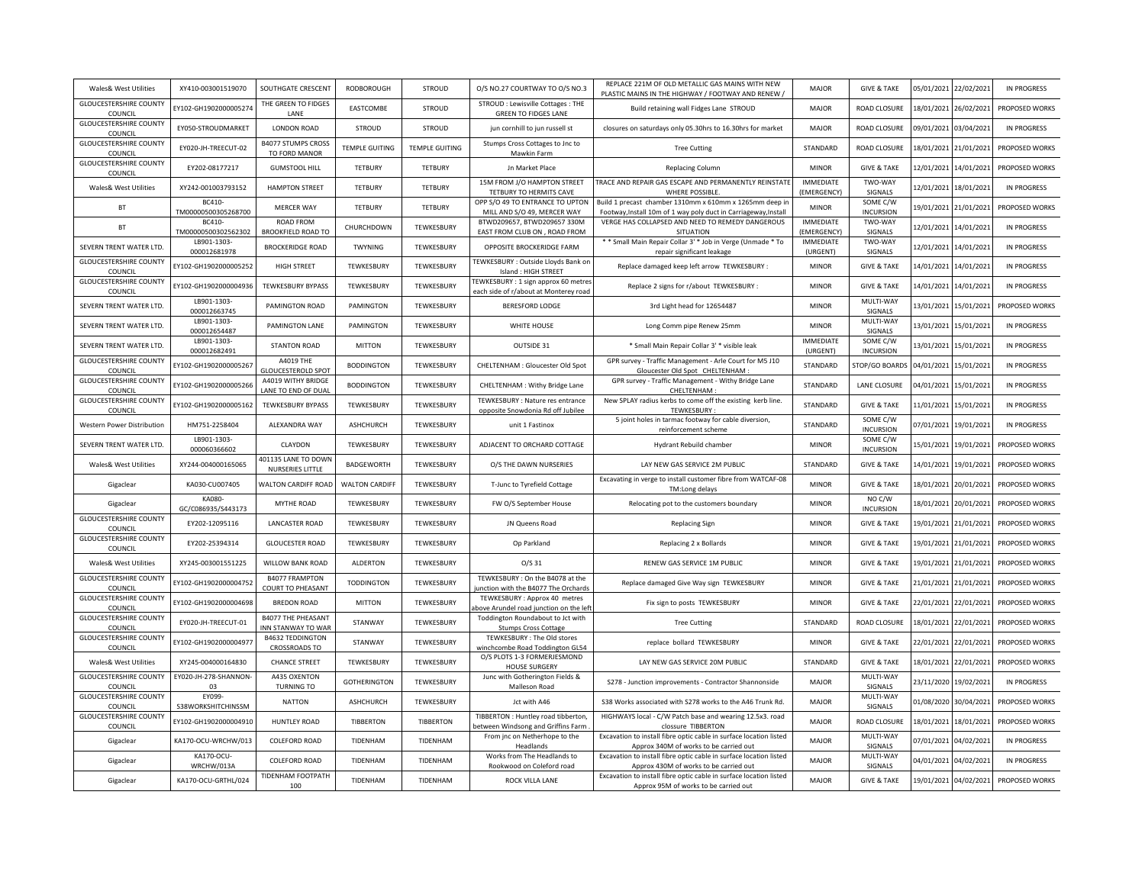| Wales& West Utilities                    | XY410-003001519070                      | SOUTHGATE CRESCENT                              | <b>RODBOROUGH</b>     | <b>STROUD</b>         | O/S NO.27 COURTWAY TO O/S NO.3                                               | REPLACE 221M OF OLD METALLIC GAS MAINS WITH NEW<br>PLASTIC MAINS IN THE HIGHWAY / FOOTWAY AND RENEW /                      | <b>MAIOR</b>                    | <b>GIVE &amp; TAKE</b>       | 05/01/2021 | 22/02/2021            | IN PROGRESS           |
|------------------------------------------|-----------------------------------------|-------------------------------------------------|-----------------------|-----------------------|------------------------------------------------------------------------------|----------------------------------------------------------------------------------------------------------------------------|---------------------------------|------------------------------|------------|-----------------------|-----------------------|
| <b>GLOUCESTERSHIRE COUNTY</b><br>COUNCIL | EY102-GH1902000005274                   | THE GREEN TO FIDGES<br>LANE                     | EASTCOMBE             | <b>STROUD</b>         | STROUD : Lewisville Cottages : THE<br><b>GREEN TO FIDGES LANE</b>            | Build retaining wall Fidges Lane STROUD                                                                                    | MAIOR                           | ROAD CLOSURE                 | 18/01/2021 | 26/02/2021            | PROPOSED WORKS        |
| <b>GLOUCESTERSHIRE COUNTY</b><br>COUNCIL | EY050-STROUDMARKET                      | <b>LONDON ROAD</b>                              | <b>STROUD</b>         | <b>STROUD</b>         | jun cornhill to jun russell st                                               | closures on saturdays only 05.30hrs to 16.30hrs for market                                                                 | <b>MAJOR</b>                    | ROAD CLOSURE                 | 09/01/2021 | 03/04/2021            | IN PROGRESS           |
| <b>GLOUCESTERSHIRE COUNTY</b><br>COUNCIL | EY020-JH-TREECUT-02                     | <b>B4077 STUMPS CROSS</b><br>TO FORD MANOR      | <b>TEMPLE GUITING</b> | <b>TEMPLE GUITING</b> | Stumps Cross Cottages to Jnc to<br>Mawkin Farm                               | <b>Tree Cutting</b>                                                                                                        | STANDARD                        | <b>ROAD CLOSURE</b>          | 18/01/2021 | 21/01/2021            | PROPOSED WORKS        |
| <b>GLOUCESTERSHIRE COUNTY</b><br>COUNCIL | EY202-08177217                          | <b>GUMSTOOL HILL</b>                            | <b>TETBURY</b>        | TETBURY               | Jn Market Place                                                              | <b>Replacing Column</b>                                                                                                    | <b>MINOR</b>                    | <b>GIVE &amp; TAKE</b>       | 12/01/2021 | 14/01/2021            | PROPOSED WORKS        |
| Wales& West Utilities                    | XY242-001003793152                      | <b>HAMPTON STREET</b>                           | TETBURY               | <b>TETBURY</b>        | 15M FROM J/O HAMPTON STREET<br>TETBURY TO HERMITS CAVE                       | TRACE AND REPAIR GAS ESCAPE AND PERMANENTLY REINSTATE<br>WHERE POSSIBLE.                                                   | <b>IMMEDIATE</b><br>(EMERGENCY) | TWO-WAY<br>SIGNALS           | 12/01/2021 | 18/01/2021            | <b>IN PROGRESS</b>    |
| <b>BT</b>                                | BC410-<br>TM00000500305268700           | <b>MERCER WAY</b>                               | <b>TETBURY</b>        | <b>TETBURY</b>        | OPP S/O 49 TO ENTRANCE TO UPTON<br>MILL AND S/O 49, MERCER WAY               | Build 1 precast chamber 1310mm x 610mm x 1265mm deep in<br>Footway, Install 10m of 1 way poly duct in Carriageway, Install | <b>MINOR</b>                    | SOME C/W<br><b>INCURSION</b> |            | 19/01/2021 21/01/2021 | PROPOSED WORKS        |
| <b>BT</b>                                | BC410-<br>TM00000500302562302           | <b>ROAD FROM</b><br><b>BROOKFIELD ROAD TO</b>   | CHURCHDOWN            | TEWKESBURY            | BTWD209657, BTWD209657 330M<br>EAST FROM CLUB ON, ROAD FROM                  | VERGE HAS COLLAPSED AND NEED TO REMEDY DANGEROUS<br><b>SITUATION</b>                                                       | <b>IMMEDIATE</b><br>(EMERGENCY) | TWO-WAY<br>SIGNALS           | 12/01/2021 | 14/01/2021            | <b>IN PROGRESS</b>    |
| SEVERN TRENT WATER LTD.                  | LB901-1303-<br>000012681978             | <b>BROCKERIDGE ROAD</b>                         | TWYNING               | TEWKESBURY            | OPPOSITE BROCKERIDGE FARM                                                    | * * Small Main Repair Collar 3' * Job in Verge (Unmade * To<br>repair significant leakage                                  | <b>IMMEDIATE</b><br>(URGENT)    | TWO-WAY<br>SIGNALS           | 12/01/2021 | 14/01/2021            | <b>IN PROGRESS</b>    |
| <b>GLOUCESTERSHIRE COUNTY</b><br>COUNCIL | EY102-GH1902000005252                   | <b>HIGH STREET</b>                              | TEWKESBURY            | TEWKESBURY            | TEWKESBURY : Outside Lloyds Bank on<br>Island : HIGH STREET                  | Replace damaged keep left arrow TEWKESBURY :                                                                               | <b>MINOR</b>                    | <b>GIVE &amp; TAKE</b>       | 14/01/2021 | 14/01/2021            | <b>IN PROGRESS</b>    |
| <b>GLOUCESTERSHIRE COUNTY</b><br>COUNCIL | EY102-GH1902000004936                   | <b>TEWKESBURY BYPASS</b>                        | TEWKESBURY            | TEWKESBURY            | TEWKESBURY: 1 sign approx 60 metres<br>each side of r/about at Monterey road | Replace 2 signs for r/about TEWKESBURY:                                                                                    | <b>MINOR</b>                    | <b>GIVE &amp; TAKE</b>       | 14/01/2021 | 14/01/2021            | IN PROGRESS           |
| SEVERN TRENT WATER LTD.                  | LB901-1303-<br>000012663745             | <b>PAMINGTON ROAD</b>                           | PAMINGTON             | TEWKESBURY            | BERESFORD LODGE                                                              | 3rd Light head for 12654487                                                                                                | <b>MINOR</b>                    | MULTI-WAY<br>SIGNALS         | 13/01/2021 | 15/01/2021            | PROPOSED WORKS        |
| SEVERN TRENT WATER LTD.                  | LB901-1303-<br>000012654487             | PAMINGTON LANE                                  | PAMINGTON             | TEWKESBURY            | WHITE HOUSE                                                                  | Long Comm pipe Renew 25mm                                                                                                  | <b>MINOR</b>                    | MULTI-WAY<br>SIGNALS         | 13/01/2021 | 15/01/2021            | <b>IN PROGRESS</b>    |
| SEVERN TRENT WATER LTD.                  | LB901-1303-<br>000012682491             | <b>STANTON ROAD</b>                             | <b>MITTON</b>         | TEWKESBURY            | OUTSIDE 31                                                                   | * Small Main Repair Collar 3' * visible leak                                                                               | <b>IMMEDIATE</b><br>(URGENT)    | SOME C/W<br><b>INCURSION</b> | 13/01/2021 | 15/01/2021            | <b>IN PROGRESS</b>    |
| <b>GLOUCESTERSHIRE COUNTY</b><br>COUNCIL | EY102-GH1902000005267                   | A4019 THE<br><b>GLOUCESTEROLD SPOT</b>          | <b>BODDINGTON</b>     | TEWKESBURY            | CHELTENHAM : Gloucester Old Spot                                             | GPR survey - Traffic Management - Arle Court for M5 J10<br>Gloucester Old Spot CHELTENHAM :                                | STANDARD                        | STOP/GO BOARDS               | 04/01/2021 | 15/01/2021            | IN PROGRESS           |
| <b>GLOUCESTERSHIRE COUNTY</b><br>COUNCIL | EY102-GH190200000526                    | A4019 WITHY BRIDGE<br>LANE TO END OF DUA        | <b>BODDINGTON</b>     | TEWKESBURY            | CHELTENHAM : Withy Bridge Lane                                               | GPR survey - Traffic Management - Withy Bridge Lane<br>CHELTENHAM                                                          | STANDARD                        | LANE CLOSURE                 | 04/01/2021 | 15/01/2021            | <b>IN PROGRESS</b>    |
| <b>GLOUCESTERSHIRE COUNTY</b><br>COUNCIL | EY102-GH1902000005162                   | <b>TEWKESBURY BYPASS</b>                        | TEWKESBURY            | TEWKESBURY            | TEWKESBURY : Nature res entrance<br>opposite Snowdonia Rd off Jubilee        | New SPLAY radius kerbs to come off the existing kerb line.<br>TEWKESBURY:                                                  | STANDARD                        | <b>GIVE &amp; TAKE</b>       | 11/01/2021 | 15/01/2021            | IN PROGRESS           |
| Western Power Distribution               | HM751-2258404                           | ALEXANDRA WAY                                   | ASHCHURCH             | TEWKESBURY            | unit 1 Fastinox                                                              | 5 joint holes in tarmac footway for cable diversion,<br>reinforcement scheme                                               | STANDARD                        | SOME C/W<br><b>INCURSION</b> | 07/01/2021 | 19/01/2021            | <b>IN PROGRESS</b>    |
| SEVERN TRENT WATER LTD.                  | LB901-1303-<br>000060366602             | CLAYDON                                         | TEWKESBURY            | TEWKESBURY            | ADJACENT TO ORCHARD COTTAGE                                                  | Hydrant Rebuild chamber                                                                                                    | <b>MINOR</b>                    | SOME C/W<br><b>INCURSION</b> | 15/01/2021 | 19/01/2021            | PROPOSED WORKS        |
| Wales& West Utilities                    | XY244-004000165065                      | 401135 LANE TO DOWN<br>NURSERIES LITTLE         | <b>BADGEWORTH</b>     | TEWKESBURY            | O/S THE DAWN NURSERIES                                                       | LAY NEW GAS SERVICE 2M PUBLIC                                                                                              | STANDARD                        | <b>GIVE &amp; TAKE</b>       |            | 14/01/2021 19/01/2021 | PROPOSED WORKS        |
| Gigaclear                                | KA030-CU007405                          | WALTON CARDIFF ROAD                             | <b>WALTON CARDIFF</b> | TEWKESBURY            | T-Junc to Tyrefield Cottage                                                  | Excavating in verge to install customer fibre from WATCAF-08<br>TM:Long delays                                             | <b>MINOR</b>                    | <b>GIVE &amp; TAKE</b>       |            | 18/01/2021 20/01/2021 | PROPOSED WORKS        |
| Gigaclear                                | KA080-<br>GC/C086935/S443173            | MYTHE ROAD                                      | TEWKESBURY            | TEWKESBURY            | FW O/S September House                                                       | Relocating pot to the customers boundary                                                                                   | <b>MINOR</b>                    | NO C/W<br><b>INCURSION</b>   | 18/01/2021 | 20/01/2021            | PROPOSED WORKS        |
| <b>GLOUCESTERSHIRE COUNTY</b><br>COUNCIL | EY202-12095116                          | <b>LANCASTER ROAD</b>                           | TEWKESBURY            | TEWKESBURY            | JN Queens Road                                                               | <b>Replacing Sign</b>                                                                                                      | <b>MINOR</b>                    | <b>GIVE &amp; TAKE</b>       | 19/01/2021 | 21/01/2021            | PROPOSED WORKS        |
| <b>GLOUCESTERSHIRE COUNTY</b><br>COUNCIL | EY202-25394314                          | <b>GLOUCESTER ROAD</b>                          | TEWKESBURY            | TEWKESBURY            | Op Parkland                                                                  | Replacing 2 x Bollards                                                                                                     | <b>MINOR</b>                    | <b>GIVE &amp; TAKE</b>       | 19/01/2021 | 21/01/2021            | PROPOSED WORKS        |
| Wales& West Utilities                    | XY245-003001551225                      | <b>WILLOW BANK ROAD</b>                         | <b>ALDERTON</b>       | TEWKESBURY            | $O/S$ 31                                                                     | RENEW GAS SERVICE 1M PUBLIC                                                                                                | <b>MINOR</b>                    | <b>GIVE &amp; TAKE</b>       | 19/01/2021 | 21/01/2021            | PROPOSED WORKS        |
| <b>GLOUCESTERSHIRE COUNTY</b><br>COUNCIL | EY102-GH1902000004752                   | <b>B4077 FRAMPTON</b><br>COURT TO PHEASANT      | <b>TODDINGTON</b>     | TEWKESBURY            | TEWKESBURY: On the B4078 at the<br>unction with the B4077 The Orchards       | Replace damaged Give Way sign TEWKESBURY                                                                                   | <b>MINOR</b>                    | <b>GIVE &amp; TAKE</b>       | 21/01/2021 | 21/01/2021            | <b>PROPOSED WORKS</b> |
| <b>GLOUCESTERSHIRE COUNTY</b><br>COUNCIL | EY102-GH1902000004698                   | <b>BREDON ROAD</b>                              | <b>MITTON</b>         | TEWKESBURY            | TEWKESBURY: Approx 40 metres<br>bove Arundel road junction on the left       | Fix sign to posts TEWKESBURY                                                                                               | <b>MINOR</b>                    | <b>GIVE &amp; TAKE</b>       | 22/01/2021 | 22/01/2021            | PROPOSED WORKS        |
| <b>GLOUCESTERSHIRE COUNTY</b><br>COUNCIL | EY020-JH-TREECUT-01                     | <b>B4077 THE PHEASANT</b><br>INN STANWAY TO WAR | STANWAY               | TEWKESBURY            | Toddington Roundabout to Jct with<br>Stumps Cross Cottage                    | <b>Tree Cutting</b>                                                                                                        | STANDARD                        | <b>ROAD CLOSURE</b>          | 18/01/2021 | 22/01/2021            | PROPOSED WORKS        |
| <b>GLOUCESTERSHIRE COUNTY</b><br>COUNCIL | EY102-GH1902000004977                   | <b>B4632 TEDDINGTON</b><br><b>CROSSROADS TO</b> | STANWAY               | <b>TFWKFSBURY</b>     | TEWKESBURY: The Old stores<br>winchcombe Road Toddington GL54                | replace bollard TEWKESBURY                                                                                                 | <b>MINOR</b>                    | <b>GIVE &amp; TAKE</b>       | 22/01/2021 | 22/01/2021            | PROPOSED WORKS        |
| Wales& West Utilities                    | XY245-004000164830                      | <b>CHANCE STREET</b>                            | TEWKESBURY            | TEWKESBURY            | O/S PLOTS 1-3 FORMERJESMOND<br><b>HOUSE SURGERY</b>                          | LAY NEW GAS SERVICE 20M PUBLIC                                                                                             | STANDARD                        | <b>GIVE &amp; TAKE</b>       | 18/01/2021 | 22/01/2021            | PROPOSED WORKS        |
| <b>GLOUCESTERSHIRE COUNTY</b><br>COUNCIL | EY020-JH-278-SHANNON-<br>0 <sup>3</sup> | A435 OXENTON<br><b>TURNING TO</b>               | <b>GOTHERINGTON</b>   | TEWKESBURY            | Junc with Gotherington Fields &<br>Malleson Road                             | S278 - Junction improvements - Contractor Shannonside                                                                      | <b>MAJOR</b>                    | MULTI-WAY<br>SIGNALS         | 23/11/2020 | 19/02/2021            | IN PROGRESS           |
| <b>GLOUCESTERSHIRE COUNTY</b><br>COUNCIL | <b>FY099</b><br>S38WORKSHITCHINSSM      | <b>NATTON</b>                                   | ASHCHURCH             | TEWKESBURY            | Jct with A46                                                                 | S38 Works associated with S278 works to the A46 Trunk Rd.                                                                  | <b>MAJOR</b>                    | MULTI-WAY<br>SIGNALS         | 01/08/2020 | 30/04/2021            | PROPOSED WORKS        |
| <b>GLOUCESTERSHIRE COUNTY</b><br>COUNCIL | EY102-GH1902000004910                   | <b>HUNTLEY ROAD</b>                             | <b>TIBBERTON</b>      | <b>TIBBERTON</b>      | TIBBERTON : Huntley road tibberton,<br>between Windsong and Griffins Farm    | HIGHWAYS local - C/W Patch base and wearing 12.5x3. road<br>clossure TIBBERTON                                             | <b>MAJOR</b>                    | ROAD CLOSURE                 | 18/01/2021 | 18/01/2021            | PROPOSED WORKS        |
| Gigaclear                                | KA170-OCU-WRCHW/013                     | <b>COLEFORD ROAD</b>                            | TIDENHAM              | TIDENHAM              | From jnc on Netherhope to the<br>Headlands                                   | Excavation to install fibre optic cable in surface location listed<br>Approx 340M of works to be carried out               | <b>MAJOR</b>                    | MULTI-WAY<br>SIGNALS         |            | 07/01/2021 04/02/2021 | <b>IN PROGRESS</b>    |
| Gigaclear                                | KA170-OCU-<br>WRCHW/013A                | <b>COLEFORD ROAD</b>                            | TIDENHAM              | TIDENHAM              | Works from The Headlands to<br>Rookwood on Coleford road                     | Excavation to install fibre optic cable in surface location listed<br>Approx 430M of works to be carried out               | <b>MAJOR</b>                    | MULTI-WAY<br>SIGNALS         |            | 04/01/2021 04/02/2021 | <b>IN PROGRESS</b>    |
| Gigaclear                                | KA170-OCU-GRTHL/024                     | TIDENHAM FOOTPATH<br>100                        | TIDENHAM              | TIDENHAM              | ROCK VILLA LANE                                                              | Excavation to install fibre optic cable in surface location listed<br>Approx 95M of works to be carried out                | <b>MAJOR</b>                    | <b>GIVE &amp; TAKE</b>       |            | 19/01/2021 04/02/2021 | PROPOSED WORKS        |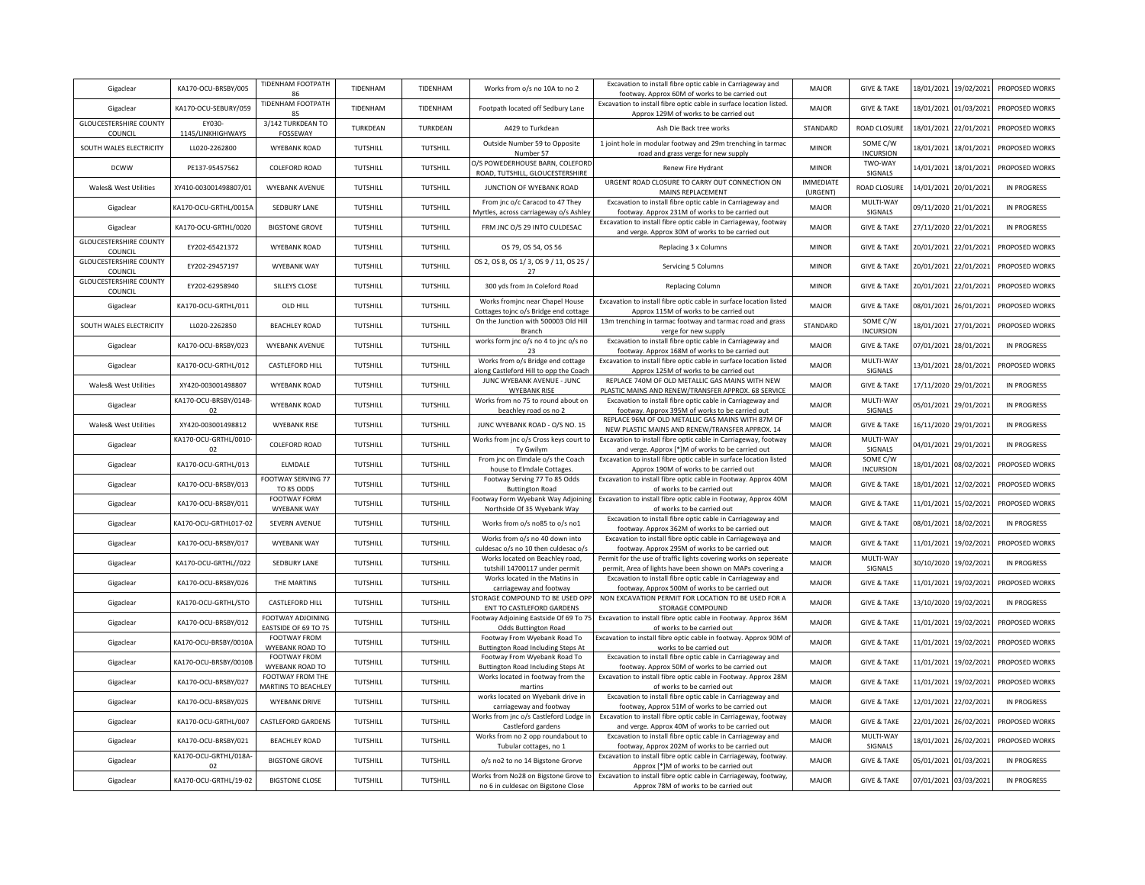| Gigaclear                                | KA170-OCU-BRSBY/005         | TIDENHAM FOOTPATH                              | TIDENHAM | TIDENHAM        | Works from o/s no 10A to no 2                                               | Excavation to install fibre optic cable in Carriageway and<br>footway. Approx 60M of works to be carried out                  | <b>MAJOR</b>                 | <b>GIVE &amp; TAKE</b>       | 18/01/2021 | 19/02/2021 | PROPOSED WORKS     |
|------------------------------------------|-----------------------------|------------------------------------------------|----------|-----------------|-----------------------------------------------------------------------------|-------------------------------------------------------------------------------------------------------------------------------|------------------------------|------------------------------|------------|------------|--------------------|
| Gigaclear                                | KA170-OCU-SEBURY/059        | TIDENHAM FOOTPATH<br>85                        | TIDENHAM | TIDENHAM        | Footpath located off Sedbury Lane                                           | Excavation to install fibre optic cable in surface location listed.<br>Approx 129M of works to be carried out                 | <b>MAJOR</b>                 | <b>GIVE &amp; TAKE</b>       | 18/01/2021 | 01/03/2021 | PROPOSED WORKS     |
| <b>GLOUCESTERSHIRE COUNTY</b><br>COUNCIL | FY030<br>1145/LINKHIGHWAYS  | 3/142 TURKDEAN TO<br>FOSSEWAY                  | TURKDEAN | TURKDEAN        | A429 to Turkdean                                                            | Ash Die Back tree works                                                                                                       | STANDARD                     | ROAD CLOSURE                 | 18/01/2021 | 22/01/2021 | PROPOSED WORKS     |
| SOUTH WALES ELECTRICITY                  | LL020-2262800               | <b>WYEBANK ROAD</b>                            | TUTSHILL | TUTSHILL        | Outside Number 59 to Opposite<br>Number 57                                  | 1 joint hole in modular footway and 29m trenching in tarmac<br>road and grass verge for new supply                            | <b>MINOR</b>                 | SOME C/W<br><b>INCURSION</b> | 18/01/2021 | 18/01/202  | PROPOSED WORKS     |
| <b>DCWW</b>                              | PE137-95457562              | <b>COLEFORD ROAD</b>                           | TUTSHILL | TUTSHILL        | O/S POWEDERHOUSE BARN, COLEFORD<br>ROAD, TUTSHILL, GLOUCESTERSHIRE          | Renew Fire Hydrant                                                                                                            | <b>MINOR</b>                 | TWO-WAY<br>SIGNALS           | 14/01/2021 | 18/01/202  | PROPOSED WORKS     |
| Wales& West Utilities                    | XY410-003001498807/01       | <b>WYEBANK AVENUE</b>                          | TUTSHILL | TUTSHILL        | JUNCTION OF WYEBANK ROAD                                                    | URGENT ROAD CLOSURE TO CARRY OUT CONNECTION ON<br>MAINS REPLACEMENT                                                           | <b>IMMEDIATE</b><br>(URGENT) | <b>ROAD CLOSURE</b>          | 14/01/2021 | 20/01/202: | IN PROGRESS        |
| Gigaclear                                | KA170-OCU-GRTHL/0015A       | SEDBURY LANE                                   | TUTSHILL | TUTSHILL        | From jnc o/c Caracod to 47 They<br>Myrtles, across carriageway o/s Ashley   | Excavation to install fibre optic cable in Carriageway and<br>footway. Approx 231M of works to be carried out                 | <b>MAJOR</b>                 | MULTI-WAY<br>SIGNALS         | 09/11/2020 | 21/01/2021 | IN PROGRESS        |
| Gigaclear                                | KA170-OCU-GRTHL/0020        | <b>BIGSTONE GROVE</b>                          | TUTSHILL | TUTSHILL        | FRM JNC O/S 29 INTO CULDESAC                                                | Excavation to install fibre optic cable in Carriageway, footway<br>and verge. Approx 30M of works to be carried out           | <b>MAJOR</b>                 | <b>GIVE &amp; TAKE</b>       | 27/11/2020 | 22/01/2021 | <b>IN PROGRESS</b> |
| <b>GLOUCESTERSHIRE COUNTY</b><br>COUNCIL | EY202-65421372              | <b>WYFBANK ROAD</b>                            | TUTSHILL | TUTSHILL        | OS 79, OS 54, OS 56                                                         | Replacing 3 x Columns                                                                                                         | <b>MINOR</b>                 | <b>GIVE &amp; TAKE</b>       | 20/01/2021 | 22/01/2021 | PROPOSED WORKS     |
| <b>GLOUCESTERSHIRE COUNTY</b><br>COUNCIL | EY202-29457197              | <b>WYFRANK WAY</b>                             | TUTSHILL | TUTSHILL        | OS 2, OS 8, OS 1/3, OS 9/11, OS 25/<br>27                                   | Servicing 5 Columns                                                                                                           | <b>MINOR</b>                 | <b>GIVE &amp; TAKE</b>       | 20/01/2021 | 22/01/2021 | PROPOSED WORKS     |
| <b>GLOUCESTERSHIRE COUNTY</b><br>COUNCIL | EY202-62958940              | SILLEYS CLOSE                                  | TUTSHILL | TUTSHILL        | 300 yds from Jn Coleford Road                                               | <b>Replacing Column</b>                                                                                                       | <b>MINOR</b>                 | <b>GIVE &amp; TAKE</b>       | 20/01/2021 | 22/01/2021 | PROPOSED WORKS     |
| Gigaclear                                | KA170-OCU-GRTHL/011         | OLD HILL                                       | TUTSHILL | TUTSHILL        | Works fromjnc near Chapel House<br>Cottages tojnc o/s Bridge end cottage    | Excavation to install fibre optic cable in surface location listed<br>Approx 115M of works to be carried out                  | <b>MAJOR</b>                 | <b>GIVE &amp; TAKE</b>       | 08/01/2021 | 26/01/2021 | PROPOSED WORKS     |
| SOUTH WALES ELECTRICITY                  | LL020-2262850               | <b>BEACHLEY ROAD</b>                           | TUTSHILL | TUTSHILL        | On the Junction with 500003 Old Hill<br>Branch                              | 13m trenching in tarmac footway and tarmac road and grass<br>verge for new supply                                             | STANDARD                     | SOME C/W<br><b>INCURSION</b> | 18/01/2021 | 27/01/2021 | PROPOSED WORKS     |
| Gigaclear                                | KA170-OCU-BRSBY/023         | WYEBANK AVENUE                                 | TUTSHILL | TUTSHILL        | works form jnc o/s no 4 to jnc o/s no<br>23                                 | Excavation to install fibre optic cable in Carriageway and<br>footway. Approx 168M of works to be carried out                 | <b>MAJOR</b>                 | <b>GIVE &amp; TAKE</b>       | 07/01/2021 | 28/01/2021 | IN PROGRESS        |
| Gigaclear                                | KA170-OCU-GRTHL/012         | <b>CASTLEFORD HILL</b>                         | TUTSHILL | TUTSHILL        | Works from o/s Bridge end cottage<br>along Castleford Hill to opp the Coach | Excavation to install fibre optic cable in surface location listed<br>Approx 125M of works to be carried out                  | <b>MAJOR</b>                 | MULTI-WAY<br>SIGNALS         | 13/01/2021 | 28/01/2021 | PROPOSED WORKS     |
| Wales& West Utilities                    | XY420-003001498807          | <b>WYFRANK ROAD</b>                            | TUTSHILL | <b>TUTSHILL</b> | JUNC WYEBANK AVENUE - JUNC<br><b>WYEBANK RISE</b>                           | REPLACE 740M OF OLD METALLIC GAS MAINS WITH NEW<br>PLASTIC MAINS AND RENEW/TRANSFER APPROX. 68 SERVICE                        | <b>MAJOR</b>                 | <b>GIVE &amp; TAKE</b>       | 17/11/2020 | 29/01/2021 | <b>IN PROGRESS</b> |
| Gigaclear                                | KA170-OCU-BRSBY/014B-<br>02 | <b>WYEBANK ROAD</b>                            | TUTSHILL | TUTSHILL        | Works from no 75 to round about on<br>beachley road os no 2                 | Excavation to install fibre optic cable in Carriageway and<br>footway. Approx 395M of works to be carried out                 | <b>MAJOR</b>                 | MULTI-WAY<br>SIGNALS         | 05/01/2021 | 29/01/202: | IN PROGRESS        |
| Wales& West Utilities                    | XY420-003001498812          | <b>WYEBANK RISE</b>                            | TUTSHILL | TUTSHILL        | JUNC WYEBANK ROAD - O/S NO. 15                                              | REPLACE 96M OF OLD METALLIC GAS MAINS WITH 87M OF<br>NEW PLASTIC MAINS AND RENEW/TRANSFER APPROX. 14                          | MAJOR                        | <b>GIVE &amp; TAKE</b>       | 16/11/2020 | 29/01/202  | IN PROGRESS        |
| Gigaclear                                | KA170-OCU-GRTHL/0010-<br>02 | <b>COLEFORD ROAD</b>                           | TUTSHILL | TUTSHILL        | Works from jnc o/s Cross keys court to<br>Tv Gwilvm                         | Excavation to install fibre optic cable in Carriageway, footway<br>and verge. Approx [*]M of works to be carried out          | <b>MAJOR</b>                 | MULTI-WAY<br>SIGNALS         | 04/01/2021 | 29/01/2021 | IN PROGRESS        |
| Gigaclear                                | KA170-OCU-GRTHL/013         | ELMDALE                                        | TUTSHILL | TUTSHILL        | From jnc on Elmdale o/s the Coach<br>house to Elmdale Cottages.             | Excavation to install fibre optic cable in surface location listed<br>Approx 190M of works to be carried out                  | MAJOR                        | SOME C/W<br><b>INCURSION</b> | 18/01/2021 | 08/02/2021 | PROPOSED WORKS     |
| Gigaclear                                | KA170-OCU-BRSBY/013         | FOOTWAY SERVING 77<br>TO 85 ODDS               | TUTSHILL | TUTSHILL        | Footway Serving 77 To 85 Odds<br><b>Buttington Road</b>                     | Excavation to install fibre optic cable in Footway. Approx 40M<br>of works to be carried out                                  | <b>MAJOR</b>                 | <b>GIVE &amp; TAKE</b>       | 18/01/2021 | 12/02/2021 | PROPOSED WORKS     |
| Gigaclear                                | KA170-OCU-BRSBY/011         | <b>FOOTWAY FORM</b><br><b>WYEBANK WAY</b>      | TUTSHILL | TUTSHILL        | Footway Form Wyebank Way Adjoining<br>Northside Of 35 Wyebank Way           | Excavation to install fibre optic cable in Footway, Approx 40M<br>of works to be carried out                                  | <b>MAJOR</b>                 | <b>GIVE &amp; TAKE</b>       | 11/01/2021 | 15/02/2021 | PROPOSED WORKS     |
| Gigaclear                                | KA170-OCU-GRTHL017-02       | SEVERN AVENUE                                  | TUTSHILL | <b>TUTSHILL</b> | Works from o/s no85 to o/s no1                                              | Excavation to install fibre optic cable in Carriageway and<br>footway. Approx 362M of works to be carried out                 | <b>MAJOR</b>                 | <b>GIVE &amp; TAKE</b>       | 08/01/2021 | 18/02/2021 | IN PROGRESS        |
| Gigaclear                                | KA170-OCU-BRSBY/017         | WYEBANK WAY                                    | TUTSHILL | TUTSHILL        | Works from o/s no 40 down into<br>culdesac o/s no 10 then culdesac o/s      | Excavation to install fibre optic cable in Carriagewaya and<br>footway. Approx 295M of works to be carried out                | <b>MAJOR</b>                 | <b>GIVE &amp; TAKE</b>       | 11/01/2021 | 19/02/2021 | PROPOSED WORKS     |
| Gigaclear                                | KA170-OCU-GRTHL//022        | SEDBURY LANE                                   | TUTSHILL | TUTSHILL        | Works located on Beachley road,<br>tutshill 14700117 under permit           | Permit for the use of traffic lights covering works on sepereate<br>permit, Area of lights have been shown on MAPs covering a | <b>MAJOR</b>                 | MULTI-WAY<br>SIGNALS         | 30/10/2020 | 19/02/2021 | <b>IN PROGRESS</b> |
| Gigaclear                                | KA170-OCU-BRSBY/026         | THE MARTINS                                    | TUTSHILL | TUTSHILL        | Works located in the Matins in<br>carriageway and footway                   | Excavation to install fibre optic cable in Carriageway and<br>footway, Approx 500M of works to be carried out                 | <b>MAJOR</b>                 | <b>GIVE &amp; TAKE</b>       | 11/01/2021 | 19/02/2021 | PROPOSED WORKS     |
| Gigaclear                                | KA170-OCU-GRTHL/STO         | CASTLEFORD HILL                                | TUTSHILL | TUTSHILL        | STORAGE COMPOUND TO BE USED OPP<br>ENT TO CASTLEFORD GARDENS                | NON EXCAVATION PERMIT FOR LOCATION TO BE USED FOR A<br>STORAGE COMPOUND                                                       | MAJOR                        | <b>GIVE &amp; TAKE</b>       | 13/10/2020 | 19/02/2021 | IN PROGRESS        |
| Gigaclear                                | KA170-OCU-BRSBY/012         | FOOTWAY ADJOINING<br>EASTSIDE OF 69 TO 75      | TUTSHILL | TUTSHILL        | Footway Adjoining Eastside Of 69 To 75<br>Odds Buttington Road              | Excavation to install fibre optic cable in Footway. Approx 36M<br>of works to be carried out                                  | <b>MAJOR</b>                 | <b>GIVE &amp; TAKE</b>       | 11/01/2021 | 19/02/2021 | PROPOSED WORKS     |
| Gigaclear                                | KA170-OCU-BRSBY/0010A       | <b>FOOTWAY FROM</b><br><b>WYEBANK ROAD TO</b>  | TUTSHILL | TUTSHILL        | Footway From Wyebank Road To<br>Buttington Road Including Steps At          | Excavation to install fibre optic cable in footway. Approx 90M of<br>works to be carried out                                  | <b>MAJOR</b>                 | <b>GIVE &amp; TAKE</b>       | 11/01/2021 | 19/02/2021 | PROPOSED WORKS     |
| Gigaclear                                | KA170-OCU-BRSBY/0010B       | FOOTWAY FROM<br>WYEBANK ROAD TO                | TUTSHILL | TUTSHILL        | Footway From Wyebank Road To<br>Buttington Road Including Steps At          | Excavation to install fibre optic cable in Carriageway and<br>footway. Approx 50M of works to be carried out                  | <b>MAJOR</b>                 | <b>GIVE &amp; TAKE</b>       | 11/01/2021 | 19/02/202: | PROPOSED WORKS     |
| Gigaclear                                | KA170-OCU-BRSBY/027         | FOOTWAY FROM THE<br><b>MARTINS TO BEACHLEY</b> | TUTSHILL | TUTSHILL        | Works located in footway from the<br>martins                                | Excavation to install fibre optic cable in Footway. Approx 28M<br>of works to be carried out                                  | <b>MAJOR</b>                 | <b>GIVE &amp; TAKE</b>       | 11/01/2021 | 19/02/202  | PROPOSED WORKS     |
| Gigaclear                                | KA170-OCU-BRSBY/025         | <b>WYEBANK DRIVE</b>                           | TUTSHILL | TUTSHILL        | works located on Wyebank drive in<br>carriageway and footway                | Excavation to install fibre optic cable in Carriageway and<br>footway, Approx 51M of works to be carried out                  | <b>MAJOR</b>                 | <b>GIVE &amp; TAKE</b>       | 12/01/2021 | 22/02/2021 | IN PROGRESS        |
| Gigaclear                                | KA170-OCU-GRTHL/007         | CASTLEFORD GARDENS                             | TUTSHILL | TUTSHILL        | Works from jnc o/s Castleford Lodge in<br>Castleford gardens                | Excavation to install fibre optic cable in Carriageway, footway<br>and verge. Approx 40M of works to be carried out           | <b>MAJOR</b>                 | <b>GIVE &amp; TAKE</b>       | 22/01/2021 | 26/02/2021 | PROPOSED WORKS     |
| Gigaclear                                | KA170-OCU-BRSBY/021         | <b>BEACHLEY ROAD</b>                           | TUTSHILL | TUTSHILL        | Works from no 2 opp roundabout to<br>Tubular cottages, no 1                 | Excavation to install fibre optic cable in Carriageway and<br>footway, Approx 202M of works to be carried out                 | <b>MAJOR</b>                 | MULTI-WAY<br>SIGNALS         | 18/01/2021 | 26/02/2021 | PROPOSED WORKS     |
| Gigaclear                                | KA170-OCU-GRTHL/018A<br>02  | <b>BIGSTONE GROVE</b>                          | TUTSHILL | TUTSHILL        | o/s no2 to no 14 Bigstone Grorve                                            | Excavation to install fibre optic cable in Carriageway, footway<br>Approx [*]M of works to be carried out                     | <b>MAJOR</b>                 | <b>GIVE &amp; TAKE</b>       | 05/01/2021 | 01/03/2021 | IN PROGRESS        |
| Gigaclear                                | KA170-OCU-GRTHL/19-02       | <b>BIGSTONE CLOSE</b>                          | TUTSHILL | TUTSHILL        | Works from No28 on Bigstone Grove to<br>no 6 in culdesac on Bigstone Close  | Excavation to install fibre optic cable in Carriageway, footway,<br>Approx 78M of works to be carried out                     | <b>MAJOR</b>                 | <b>GIVE &amp; TAKE</b>       | 07/01/2021 | 03/03/2021 | IN PROGRESS        |
|                                          |                             |                                                |          |                 |                                                                             |                                                                                                                               |                              |                              |            |            |                    |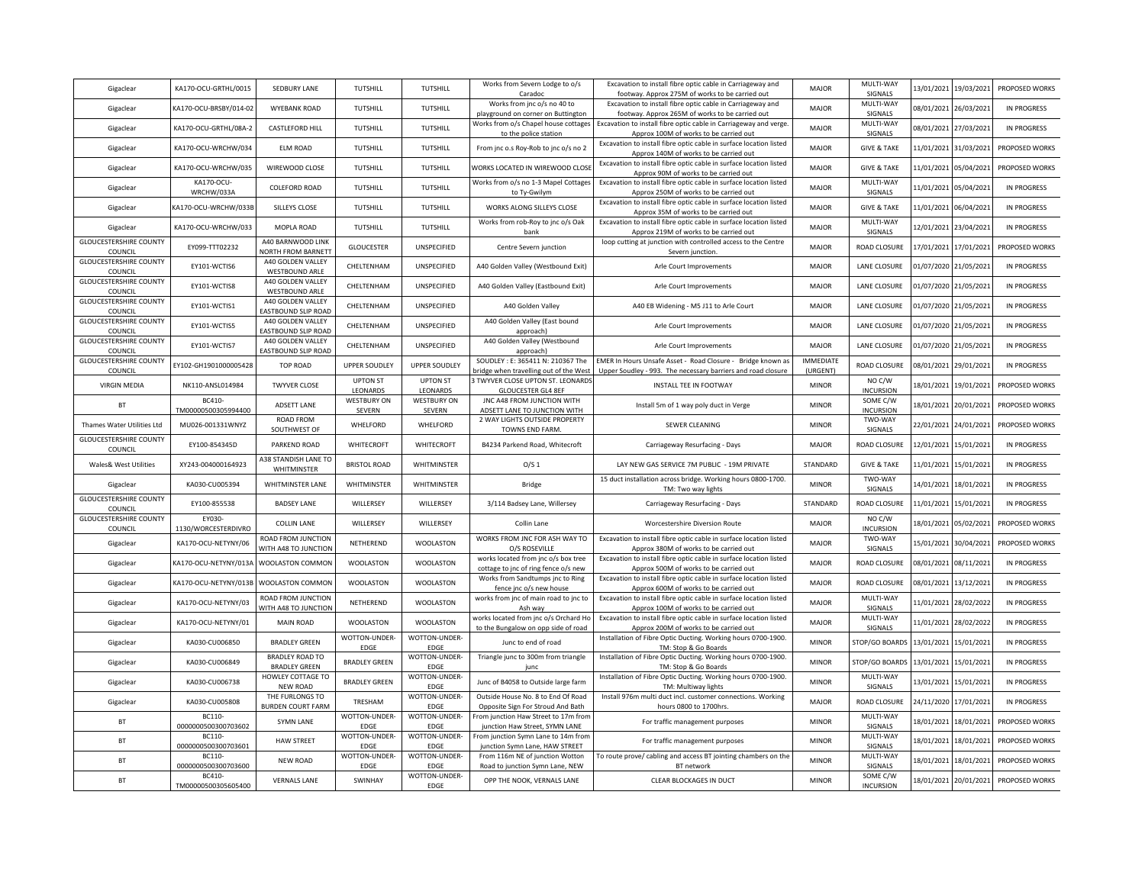| Gigaclear                                  | KA170-OCU-GRTHL/0015          | SEDBURY LANE                                 | <b>TUTSHILL</b>             | TUTSHILL                     | Works from Severn Lodge to o/s<br>Caradoc                                    | Excavation to install fibre optic cable in Carriageway and<br>footway. Approx 275M of works to be carried out               | <b>MAJOR</b>                 | MULTI-WAY<br><b>SIGNALS</b>         | 13/01/2021 | 19/03/2021 | PROPOSED WORKS     |
|--------------------------------------------|-------------------------------|----------------------------------------------|-----------------------------|------------------------------|------------------------------------------------------------------------------|-----------------------------------------------------------------------------------------------------------------------------|------------------------------|-------------------------------------|------------|------------|--------------------|
| Gigaclear                                  | KA170-OCU-BRSBY/014-02        | <b>WYEBANK ROAD</b>                          | <b>TUTSHILL</b>             | TUTSHILL                     | Works from jnc o/s no 40 to<br>playground on corner on Buttington            | Excavation to install fibre optic cable in Carriageway and<br>footway. Approx 265M of works to be carried out               | MAJOR                        | MULTI-WAY<br>SIGNALS                | 08/01/2021 | 26/03/2021 | IN PROGRESS        |
| Gigaclear                                  | KA170-OCU-GRTHL/08A-2         | <b>CASTLEFORD HILL</b>                       | TUTSHILL                    | TUTSHILL                     | Works from o/s Chapel house cottages                                         | Excavation to install fibre optic cable in Carriageway and verge.                                                           | MAJOR                        | MULTI-WAY                           | 08/01/2021 | 27/03/2021 | IN PROGRESS        |
| Gigaclear                                  | KA170-OCU-WRCHW/034           | <b>ELM ROAD</b>                              | <b>TUTSHILL</b>             | TUTSHILL                     | to the police station<br>From jnc o.s Roy-Rob to jnc o/s no 2                | Approx 100M of works to be carried out<br>Excavation to install fibre optic cable in surface location listed                | MAJOR                        | SIGNALS<br><b>GIVE &amp; TAKE</b>   | 11/01/2021 | 31/03/2021 | PROPOSED WORKS     |
| Gigaclear                                  | KA170-OCU-WRCHW/035           | WIREWOOD CLOSE                               | TUTSHILL                    | TUTSHILL                     | WORKS LOCATED IN WIREWOOD CLOSE                                              | Approx 140M of works to be carried out<br>Excavation to install fibre optic cable in surface location listed                | <b>MAIOR</b>                 | <b>GIVE &amp; TAKE</b>              | 11/01/2021 | 05/04/2021 | PROPOSED WORKS     |
| Gigaclear                                  | KA170-OCU-                    | <b>COLEFORD ROAD</b>                         | TUTSHILL                    | TUTSHILL                     | Works from o/s no 1-3 Mapel Cottages                                         | Approx 90M of works to be carried out<br>Excavation to install fibre optic cable in surface location listed                 | <b>MAJOR</b>                 | MULTI-WAY                           | 11/01/2021 | 05/04/2021 | IN PROGRESS        |
|                                            | WRCHW/033A                    |                                              |                             |                              | to Ty-Gwilym                                                                 | Approx 250M of works to be carried out<br>Excavation to install fibre optic cable in surface location listed                |                              | SIGNALS                             |            |            |                    |
| Gigaclear                                  | KA170-OCU-WRCHW/033B          | <b>SILLEYS CLOSE</b>                         | TUTSHILL                    | TUTSHILL                     | WORKS ALONG SILLEYS CLOSE<br>Works from rob-Roy to jnc o/s Oak               | Approx 35M of works to be carried out<br>Excavation to install fibre optic cable in surface location listed                 | <b>MAJOR</b>                 | <b>GIVE &amp; TAKE</b><br>MULTI-WAY | 11/01/2021 | 06/04/2021 | IN PROGRESS        |
| Gigaclear<br><b>GLOUCESTERSHIRE COUNTY</b> | KA170-OCU-WRCHW/033           | MOPLA ROAD<br>A40 BARNWOOD LINK              | <b>TUTSHILL</b>             | TUTSHILL                     | bank                                                                         | Approx 219M of works to be carried out<br>loop cutting at junction with controlled access to the Centre                     | <b>MAJOR</b>                 | SIGNALS                             | 12/01/2021 | 23/04/2021 | IN PROGRESS        |
| COUNCIL                                    | EY099-TTT02232                | <b>NORTH FROM BARNETT</b>                    | <b>GLOUCESTER</b>           | UNSPECIFIED                  | Centre Severn junction                                                       | Severn junction.                                                                                                            | <b>MAJOR</b>                 | ROAD CLOSURE                        | 17/01/2021 | 17/01/2021 | PROPOSED WORKS     |
| <b>GLOUCESTERSHIRE COUNTY</b><br>COUNCIL   | EY101-WCTIS6                  | A40 GOLDEN VALLEY<br><b>WESTBOUND ARLE</b>   | CHELTENHAM                  | UNSPECIFIED                  | A40 Golden Valley (Westbound Exit)                                           | Arle Court Improvements                                                                                                     | <b>MAJOR</b>                 | LANE CLOSURE                        | 01/07/2020 | 21/05/2021 | IN PROGRESS        |
| <b>GLOUCESTERSHIRE COUNTY</b><br>COUNCIL   | EY101-WCTIS8                  | A40 GOLDEN VALLEY<br><b>WESTBOUND ARLE</b>   | CHELTENHAM                  | UNSPECIFIED                  | A40 Golden Valley (Eastbound Exit)                                           | Arle Court Improvements                                                                                                     | <b>MAJOR</b>                 | LANE CLOSURE                        | 01/07/2020 | 21/05/2021 | IN PROGRESS        |
| <b>GLOUCESTERSHIRE COUNTY</b><br>COUNCIL   | EY101-WCTIS1                  | A40 GOLDEN VALLEY<br>EASTBOUND SLIP ROAD     | CHELTENHAM                  | UNSPECIFIED                  | A40 Golden Valley                                                            | A40 EB Widening - M5 J11 to Arle Court                                                                                      | <b>MAJOR</b>                 | LANE CLOSURE                        | 01/07/2020 | 21/05/2021 | IN PROGRESS        |
| <b>GLOUCESTERSHIRE COUNTY</b><br>COUNCIL   | EY101-WCTIS5                  | A40 GOLDEN VALLEY<br>EASTBOUND SLIP ROAD     | CHELTENHAM                  | <b>UNSPECIFIED</b>           | A40 Golden Valley (East bound<br>approach)                                   | Arle Court Improvements                                                                                                     | <b>MAJOR</b>                 | LANE CLOSURE                        | 01/07/2020 | 21/05/2021 | <b>IN PROGRESS</b> |
| <b>GLOUCESTERSHIRE COUNTY</b><br>COUNCIL   | EY101-WCTIS7                  | A40 GOLDEN VALLEY<br>EASTBOUND SLIP ROAD     | CHELTENHAM                  | UNSPECIFIED                  | A40 Golden Valley (Westbound<br>approach)                                    | Arle Court Improvements                                                                                                     | <b>MAJOR</b>                 | LANE CLOSURE                        | 01/07/2020 | 21/05/2021 | IN PROGRESS        |
| <b>GLOUCESTERSHIRE COUNTY</b><br>COUNCIL   | EY102-GH1901000005428         | <b>TOP ROAD</b>                              | <b>UPPER SOUDLEY</b>        | <b>UPPER SOUDLEY</b>         | SOUDLEY : E: 365411 N: 210367 The<br>oridge when travelling out of the West  | EMER In Hours Unsafe Asset - Road Closure - Bridge known as<br>Upper Soudley - 993. The necessary barriers and road closure | <b>IMMEDIATE</b><br>(URGENT) | ROAD CLOSURE                        | 08/01/2021 | 29/01/2021 | IN PROGRESS        |
| <b>VIRGIN MEDIA</b>                        | NK110-ANSL014984              | <b>TWYVER CLOSE</b>                          | <b>UPTON ST</b><br>LEONARDS | <b>UPTON ST</b><br>LEONARDS  | 3 TWYVER CLOSE UPTON ST. LEONARDS<br><b>GLOUCESTER GL4 8EF</b>               | INSTALL TEE IN FOOTWAY                                                                                                      | <b>MINOR</b>                 | NO C/W<br><b>INCURSION</b>          | 18/01/2021 | 19/01/2021 | PROPOSED WORKS     |
| <b>BT</b>                                  | BC410-                        | ADSETT LANE                                  | <b>WESTBURY ON</b>          | <b>WESTBURY ON</b>           | JNC A48 FROM JUNCTION WITH                                                   | Install 5m of 1 way poly duct in Verge                                                                                      | <b>MINOR</b>                 | SOME C/W                            | 18/01/2021 | 20/01/2021 | PROPOSED WORKS     |
|                                            | TM00000500305994400           | <b>ROAD FROM</b>                             | SEVERN                      | SEVERN                       | ADSETT LANE TO JUNCTION WITH<br>2 WAY LIGHTS OUTSIDE PROPERTY                |                                                                                                                             |                              | <b>INCURSION</b><br>TWO-WAY         |            |            |                    |
| Thames Water Utilities Ltd                 | MU026-001331WNYZ              | SOUTHWEST OF                                 | WHELFORD                    | WHELFORD                     | TOWNS END FARM.                                                              | SEWER CLEANING                                                                                                              | <b>MINOR</b>                 | <b>SIGNALS</b>                      | 22/01/2021 | 24/01/2021 | PROPOSED WORKS     |
| <b>GLOUCESTERSHIRE COUNTY</b><br>COUNCIL   | EY100-854345D                 | PARKEND ROAD                                 | WHITECROFT                  | WHITECROFT                   | B4234 Parkend Road, Whitecroft                                               | Carriageway Resurfacing - Days                                                                                              | MAJOR                        | ROAD CLOSURE                        | 12/01/2021 | 15/01/2021 | IN PROGRESS        |
| Wales& West Utilities                      | XY243-004000164923            | <b>A38 STANDISH LANE TO</b><br>WHITMINSTER   | <b>BRISTOL ROAD</b>         | WHITMINSTER                  | O/S <sub>1</sub>                                                             | LAY NEW GAS SERVICE 7M PUBLIC - 19M PRIVATE                                                                                 | STANDARD                     | <b>GIVE &amp; TAKE</b>              | 11/01/2021 | 15/01/2021 | IN PROGRESS        |
| Gigaclear                                  | KA030-CU005394                | WHITMINSTER LANE                             | WHITMINSTER                 | WHITMINSTER                  | <b>Bridge</b>                                                                | 15 duct installation across bridge. Working hours 0800-1700<br>TM: Two way lights                                           | <b>MINOR</b>                 | TWO-WAY<br><b>SIGNALS</b>           | 14/01/2021 | 18/01/2021 | IN PROGRESS        |
| <b>GLOUCESTERSHIRE COUNTY</b><br>COUNCIL   | EY100-855538                  | <b>BADSEY LANE</b>                           | WILLERSEY                   | WILLERSEY                    | 3/114 Badsey Lane, Willersey                                                 | Carriageway Resurfacing - Days                                                                                              | STANDARD                     | ROAD CLOSURE                        | 11/01/2021 | 15/01/2021 | IN PROGRESS        |
| <b>GLOUCESTERSHIRE COUNTY</b><br>COUNCIL   | EY030-<br>1130/WORCESTERDIVRO | <b>COLLIN LANE</b>                           | WILLERSEY                   | WILLERSEY                    | Collin Lane                                                                  | Worcestershire Diversion Route                                                                                              | MAJOR                        | NO C/W<br><b>INCURSION</b>          | 18/01/2021 | 05/02/2021 | PROPOSED WORKS     |
| Gigaclear                                  | KA170-OCU-NETYNY/06           | ROAD FROM JUNCTION<br>WITH A48 TO JUNCTION   | NETHEREND                   | WOOLASTON                    | WORKS FROM JNC FOR ASH WAY TO<br>O/S ROSEVILLE                               | Excavation to install fibre optic cable in surface location listed<br>Approx 380M of works to be carried out                | MAJOR                        | TWO-WAY<br>SIGNALS                  | 15/01/2021 | 30/04/2021 | PROPOSED WORKS     |
|                                            | KA170-OCU-NETYNY/013A         | WOOLASTON COMMON                             | <b>WOOLASTON</b>            | <b>WOOLASTON</b>             | works located from jnc o/s box tree                                          | Excavation to install fibre optic cable in surface location listed                                                          | MAJOR                        | ROAD CLOSURE                        | 08/01/2021 | 08/11/2021 | IN PROGRESS        |
| Gigaclear                                  |                               |                                              |                             |                              | cottage to jnc of ring fence o/s new<br>Works from Sandtumps jnc to Ring     | Approx 500M of works to be carried out<br>Excavation to install fibre optic cable in surface location listed                |                              |                                     |            |            |                    |
| Gigaclear                                  | KA170-OCU-NETYNY/013B         | WOOLASTON COMMON                             | <b>WOOLASTON</b>            | WOOLASTON                    | fence jnc o/s new house                                                      | Approx 600M of works to be carried out                                                                                      | <b>MAJOR</b>                 | ROAD CLOSURE                        | 08/01/2021 | 13/12/2021 | <b>IN PROGRESS</b> |
| Gigaclear                                  | KA170-OCU-NETYNY/03           | ROAD FROM JUNCTION<br>WITH A48 TO JUNCTION   | NETHEREND                   | <b>WOOLASTON</b>             | works from jnc of main road to jnc to<br>Ash way                             | Excavation to install fibre optic cable in surface location listed<br>Approx 100M of works to be carried out                | MAJOR                        | MULTI-WAY<br>SIGNALS                | 1/01/2021  | 28/02/2022 | IN PROGRESS        |
| Gigaclear                                  | KA170-OCU-NETYNY/01           | <b>MAIN ROAD</b>                             | <b>WOOLASTON</b>            | <b>WOOLASTON</b>             | works located from jnc o/s Orchard Ho<br>to the Bungalow on opp side of road | Excavation to install fibre optic cable in surface location listed<br>Approx 200M of works to be carried out                | MAJOR                        | MULTI-WAY<br>SIGNALS                | 11/01/2021 | 28/02/2022 | IN PROGRESS        |
| Gigaclear                                  | KA030-CU006850                | <b>BRADLEY GREEN</b>                         | WOTTON-UNDER-<br>EDGE       | WOTTON-UNDER-<br>EDGE        | Junc to end of road                                                          | Installation of Fibre Optic Ducting. Working hours 0700-1900.<br>TM: Stop & Go Boards                                       | <b>MINOR</b>                 | STOP/GO BOARDS                      | 13/01/2021 | 15/01/2021 | IN PROGRESS        |
| Gigaclear                                  | KA030-CU006849                | <b>BRADLEY ROAD TO</b>                       | <b>BRADLEY GREEN</b>        | WOTTON-UNDER-                | Triangle junc to 300m from triangle                                          | Installation of Fibre Optic Ducting. Working hours 0700-1900.                                                               | <b>MINOR</b>                 | STOP/GO BOARDS                      | 13/01/2021 | 15/01/202: | IN PROGRESS        |
| Gigaclear                                  | KA030-CU006738                | <b>BRADLEY GREEN</b><br>HOWLEY COTTAGE TO    | <b>BRADLEY GREEN</b>        | EDGE<br>WOTTON-UNDER-        | junc<br>Junc of B4058 to Outside large farm                                  | TM: Stop & Go Boards<br>Installation of Fibre Optic Ducting. Working hours 0700-1900.                                       | <b>MINOR</b>                 | MULTI-WAY                           | 13/01/2021 | 15/01/2021 | IN PROGRESS        |
| Gigaclear                                  | KA030-CU005808                | NEW ROAD<br>THE FURLONGS TO                  | TRESHAM                     | EDGE<br>WOTTON-UNDER-        | Outside House No. 8 to End Of Road                                           | TM: Multiway lights<br>Install 976m multi duct incl. customer connections. Working                                          | MAJOR                        | SIGNALS<br>ROAD CLOSURE             | 24/11/2020 | 17/01/2021 | IN PROGRESS        |
| BT                                         | <b>BC110-</b>                 | <b>BURDEN COURT FARM</b><br><b>SYMN LANE</b> | WOTTON-UNDER-               | <b>FDGF</b><br>WOTTON-UNDER- | Opposite Sign For Stroud And Bath<br>From junction Haw Street to 17m from    | hours 0800 to 1700hrs.<br>For traffic management purposes                                                                   | <b>MINOR</b>                 | MULTI-WAY                           | 18/01/2021 | 18/01/2021 | PROPOSED WORKS     |
|                                            | 0000000500300703602<br>BC110- |                                              | EDGE<br>WOTTON-UNDER-       | EDGE<br>WOTTON-UNDER-        | junction Haw Street, SYMN LANE<br>From junction Symn Lane to 14m from        |                                                                                                                             |                              | SIGNALS<br>MULTI-WAY                |            |            |                    |
| BT                                         | 0000000500300703601<br>BC110- | <b>HAW STREET</b>                            | EDGE<br>WOTTON-UNDER-       | EDGE<br>WOTTON-UNDER-        | junction Symn Lane, HAW STREET<br>From 116m NE of junction Wotton            | For traffic management purposes<br>To route prove/ cabling and access BT jointing chambers on the                           | <b>MINOR</b>                 | SIGNALS<br>MULTI-WAY                | 18/01/2021 | 18/01/2021 | PROPOSED WORKS     |
| <b>BT</b>                                  | 0000000500300703600           | NEW ROAD                                     | EDGE                        | EDGE                         | Road to junction Symn Lane, NEW                                              | BT network                                                                                                                  | <b>MINOR</b>                 | SIGNALS                             | 18/01/2021 | 18/01/2021 | PROPOSED WORKS     |
| BT                                         | BC410-<br>TM00000500305605400 | <b>VERNALS LANE</b>                          | SWINHAY                     | WOTTON-UNDER-<br>EDGE        | OPP THE NOOK, VERNALS LANE                                                   | CLEAR BLOCKAGES IN DUCT                                                                                                     | <b>MINOR</b>                 | SOME C/W<br><b>INCURSION</b>        | 18/01/2021 | 20/01/2021 | PROPOSED WORKS     |